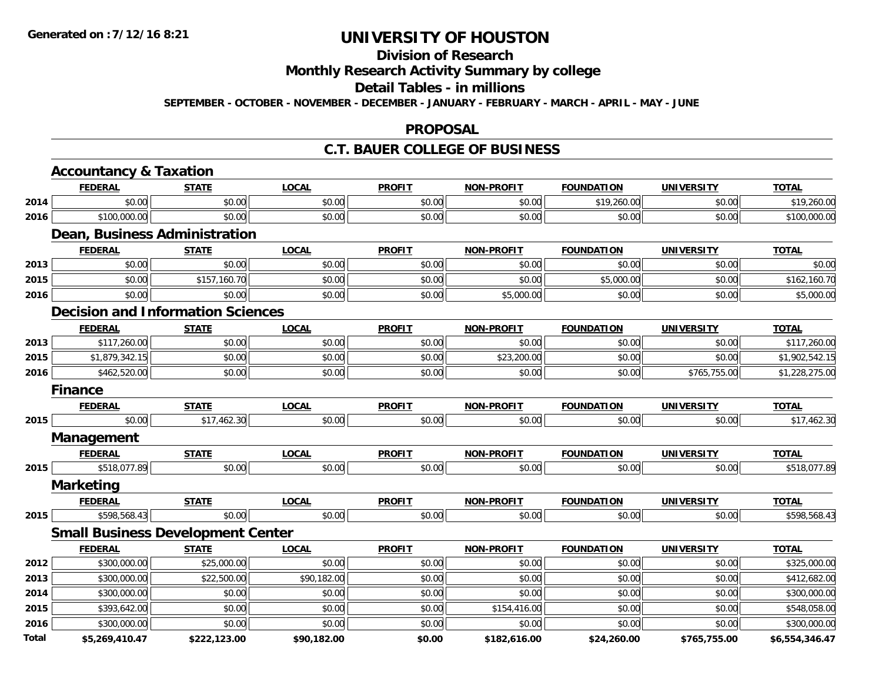# **Division of Research**

# **Monthly Research Activity Summary by college**

#### **Detail Tables - in millions**

**SEPTEMBER - OCTOBER - NOVEMBER - DECEMBER - JANUARY - FEBRUARY - MARCH - APRIL - MAY - JUNE**

#### **PROPOSAL**

### **C.T. BAUER COLLEGE OF BUSINESS**

|       | <b>Accountancy &amp; Taxation</b>        |              |              |               |                   |                   |                   |                |
|-------|------------------------------------------|--------------|--------------|---------------|-------------------|-------------------|-------------------|----------------|
|       | <b>FEDERAL</b>                           | <b>STATE</b> | <b>LOCAL</b> | <b>PROFIT</b> | <b>NON-PROFIT</b> | <b>FOUNDATION</b> | <b>UNIVERSITY</b> | <b>TOTAL</b>   |
| 2014  | \$0.00                                   | \$0.00       | \$0.00       | \$0.00        | \$0.00            | \$19,260.00       | \$0.00            | \$19,260.00    |
| 2016  | \$100,000.00                             | \$0.00       | \$0.00       | \$0.00        | \$0.00            | \$0.00            | \$0.00            | \$100,000.00   |
|       | Dean, Business Administration            |              |              |               |                   |                   |                   |                |
|       | <b>FEDERAL</b>                           | <b>STATE</b> | <b>LOCAL</b> | <b>PROFIT</b> | <b>NON-PROFIT</b> | <b>FOUNDATION</b> | <b>UNIVERSITY</b> | <b>TOTAL</b>   |
| 2013  | \$0.00                                   | \$0.00       | \$0.00       | \$0.00        | \$0.00            | \$0.00            | \$0.00            | \$0.00         |
| 2015  | \$0.00                                   | \$157,160.70 | \$0.00       | \$0.00        | \$0.00            | \$5,000.00        | \$0.00            | \$162,160.70   |
| 2016  | \$0.00                                   | \$0.00       | \$0.00       | \$0.00        | \$5,000.00        | \$0.00            | \$0.00            | \$5,000.00     |
|       | <b>Decision and Information Sciences</b> |              |              |               |                   |                   |                   |                |
|       | <b>FEDERAL</b>                           | <b>STATE</b> | <b>LOCAL</b> | <b>PROFIT</b> | <b>NON-PROFIT</b> | <b>FOUNDATION</b> | <b>UNIVERSITY</b> | <b>TOTAL</b>   |
| 2013  | \$117,260.00                             | \$0.00       | \$0.00       | \$0.00        | \$0.00            | \$0.00            | \$0.00            | \$117,260.00   |
| 2015  | \$1,879,342.15                           | \$0.00       | \$0.00       | \$0.00        | \$23,200.00       | \$0.00            | \$0.00            | \$1,902,542.15 |
| 2016  | \$462,520.00                             | \$0.00       | \$0.00       | \$0.00        | \$0.00            | \$0.00            | \$765,755.00      | \$1,228,275.00 |
|       | <b>Finance</b>                           |              |              |               |                   |                   |                   |                |
|       | <b>FEDERAL</b>                           | <b>STATE</b> | <b>LOCAL</b> | <b>PROFIT</b> | <b>NON-PROFIT</b> | <b>FOUNDATION</b> | <b>UNIVERSITY</b> | <b>TOTAL</b>   |
| 2015  | \$0.00                                   | \$17,462.30  | \$0.00       | \$0.00        | \$0.00            | \$0.00            | \$0.00            | \$17,462.30    |
|       | <b>Management</b>                        |              |              |               |                   |                   |                   |                |
|       | <b>FEDERAL</b>                           | <b>STATE</b> | <b>LOCAL</b> | <b>PROFIT</b> | <b>NON-PROFIT</b> | <b>FOUNDATION</b> | <b>UNIVERSITY</b> | <b>TOTAL</b>   |
| 2015  | \$518,077.89                             | \$0.00       | \$0.00       | \$0.00        | \$0.00            | \$0.00            | \$0.00            | \$518,077.89   |
|       | <b>Marketing</b>                         |              |              |               |                   |                   |                   |                |
|       | <b>FEDERAL</b>                           | <b>STATE</b> | <b>LOCAL</b> | <b>PROFIT</b> | <b>NON-PROFIT</b> | <b>FOUNDATION</b> | <b>UNIVERSITY</b> | <b>TOTAL</b>   |
| 2015  | \$598,568.43                             | \$0.00       | \$0.00       | \$0.00        | \$0.00            | \$0.00            | \$0.00            | \$598,568.43   |
|       | <b>Small Business Development Center</b> |              |              |               |                   |                   |                   |                |
|       | <b>FEDERAL</b>                           | <b>STATE</b> | <b>LOCAL</b> | <b>PROFIT</b> | <b>NON-PROFIT</b> | <b>FOUNDATION</b> | <b>UNIVERSITY</b> | <b>TOTAL</b>   |
| 2012  | \$300,000.00                             | \$25,000.00  | \$0.00       | \$0.00        | \$0.00            | \$0.00            | \$0.00            | \$325,000.00   |
| 2013  | \$300,000.00                             | \$22,500.00  | \$90,182.00  | \$0.00        | \$0.00            | \$0.00            | \$0.00            | \$412,682.00   |
| 2014  | \$300,000.00                             | \$0.00       | \$0.00       | \$0.00        | \$0.00            | \$0.00            | \$0.00            | \$300,000.00   |
| 2015  | \$393,642.00                             | \$0.00       | \$0.00       | \$0.00        | \$154,416.00      | \$0.00            | \$0.00            | \$548,058.00   |
| 2016  | \$300,000.00                             | \$0.00       | \$0.00       | \$0.00        | \$0.00            | \$0.00            | \$0.00            | \$300,000.00   |
| Total | \$5,269,410.47                           | \$222,123.00 | \$90,182.00  | \$0.00        | \$182,616.00      | \$24,260.00       | \$765,755.00      | \$6,554,346.47 |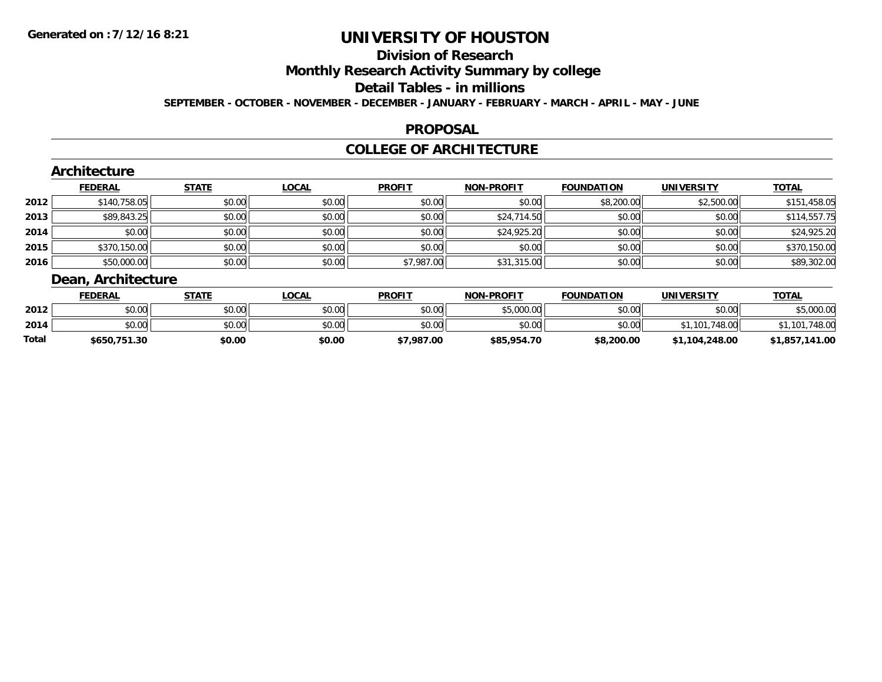# **Division of Research**

**Monthly Research Activity Summary by college**

#### **Detail Tables - in millions**

**SEPTEMBER - OCTOBER - NOVEMBER - DECEMBER - JANUARY - FEBRUARY - MARCH - APRIL - MAY - JUNE**

#### **PROPOSAL**

### **COLLEGE OF ARCHITECTURE**

|      | Architecture      |              |              |               |                   |                   |                   |              |
|------|-------------------|--------------|--------------|---------------|-------------------|-------------------|-------------------|--------------|
|      | <b>FEDERAL</b>    | <b>STATE</b> | <u>LOCAL</u> | <b>PROFIT</b> | <b>NON-PROFIT</b> | <b>FOUNDATION</b> | <b>UNIVERSITY</b> | <b>TOTAL</b> |
| 2012 | \$140,758.05      | \$0.00       | \$0.00       | \$0.00        | \$0.00            | \$8,200.00        | \$2,500.00        | \$151,458.05 |
| 2013 | \$89,843.25       | \$0.00       | \$0.00       | \$0.00        | \$24,714.50       | \$0.00            | \$0.00            | \$114,557.75 |
| 2014 | \$0.00            | \$0.00       | \$0.00       | \$0.00        | \$24,925.20       | \$0.00            | \$0.00            | \$24,925.20  |
| 2015 | \$370,150.00      | \$0.00       | \$0.00       | \$0.00        | \$0.00            | \$0.00            | \$0.00            | \$370,150.00 |
| 2016 | \$50,000.00       | \$0.00       | \$0.00       | \$7,987.00    | \$31,315.00       | \$0.00            | \$0.00            | \$89,302.00  |
|      | Doon Arokitooturo |              |              |               |                   |                   |                   |              |

# **Dean, Architecture**

|       | <b>FEDERAL</b> | STATE  | LOCAL  | <b>PROFIT</b> | <b>NON-PROFIT</b> | <b>FOUNDATION</b> | UNIVERSITY     | <b>TOTAL</b>       |
|-------|----------------|--------|--------|---------------|-------------------|-------------------|----------------|--------------------|
| 2012  | \$0.00         | \$0.00 | \$0.00 | \$0.00        | \$5,000.00        | \$0.00            | \$0.00         | 5.000.00           |
| 2014  | \$0.00         | \$0.00 | \$0.00 | \$0.00        | \$0.00            | \$0.00            | .101.748.00    | 748.00<br>.101     |
| Total | \$650,751.30   | \$0.00 | \$0.00 | \$7,987.00    | \$85,954.70       | \$8,200.00        | \$1,104,248.00 | ,141.00<br>\$1,857 |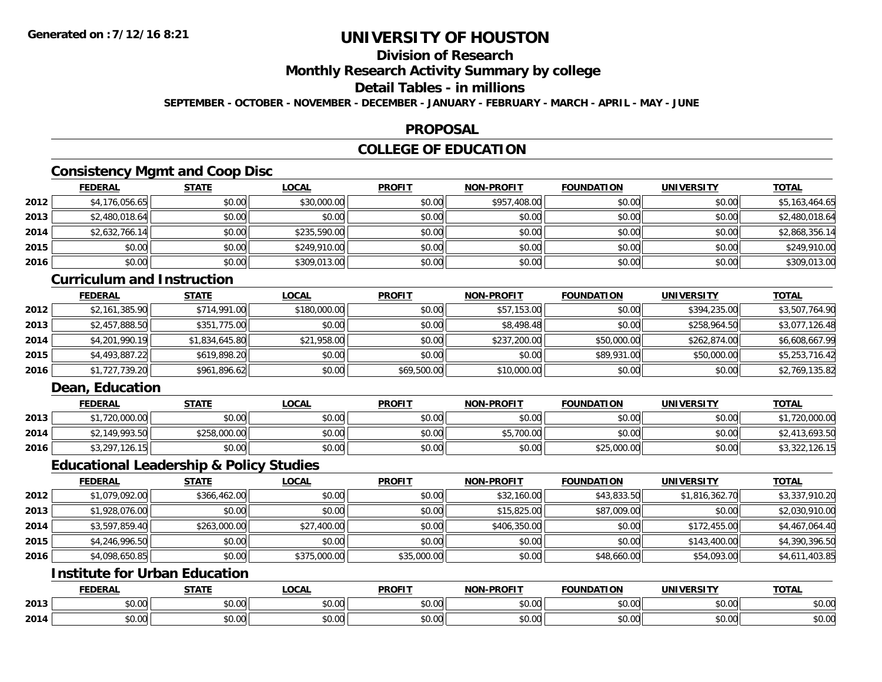# **Division of Research**

**Monthly Research Activity Summary by college**

#### **Detail Tables - in millions**

**SEPTEMBER - OCTOBER - NOVEMBER - DECEMBER - JANUARY - FEBRUARY - MARCH - APRIL - MAY - JUNE**

#### **PROPOSAL**

## **COLLEGE OF EDUCATION**

## **Consistency Mgmt and Coop Disc**

|      | <b>FEDERAL</b> | <b>STATE</b> | <b>LOCAL</b> | <b>PROFIT</b> | <b>NON-PROFIT</b> | <b>FOUNDATION</b> | <b>UNIVERSITY</b> | <b>TOTAL</b>   |
|------|----------------|--------------|--------------|---------------|-------------------|-------------------|-------------------|----------------|
| 2012 | \$4,176,056.65 | \$0.00       | \$30,000.00  | \$0.00        | \$957,408.00      | \$0.00            | \$0.00            | \$5,163,464.65 |
| 2013 | \$2,480,018.64 | \$0.00       | \$0.00       | \$0.00        | \$0.00            | \$0.00            | \$0.00            | \$2,480,018.64 |
| 2014 | \$2,632,766.14 | \$0.00       | \$235,590.00 | \$0.00        | \$0.00            | \$0.00            | \$0.00            | \$2,868,356.14 |
| 2015 | \$0.00         | \$0.00       | \$249,910.00 | \$0.00        | \$0.00            | \$0.00            | \$0.00            | \$249,910.00   |
| 2016 | \$0.00         | \$0.00       | \$309,013.00 | \$0.00        | \$0.00            | \$0.00            | \$0.00            | \$309,013.00   |

#### **Curriculum and Instruction**

|      | <b>FEDERAL</b> | <b>STATE</b>   | <u>LOCAL</u> | <b>PROFIT</b> | <b>NON-PROFIT</b> | <b>FOUNDATION</b> | <b>UNIVERSITY</b> | <b>TOTAL</b>   |
|------|----------------|----------------|--------------|---------------|-------------------|-------------------|-------------------|----------------|
| 2012 | \$2,161,385.90 | \$714,991.00   | \$180,000.00 | \$0.00        | \$57,153.00       | \$0.00            | \$394,235.00      | \$3,507,764.90 |
| 2013 | \$2,457,888.50 | \$351,775.00   | \$0.00       | \$0.00        | \$8,498.48        | \$0.00            | \$258,964.50      | \$3,077,126.48 |
| 2014 | \$4,201,990.19 | \$1,834,645.80 | \$21,958.00  | \$0.00        | \$237,200.00      | \$50,000.00       | \$262,874.00      | \$6,608,667.99 |
| 2015 | \$4,493,887.22 | \$619,898.20   | \$0.00       | \$0.00        | \$0.00            | \$89,931.00       | \$50,000.00       | \$5,253,716.42 |
| 2016 | \$1,727,739.20 | \$961,896.62   | \$0.00       | \$69,500.00   | \$10,000.00       | \$0.00            | \$0.00            | \$2,769,135.82 |

## **Dean, Education**

|      | <b>FEDERAL</b> | <b>STATE</b> | <u>LOCAL</u> | <b>PROFIT</b> | <b>NON-PROFIT</b> | <b>FOUNDATION</b> | <b>UNIVERSITY</b> | <b>TOTAL</b>   |
|------|----------------|--------------|--------------|---------------|-------------------|-------------------|-------------------|----------------|
| 2013 | ,720,000.00    | \$0.00       | \$0.00       | \$0.00        | \$0.00            | \$0.00            | \$0.00            | ,720,000.00    |
| 2014 | \$2,149,993.50 | \$258,000.00 | \$0.00       | \$0.00        | \$5,700.00        | \$0.00            | \$0.00            | √2,413,693.5 د |
| 2016 | \$3,297,126.15 | \$0.00       | \$0.00       | \$0.00        | \$0.00            | \$25,000.00       | \$0.00            | \$3,322,126.15 |

#### **Educational Leadership & Policy Studies**

|      | <b>FEDERAL</b> | <b>STATE</b> | <u>LOCAL</u> | <b>PROFIT</b> | <b>NON-PROFIT</b> | <b>FOUNDATION</b> | <b>UNIVERSITY</b> | <b>TOTAL</b>   |
|------|----------------|--------------|--------------|---------------|-------------------|-------------------|-------------------|----------------|
| 2012 | \$1,079,092.00 | \$366,462.00 | \$0.00       | \$0.00        | \$32,160.00       | \$43,833.50       | \$1,816,362.70    | \$3,337,910.20 |
| 2013 | \$1,928,076.00 | \$0.00       | \$0.00       | \$0.00        | \$15,825.00       | \$87,009.00       | \$0.00            | \$2,030,910.00 |
| 2014 | \$3,597,859.40 | \$263,000.00 | \$27,400.00  | \$0.00        | \$406,350,00      | \$0.00            | \$172,455.00      | \$4,467,064.40 |
| 2015 | \$4,246,996.50 | \$0.00       | \$0.00       | \$0.00        | \$0.00            | \$0.00            | \$143,400.00      | \$4,390,396.50 |
| 2016 | \$4,098,650.85 | \$0.00       | \$375,000.00 | \$35,000.00   | \$0.00            | \$48,660.00       | \$54,093.00       | \$4,611,403.85 |

# **Institute for Urban Education**

|      | EEDEDAI<br>- R/                                        | 0 T A TI        | 0.01<br>.UGAI      | <b>PROFIT</b>                                     | <b>DDOFIT</b><br>. | <b>FOUNDATION</b>       | UNIVERSITY                                 | <b>TOTAL</b> |
|------|--------------------------------------------------------|-----------------|--------------------|---------------------------------------------------|--------------------|-------------------------|--------------------------------------------|--------------|
| 2013 | $\mathsf{A} \cap \mathsf{A} \cap \mathsf{A}$<br>,,,,,, | $\sim$<br>ט. טע | ሐሴ ሰሰ<br>JU.UU     | 0000<br>JU.UU                                     | $\cdots$<br>vv.vv  | 0 <sup>n</sup><br>JU.UU | $\mathsf{A} \cap \mathsf{A} \cap$<br>JU.UU | \$0.00       |
| 2014 | $\sim$ $\sim$<br>,,,,,,                                | $\sim$<br>,,,,  | $\sim$ 00<br>JU.UU | $\mathsf{A}\cap\mathsf{A}\cap\mathsf{A}$<br>JU.UU | JU.UU              | 0000<br>JU.UU           | $\sim$ $\sim$<br>JU.UU                     | \$0.00       |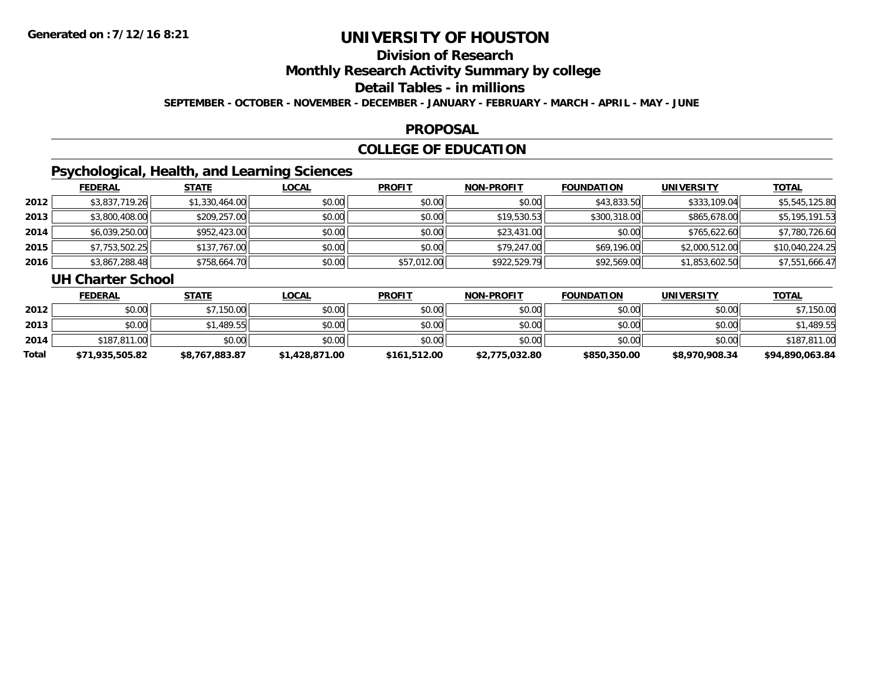# **Division of Research**

**Monthly Research Activity Summary by college**

#### **Detail Tables - in millions**

**SEPTEMBER - OCTOBER - NOVEMBER - DECEMBER - JANUARY - FEBRUARY - MARCH - APRIL - MAY - JUNE**

#### **PROPOSAL**

## **COLLEGE OF EDUCATION**

## **Psychological, Health, and Learning Sciences**

|      | <b>FEDERAL</b> | <b>STATE</b>   | <u>LOCAL</u> | <b>PROFIT</b> | <b>NON-PROFIT</b> | <b>FOUNDATION</b> | <b>UNIVERSITY</b> | <b>TOTAL</b>    |
|------|----------------|----------------|--------------|---------------|-------------------|-------------------|-------------------|-----------------|
| 2012 | \$3,837,719.26 | \$1,330,464.00 | \$0.00       | \$0.00        | \$0.00            | \$43,833.50       | \$333,109.04      | \$5,545,125.80  |
| 2013 | \$3,800,408.00 | \$209,257.00   | \$0.00       | \$0.00        | \$19,530.53       | \$300,318.00      | \$865,678.00      | \$5,195,191.53  |
| 2014 | \$6,039,250.00 | \$952,423.00   | \$0.00       | \$0.00        | \$23,431.00       | \$0.00            | \$765,622.60      | \$7,780,726.60  |
| 2015 | \$7,753,502.25 | \$137,767.00   | \$0.00       | \$0.00        | \$79,247.00       | \$69,196.00       | \$2,000,512.00    | \$10,040,224.25 |
| 2016 | \$3,867,288.48 | \$758,664.70   | \$0.00       | \$57,012.00   | \$922,529.79      | \$92,569.00       | \$1,853,602.50    | \$7,551,666.47  |

#### **UH Charter School**

|       | <b>FEDERAL</b>  | <u>STATE</u>   | <u>LOCAL</u>   | <b>PROFIT</b> | <b>NON-PROFIT</b> | <b>FOUNDATION</b> | <b>UNIVERSITY</b> | <b>TOTAL</b>    |
|-------|-----------------|----------------|----------------|---------------|-------------------|-------------------|-------------------|-----------------|
| 2012  | \$0.00          | \$7,150.00     | \$0.00         | \$0.00        | \$0.00            | \$0.00            | \$0.00            | \$7,150.00      |
| 2013  | \$0.00          | \$1,489.55     | \$0.00         | \$0.00        | \$0.00            | \$0.00            | \$0.00            | \$1,489.55      |
| 2014  | \$187,811,00    | \$0.00         | \$0.00         | \$0.00        | \$0.00            | \$0.00            | \$0.00            | \$187,811.00    |
| Total | \$71,935,505.82 | \$8,767,883.87 | \$1,428,871.00 | \$161.512.00  | \$2,775,032.80    | \$850,350.00      | \$8,970,908.34    | \$94,890,063.84 |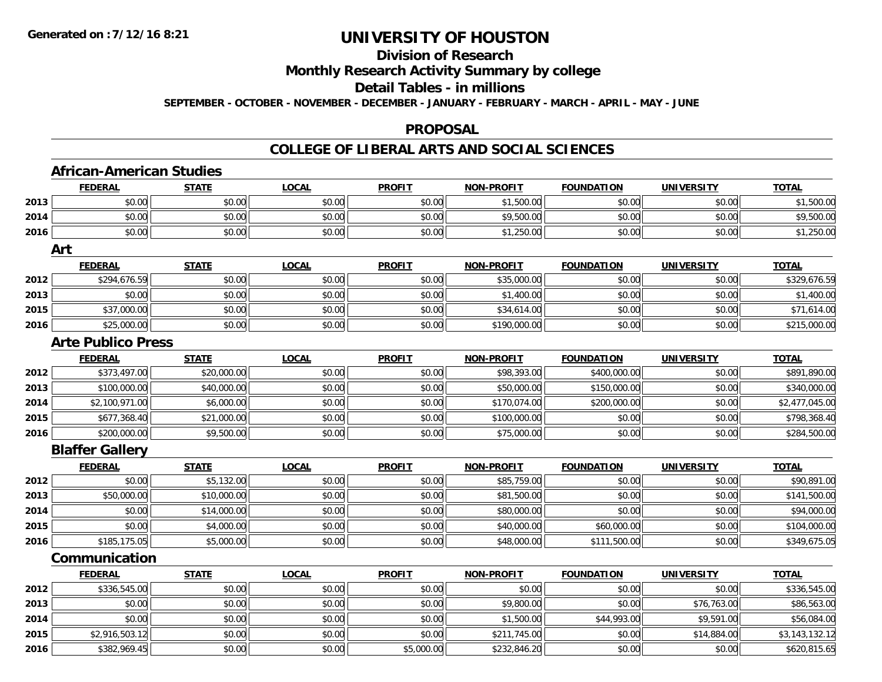# **Division of Research**

**Monthly Research Activity Summary by college**

#### **Detail Tables - in millions**

**SEPTEMBER - OCTOBER - NOVEMBER - DECEMBER - JANUARY - FEBRUARY - MARCH - APRIL - MAY - JUNE**

#### **PROPOSAL**

### **COLLEGE OF LIBERAL ARTS AND SOCIAL SCIENCES**

|      | <b>African-American Studies</b> |              |              |               |                   |                   |                   |                |
|------|---------------------------------|--------------|--------------|---------------|-------------------|-------------------|-------------------|----------------|
|      | <b>FEDERAL</b>                  | <b>STATE</b> | <b>LOCAL</b> | <b>PROFIT</b> | <b>NON-PROFIT</b> | <b>FOUNDATION</b> | <b>UNIVERSITY</b> | <b>TOTAL</b>   |
| 2013 | \$0.00                          | \$0.00       | \$0.00       | \$0.00        | \$1,500.00        | \$0.00            | \$0.00            | \$1,500.00     |
| 2014 | \$0.00                          | \$0.00       | \$0.00       | \$0.00        | \$9,500.00        | \$0.00            | \$0.00            | \$9,500.00     |
| 2016 | \$0.00                          | \$0.00       | \$0.00       | \$0.00        | \$1,250.00        | \$0.00            | \$0.00            | \$1,250.00     |
|      | Art                             |              |              |               |                   |                   |                   |                |
|      | <b>FEDERAL</b>                  | <b>STATE</b> | <b>LOCAL</b> | <b>PROFIT</b> | <b>NON-PROFIT</b> | <b>FOUNDATION</b> | <b>UNIVERSITY</b> | <b>TOTAL</b>   |
| 2012 | \$294,676.59                    | \$0.00       | \$0.00       | \$0.00        | \$35,000.00       | \$0.00            | \$0.00            | \$329,676.59   |
| 2013 | \$0.00                          | \$0.00       | \$0.00       | \$0.00        | \$1,400.00        | \$0.00            | \$0.00            | \$1,400.00     |
| 2015 | \$37,000.00                     | \$0.00       | \$0.00       | \$0.00        | \$34,614.00       | \$0.00            | \$0.00            | \$71,614.00    |
| 2016 | \$25,000.00                     | \$0.00       | \$0.00       | \$0.00        | \$190,000.00      | \$0.00            | \$0.00            | \$215,000.00   |
|      | <b>Arte Publico Press</b>       |              |              |               |                   |                   |                   |                |
|      | <b>FEDERAL</b>                  | <b>STATE</b> | <b>LOCAL</b> | <b>PROFIT</b> | <b>NON-PROFIT</b> | <b>FOUNDATION</b> | <b>UNIVERSITY</b> | <b>TOTAL</b>   |
| 2012 | \$373,497.00                    | \$20,000.00  | \$0.00       | \$0.00        | \$98,393.00       | \$400,000.00      | \$0.00            | \$891,890.00   |
| 2013 | \$100,000.00                    | \$40,000.00  | \$0.00       | \$0.00        | \$50,000.00       | \$150,000.00      | \$0.00            | \$340,000.00   |
| 2014 | \$2,100,971.00                  | \$6,000.00   | \$0.00       | \$0.00        | \$170,074.00      | \$200,000.00      | \$0.00            | \$2,477,045.00 |
| 2015 | \$677,368.40                    | \$21,000.00  | \$0.00       | \$0.00        | \$100,000.00      | \$0.00            | \$0.00            | \$798,368.40   |
| 2016 | \$200,000.00                    | \$9,500.00   | \$0.00       | \$0.00        | \$75,000.00       | \$0.00            | \$0.00            | \$284,500.00   |
|      | <b>Blaffer Gallery</b>          |              |              |               |                   |                   |                   |                |
|      | <b>FEDERAL</b>                  | <b>STATE</b> | LOCAL        | <b>PROFIT</b> | <b>NON-PROFIT</b> | <b>FOUNDATION</b> | <b>UNIVERSITY</b> | <b>TOTAL</b>   |
| 2012 | \$0.00                          | \$5,132.00   | \$0.00       | \$0.00        | \$85,759.00       | \$0.00            | \$0.00            | \$90,891.00    |
| 2013 | \$50,000.00                     | \$10,000.00  | \$0.00       | \$0.00        | \$81,500.00       | \$0.00            | \$0.00            | \$141,500.00   |
| 2014 | \$0.00                          | \$14,000.00  | \$0.00       | \$0.00        | \$80,000.00       | \$0.00            | \$0.00            | \$94,000.00    |
| 2015 | \$0.00                          | \$4,000.00   | \$0.00       | \$0.00        | \$40,000.00       | \$60,000.00       | \$0.00            | \$104,000.00   |
| 2016 | \$185,175.05                    | \$5,000.00   | \$0.00       | \$0.00        | \$48,000.00       | \$111,500.00      | \$0.00            | \$349,675.05   |
|      | Communication                   |              |              |               |                   |                   |                   |                |
|      | <b>FEDERAL</b>                  | <b>STATE</b> | <b>LOCAL</b> | <b>PROFIT</b> | <b>NON-PROFIT</b> | <b>FOUNDATION</b> | <b>UNIVERSITY</b> | <b>TOTAL</b>   |
| 2012 | \$336,545.00                    | \$0.00       | \$0.00       | \$0.00        | \$0.00            | \$0.00            | \$0.00            | \$336,545.00   |
| 2013 | \$0.00                          | \$0.00       | \$0.00       | \$0.00        | \$9,800.00        | \$0.00            | \$76,763.00       | \$86,563.00    |
| 2014 | \$0.00                          | \$0.00       | \$0.00       | \$0.00        | \$1,500.00        | \$44,993.00       | \$9,591.00        | \$56,084.00    |
| 2015 | \$2,916,503.12                  | \$0.00       | \$0.00       | \$0.00        | \$211,745.00      | \$0.00            | \$14,884.00       | \$3,143,132.12 |
| 2016 | \$382,969.45                    | \$0.00       | \$0.00       | \$5,000.00    | \$232,846.20      | \$0.00            | \$0.00            | \$620,815.65   |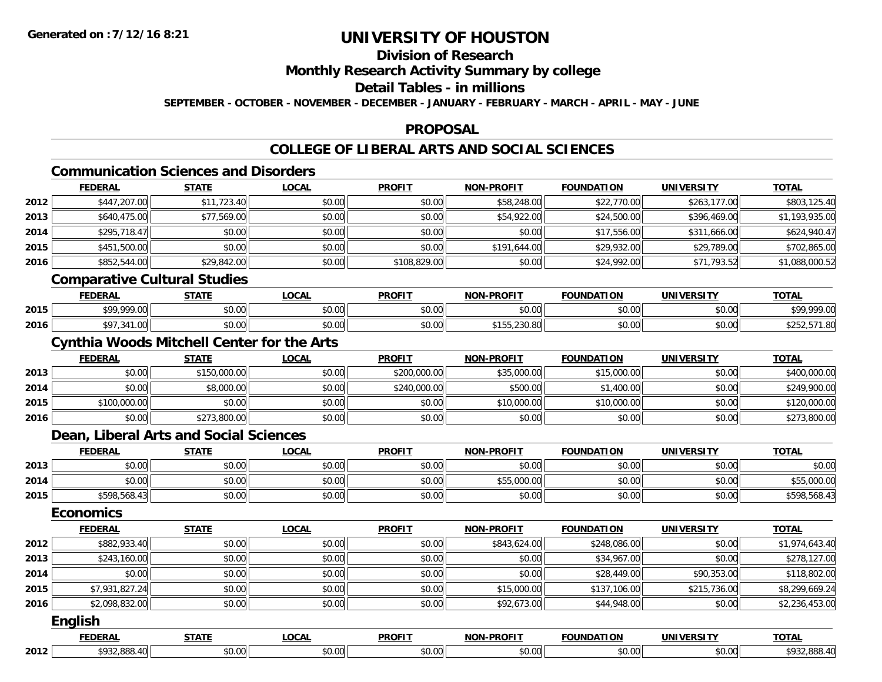# **Division of Research**

#### **Monthly Research Activity Summary by college**

#### **Detail Tables - in millions**

**SEPTEMBER - OCTOBER - NOVEMBER - DECEMBER - JANUARY - FEBRUARY - MARCH - APRIL - MAY - JUNE**

### **PROPOSAL**

### **COLLEGE OF LIBERAL ARTS AND SOCIAL SCIENCES**

# **Communication Sciences and Disorders**

|      | <b>FEDERAL</b> | <b>STATE</b>                 | <b>LOCAL</b> | <b>PROFIT</b> | <b>NON-PROFIT</b> | <b>FOUNDATION</b> | <b>UNIVERSITY</b> | <b>TOTAL</b>   |
|------|----------------|------------------------------|--------------|---------------|-------------------|-------------------|-------------------|----------------|
| 2012 | \$447,207.00   | \$11,723.40                  | \$0.00       | \$0.00        | \$58,248.00       | \$22,770.00       | \$263,177.00      | \$803,125.40   |
| 2013 | \$640,475.00   | \$77,569.00                  | \$0.00       | \$0.00        | \$54,922.00       | \$24,500.00       | \$396,469.00      | \$1,193,935.00 |
| 2014 | \$295,718.47   | \$0.00                       | \$0.00       | \$0.00        | \$0.00            | \$17,556.00       | \$311,666,00      | \$624,940.47   |
| 2015 | \$451,500.00   | \$0.00                       | \$0.00       | \$0.00        | \$191,644.00      | \$29,932.00       | \$29,789.00       | \$702,865.00   |
| 2016 | \$852,544.00   | \$29,842.00                  | \$0.00       | \$108,829.00  | \$0.00            | \$24,992.00       | \$71,793.52       | \$1,088,000.52 |
|      |                | Comparative Cultural Ctudies |              |               |                   |                   |                   |                |

#### **Comparative Cultural Studies**

|      | <b>FEDERAL</b>                          | <b>STATE</b>        | <b>OCAL</b>                         | <b>PROFIT</b> | <b>NON-PROFIT</b>                                                | <b>FOUNDATION</b> | UNIVERSITY                        | <b>TOTA</b>      |
|------|-----------------------------------------|---------------------|-------------------------------------|---------------|------------------------------------------------------------------|-------------------|-----------------------------------|------------------|
| 2015 | 0000000                                 | 0000<br>טט.טע       | $\theta$ $\theta$ $\theta$<br>pu.uu | 0000<br>JU.UU | 0000<br>vv.vv                                                    | \$0.00            | 0.00<br>JU.UU                     | 000 <sub>0</sub> |
| 2016 | $A \rightarrow A$<br>$\sim$<br>.34 I.UU | $\sim$ 0.0<br>JU.UU | $\circ$ $\circ$ $\circ$<br>pu.uu    | 0000<br>vu.vu | $\sim$ $\sim$ $\sim$ $\sim$ $\sim$<br>$AA =$<br>0 I JJ. ZJU. OUI | \$0.00            | $\uparrow$ $\cap$ $\cap$<br>JU.UU |                  |

#### **Cynthia Woods Mitchell Center for the Arts**

|      | <b>FEDERAL</b> | STATE        | <u>LOCAL</u> | <b>PROFIT</b> | <b>NON-PROFIT</b> | <b>FOUNDATION</b> | <b>UNIVERSITY</b> | <b>TOTAL</b> |
|------|----------------|--------------|--------------|---------------|-------------------|-------------------|-------------------|--------------|
| 2013 | \$0.00         | \$150,000.00 | \$0.00       | \$200,000.00  | \$35,000.00       | \$15,000.00       | \$0.00            | \$400,000.00 |
| 2014 | \$0.00         | \$8,000.00   | \$0.00       | \$240,000.00  | \$500.00          | \$1,400.00        | \$0.00            | \$249,900.00 |
| 2015 | \$100,000.00   | \$0.00       | \$0.00       | \$0.00        | \$10,000.00       | \$10,000.00       | \$0.00            | \$120,000.00 |
| 2016 | \$0.00         | \$273,800.00 | \$0.00       | \$0.00        | \$0.00            | \$0.00            | \$0.00            | \$273,800.00 |

#### **Dean, Liberal Arts and Social Sciences**

|      | <b>FEDERAL</b> | <b>STATE</b> | <u>LOCAL</u> | <b>PROFIT</b> | <b>NON-PROFIT</b> | <b>FOUNDATION</b> | UNIVERSITY | <b>TOTAL</b> |
|------|----------------|--------------|--------------|---------------|-------------------|-------------------|------------|--------------|
| 2013 | \$0.00         | \$0.00       | \$0.00       | \$0.00        | \$0.00            | \$0.00            | \$0.00     | \$0.00       |
| 2014 | \$0.00         | \$0.00       | \$0.00       | \$0.00        | \$55,000.00       | \$0.00            | \$0.00     | \$55,000.00  |
| 2015 | \$598,568.43   | \$0.00       | \$0.00       | \$0.00        | \$0.00            | \$0.00            | \$0.00     | \$598,568.43 |

## **Economics**

|      | <b>FEDERAL</b> | <b>STATE</b> | <b>LOCAL</b> | <b>PROFIT</b> | <b>NON-PROFIT</b> | <b>FOUNDATION</b> | <b>UNIVERSITY</b> | <b>TOTAL</b>   |
|------|----------------|--------------|--------------|---------------|-------------------|-------------------|-------------------|----------------|
| 2012 | \$882,933.40   | \$0.00       | \$0.00       | \$0.00        | \$843,624.00      | \$248,086.00      | \$0.00            | \$1,974,643.40 |
| 2013 | \$243,160.00   | \$0.00       | \$0.00       | \$0.00        | \$0.00            | \$34,967.00       | \$0.00            | \$278,127.00   |
| 2014 | \$0.00         | \$0.00       | \$0.00       | \$0.00        | \$0.00            | \$28,449.00       | \$90,353.00       | \$118,802.00   |
| 2015 | \$7,931,827.24 | \$0.00       | \$0.00       | \$0.00        | \$15,000.00       | \$137,106.00      | \$215,736.00      | \$8,299,669.24 |
| 2016 | \$2,098,832.00 | \$0.00       | \$0.00       | \$0.00        | \$92,673.00       | \$44,948.00       | \$0.00            | \$2,236,453.00 |
|      | <b>English</b> |              |              |               |                   |                   |                   |                |

#### **FEDERAL STATE LOCAL PROFIT NON-PROFIT FOUNDATION UNIVERSITY TOTAL2012**2 | \$932,888.40| \$0.00| \$0.00| \$0.00| \$0.00| \$0.00| \$0.00| \$0.00| \$0.00| \$0.00| \$0.00| \$932,888.40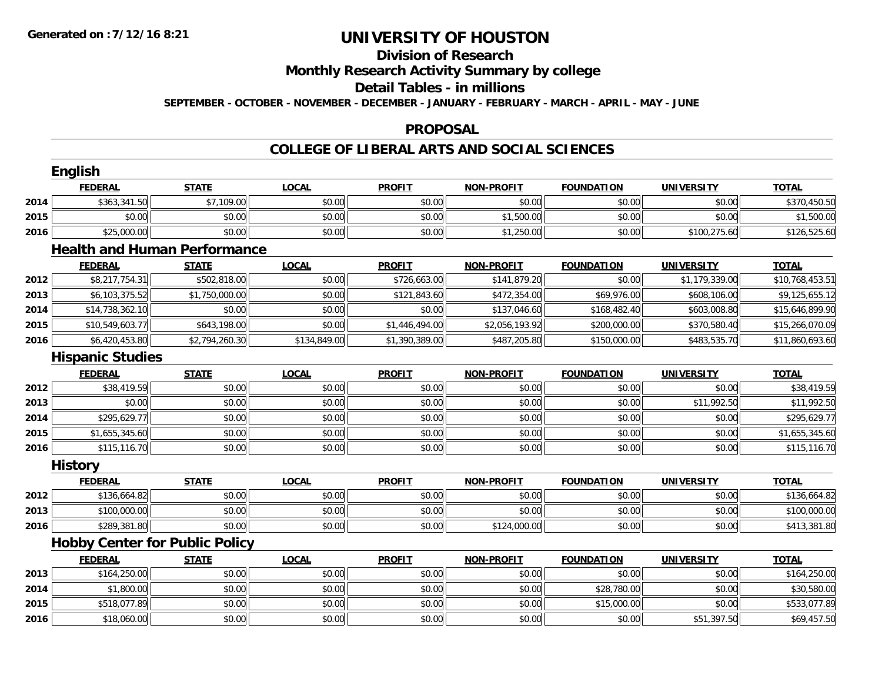# **Division of Research**

## **Monthly Research Activity Summary by college**

#### **Detail Tables - in millions**

**SEPTEMBER - OCTOBER - NOVEMBER - DECEMBER - JANUARY - FEBRUARY - MARCH - APRIL - MAY - JUNE**

#### **PROPOSAL**

### **COLLEGE OF LIBERAL ARTS AND SOCIAL SCIENCES**

|      | <b>English</b>                        |                |              |                |                   |                   |                   |                 |
|------|---------------------------------------|----------------|--------------|----------------|-------------------|-------------------|-------------------|-----------------|
|      | <b>FEDERAL</b>                        | <b>STATE</b>   | <b>LOCAL</b> | <b>PROFIT</b>  | <b>NON-PROFIT</b> | <b>FOUNDATION</b> | <b>UNIVERSITY</b> | <b>TOTAL</b>    |
| 2014 | \$363,341.50                          | \$7,109.00     | \$0.00       | \$0.00         | \$0.00            | \$0.00            | \$0.00            | \$370,450.50    |
| 2015 | \$0.00                                | \$0.00         | \$0.00       | \$0.00         | \$1,500.00        | \$0.00            | \$0.00            | \$1,500.00      |
| 2016 | \$25,000.00                           | \$0.00         | \$0.00       | \$0.00         | \$1,250.00        | \$0.00            | \$100,275.60      | \$126,525.60    |
|      | <b>Health and Human Performance</b>   |                |              |                |                   |                   |                   |                 |
|      | <b>FEDERAL</b>                        | <b>STATE</b>   | <b>LOCAL</b> | <b>PROFIT</b>  | <b>NON-PROFIT</b> | <b>FOUNDATION</b> | <b>UNIVERSITY</b> | <b>TOTAL</b>    |
| 2012 | \$8,217,754.31                        | \$502,818.00   | \$0.00       | \$726,663.00   | \$141,879.20      | \$0.00            | \$1,179,339.00    | \$10,768,453.51 |
| 2013 | \$6,103,375.52                        | \$1,750,000.00 | \$0.00       | \$121,843.60   | \$472,354.00      | \$69,976.00       | \$608,106.00      | \$9,125,655.12  |
| 2014 | \$14,738,362.10                       | \$0.00         | \$0.00       | \$0.00         | \$137,046.60      | \$168,482.40      | \$603,008.80      | \$15,646,899.90 |
| 2015 | \$10,549,603.77                       | \$643,198.00   | \$0.00       | \$1,446,494.00 | \$2,056,193.92    | \$200,000.00      | \$370,580.40      | \$15,266,070.09 |
| 2016 | \$6,420,453.80                        | \$2,794,260.30 | \$134,849.00 | \$1,390,389.00 | \$487,205.80      | \$150,000.00      | \$483,535.70      | \$11,860,693.60 |
|      | <b>Hispanic Studies</b>               |                |              |                |                   |                   |                   |                 |
|      | <b>FEDERAL</b>                        | <b>STATE</b>   | <b>LOCAL</b> | <b>PROFIT</b>  | <b>NON-PROFIT</b> | <b>FOUNDATION</b> | <b>UNIVERSITY</b> | <b>TOTAL</b>    |
| 2012 | \$38,419.59                           | \$0.00         | \$0.00       | \$0.00         | \$0.00            | \$0.00            | \$0.00            | \$38,419.59     |
| 2013 | \$0.00                                | \$0.00         | \$0.00       | \$0.00         | \$0.00            | \$0.00            | \$11,992.50       | \$11,992.50     |
| 2014 | \$295,629.77                          | \$0.00         | \$0.00       | \$0.00         | \$0.00            | \$0.00            | \$0.00            | \$295,629.77    |
| 2015 | \$1,655,345.60                        | \$0.00         | \$0.00       | \$0.00         | \$0.00            | \$0.00            | \$0.00            | \$1,655,345.60  |
| 2016 | \$115,116.70                          | \$0.00         | \$0.00       | \$0.00         | \$0.00            | \$0.00            | \$0.00            | \$115,116.70    |
|      | <b>History</b>                        |                |              |                |                   |                   |                   |                 |
|      | <b>FEDERAL</b>                        | <b>STATE</b>   | <b>LOCAL</b> | <b>PROFIT</b>  | <b>NON-PROFIT</b> | <b>FOUNDATION</b> | <b>UNIVERSITY</b> | <b>TOTAL</b>    |
| 2012 | \$136,664.82                          | \$0.00         | \$0.00       | \$0.00         | \$0.00            | \$0.00            | \$0.00            | \$136,664.82    |
| 2013 | \$100,000.00                          | \$0.00         | \$0.00       | \$0.00         | \$0.00            | \$0.00            | \$0.00            | \$100,000.00    |
| 2016 | \$289,381.80                          | \$0.00         | \$0.00       | \$0.00         | \$124,000.00      | \$0.00            | \$0.00            | \$413,381.80    |
|      | <b>Hobby Center for Public Policy</b> |                |              |                |                   |                   |                   |                 |
|      | <b>FEDERAL</b>                        | <b>STATE</b>   | <b>LOCAL</b> | <b>PROFIT</b>  | <b>NON-PROFIT</b> | <b>FOUNDATION</b> | <b>UNIVERSITY</b> | <b>TOTAL</b>    |
| 2013 | \$164,250.00                          | \$0.00         | \$0.00       | \$0.00         | \$0.00            | \$0.00            | \$0.00            | \$164,250.00    |
| 2014 | \$1,800.00                            | \$0.00         | \$0.00       | \$0.00         | \$0.00            | \$28,780.00       | \$0.00            | \$30,580.00     |
| 2015 | \$518,077.89                          | \$0.00         | \$0.00       | \$0.00         | \$0.00            | \$15,000.00       | \$0.00            | \$533,077.89    |
| 2016 | \$18,060.00                           | \$0.00         | \$0.00       | \$0.00         | \$0.00            | \$0.00            | \$51,397.50       | \$69,457.50     |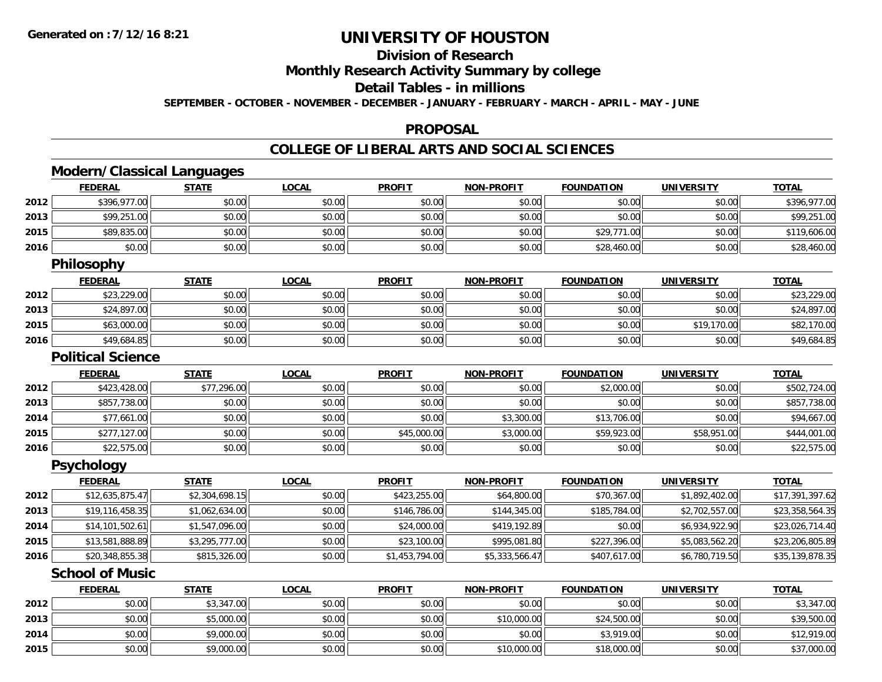**2013**

**2014**

**2015**

# **UNIVERSITY OF HOUSTON**

# **Division of Research**

**Monthly Research Activity Summary by college**

#### **Detail Tables - in millions**

**SEPTEMBER - OCTOBER - NOVEMBER - DECEMBER - JANUARY - FEBRUARY - MARCH - APRIL - MAY - JUNE**

#### **PROPOSAL**

### **COLLEGE OF LIBERAL ARTS AND SOCIAL SCIENCES**

|      | <b>Modern/Classical Languages</b> |                |              |                |                   |                   |                   |                 |
|------|-----------------------------------|----------------|--------------|----------------|-------------------|-------------------|-------------------|-----------------|
|      | <b>FEDERAL</b>                    | <b>STATE</b>   | <b>LOCAL</b> | <b>PROFIT</b>  | <b>NON-PROFIT</b> | <b>FOUNDATION</b> | <b>UNIVERSITY</b> | <b>TOTAL</b>    |
| 2012 | \$396,977.00                      | \$0.00         | \$0.00       | \$0.00         | \$0.00            | \$0.00            | \$0.00            | \$396,977.00    |
| 2013 | \$99,251.00                       | \$0.00         | \$0.00       | \$0.00         | \$0.00            | \$0.00            | \$0.00            | \$99,251.00     |
| 2015 | \$89,835.00                       | \$0.00         | \$0.00       | \$0.00         | \$0.00            | \$29,771.00       | \$0.00            | \$119,606.00    |
| 2016 | \$0.00                            | \$0.00         | \$0.00       | \$0.00         | \$0.00            | \$28,460.00       | \$0.00            | \$28,460.00     |
|      | <b>Philosophy</b>                 |                |              |                |                   |                   |                   |                 |
|      | <b>FEDERAL</b>                    | <b>STATE</b>   | <b>LOCAL</b> | <b>PROFIT</b>  | <b>NON-PROFIT</b> | <b>FOUNDATION</b> | <b>UNIVERSITY</b> | <b>TOTAL</b>    |
| 2012 | \$23,229.00                       | \$0.00         | \$0.00       | \$0.00         | \$0.00            | \$0.00            | \$0.00            | \$23,229.00     |
| 2013 | \$24,897.00                       | \$0.00         | \$0.00       | \$0.00         | \$0.00            | \$0.00            | \$0.00            | \$24,897.00     |
| 2015 | \$63,000.00                       | \$0.00         | \$0.00       | \$0.00         | \$0.00            | \$0.00            | \$19,170.00       | \$82,170.00     |
| 2016 | \$49,684.85                       | \$0.00         | \$0.00       | \$0.00         | \$0.00            | \$0.00            | \$0.00            | \$49,684.85     |
|      | <b>Political Science</b>          |                |              |                |                   |                   |                   |                 |
|      | <b>FEDERAL</b>                    | <b>STATE</b>   | <b>LOCAL</b> | <b>PROFIT</b>  | <b>NON-PROFIT</b> | <b>FOUNDATION</b> | <b>UNIVERSITY</b> | <b>TOTAL</b>    |
| 2012 | \$423,428.00                      | \$77,296.00    | \$0.00       | \$0.00         | \$0.00            | \$2,000.00        | \$0.00            | \$502,724.00    |
| 2013 | \$857,738.00                      | \$0.00         | \$0.00       | \$0.00         | \$0.00            | \$0.00            | \$0.00            | \$857,738.00    |
| 2014 | \$77,661.00                       | \$0.00         | \$0.00       | \$0.00         | \$3,300.00        | \$13,706.00       | \$0.00            | \$94,667.00     |
| 2015 | \$277,127.00                      | \$0.00         | \$0.00       | \$45,000.00    | \$3,000.00        | \$59,923.00       | \$58,951.00       | \$444,001.00    |
| 2016 | \$22,575.00                       | \$0.00         | \$0.00       | \$0.00         | \$0.00            | \$0.00            | \$0.00            | \$22,575.00     |
|      | <b>Psychology</b>                 |                |              |                |                   |                   |                   |                 |
|      | <b>FEDERAL</b>                    | <b>STATE</b>   | <b>LOCAL</b> | <b>PROFIT</b>  | <b>NON-PROFIT</b> | <b>FOUNDATION</b> | <b>UNIVERSITY</b> | <b>TOTAL</b>    |
| 2012 | \$12,635,875.47                   | \$2,304,698.15 | \$0.00       | \$423,255.00   | \$64,800.00       | \$70,367.00       | \$1,892,402.00    | \$17,391,397.62 |
| 2013 | \$19,116,458.35                   | \$1,062,634.00 | \$0.00       | \$146,786.00   | \$144,345.00      | \$185,784.00      | \$2,702,557.00    | \$23,358,564.35 |
| 2014 | \$14,101,502.61                   | \$1,547,096.00 | \$0.00       | \$24,000.00    | \$419,192.89      | \$0.00            | \$6,934,922.90    | \$23,026,714.40 |
| 2015 | \$13,581,888.89                   | \$3,295,777.00 | \$0.00       | \$23,100.00    | \$995,081.80      | \$227,396.00      | \$5,083,562.20    | \$23,206,805.89 |
| 2016 | \$20,348,855.38                   | \$815,326.00   | \$0.00       | \$1,453,794.00 | \$5,333,566.47    | \$407,617.00      | \$6,780,719.50    | \$35,139,878.35 |
|      | <b>School of Music</b>            |                |              |                |                   |                   |                   |                 |
|      | <b>FEDERAL</b>                    | <b>STATE</b>   | <b>LOCAL</b> | <b>PROFIT</b>  | <b>NON-PROFIT</b> | <b>FOUNDATION</b> | <b>UNIVERSITY</b> | <b>TOTAL</b>    |
| 2012 | \$0.00                            | \$3,347.00     | \$0.00       | \$0.00         | \$0.00            | \$0.00            | \$0.00            | \$3,347.00      |

3 | \$0.00| \$5,000.00| \$0.00| \$0.00| \$10,000.00| \$24,500.00| \$0.00| \$39,500.00

4 \$0.00 \$0.00 \$0.00 \$9,000.00 \$0.00 \$0.00 \$0.00 \$0.00 \$0.00 \$0.00 \$3,919.00 \$3,919.00 \$0.00 \$12,919.00

\$0.00 \$9,000.00 \$0.00 \$0.00 \$10,000.00 \$18,000.00 \$0.00 \$37,000.00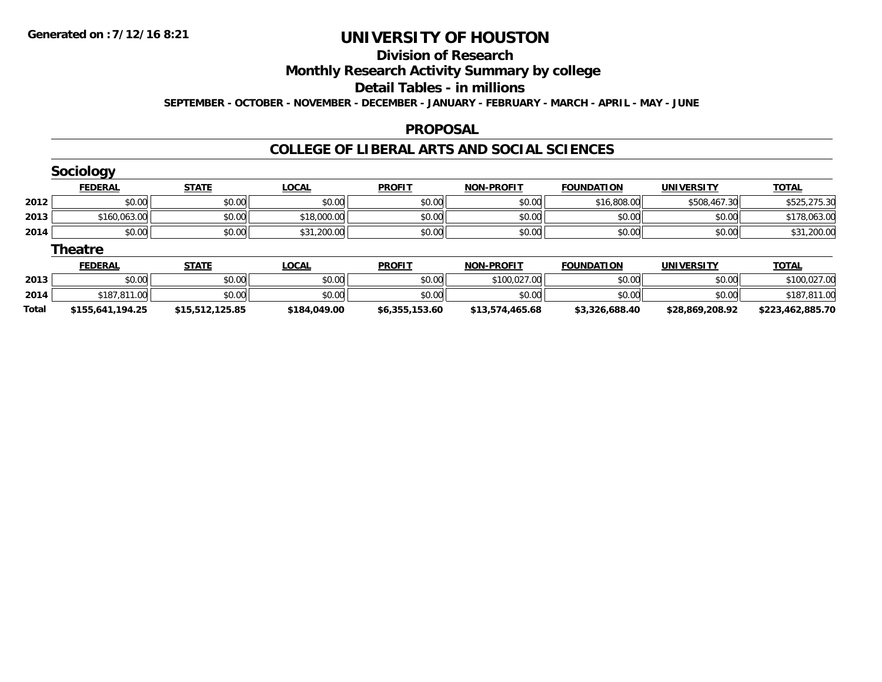**Total**

# **UNIVERSITY OF HOUSTON**

## **Division of Research**

## **Monthly Research Activity Summary by college**

#### **Detail Tables - in millions**

#### **SEPTEMBER - OCTOBER - NOVEMBER - DECEMBER - JANUARY - FEBRUARY - MARCH - APRIL - MAY - JUNE**

#### **PROPOSAL**

### **COLLEGE OF LIBERAL ARTS AND SOCIAL SCIENCES**

|      | <b>Sociology</b> |              |              |               |                   |                   |                   |              |
|------|------------------|--------------|--------------|---------------|-------------------|-------------------|-------------------|--------------|
|      | <b>FEDERAL</b>   | <b>STATE</b> | <b>LOCAL</b> | <b>PROFIT</b> | <b>NON-PROFIT</b> | <b>FOUNDATION</b> | <b>UNIVERSITY</b> | <b>TOTAL</b> |
| 2012 | \$0.00           | \$0.00       | \$0.00       | \$0.00        | \$0.00            | \$16,808.00       | \$508,467.30      | \$525,275.30 |
| 2013 | \$160,063.00     | \$0.00       | \$18,000.00  | \$0.00        | \$0.00            | \$0.00            | \$0.00            | \$178,063.00 |
| 2014 | \$0.00           | \$0.00       | \$31,200.00  | \$0.00        | \$0.00            | \$0.00            | \$0.00            | \$31,200.00  |
|      | <b>Theatre</b>   |              |              |               |                   |                   |                   |              |
|      | <b>FEDERAL</b>   | <b>STATE</b> | <b>LOCAL</b> | <b>PROFIT</b> | <b>NON-PROFIT</b> | <b>FOUNDATION</b> | <b>UNIVERSITY</b> | <b>TOTAL</b> |
| 2013 | \$0.00           | \$0.00       | \$0.00       | \$0.00        | \$100,027.00      | \$0.00            | \$0.00            | \$100,027.00 |
| 2014 | \$187,811.00     | \$0.00       | \$0.00       | \$0.00        | \$0.00            | \$0.00            | \$0.00            | \$187,811.00 |

**\$155,641,194.25 \$15,512,125.85 \$184,049.00 \$6,355,153.60 \$13,574,465.68 \$3,326,688.40 \$28,869,208.92 \$223,462,885.70**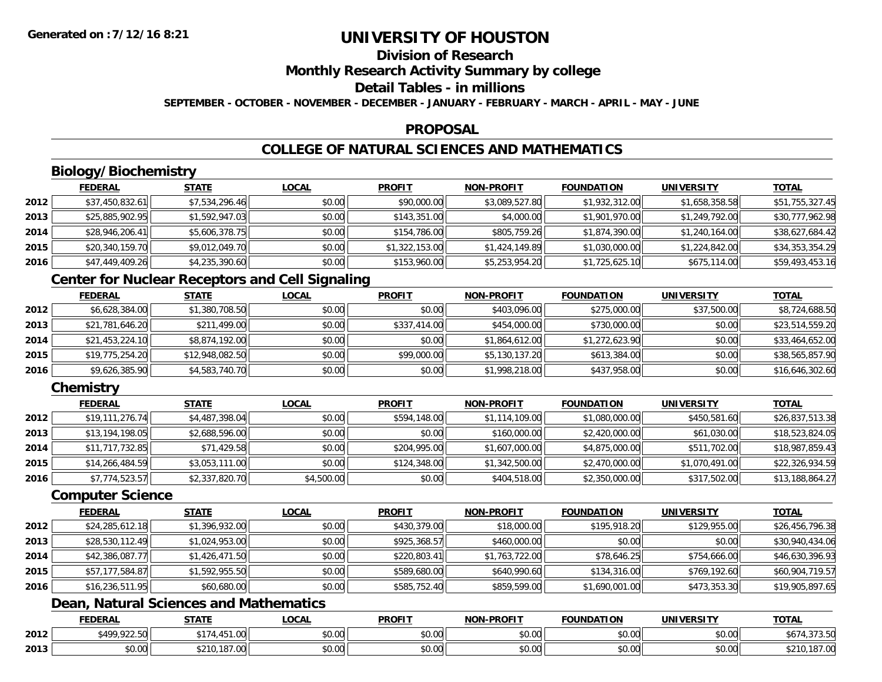# **Division of Research**

**Monthly Research Activity Summary by college**

#### **Detail Tables - in millions**

**SEPTEMBER - OCTOBER - NOVEMBER - DECEMBER - JANUARY - FEBRUARY - MARCH - APRIL - MAY - JUNE**

#### **PROPOSAL**

# **COLLEGE OF NATURAL SCIENCES AND MATHEMATICS**

# **Biology/Biochemistry**

|      | <b>FEDERAL</b>  | <u>STATE</u>   | <b>LOCAL</b> | <b>PROFIT</b>  | <b>NON-PROFIT</b> | <b>FOUNDATION</b> | <b>UNIVERSITY</b> | <b>TOTAL</b>    |
|------|-----------------|----------------|--------------|----------------|-------------------|-------------------|-------------------|-----------------|
| 2012 | \$37,450,832.61 | \$7,534,296.46 | \$0.00       | \$90,000.00    | \$3,089,527.80    | \$1,932,312.00    | \$1,658,358.58    | \$51,755,327.45 |
| 2013 | \$25,885,902.95 | \$1,592,947.03 | \$0.00       | \$143,351.00   | \$4,000.00        | \$1,901,970.00    | \$1,249,792.00    | \$30,777,962.98 |
| 2014 | \$28,946,206.41 | \$5,606,378.75 | \$0.00       | \$154,786.00   | \$805,759.26      | \$1,874,390.00    | \$1,240,164.00    | \$38,627,684.42 |
| 2015 | \$20,340,159.70 | \$9,012,049.70 | \$0.00       | \$1,322,153.00 | \$1,424,149.89    | \$1,030,000.00    | \$1,224,842.00    | \$34,353,354.29 |
| 2016 | \$47,449,409.26 | \$4,235,390.60 | \$0.00       | \$153,960.00   | \$5,253,954.20    | \$1,725,625.10    | \$675,114.00      | \$59,493,453.16 |

## **Center for Nuclear Receptors and Cell Signaling**

|      | <b>FEDERAL</b>  | <b>STATE</b>    | <b>LOCAL</b> | <b>PROFIT</b> | <b>NON-PROFIT</b> | <b>FOUNDATION</b> | <b>UNIVERSITY</b> | <u>TOTAL</u>    |
|------|-----------------|-----------------|--------------|---------------|-------------------|-------------------|-------------------|-----------------|
| 2012 | \$6,628,384.00  | \$1,380,708.50  | \$0.00       | \$0.00        | \$403,096.00      | \$275,000.00      | \$37,500.00       | \$8,724,688.50  |
| 2013 | \$21,781,646.20 | \$211,499.00    | \$0.00       | \$337,414.00  | \$454,000.00      | \$730,000.00      | \$0.00            | \$23,514,559.20 |
| 2014 | \$21,453,224.10 | \$8,874,192.00  | \$0.00       | \$0.00        | \$1,864,612.00    | \$1,272,623.90    | \$0.00            | \$33,464,652.00 |
| 2015 | \$19,775,254.20 | \$12,948,082.50 | \$0.00       | \$99,000.00   | \$5,130,137.20    | \$613,384.00      | \$0.00            | \$38,565,857.90 |
| 2016 | \$9,626,385.90  | \$4,583,740.70  | \$0.00       | \$0.00        | \$1,998,218.00    | \$437,958.00      | \$0.00            | \$16,646,302.60 |

## **Chemistry**

|      | <b>FEDERAL</b>  | <b>STATE</b>   | <b>LOCAL</b> | <b>PROFIT</b> | <b>NON-PROFIT</b> | <b>FOUNDATION</b> | <b>UNIVERSITY</b> | <b>TOTAL</b>    |
|------|-----------------|----------------|--------------|---------------|-------------------|-------------------|-------------------|-----------------|
| 2012 | \$19,111,276.74 | \$4,487,398.04 | \$0.00       | \$594,148.00  | \$1,114,109.00    | \$1,080,000.00    | \$450,581.60      | \$26,837,513.38 |
| 2013 | \$13,194,198.05 | \$2,688,596.00 | \$0.00       | \$0.00        | \$160,000.00      | \$2,420,000.00    | \$61,030.00       | \$18,523,824.05 |
| 2014 | \$11,717,732.85 | \$71,429.58    | \$0.00       | \$204,995.00  | \$1,607,000.00    | \$4,875,000.00    | \$511,702.00      | \$18,987,859.43 |
| 2015 | \$14,266,484.59 | \$3,053,111.00 | \$0.00       | \$124,348.00  | \$1,342,500.00    | \$2,470,000.00    | \$1,070,491.00    | \$22,326,934.59 |
| 2016 | \$7,774,523.57  | \$2,337,820.70 | \$4,500.00   | \$0.00        | \$404,518.00      | \$2,350,000.00    | \$317,502.00      | \$13,188,864.27 |

#### **Computer Science**

|      | <b>FEDERAL</b>  | <b>STATE</b>   | <b>LOCAL</b> | <b>PROFIT</b> | <b>NON-PROFIT</b> | <b>FOUNDATION</b> | <b>UNIVERSITY</b> | <b>TOTAL</b>    |
|------|-----------------|----------------|--------------|---------------|-------------------|-------------------|-------------------|-----------------|
| 2012 | \$24,285,612.18 | \$1,396,932.00 | \$0.00       | \$430,379.00  | \$18,000.00       | \$195,918.20      | \$129,955.00      | \$26,456,796.38 |
| 2013 | \$28,530,112.49 | \$1,024,953.00 | \$0.00       | \$925,368.57  | \$460,000.00      | \$0.00            | \$0.00            | \$30,940,434.06 |
| 2014 | \$42,386,087.77 | \$1,426,471.50 | \$0.00       | \$220,803.41  | \$1,763,722.00    | \$78,646.25       | \$754,666.00      | \$46,630,396.93 |
| 2015 | \$57,177,584.87 | \$1,592,955.50 | \$0.00       | \$589,680.00  | \$640,990.60      | \$134,316.00      | \$769,192.60      | \$60,904,719.57 |
| 2016 | \$16,236,511.95 | \$60,680.00    | \$0.00       | \$585,752.40  | \$859,599.00      | \$1,690,001.00    | \$473,353.30      | \$19,905,897.65 |

## **Dean, Natural Sciences and Mathematics**

|      | <b>FEDERAL</b>             | STATI                                 | _OCAL                               | <b>PROFIT</b> | <b>J-PROFIT</b><br><b>MANI</b> | <b>FOUNDATION</b> | UNIVERSITY | <b>TOTA</b>                   |
|------|----------------------------|---------------------------------------|-------------------------------------|---------------|--------------------------------|-------------------|------------|-------------------------------|
| 2012 | $*$ 400 022 501<br>$-22.9$ | 1 <sub>1</sub><br>$-$<br>− ∪          | $\uparrow$ $\land$ $\land$<br>vv.vv | 0000<br>DU.UU | $\sim$ 00<br>pu.uu             | \$0.00            | \$0.00     | 70. FO<br>, J , J , J U       |
| 2013 | ልስ ለሰ<br>DU.UG             | $\cdots$ 10 $\overline{2}$<br>ىلل لەڭ | $\sim$<br>$\sim$<br>vv.vv           | ስ ለሰ<br>JU.UU | nn nn<br>JU.UU                 | \$0.00            | \$0.00     | $\sim$<br>\$210.<br>. 107. VU |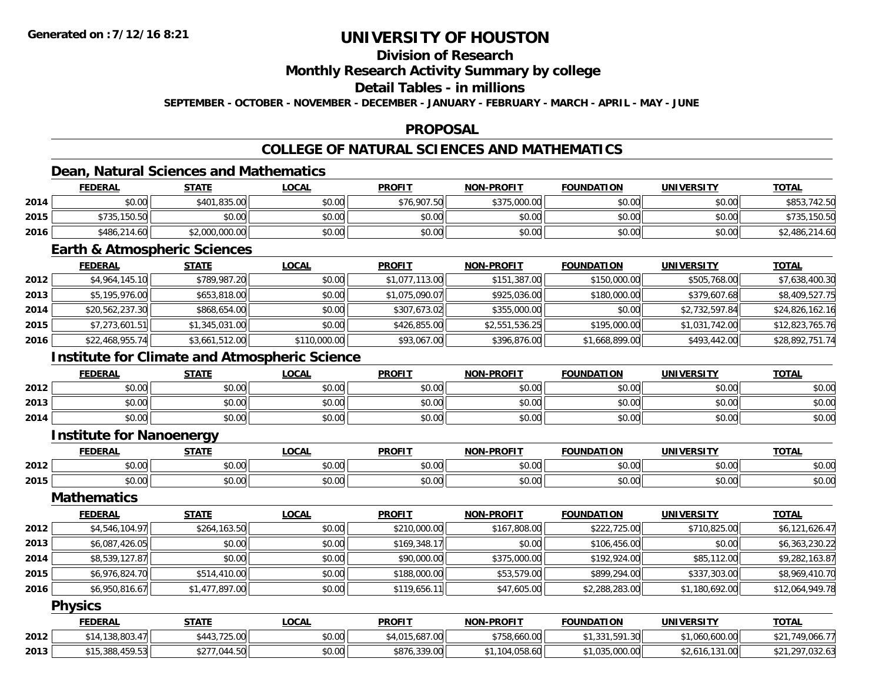# **Division of Research**

### **Monthly Research Activity Summary by college**

#### **Detail Tables - in millions**

**SEPTEMBER - OCTOBER - NOVEMBER - DECEMBER - JANUARY - FEBRUARY - MARCH - APRIL - MAY - JUNE**

#### **PROPOSAL**

## **COLLEGE OF NATURAL SCIENCES AND MATHEMATICS**

## **Dean, Natural Sciences and Mathematics**

|      | <b>FEDERAL</b> | <u>STATE</u>   | <u>LOCAL</u> | <b>PROFIT</b> | <b>NON-PROFIT</b> | <b>FOUNDATION</b> | <b>UNIVERSITY</b> | <b>TOTAL</b>   |
|------|----------------|----------------|--------------|---------------|-------------------|-------------------|-------------------|----------------|
| 2014 | \$0.00         | \$401,835.00   | \$0.00       | \$76,907.50   | \$375,000.00      | \$0.00            | \$0.00            | \$853,742.50   |
| 2015 | \$735,150.50   | \$0.00         | \$0.00       | \$0.00        | \$0.00            | \$0.00            | \$0.00            | \$735,150.50   |
| 2016 | \$486,214.60   | \$2,000,000.00 | \$0.00       | \$0.00        | \$0.00            | \$0.00            | \$0.00            | \$2,486,214.60 |

#### **Earth & Atmospheric Sciences**

|      | <b>FEDERAL</b>  | <b>STATE</b>   | <b>LOCAL</b> | <b>PROFIT</b>  | <b>NON-PROFIT</b> | <b>FOUNDATION</b> | <b>UNIVERSITY</b> | <u>TOTAL</u>    |
|------|-----------------|----------------|--------------|----------------|-------------------|-------------------|-------------------|-----------------|
| 2012 | \$4,964,145.10  | \$789,987.20   | \$0.00       | \$1,077,113.00 | \$151,387.00      | \$150,000.00      | \$505,768.00      | \$7,638,400.30  |
| 2013 | \$5,195,976.00  | \$653,818.00   | \$0.00       | \$1,075,090.07 | \$925,036.00      | \$180,000.00      | \$379,607.68      | \$8,409,527.75  |
| 2014 | \$20,562,237.30 | \$868,654.00   | \$0.00       | \$307,673.02   | \$355,000.00      | \$0.00            | \$2,732,597.84    | \$24,826,162.16 |
| 2015 | \$7,273,601.51  | \$1,345,031.00 | \$0.00       | \$426,855.00   | \$2,551,536.25    | \$195,000.00      | \$1,031,742.00    | \$12,823,765.76 |
| 2016 | \$22,468,955.74 | \$3,661,512.00 | \$110,000.00 | \$93,067.00    | \$396,876.00      | \$1,668,899.00    | \$493,442.00      | \$28,892,751.74 |

## **Institute for Climate and Atmospheric Science**

|      | <b>FEDERAL</b> | <b>STATE</b> | LOCAL                | <b>PROFIT</b>         | <b>NON-PROFIT</b> | <b>FOUNDATION</b> | <b>UNIVERSITY</b> | <u>TOTAL</u> |
|------|----------------|--------------|----------------------|-----------------------|-------------------|-------------------|-------------------|--------------|
| 2012 | \$0.00         | \$0.00       | 0000<br><b>DU.UU</b> | 4000<br><b>JU.UU</b>  | \$0.00            | \$0.00            | \$0.00            | \$0.00       |
| 2013 | \$0.00         | \$0.00       | \$0.00               | ≮∩ ∩∩<br><b>DU.UG</b> | \$0.00            | \$0.00            | \$0.00            | \$0.00       |
| 2014 | \$0.00         | \$0.00       | \$0.00               | \$0.00                | \$0.00            | \$0.00            | \$0.00            | \$0.00       |

#### **Institute for Nanoenergy**

|      |             | $- - - -$     | 00N                       | <b>DDOEIT</b>                        | ------<br>חרות              | <b>FOUNDATION</b> | <b>INIVEDSITY</b> | $T^{\sim}$<br>$\mathbf{v}$ |
|------|-------------|---------------|---------------------------|--------------------------------------|-----------------------------|-------------------|-------------------|----------------------------|
| 2012 | $\sim$ 0.00 | $\sim$ $\sim$ | $\sim$ $\sim$             | $\mathbf{A} \cap \mathbf{A}$         | $\sim$ 00                   | $\sim$ 00         | 0000              | $\sim$ 00<br>,u.u          |
| 2015 | vv.vv       | J∪.∪u         | $\sim$ 00<br><b>JU.UU</b> | $\mathbf{A} \cap \mathbf{A}$<br>vv.v | $\sim$ 0.00 $\sim$<br>vv.vv | pv.uu             | ስ ሰሰ<br>PO.OO     | JU.UU                      |

#### **Mathematics**

|      | <b>FEDERAL</b> | <b>STATE</b>   | <u>LOCAL</u> | <b>PROFIT</b> | <b>NON-PROFIT</b> | <b>FOUNDATION</b> | <b>UNIVERSITY</b> | <b>TOTAL</b>    |
|------|----------------|----------------|--------------|---------------|-------------------|-------------------|-------------------|-----------------|
| 2012 | \$4,546,104.97 | \$264,163.50   | \$0.00       | \$210,000.00  | \$167,808.00      | \$222,725.00      | \$710,825.00      | \$6,121,626.47  |
| 2013 | \$6,087,426.05 | \$0.00         | \$0.00       | \$169,348.17  | \$0.00            | \$106,456.00      | \$0.00            | \$6,363,230.22  |
| 2014 | \$8,539,127.87 | \$0.00         | \$0.00       | \$90,000.00   | \$375,000.00      | \$192,924.00      | \$85,112.00       | \$9,282,163.87  |
| 2015 | \$6,976,824.70 | \$514,410.00   | \$0.00       | \$188,000.00  | \$53,579.00       | \$899,294.00      | \$337,303.00      | \$8,969,410.70  |
| 2016 | \$6,950,816.67 | \$1,477,897.00 | \$0.00       | \$119,656.11  | \$47,605.00       | \$2,288,283.00    | \$1,180,692.00    | \$12,064,949.78 |

#### **Physics**

|      | <b>FEDERAL</b>  | <u>STATE</u>      | <u>LOCAL</u> | <b>PROFIT</b>              | <b>NON-PROFIT</b> | <b>FOUNDATION</b>   | UNIVERSITY     | <b>TOTAL</b>                      |
|------|-----------------|-------------------|--------------|----------------------------|-------------------|---------------------|----------------|-----------------------------------|
| 2012 | \$14,138,803.47 | .725.00<br>\$443. | \$0.00       | 15,687.00<br><b>¢4 በ15</b> | \$758,660.00      | 331,591.30<br>ن ب ۱ | 1,060,600.00   | \$21,749,066.77                   |
| 2013 | \$15,388,459.53 | \$277,044.50      | \$0.00       | \$876,339.00               | .104.058.60       | 035,000.00          | \$2,616,131.00 | 207 032 63<br>\$21.29<br>7.U32.63 |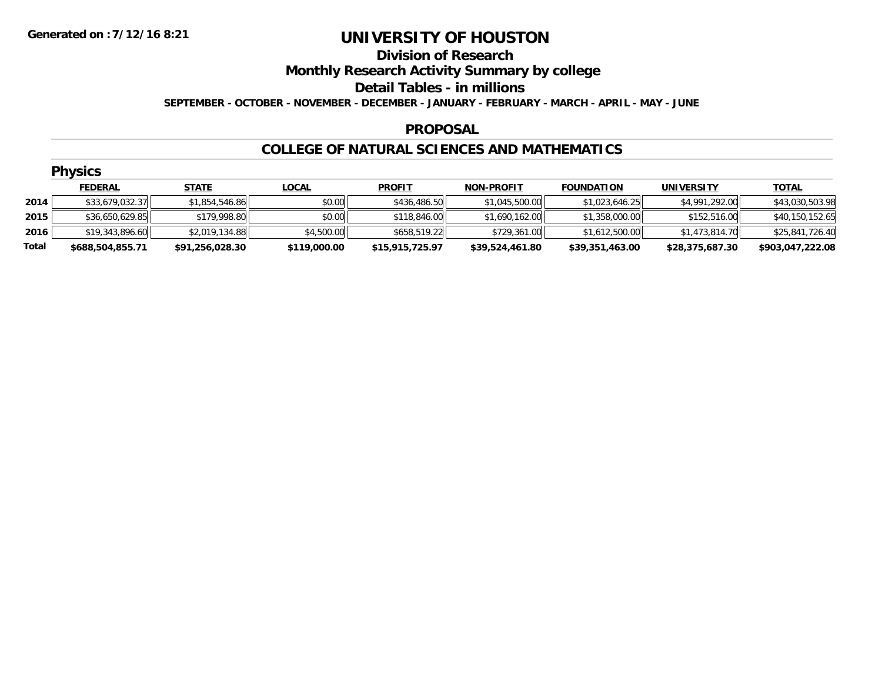#### **Division of Research**

**Monthly Research Activity Summary by college**

#### **Detail Tables - in millions**

**SEPTEMBER - OCTOBER - NOVEMBER - DECEMBER - JANUARY - FEBRUARY - MARCH - APRIL - MAY - JUNE**

#### **PROPOSAL**

#### **COLLEGE OF NATURAL SCIENCES AND MATHEMATICS**

|       | <b>Physics</b>   |                 |              |                 |                   |                   |                   |                  |  |  |  |
|-------|------------------|-----------------|--------------|-----------------|-------------------|-------------------|-------------------|------------------|--|--|--|
|       | <b>FEDERAL</b>   | <b>STATE</b>    | <b>LOCAL</b> | <b>PROFIT</b>   | <b>NON-PROFIT</b> | <b>FOUNDATION</b> | <b>UNIVERSITY</b> | <u>TOTAL</u>     |  |  |  |
| 2014  | \$33,679,032.37  | \$1,854,546.86  | \$0.00       | \$436,486.50    | \$1,045,500.00    | \$1,023,646.25    | \$4,991,292.00    | \$43,030,503.98  |  |  |  |
| 2015  | \$36,650,629.85  | \$179,998.80    | \$0.00       | \$118,846.00    | \$1,690,162.00    | \$1,358,000.00    | \$152,516.00      | \$40,150,152.65  |  |  |  |
| 2016  | \$19,343,896.60  | \$2,019,134.88  | \$4,500.00   | \$658,519.22    | \$729,361.00      | \$1,612,500.00    | \$1,473,814.70    | \$25,841,726.40  |  |  |  |
| Total | \$688,504,855.71 | \$91,256,028.30 | \$119,000.00 | \$15,915,725.97 | \$39,524,461.80   | \$39,351,463.00   | \$28,375,687.30   | \$903,047,222.08 |  |  |  |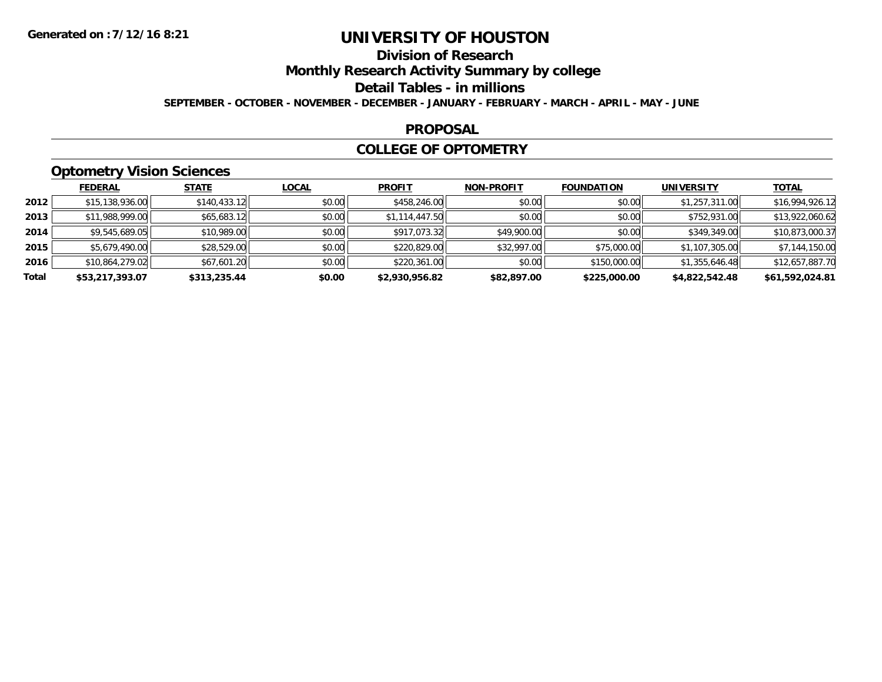# **Division of Research**

**Monthly Research Activity Summary by college**

**Detail Tables - in millions**

**SEPTEMBER - OCTOBER - NOVEMBER - DECEMBER - JANUARY - FEBRUARY - MARCH - APRIL - MAY - JUNE**

#### **PROPOSAL**

#### **COLLEGE OF OPTOMETRY**

# **Optometry Vision Sciences**

|       | <b>FEDERAL</b>  | <b>STATE</b> | <b>LOCAL</b> | <b>PROFIT</b>  | <b>NON-PROFIT</b> | <b>FOUNDATION</b> | <b>UNIVERSITY</b> | <u>TOTAL</u>    |
|-------|-----------------|--------------|--------------|----------------|-------------------|-------------------|-------------------|-----------------|
| 2012  | \$15,138,936.00 | \$140,433.12 | \$0.00       | \$458,246.00   | \$0.00            | \$0.00            | \$1,257,311.00    | \$16,994,926.12 |
| 2013  | \$11,988,999.00 | \$65,683.12  | \$0.00       | \$1,114,447.50 | \$0.00            | \$0.00            | \$752,931.00      | \$13,922,060.62 |
| 2014  | \$9,545,689.05  | \$10,989.00  | \$0.00       | \$917,073.32   | \$49,900.00       | \$0.00            | \$349,349.00      | \$10,873,000.37 |
| 2015  | \$5,679,490.00  | \$28,529.00  | \$0.00       | \$220,829.00   | \$32,997.00       | \$75,000.00       | \$1,107,305.00    | \$7,144,150.00  |
| 2016  | \$10,864,279.02 | \$67,601.20  | \$0.00       | \$220,361.00   | \$0.00            | \$150,000.00      | \$1,355,646.48    | \$12,657,887.70 |
| Total | \$53,217,393.07 | \$313,235.44 | \$0.00       | \$2,930,956.82 | \$82,897.00       | \$225,000.00      | \$4,822,542.48    | \$61,592,024.81 |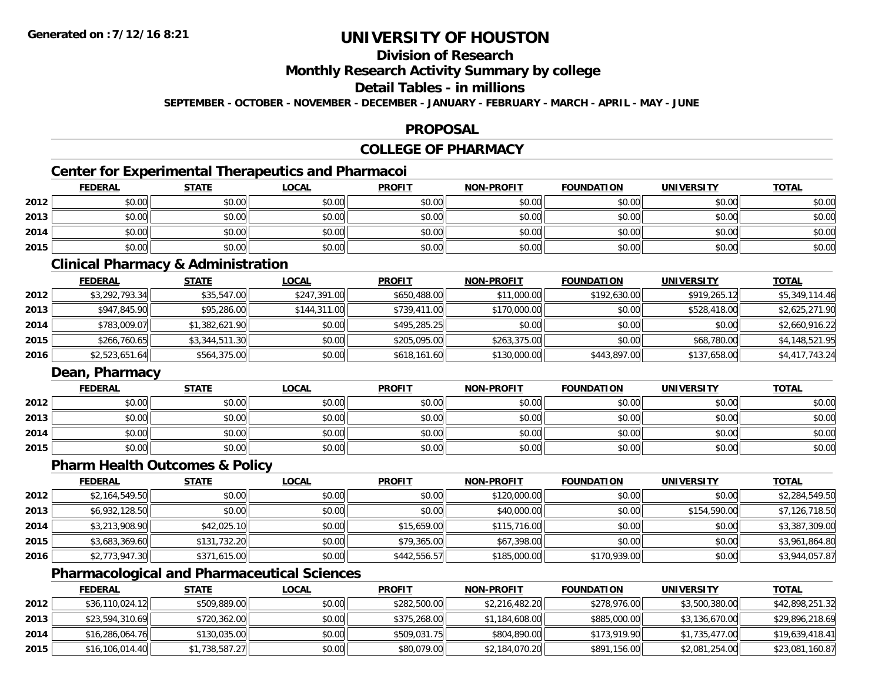# **Division of Research**

**Monthly Research Activity Summary by college**

### **Detail Tables - in millions**

**SEPTEMBER - OCTOBER - NOVEMBER - DECEMBER - JANUARY - FEBRUARY - MARCH - APRIL - MAY - JUNE**

## **PROPOSAL**

# **COLLEGE OF PHARMACY**

## **Center for Experimental Therapeutics and Pharmacoi**

|      | <b>FEDERAL</b> | <b>STATE</b> | <u>LOCAL</u> | <b>PROFIT</b> | <b>NON-PROFIT</b> | <b>FOUNDATION</b> | <b>UNIVERSITY</b> | <b>TOTAL</b> |
|------|----------------|--------------|--------------|---------------|-------------------|-------------------|-------------------|--------------|
| 2012 | \$0.00         | \$0.00       | \$0.00       | \$0.00        | \$0.00            | \$0.00            | \$0.00            | \$0.00       |
| 2013 | \$0.00         | \$0.00       | \$0.00       | \$0.00        | \$0.00            | \$0.00            | \$0.00            | \$0.00       |
| 2014 | \$0.00         | \$0.00       | \$0.00       | \$0.00        | \$0.00            | \$0.00            | \$0.00            | \$0.00       |
| 2015 | \$0.00         | \$0.00       | \$0.00       | \$0.00        | \$0.00            | \$0.00            | \$0.00            | \$0.00       |

### **Clinical Pharmacy & Administration**

|      | <b>FEDERAL</b> | <b>STATE</b>   | <b>LOCAL</b> | <b>PROFIT</b> | <b>NON-PROFIT</b> | <b>FOUNDATION</b> | <b>UNIVERSITY</b> | <u>TOTAL</u>   |
|------|----------------|----------------|--------------|---------------|-------------------|-------------------|-------------------|----------------|
| 2012 | \$3,292,793.34 | \$35,547.00    | \$247,391.00 | \$650,488.00  | \$11,000.00       | \$192,630.00      | \$919,265.12      | \$5,349,114.46 |
| 2013 | \$947,845.90   | \$95,286.00    | \$144,311.00 | \$739,411.00  | \$170,000.00      | \$0.00            | \$528,418.00      | \$2,625,271.90 |
| 2014 | \$783,009.07   | \$1,382,621.90 | \$0.00       | \$495,285.25  | \$0.00            | \$0.00            | \$0.00            | \$2,660,916.22 |
| 2015 | \$266,760.65   | \$3,344,511.30 | \$0.00       | \$205,095.00  | \$263,375,00      | \$0.00            | \$68,780.00       | \$4,148,521.95 |
| 2016 | \$2,523,651.64 | \$564,375.00   | \$0.00       | \$618,161.60  | \$130,000.00      | \$443,897.00      | \$137,658.00      | \$4,417,743.24 |

## **Dean, Pharmacy**

|      | <b>FEDERAL</b> | <b>STATE</b> | <u>LOCAL</u> | <b>PROFIT</b> | <b>NON-PROFIT</b> | <b>FOUNDATION</b> | <b>UNIVERSITY</b> | <b>TOTAL</b> |
|------|----------------|--------------|--------------|---------------|-------------------|-------------------|-------------------|--------------|
| 2012 | \$0.00         | \$0.00       | \$0.00       | \$0.00        | \$0.00            | \$0.00            | \$0.00            | \$0.00       |
| 2013 | \$0.00         | \$0.00       | \$0.00       | \$0.00        | \$0.00            | \$0.00            | \$0.00            | \$0.00       |
| 2014 | \$0.00         | \$0.00       | \$0.00       | \$0.00        | \$0.00            | \$0.00            | \$0.00            | \$0.00       |
| 2015 | \$0.00         | \$0.00       | \$0.00       | \$0.00        | \$0.00            | \$0.00            | \$0.00            | \$0.00       |

## **Pharm Health Outcomes & Policy**

|      | <u>FEDERAL</u> | <b>STATE</b> | <b>LOCAL</b> | <b>PROFIT</b> | <b>NON-PROFIT</b> | <b>FOUNDATION</b> | <b>UNIVERSITY</b> | <b>TOTAL</b>   |
|------|----------------|--------------|--------------|---------------|-------------------|-------------------|-------------------|----------------|
| 2012 | \$2,164,549.50 | \$0.00       | \$0.00       | \$0.00        | \$120,000.00      | \$0.00            | \$0.00            | \$2,284,549.50 |
| 2013 | \$6,932,128.50 | \$0.00       | \$0.00       | \$0.00        | \$40,000.00       | \$0.00            | \$154,590.00      | \$7,126,718.50 |
| 2014 | \$3,213,908.90 | \$42,025.10  | \$0.00       | \$15,659.00   | \$115,716.00      | \$0.00            | \$0.00            | \$3,387,309.00 |
| 2015 | \$3,683,369.60 | \$131,732.20 | \$0.00       | \$79,365.00   | \$67,398.00       | \$0.00            | \$0.00            | \$3,961,864.80 |
| 2016 | \$2,773,947.30 | \$371,615.00 | \$0.00       | \$442,556.57  | \$185,000.00      | \$170,939.00      | \$0.00            | \$3,944,057.87 |

## **Pharmacological and Pharmaceutical Sciences**

|      | <b>FEDERAL</b>  | <b>STATE</b>   | <u>LOCAL</u> | <b>PROFIT</b> | <b>NON-PROFIT</b> | <b>FOUNDATION</b> | UNIVERSITY     | <b>TOTAL</b>    |
|------|-----------------|----------------|--------------|---------------|-------------------|-------------------|----------------|-----------------|
| 2012 | \$36,110,024.12 | \$509,889.00   | \$0.00       | \$282,500.00  | \$2,216,482.20    | \$278,976.00      | \$3,500,380.00 | \$42,898,251.32 |
| 2013 | \$23,594,310.69 | \$720,362.00   | \$0.00       | \$375,268.00  | \$1,184,608.00    | \$885,000.00      | \$3,136,670.00 | \$29,896,218.69 |
| 2014 | \$16,286,064.76 | \$130,035.00   | \$0.00       | \$509,031.75  | \$804,890.00      | \$173,919.90      | \$1,735,477.00 | \$19,639,418.41 |
| 2015 | \$16,106,014.40 | \$1,738,587.27 | \$0.00       | \$80,079.00   | \$2,184,070.20    | \$891,156.00      | \$2,081,254.00 | \$23,081,160.87 |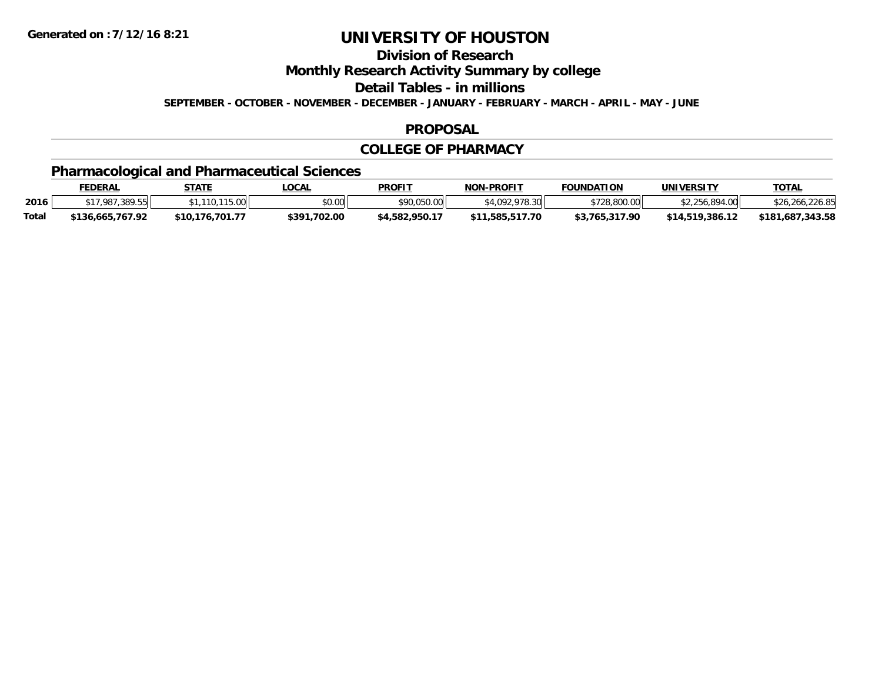**Division of Research**

**Monthly Research Activity Summary by college**

**Detail Tables - in millions**

**SEPTEMBER - OCTOBER - NOVEMBER - DECEMBER - JANUARY - FEBRUARY - MARCH - APRIL - MAY - JUNE**

#### **PROPOSAL**

### **COLLEGE OF PHARMACY**

# **Pharmacological and Pharmaceutical Sciences**

|              | <u>FEDERAL</u>   | STATE           | LOCAL          | <b>PROFIT</b>  | <b>NON-PROFIT</b> | <b>FOUNDATION</b> | UNIVERSITY      | <b>TOTAL</b>     |
|--------------|------------------|-----------------|----------------|----------------|-------------------|-------------------|-----------------|------------------|
| 2016         | *17,987,389.55H  | 115.00          | mn n¢<br>וטטוע | \$90,050.00    | \$4,092,978,30    | \$728,800.00      | \$2.256.894.00  | \$26,266,226.85  |
| <b>Total</b> | \$136.665.767.92 | \$10.176.701.77 | \$391,702.00   | \$4,582,950.17 | \$11.585.517.70   | \$3.765.317.90    | \$14.519.386.12 | \$181,687,343,58 |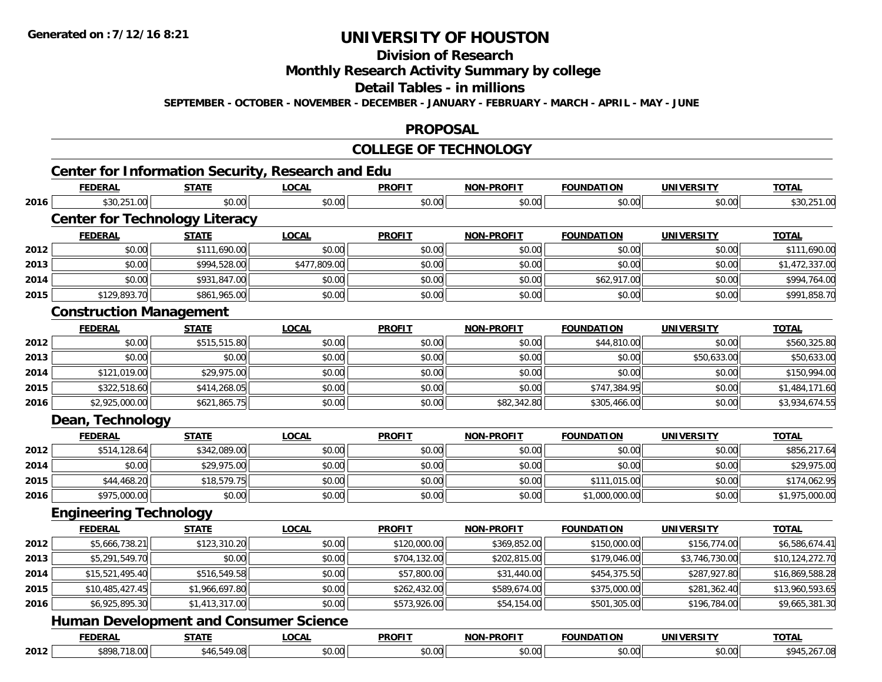# **Division of Research**

**Monthly Research Activity Summary by college**

**Detail Tables - in millions**

**SEPTEMBER - OCTOBER - NOVEMBER - DECEMBER - JANUARY - FEBRUARY - MARCH - APRIL - MAY - JUNE**

#### **PROPOSAL**

#### **COLLEGE OF TECHNOLOGY**

# **Center for Information Security, Research and Edu**

|      | <b>FEDERAL</b>                                | <b>STATE</b>   | <b>LOCAL</b> | <b>PROFIT</b> | <b>NON-PROFIT</b> | <b>FOUNDATION</b> | <b>UNIVERSITY</b> | <b>TOTAL</b>    |
|------|-----------------------------------------------|----------------|--------------|---------------|-------------------|-------------------|-------------------|-----------------|
| 2016 | \$30,251.00                                   | \$0.00         | \$0.00       | \$0.00        | \$0.00            | \$0.00            | \$0.00            | \$30,251.00     |
|      | <b>Center for Technology Literacy</b>         |                |              |               |                   |                   |                   |                 |
|      | <b>FEDERAL</b>                                | <b>STATE</b>   | <b>LOCAL</b> | <b>PROFIT</b> | <b>NON-PROFIT</b> | <b>FOUNDATION</b> | <b>UNIVERSITY</b> | <b>TOTAL</b>    |
| 2012 | \$0.00                                        | \$111,690.00   | \$0.00       | \$0.00        | \$0.00            | \$0.00            | \$0.00            | \$111,690.00    |
| 2013 | \$0.00                                        | \$994,528.00   | \$477,809.00 | \$0.00        | \$0.00            | \$0.00            | \$0.00            | \$1,472,337.00  |
| 2014 | \$0.00                                        | \$931,847.00   | \$0.00       | \$0.00        | \$0.00            | \$62,917.00       | \$0.00            | \$994,764.00    |
| 2015 | \$129,893.70                                  | \$861,965.00   | \$0.00       | \$0.00        | \$0.00            | \$0.00            | \$0.00            | \$991,858.70    |
|      | <b>Construction Management</b>                |                |              |               |                   |                   |                   |                 |
|      | <b>FEDERAL</b>                                | <b>STATE</b>   | <b>LOCAL</b> | <b>PROFIT</b> | NON-PROFIT        | <b>FOUNDATION</b> | <b>UNIVERSITY</b> | <b>TOTAL</b>    |
| 2012 | \$0.00                                        | \$515,515.80   | \$0.00       | \$0.00        | \$0.00            | \$44,810.00       | \$0.00            | \$560,325.80    |
| 2013 | \$0.00                                        | \$0.00         | \$0.00       | \$0.00        | \$0.00            | \$0.00            | \$50,633.00       | \$50,633.00     |
| 2014 | \$121,019.00                                  | \$29,975.00    | \$0.00       | \$0.00        | \$0.00            | \$0.00            | \$0.00            | \$150,994.00    |
| 2015 | \$322,518.60                                  | \$414,268.05   | \$0.00       | \$0.00        | \$0.00            | \$747,384.95      | \$0.00            | \$1,484,171.60  |
| 2016 | \$2,925,000.00                                | \$621,865.75   | \$0.00       | \$0.00        | \$82,342.80       | \$305,466.00      | \$0.00            | \$3,934,674.55  |
|      | Dean, Technology                              |                |              |               |                   |                   |                   |                 |
|      | <b>FEDERAL</b>                                | <b>STATE</b>   | <b>LOCAL</b> | <b>PROFIT</b> | <b>NON-PROFIT</b> | <b>FOUNDATION</b> | <b>UNIVERSITY</b> | <b>TOTAL</b>    |
| 2012 | \$514,128.64                                  | \$342,089.00   | \$0.00       | \$0.00        | \$0.00            | \$0.00            | \$0.00            | \$856,217.64    |
| 2014 | \$0.00                                        | \$29,975.00    | \$0.00       | \$0.00        | \$0.00            | \$0.00            | \$0.00            | \$29,975.00     |
| 2015 | \$44,468.20                                   | \$18,579.75    | \$0.00       | \$0.00        | \$0.00            | \$111,015.00      | \$0.00            | \$174,062.95    |
| 2016 | \$975,000.00                                  | \$0.00         | \$0.00       | \$0.00        | \$0.00            | \$1,000,000.00    | \$0.00            | \$1,975,000.00  |
|      | <b>Engineering Technology</b>                 |                |              |               |                   |                   |                   |                 |
|      | <b>FEDERAL</b>                                | <b>STATE</b>   | <b>LOCAL</b> | <b>PROFIT</b> | <b>NON-PROFIT</b> | <b>FOUNDATION</b> | <b>UNIVERSITY</b> | <b>TOTAL</b>    |
| 2012 | \$5,666,738.21                                | \$123,310.20   | \$0.00       | \$120,000.00  | \$369,852.00      | \$150,000.00      | \$156,774.00      | \$6,586,674.41  |
| 2013 | \$5,291,549.70                                | \$0.00         | \$0.00       | \$704,132.00  | \$202,815.00      | \$179,046.00      | \$3,746,730.00    | \$10,124,272.70 |
| 2014 | \$15,521,495.40                               | \$516,549.58   | \$0.00       | \$57,800.00   | \$31,440.00       | \$454,375.50      | \$287,927.80      | \$16,869,588.28 |
| 2015 | \$10,485,427.45                               | \$1,966,697.80 | \$0.00       | \$262,432.00  | \$589,674.00      | \$375,000.00      | \$281,362.40      | \$13,960,593.65 |
| 2016 | \$6,925,895.30                                | \$1,413,317.00 | \$0.00       | \$573,926.00  | \$54,154.00       | \$501,305.00      | \$196,784.00      | \$9,665,381.30  |
|      | <b>Human Development and Consumer Science</b> |                |              |               |                   |                   |                   |                 |
|      | <b>FEDERAL</b>                                | <b>STATE</b>   | <b>LOCAL</b> | <b>PROFIT</b> | <b>NON-PROFIT</b> | <b>FOUNDATION</b> | <b>UNIVERSITY</b> | <b>TOTAL</b>    |
| 2012 | \$898,718.00                                  | \$46,549.08    | \$0.00       | \$0.00        | \$0.00            | \$0.00            | \$0.00            | \$945,267.08    |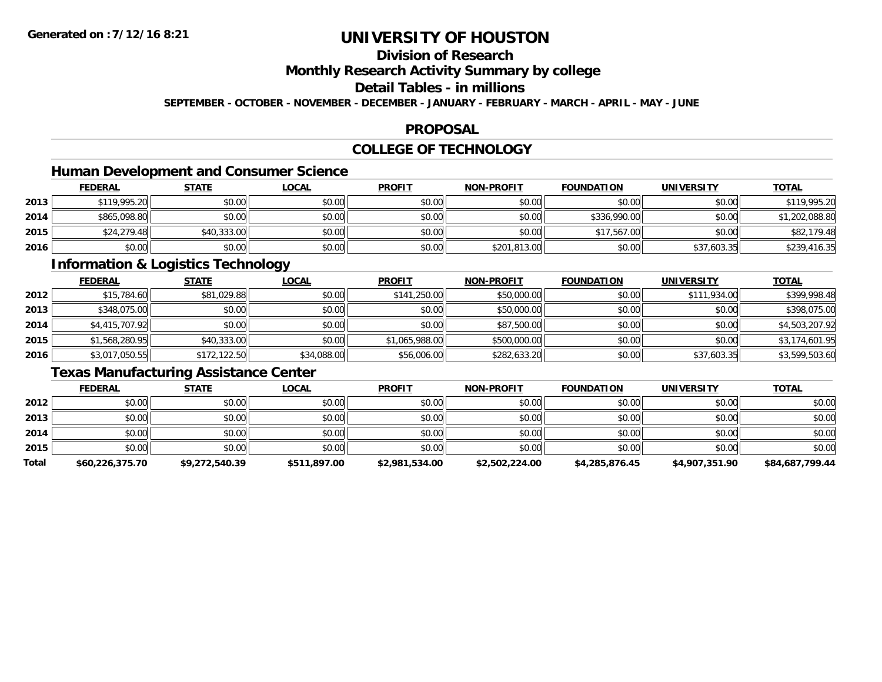# **Division of Research**

## **Monthly Research Activity Summary by college**

## **Detail Tables - in millions**

**SEPTEMBER - OCTOBER - NOVEMBER - DECEMBER - JANUARY - FEBRUARY - MARCH - APRIL - MAY - JUNE**

#### **PROPOSAL**

## **COLLEGE OF TECHNOLOGY**

## **Human Development and Consumer Science**

|      | <b>FEDERAL</b> | <u>STATE</u> | <u>LOCAL</u> | <b>PROFIT</b> | <b>NON-PROFIT</b> | <b>FOUNDATION</b> | <b>UNIVERSITY</b> | <b>TOTAL</b>   |
|------|----------------|--------------|--------------|---------------|-------------------|-------------------|-------------------|----------------|
| 2013 | \$119,995.20   | \$0.00       | \$0.00       | \$0.00        | \$0.00            | \$0.00            | \$0.00            | \$119,995.20   |
| 2014 | \$865,098.80   | \$0.00       | \$0.00       | \$0.00        | \$0.00            | \$336,990.00      | \$0.00            | \$1,202,088.80 |
| 2015 | \$24,279.48    | \$40,333.00  | \$0.00       | \$0.00        | \$0.00            | \$17,567.00       | \$0.00            | \$82,179.48    |
| 2016 | \$0.00         | \$0.00       | \$0.00       | \$0.00        | \$201,813.00      | \$0.00            | \$37,603.35       | \$239,416.35   |

# **Information & Logistics Technology**

|      | <u>FEDERAL</u> | <b>STATE</b> | <u>LOCAL</u> | <b>PROFIT</b>  | <b>NON-PROFIT</b> | <b>FOUNDATION</b> | <b>UNIVERSITY</b> | <b>TOTAL</b>   |
|------|----------------|--------------|--------------|----------------|-------------------|-------------------|-------------------|----------------|
| 2012 | \$15,784.60    | \$81,029.88  | \$0.00       | \$141,250.00   | \$50,000.00       | \$0.00            | \$111,934.00      | \$399,998.48   |
| 2013 | \$348,075.00   | \$0.00       | \$0.00       | \$0.00         | \$50,000.00       | \$0.00            | \$0.00            | \$398,075.00   |
| 2014 | \$4,415,707.92 | \$0.00       | \$0.00       | \$0.00         | \$87,500.00       | \$0.00            | \$0.00            | \$4,503,207.92 |
| 2015 | \$1,568,280.95 | \$40,333.00  | \$0.00       | \$1,065,988.00 | \$500,000.00      | \$0.00            | \$0.00            | \$3,174,601.95 |
| 2016 | \$3,017,050.55 | \$172,122.50 | \$34,088.00  | \$56,006.00    | \$282,633.20      | \$0.00            | \$37,603.35       | \$3,599,503.60 |

## **Texas Manufacturing Assistance Center**

|       | <b>FEDERAL</b>  | <u>STATE</u>   | <b>LOCAL</b> | <b>PROFIT</b>  | <b>NON-PROFIT</b> | <b>FOUNDATION</b> | <b>UNIVERSITY</b> | <b>TOTAL</b>    |
|-------|-----------------|----------------|--------------|----------------|-------------------|-------------------|-------------------|-----------------|
| 2012  | \$0.00          | \$0.00         | \$0.00       | \$0.00         | \$0.00            | \$0.00            | \$0.00            | \$0.00          |
| 2013  | \$0.00          | \$0.00         | \$0.00       | \$0.00         | \$0.00            | \$0.00            | \$0.00            | \$0.00          |
| 2014  | \$0.00          | \$0.00         | \$0.00       | \$0.00         | \$0.00            | \$0.00            | \$0.00            | \$0.00          |
| 2015  | \$0.00          | \$0.00         | \$0.00       | \$0.00         | \$0.00            | \$0.00            | \$0.00            | \$0.00          |
| Total | \$60,226,375.70 | \$9,272,540.39 | \$511,897.00 | \$2,981,534.00 | \$2,502,224.00    | \$4,285,876.45    | \$4,907,351.90    | \$84,687,799.44 |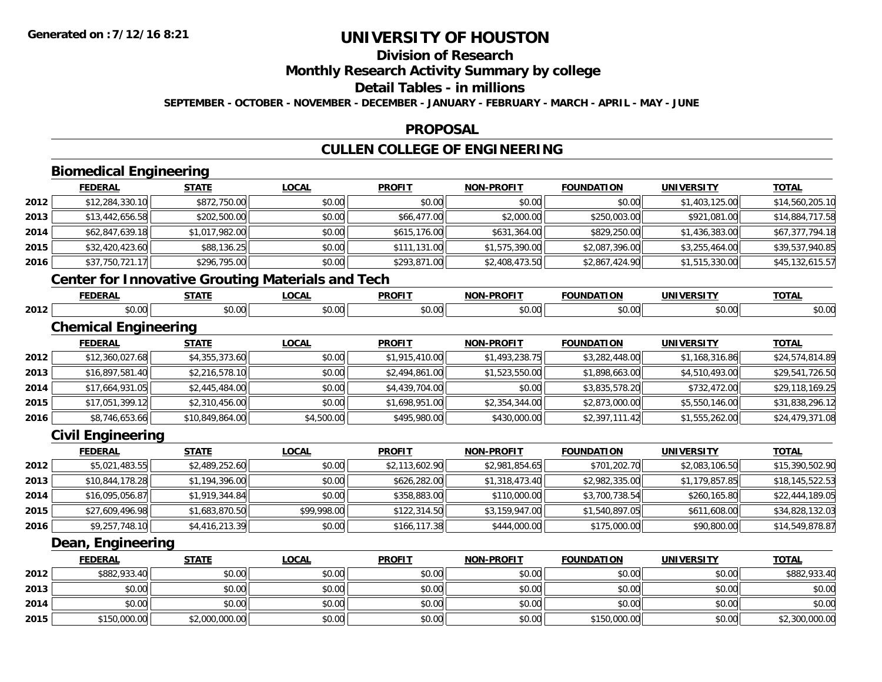# **Division of Research**

## **Monthly Research Activity Summary by college**

#### **Detail Tables - in millions**

**SEPTEMBER - OCTOBER - NOVEMBER - DECEMBER - JANUARY - FEBRUARY - MARCH - APRIL - MAY - JUNE**

#### **PROPOSAL**

# **CULLEN COLLEGE OF ENGINEERING**

|      | <b>Biomedical Engineering</b>                            |                 |              |                |                   |                   |                   |                 |
|------|----------------------------------------------------------|-----------------|--------------|----------------|-------------------|-------------------|-------------------|-----------------|
|      | <b>FEDERAL</b>                                           | <b>STATE</b>    | <b>LOCAL</b> | <b>PROFIT</b>  | <b>NON-PROFIT</b> | <b>FOUNDATION</b> | <b>UNIVERSITY</b> | <b>TOTAL</b>    |
| 2012 | \$12,284,330.10                                          | \$872,750.00    | \$0.00       | \$0.00         | \$0.00            | \$0.00            | \$1,403,125.00    | \$14,560,205.10 |
| 2013 | \$13,442,656.58                                          | \$202,500.00    | \$0.00       | \$66,477.00    | \$2,000.00        | \$250,003.00      | \$921,081.00      | \$14,884,717.58 |
| 2014 | \$62,847,639.18                                          | \$1,017,982.00  | \$0.00       | \$615,176.00   | \$631,364.00      | \$829,250.00      | \$1,436,383.00    | \$67,377,794.18 |
| 2015 | \$32,420,423.60                                          | \$88,136.25     | \$0.00       | \$111,131.00   | \$1,575,390.00    | \$2,087,396.00    | \$3,255,464.00    | \$39,537,940.85 |
| 2016 | \$37,750,721.17                                          | \$296,795.00    | \$0.00       | \$293,871.00   | \$2,408,473.50    | \$2,867,424.90    | \$1,515,330.00    | \$45,132,615.57 |
|      | <b>Center for Innovative Grouting Materials and Tech</b> |                 |              |                |                   |                   |                   |                 |
|      | <b>FEDERAL</b>                                           | <b>STATE</b>    | <b>LOCAL</b> | <b>PROFIT</b>  | <b>NON-PROFIT</b> | <b>FOUNDATION</b> | <b>UNIVERSITY</b> | <b>TOTAL</b>    |
| 2012 | \$0.00                                                   | \$0.00          | \$0.00       | \$0.00         | \$0.00            | \$0.00            | \$0.00            | \$0.00          |
|      | <b>Chemical Engineering</b>                              |                 |              |                |                   |                   |                   |                 |
|      | <b>FEDERAL</b>                                           | <b>STATE</b>    | <b>LOCAL</b> | <b>PROFIT</b>  | <b>NON-PROFIT</b> | <b>FOUNDATION</b> | <b>UNIVERSITY</b> | <b>TOTAL</b>    |
| 2012 | \$12,360,027.68                                          | \$4,355,373.60  | \$0.00       | \$1,915,410.00 | \$1,493,238.75    | \$3,282,448.00    | \$1,168,316.86    | \$24,574,814.89 |
| 2013 | \$16,897,581.40                                          | \$2,216,578.10  | \$0.00       | \$2,494,861.00 | \$1,523,550.00    | \$1,898,663.00    | \$4,510,493.00    | \$29,541,726.50 |
| 2014 | \$17,664,931.05                                          | \$2,445,484.00  | \$0.00       | \$4,439,704.00 | \$0.00            | \$3,835,578.20    | \$732,472.00      | \$29,118,169.25 |
| 2015 | \$17,051,399.12                                          | \$2,310,456.00  | \$0.00       | \$1,698,951.00 | \$2,354,344.00    | \$2,873,000.00    | \$5,550,146.00    | \$31,838,296.12 |
| 2016 | \$8,746,653.66                                           | \$10,849,864.00 | \$4,500.00   | \$495,980.00   | \$430,000.00      | \$2,397,111.42    | \$1,555,262.00    | \$24,479,371.08 |
|      | <b>Civil Engineering</b>                                 |                 |              |                |                   |                   |                   |                 |
|      | <b>FEDERAL</b>                                           | <b>STATE</b>    | <b>LOCAL</b> | <b>PROFIT</b>  | <b>NON-PROFIT</b> | <b>FOUNDATION</b> | <b>UNIVERSITY</b> | <b>TOTAL</b>    |
| 2012 | \$5,021,483.55                                           | \$2,489,252.60  | \$0.00       | \$2,113,602.90 | \$2,981,854.65    | \$701,202.70      | \$2,083,106.50    | \$15,390,502.90 |
| 2013 | \$10,844,178.28                                          | \$1,194,396.00  | \$0.00       | \$626,282.00   | \$1,318,473.40    | \$2,982,335.00    | \$1,179,857.85    | \$18,145,522.53 |
| 2014 | \$16,095,056.87                                          | \$1,919,344.84  | \$0.00       | \$358,883.00   | \$110,000.00      | \$3,700,738.54    | \$260,165.80      | \$22,444,189.05 |
| 2015 | \$27,609,496.98                                          | \$1,683,870.50  | \$99,998.00  | \$122,314.50   | \$3,159,947.00    | \$1,540,897.05    | \$611,608.00      | \$34,828,132.03 |
| 2016 | \$9,257,748.10                                           | \$4,416,213.39  | \$0.00       | \$166,117.38   | \$444,000.00      | \$175,000.00      | \$90,800.00       | \$14,549,878.87 |
|      | Dean, Engineering                                        |                 |              |                |                   |                   |                   |                 |
|      | <b>FEDERAL</b>                                           | <b>STATE</b>    | <b>LOCAL</b> | <b>PROFIT</b>  | <b>NON-PROFIT</b> | <b>FOUNDATION</b> | <b>UNIVERSITY</b> | <b>TOTAL</b>    |
| 2012 | \$882,933.40                                             | \$0.00          | \$0.00       | \$0.00         | \$0.00            | \$0.00            | \$0.00            | \$882,933.40    |
| 2013 | \$0.00                                                   | \$0.00          | \$0.00       | \$0.00         | \$0.00            | \$0.00            | \$0.00            | \$0.00          |
| 2014 | \$0.00                                                   | \$0.00          | \$0.00       | \$0.00         | \$0.00            | \$0.00            | \$0.00            | \$0.00          |
| 2015 | \$150,000.00                                             | \$2,000,000.00  | \$0.00       | \$0.00         | \$0.00            | \$150,000.00      | \$0.00            | \$2,300,000.00  |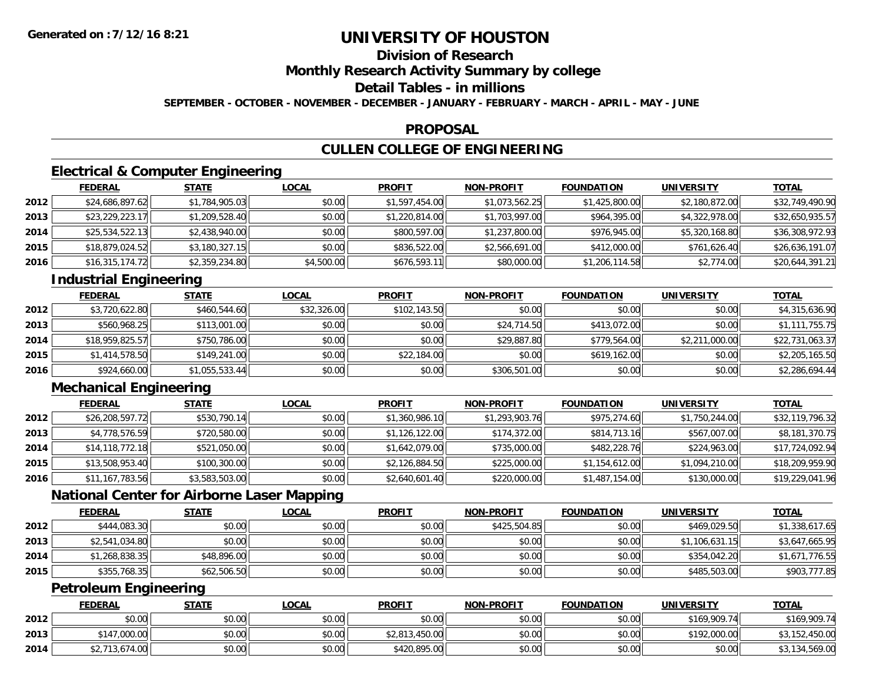# **Division of Research**

**Monthly Research Activity Summary by college**

## **Detail Tables - in millions**

**SEPTEMBER - OCTOBER - NOVEMBER - DECEMBER - JANUARY - FEBRUARY - MARCH - APRIL - MAY - JUNE**

#### **PROPOSAL**

# **CULLEN COLLEGE OF ENGINEERING**

## **Electrical & Computer Engineering**

|      | <b>FEDERAL</b>  | <b>STATE</b>   | <b>LOCAL</b> | <b>PROFIT</b>  | <b>NON-PROFIT</b> | <b>FOUNDATION</b> | UNIVERSITY     | <b>TOTAL</b>    |
|------|-----------------|----------------|--------------|----------------|-------------------|-------------------|----------------|-----------------|
| 2012 | \$24,686,897.62 | \$1,784,905.03 | \$0.00       | \$1,597,454.00 | \$1,073,562.25    | \$1,425,800.00    | \$2,180,872.00 | \$32,749,490.90 |
| 2013 | \$23,229,223.17 | \$1,209,528.40 | \$0.00       | \$1,220,814.00 | \$1,703,997.00    | \$964,395.00      | \$4,322,978.00 | \$32,650,935.57 |
| 2014 | \$25,534,522.13 | \$2,438,940.00 | \$0.00       | \$800,597.00   | \$1,237,800.00    | \$976,945.00      | \$5,320,168.80 | \$36,308,972.93 |
| 2015 | \$18,879,024.52 | \$3,180,327.15 | \$0.00       | \$836,522.00   | \$2,566,691.00    | \$412,000.00      | \$761,626.40   | \$26,636,191.07 |
| 2016 | \$16,315,174.72 | \$2,359,234.80 | \$4,500.00   | \$676,593.11   | \$80,000.00       | \$1,206,114.58    | \$2,774.00     | \$20,644,391.21 |

## **Industrial Engineering**

|      | <b>FEDERAL</b>  | <u>STATE</u>   | <u>LOCAL</u> | <b>PROFIT</b> | <b>NON-PROFIT</b> | <b>FOUNDATION</b> | <b>UNIVERSITY</b> | <b>TOTAL</b>    |
|------|-----------------|----------------|--------------|---------------|-------------------|-------------------|-------------------|-----------------|
| 2012 | \$3,720,622.80  | \$460,544.60   | \$32,326.00  | \$102,143.50  | \$0.00            | \$0.00            | \$0.00            | \$4,315,636.90  |
| 2013 | \$560,968.25    | \$113,001.00   | \$0.00       | \$0.00        | \$24,714.50       | \$413,072,00      | \$0.00            | \$1,111,755.75  |
| 2014 | \$18,959,825.57 | \$750,786.00   | \$0.00       | \$0.00        | \$29,887.80       | \$779,564,00      | \$2,211,000.00    | \$22,731,063.37 |
| 2015 | \$1,414,578.50  | \$149,241.00   | \$0.00       | \$22,184.00   | \$0.00            | \$619,162.00      | \$0.00            | \$2,205,165.50  |
| 2016 | \$924,660.00    | \$1,055,533.44 | \$0.00       | \$0.00        | \$306,501.00      | \$0.00            | \$0.00            | \$2,286,694.44  |

## **Mechanical Engineering**

|      | <b>FEDERAL</b>  | <u>STATE</u>   | <b>LOCAL</b> | <b>PROFIT</b>  | <b>NON-PROFIT</b> | <b>FOUNDATION</b> | <b>UNIVERSITY</b> | <b>TOTAL</b>    |
|------|-----------------|----------------|--------------|----------------|-------------------|-------------------|-------------------|-----------------|
| 2012 | \$26,208,597.72 | \$530,790.14   | \$0.00       | \$1,360,986.10 | \$1,293,903.76    | \$975,274.60      | \$1,750,244.00    | \$32,119,796.32 |
| 2013 | \$4,778,576.59  | \$720,580.00   | \$0.00       | \$1,126,122.00 | \$174,372.00      | \$814,713.16      | \$567,007.00      | \$8,181,370.75  |
| 2014 | \$14,118,772.18 | \$521,050.00   | \$0.00       | \$1,642,079.00 | \$735,000.00      | \$482,228.76      | \$224,963.00      | \$17,724,092.94 |
| 2015 | \$13,508,953.40 | \$100,300.00   | \$0.00       | \$2,126,884.50 | \$225,000.00      | \$1,154,612.00    | \$1,094,210.00    | \$18,209,959.90 |
| 2016 | \$11,167,783.56 | \$3,583,503.00 | \$0.00       | \$2,640,601.40 | \$220,000.00      | \$1,487,154.00    | \$130,000.00      | \$19,229,041.96 |

## **National Center for Airborne Laser Mapping**

|      | <b>FEDERAL</b> | <u>STATE</u> | <u>LOCAL</u> | <b>PROFIT</b> | <b>NON-PROFIT</b> | <b>FOUNDATION</b> | <b>UNIVERSITY</b> | <b>TOTAL</b>   |
|------|----------------|--------------|--------------|---------------|-------------------|-------------------|-------------------|----------------|
| 2012 | \$444,083.30   | \$0.00       | \$0.00       | \$0.00        | \$425,504.85      | \$0.00            | \$469,029.50      | \$1,338,617.65 |
| 2013 | \$2,541,034.80 | \$0.00       | \$0.00       | \$0.00        | \$0.00            | \$0.00            | \$1,106,631.15    | \$3,647,665.95 |
| 2014 | \$1,268,838.35 | \$48,896.00  | \$0.00       | \$0.00        | \$0.00            | \$0.00            | \$354,042.20      | \$1,671,776.55 |
| 2015 | \$355,768.35   | \$62,506.50  | \$0.00       | \$0.00        | \$0.00            | \$0.00            | \$485,503.00      | \$903,777.85   |

## **Petroleum Engineering**

|      | <b>FEDERAL</b> | <b>STATE</b> | <b>LOCAL</b> | <b>PROFIT</b>  | <b>NON-PROFIT</b> | <b>FOUNDATION</b> | <b>UNIVERSITY</b> | <b>TOTAL</b>   |
|------|----------------|--------------|--------------|----------------|-------------------|-------------------|-------------------|----------------|
| 2012 | \$0.00         | \$0.00       | \$0.00       | \$0.00         | \$0.00            | \$0.00            | \$169,909.74      | \$169,909.74   |
| 2013 | \$147,000.00   | \$0.00       | \$0.00       | \$2,813,450.00 | \$0.00            | \$0.00            | \$192,000.00      | \$3,152,450.00 |
| 2014 | \$2,713,674.00 | \$0.00       | \$0.00       | \$420,895.00   | \$0.00            | \$0.00            | \$0.00            | \$3,134,569.00 |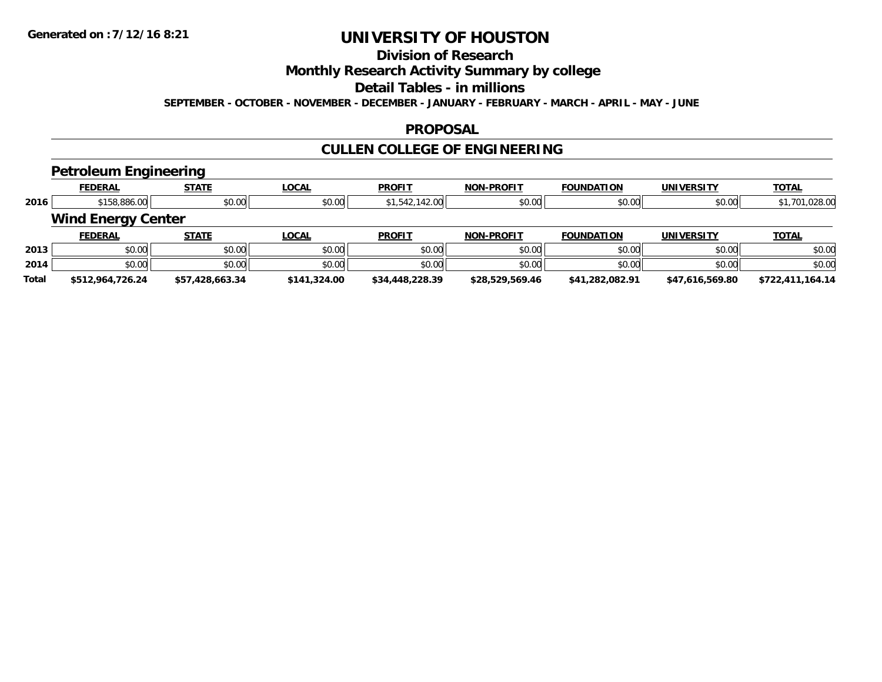# **Division of Research**

## **Monthly Research Activity Summary by college**

#### **Detail Tables - in millions**

**SEPTEMBER - OCTOBER - NOVEMBER - DECEMBER - JANUARY - FEBRUARY - MARCH - APRIL - MAY - JUNE**

### **PROPOSAL**

# **CULLEN COLLEGE OF ENGINEERING**

### **Petroleum Engineering**

|              | __                        | .               |              |                 |                   |                   |                   |                  |
|--------------|---------------------------|-----------------|--------------|-----------------|-------------------|-------------------|-------------------|------------------|
|              | <b>FEDERAL</b>            | <b>STATE</b>    | <b>LOCAL</b> | <b>PROFIT</b>   | <b>NON-PROFIT</b> | <b>FOUNDATION</b> | <b>UNIVERSITY</b> | <b>TOTAL</b>     |
| 2016         | \$158,886.00              | \$0.00          | \$0.00       | \$1,542,142.00  | \$0.00            | \$0.00            | \$0.00            | \$1,701,028.00   |
|              | <b>Wind Energy Center</b> |                 |              |                 |                   |                   |                   |                  |
|              | <b>FEDERAL</b>            | <b>STATE</b>    | <b>LOCAL</b> | <b>PROFIT</b>   | <b>NON-PROFIT</b> | <b>FOUNDATION</b> | <b>UNIVERSITY</b> | <b>TOTAL</b>     |
| 2013         | \$0.00                    | \$0.00          | \$0.00       | \$0.00          | \$0.00            | \$0.00            | \$0.00            | \$0.00           |
| 2014         | \$0.00                    | \$0.00          | \$0.00       | \$0.00          | \$0.00            | \$0.00            | \$0.00            | \$0.00           |
| <b>Total</b> | \$512,964,726.24          | \$57,428,663.34 | \$141,324.00 | \$34,448,228.39 | \$28,529,569.46   | \$41,282,082.91   | \$47,616,569.80   | \$722,411,164.14 |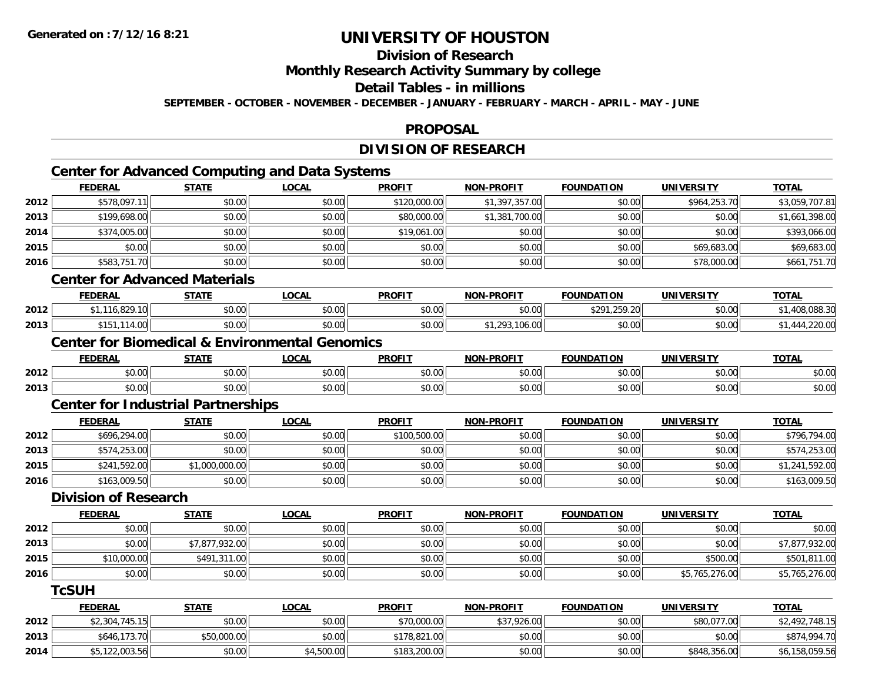**2014**

# **UNIVERSITY OF HOUSTON**

# **Division of Research**

**Monthly Research Activity Summary by college**

### **Detail Tables - in millions**

**SEPTEMBER - OCTOBER - NOVEMBER - DECEMBER - JANUARY - FEBRUARY - MARCH - APRIL - MAY - JUNE**

#### **PROPOSAL**

## **DIVISION OF RESEARCH**

# **Center for Advanced Computing and Data Systems**

|      | <b>FEDERAL</b>                            | <b>STATE</b>   | <b>LOCAL</b>                                              | <b>PROFIT</b> | <b>NON-PROFIT</b> | <b>FOUNDATION</b> | <b>UNIVERSITY</b> | <b>TOTAL</b>   |
|------|-------------------------------------------|----------------|-----------------------------------------------------------|---------------|-------------------|-------------------|-------------------|----------------|
| 2012 | \$578,097.11                              | \$0.00         | \$0.00                                                    | \$120,000.00  | \$1,397,357.00    | \$0.00            | \$964,253.70      | \$3,059,707.81 |
| 2013 | \$199,698.00                              | \$0.00         | \$0.00                                                    | \$80,000.00   | \$1,381,700.00    | \$0.00            | \$0.00            | \$1,661,398.00 |
| 2014 | \$374,005.00                              | \$0.00         | \$0.00                                                    | \$19,061.00   | \$0.00            | \$0.00            | \$0.00            | \$393,066.00   |
| 2015 | \$0.00                                    | \$0.00         | \$0.00                                                    | \$0.00        | \$0.00            | \$0.00            | \$69,683.00       | \$69,683.00    |
| 2016 | \$583,751.70                              | \$0.00         | \$0.00                                                    | \$0.00        | \$0.00            | \$0.00            | \$78,000.00       | \$661,751.70   |
|      | <b>Center for Advanced Materials</b>      |                |                                                           |               |                   |                   |                   |                |
|      | <b>FEDERAL</b>                            | <b>STATE</b>   | <b>LOCAL</b>                                              | <b>PROFIT</b> | <b>NON-PROFIT</b> | <b>FOUNDATION</b> | <b>UNIVERSITY</b> | <b>TOTAL</b>   |
| 2012 | \$1,116,829.10                            | \$0.00         | \$0.00                                                    | \$0.00        | \$0.00            | \$291,259.20      | \$0.00            | \$1,408,088.30 |
| 2013 | \$151,114.00                              | \$0.00         | \$0.00                                                    | \$0.00        | \$1,293,106.00    | \$0.00            | \$0.00            | \$1,444,220.00 |
|      |                                           |                | <b>Center for Biomedical &amp; Environmental Genomics</b> |               |                   |                   |                   |                |
|      | <b>FEDERAL</b>                            | <b>STATE</b>   | <b>LOCAL</b>                                              | <b>PROFIT</b> | <b>NON-PROFIT</b> | <b>FOUNDATION</b> | <b>UNIVERSITY</b> | <b>TOTAL</b>   |
| 2012 | \$0.00                                    | \$0.00         | \$0.00                                                    | \$0.00        | \$0.00            | \$0.00            | \$0.00            | \$0.00         |
| 2013 | \$0.00                                    | \$0.00         | \$0.00                                                    | \$0.00        | \$0.00            | \$0.00            | \$0.00            | \$0.00         |
|      | <b>Center for Industrial Partnerships</b> |                |                                                           |               |                   |                   |                   |                |
|      | <b>FEDERAL</b>                            | <b>STATE</b>   | <b>LOCAL</b>                                              | <b>PROFIT</b> | <b>NON-PROFIT</b> | <b>FOUNDATION</b> | <b>UNIVERSITY</b> | <b>TOTAL</b>   |
| 2012 | \$696,294.00                              | \$0.00         | \$0.00                                                    | \$100,500.00  | \$0.00            | \$0.00            | \$0.00            | \$796,794.00   |
| 2013 | \$574,253.00                              | \$0.00         | \$0.00                                                    | \$0.00        | \$0.00            | \$0.00            | \$0.00            | \$574,253.00   |
| 2015 | \$241,592.00                              | \$1,000,000.00 | \$0.00                                                    | \$0.00        | \$0.00            | \$0.00            | \$0.00            | \$1,241,592.00 |
| 2016 | \$163,009.50                              | \$0.00         | \$0.00                                                    | \$0.00        | \$0.00            | \$0.00            | \$0.00            | \$163,009.50   |
|      | <b>Division of Research</b>               |                |                                                           |               |                   |                   |                   |                |
|      | <b>FEDERAL</b>                            | <b>STATE</b>   | <b>LOCAL</b>                                              | <b>PROFIT</b> | <b>NON-PROFIT</b> | <b>FOUNDATION</b> | <b>UNIVERSITY</b> | <b>TOTAL</b>   |
| 2012 | \$0.00                                    | \$0.00         | \$0.00                                                    | \$0.00        | \$0.00            | \$0.00            | \$0.00            | \$0.00         |
| 2013 | \$0.00                                    | \$7,877,932.00 | \$0.00                                                    | \$0.00        | \$0.00            | \$0.00            | \$0.00            | \$7,877,932.00 |
| 2015 | \$10,000.00                               | \$491,311.00   | \$0.00                                                    | \$0.00        | \$0.00            | \$0.00            | \$500.00          | \$501,811.00   |
| 2016 | \$0.00                                    | \$0.00         | \$0.00                                                    | \$0.00        | \$0.00            | \$0.00            | \$5,765,276.00    | \$5,765,276.00 |
|      | <b>TcSUH</b>                              |                |                                                           |               |                   |                   |                   |                |
|      | <b>FEDERAL</b>                            | <b>STATE</b>   | <b>LOCAL</b>                                              | <b>PROFIT</b> | <b>NON-PROFIT</b> | <b>FOUNDATION</b> | <b>UNIVERSITY</b> | <b>TOTAL</b>   |
| 2012 | \$2,304,745.15                            | \$0.00         | \$0.00                                                    | \$70,000.00   | \$37,926.00       | \$0.00            | \$80,077.00       | \$2,492,748.15 |
| 2013 | \$646,173.70                              | \$50,000.00    | \$0.00                                                    | \$178,821.00  | \$0.00            | \$0.00            | \$0.00            | \$874,994.70   |

4 \$5,122,003.56|| \$0.00|| \$4,500.00|| \$183,200.00|| \$0.00|| \$0.00|| \$848,356.00|| \$6,158,059.56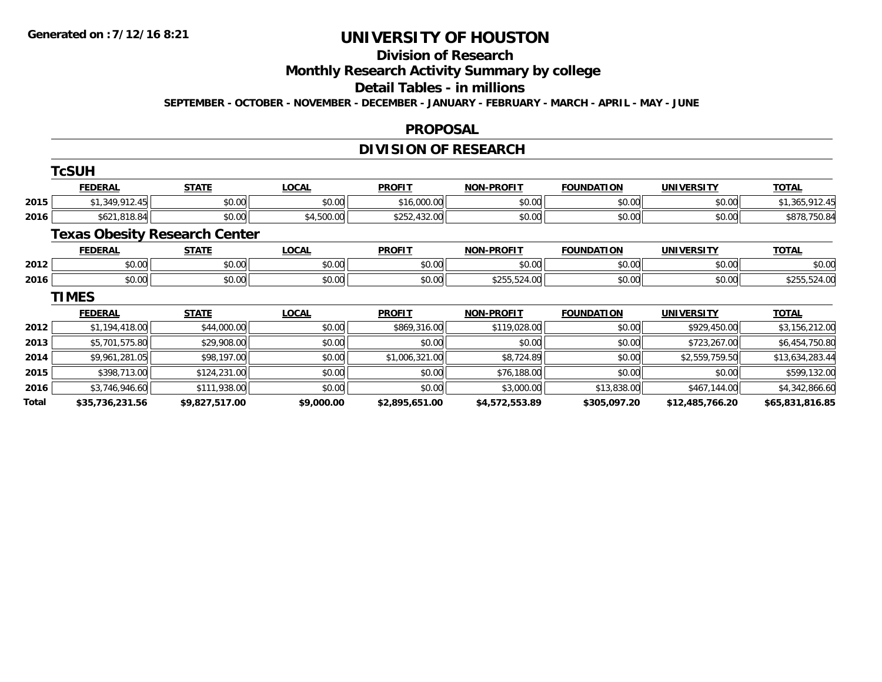#### **Division of Research**

# **Monthly Research Activity Summary by college**

#### **Detail Tables - in millions**

**SEPTEMBER - OCTOBER - NOVEMBER - DECEMBER - JANUARY - FEBRUARY - MARCH - APRIL - MAY - JUNE**

#### **PROPOSAL**

## **DIVISION OF RESEARCH**

|       | <b>TcSUH</b>    |                                      |              |                |                   |                   |                   |                 |
|-------|-----------------|--------------------------------------|--------------|----------------|-------------------|-------------------|-------------------|-----------------|
|       | <b>FEDERAL</b>  | <b>STATE</b>                         | <b>LOCAL</b> | <b>PROFIT</b>  | <b>NON-PROFIT</b> | <b>FOUNDATION</b> | <b>UNIVERSITY</b> | <b>TOTAL</b>    |
| 2015  | \$1,349,912.45  | \$0.00                               | \$0.00       | \$16,000.00    | \$0.00            | \$0.00            | \$0.00            | \$1,365,912.45  |
| 2016  | \$621,818.84    | \$0.00                               | \$4,500.00   | \$252,432.00   | \$0.00            | \$0.00            | \$0.00            | \$878,750.84    |
|       |                 | <b>Texas Obesity Research Center</b> |              |                |                   |                   |                   |                 |
|       | <b>FEDERAL</b>  | <b>STATE</b>                         | <b>LOCAL</b> | <b>PROFIT</b>  | <b>NON-PROFIT</b> | <b>FOUNDATION</b> | <b>UNIVERSITY</b> | <b>TOTAL</b>    |
| 2012  | \$0.00          | \$0.00                               | \$0.00       | \$0.00         | \$0.00            | \$0.00            | \$0.00            | \$0.00          |
| 2016  | \$0.00          | \$0.00                               | \$0.00       | \$0.00         | \$255,524.00      | \$0.00            | \$0.00            | \$255,524.00    |
|       | <b>TIMES</b>    |                                      |              |                |                   |                   |                   |                 |
|       | <b>FEDERAL</b>  | <b>STATE</b>                         | <b>LOCAL</b> | <b>PROFIT</b>  | <b>NON-PROFIT</b> | <b>FOUNDATION</b> | <b>UNIVERSITY</b> | <b>TOTAL</b>    |
| 2012  | \$1,194,418.00  | \$44,000.00                          | \$0.00       | \$869,316.00   | \$119,028.00      | \$0.00            | \$929,450.00      | \$3,156,212.00  |
| 2013  | \$5,701,575.80  | \$29,908.00                          | \$0.00       | \$0.00         | \$0.00            | \$0.00            | \$723,267.00      | \$6,454,750.80  |
| 2014  | \$9,961,281.05  | \$98,197.00                          | \$0.00       | \$1,006,321.00 | \$8,724.89        | \$0.00            | \$2,559,759.50    | \$13,634,283.44 |
| 2015  | \$398,713.00    | \$124,231.00                         | \$0.00       | \$0.00         | \$76,188.00       | \$0.00            | \$0.00            | \$599,132.00    |
| 2016  | \$3,746,946.60  | \$111,938.00                         | \$0.00       | \$0.00         | \$3,000.00        | \$13,838.00       | \$467,144.00      | \$4,342,866.60  |
| Total | \$35,736,231.56 | \$9,827,517.00                       | \$9,000.00   | \$2,895,651.00 | \$4,572,553.89    | \$305,097.20      | \$12,485,766.20   | \$65,831,816.85 |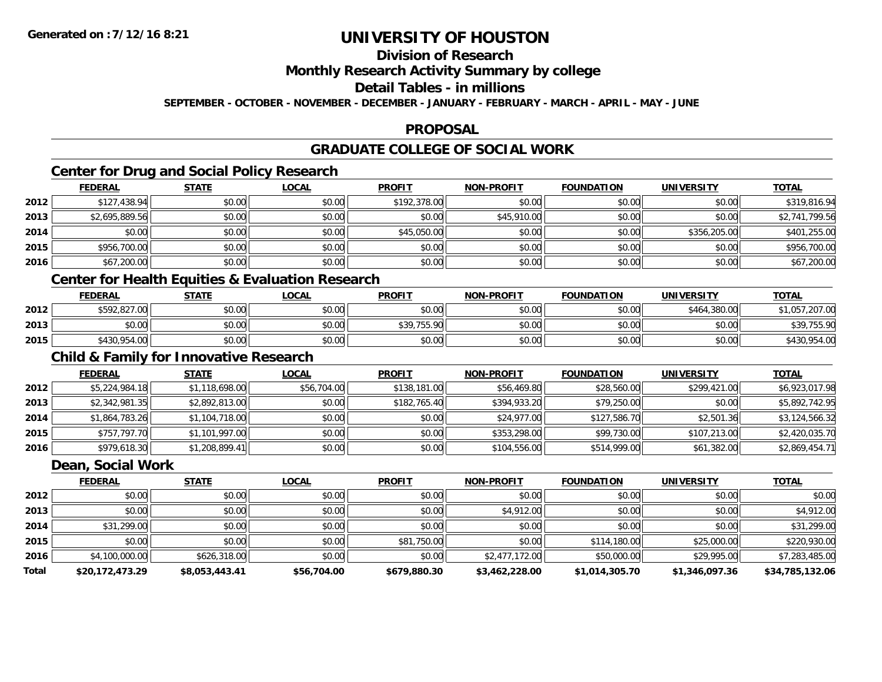# **Division of Research**

## **Monthly Research Activity Summary by college**

## **Detail Tables - in millions**

**SEPTEMBER - OCTOBER - NOVEMBER - DECEMBER - JANUARY - FEBRUARY - MARCH - APRIL - MAY - JUNE**

#### **PROPOSAL**

## **GRADUATE COLLEGE OF SOCIAL WORK**

## **Center for Drug and Social Policy Research**

|      | <b>FEDERAL</b> | <b>STATE</b> | <u>LOCAL</u> | <b>PROFIT</b> | <b>NON-PROFIT</b> | <b>FOUNDATION</b> | <b>UNIVERSITY</b> | <b>TOTAL</b>   |
|------|----------------|--------------|--------------|---------------|-------------------|-------------------|-------------------|----------------|
| 2012 | \$127,438.94   | \$0.00       | \$0.00       | \$192,378.00  | \$0.00            | \$0.00            | \$0.00            | \$319,816.94   |
| 2013 | \$2,695,889.56 | \$0.00       | \$0.00       | \$0.00        | \$45,910.00       | \$0.00            | \$0.00            | \$2,741,799.56 |
| 2014 | \$0.00         | \$0.00       | \$0.00       | \$45,050.00   | \$0.00            | \$0.00            | \$356,205,00      | \$401,255.00   |
| 2015 | \$956,700.00   | \$0.00       | \$0.00       | \$0.00        | \$0.00            | \$0.00            | \$0.00            | \$956,700.00   |
| 2016 | \$67,200.00    | \$0.00       | \$0.00       | \$0.00        | \$0.00            | \$0.00            | \$0.00            | \$67,200.00    |

## **Center for Health Equities & Evaluation Research**

|      | <b>FEDERAL</b> | <b>STATE</b> | <b>LOCAL</b> | <b>PROFIT</b>                       | <b>NON-PROFIT</b> | <b>FOUNDATION</b> | UNIVERSITY   | <b>TOTAL</b>   |
|------|----------------|--------------|--------------|-------------------------------------|-------------------|-------------------|--------------|----------------|
| 2012 | \$592,827.00   | \$0.00       | \$0.00       | \$0.00                              | \$0.00            | \$0.00            | \$464,380.00 | \$1,057,207.00 |
| 2013 | \$0.00         | \$0.00       | \$0.00       | \$30.755.90<br><b>PU7, I JU. 7U</b> | \$0.00            | \$0.00            | \$0.00       | \$39,755.90    |
| 2015 | \$430,954.00   | \$0.00       | \$0.00       | \$0.00                              | \$0.00            | \$0.00            | \$0.00       | \$430,954.00   |

## **Child & Family for Innovative Research**

|      | <b>FEDERAL</b> | <u>STATE</u>   | <b>LOCAL</b> | <b>PROFIT</b> | <b>NON-PROFIT</b> | <b>FOUNDATION</b> | <b>UNIVERSITY</b> | <u>TOTAL</u>   |
|------|----------------|----------------|--------------|---------------|-------------------|-------------------|-------------------|----------------|
| 2012 | \$5,224,984.18 | \$1,118,698.00 | \$56,704.00  | \$138,181.00  | \$56,469.80       | \$28,560.00       | \$299,421.00      | \$6,923,017.98 |
| 2013 | \$2,342,981.35 | \$2,892,813.00 | \$0.00       | \$182,765.40  | \$394,933.20      | \$79,250.00       | \$0.00            | \$5,892,742.95 |
| 2014 | \$1,864,783.26 | \$1,104,718.00 | \$0.00       | \$0.00        | \$24,977.00       | \$127,586.70      | \$2,501.36        | \$3,124,566.32 |
| 2015 | \$757,797.70   | \$1,101,997.00 | \$0.00       | \$0.00        | \$353,298,00      | \$99,730.00       | \$107,213.00      | \$2,420,035.70 |
| 2016 | \$979,618.30   | \$1,208,899.41 | \$0.00       | \$0.00        | \$104,556.00      | \$514,999.00      | \$61,382.00       | \$2,869,454.71 |

#### **Dean, Social Work**

|              | <b>FEDERAL</b>  | <b>STATE</b>   | <b>LOCAL</b> | <b>PROFIT</b> | <b>NON-PROFIT</b> | <b>FOUNDATION</b> | <b>UNIVERSITY</b> | <u>TOTAL</u>    |
|--------------|-----------------|----------------|--------------|---------------|-------------------|-------------------|-------------------|-----------------|
| 2012         | \$0.00          | \$0.00         | \$0.00       | \$0.00        | \$0.00            | \$0.00            | \$0.00            | \$0.00          |
| 2013         | \$0.00          | \$0.00         | \$0.00       | \$0.00        | \$4,912.00        | \$0.00            | \$0.00            | \$4,912.00      |
| 2014         | \$31,299.00     | \$0.00         | \$0.00       | \$0.00        | \$0.00            | \$0.00            | \$0.00            | \$31,299.00     |
| 2015         | \$0.00          | \$0.00         | \$0.00       | \$81,750.00   | \$0.00            | \$114,180.00      | \$25,000.00       | \$220,930.00    |
| 2016         | \$4,100,000.00  | \$626,318.00   | \$0.00       | \$0.00        | \$2,477,172.00    | \$50,000.00       | \$29,995.00       | \$7,283,485.00  |
| <b>Total</b> | \$20,172,473.29 | \$8,053,443.41 | \$56,704.00  | \$679,880.30  | \$3,462,228.00    | \$1,014,305.70    | \$1,346,097.36    | \$34,785,132.06 |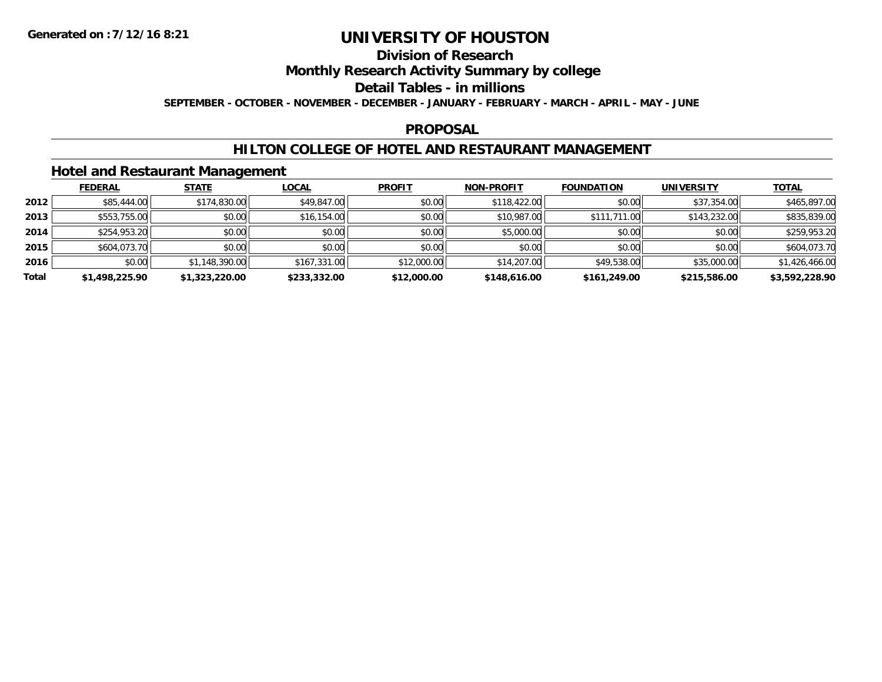# **Division of Research**

## **Monthly Research Activity Summary by college**

#### **Detail Tables - in millions**

**SEPTEMBER - OCTOBER - NOVEMBER - DECEMBER - JANUARY - FEBRUARY - MARCH - APRIL - MAY - JUNE**

#### **PROPOSAL**

### **HILTON COLLEGE OF HOTEL AND RESTAURANT MANAGEMENT**

### **Hotel and Restaurant Management**

|       | <b>FEDERAL</b> | <b>STATE</b>   | <u>LOCAL</u> | <b>PROFIT</b> | <b>NON-PROFIT</b> | <b>FOUNDATION</b> | <b>UNIVERSITY</b> | <b>TOTAL</b>   |
|-------|----------------|----------------|--------------|---------------|-------------------|-------------------|-------------------|----------------|
| 2012  | \$85,444.00    | \$174,830.00   | \$49,847.00  | \$0.00        | \$118,422.00      | \$0.00            | \$37,354.00       | \$465,897.00   |
| 2013  | \$553,755.00   | \$0.00         | \$16,154.00  | \$0.00        | \$10,987.00       | \$111,711.00      | \$143,232.00      | \$835,839.00   |
| 2014  | \$254,953.20   | \$0.00         | \$0.00       | \$0.00        | \$5,000.00        | \$0.00            | \$0.00            | \$259,953.20   |
| 2015  | \$604,073.70   | \$0.00         | \$0.00       | \$0.00        | \$0.00            | \$0.00            | \$0.00            | \$604,073.70   |
| 2016  | \$0.00         | \$1,148,390.00 | \$167,331.00 | \$12,000.00   | \$14,207.00       | \$49,538.00       | \$35,000.00       | \$1,426,466.00 |
| Total | \$1,498,225.90 | \$1,323,220.00 | \$233,332.00 | \$12,000.00   | \$148,616.00      | \$161,249.00      | \$215,586.00      | \$3,592,228.90 |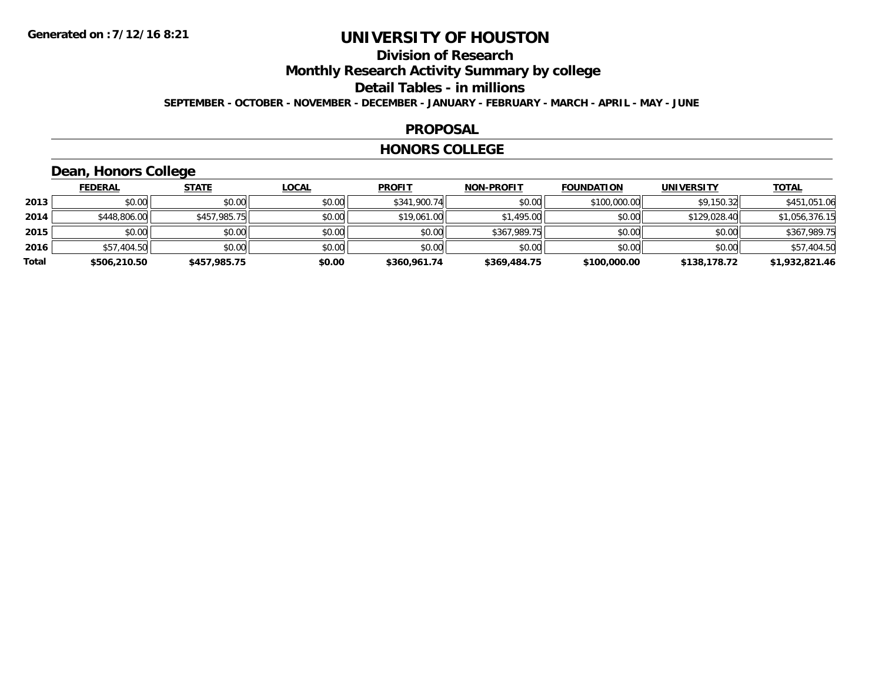# **Division of Research**

**Monthly Research Activity Summary by college**

#### **Detail Tables - in millions**

**SEPTEMBER - OCTOBER - NOVEMBER - DECEMBER - JANUARY - FEBRUARY - MARCH - APRIL - MAY - JUNE**

#### **PROPOSAL**

#### **HONORS COLLEGE**

## **Dean, Honors College**

|       | <b>FEDERAL</b> | <b>STATE</b> | <b>LOCAL</b> | <b>PROFIT</b> | <b>NON-PROFIT</b> | <b>FOUNDATION</b> | <b>UNIVERSITY</b> | <b>TOTAL</b>   |
|-------|----------------|--------------|--------------|---------------|-------------------|-------------------|-------------------|----------------|
| 2013  | \$0.00         | \$0.00       | \$0.00       | \$341,900.74  | \$0.00            | \$100,000.00      | \$9,150.32        | \$451,051.06   |
| 2014  | \$448,806.00   | \$457,985.75 | \$0.00       | \$19,061.00   | \$1,495.00        | \$0.00            | \$129,028.40      | \$1,056,376.15 |
| 2015  | \$0.00         | \$0.00       | \$0.00       | \$0.00        | \$367,989.75      | \$0.00            | \$0.00            | \$367,989.75   |
| 2016  | \$57,404.50    | \$0.00       | \$0.00       | \$0.00        | \$0.00            | \$0.00            | \$0.00            | \$57,404.50    |
| Total | \$506,210.50   | \$457,985.75 | \$0.00       | \$360,961.74  | \$369,484.75      | \$100,000.00      | \$138,178.72      | \$1,932,821.46 |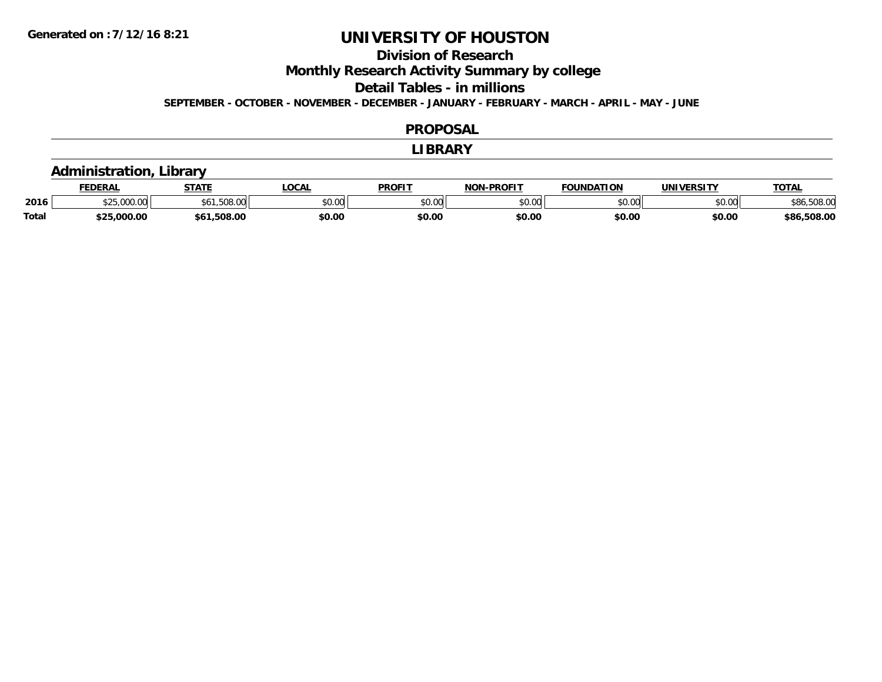## **Division of Research**

**Monthly Research Activity Summary by college**

**Detail Tables - in millions**

**SEPTEMBER - OCTOBER - NOVEMBER - DECEMBER - JANUARY - FEBRUARY - MARCH - APRIL - MAY - JUNE**

#### **PROPOSAL**

#### **LIBRARY**

## **Administration, Library**

|              | <b>FEDERAL</b> | <b>STATE</b> | $\bigcap_{n=1}^{\infty}$<br>Uum | <b>PROFIT</b> | -PROFIT<br><b>NOM</b> | ΓΙΟΝ<br>$\sim$ INDATILE. | <b>INIVERSIT\</b> | TOTA.                  |
|--------------|----------------|--------------|---------------------------------|---------------|-----------------------|--------------------------|-------------------|------------------------|
| 2016         |                | $\sim$       | vv.vv                           | \$0.00        | 0000<br>vv.vv         | 0000<br>∪.∪∪             | nn nn<br>pu.uu    | \$86,508.00            |
| <b>Total</b> | .000.00        |              | \$0.00                          | \$0.00        | \$0.00                | \$0.00                   | \$0.00            | ,508.00<br><b>\$86</b> |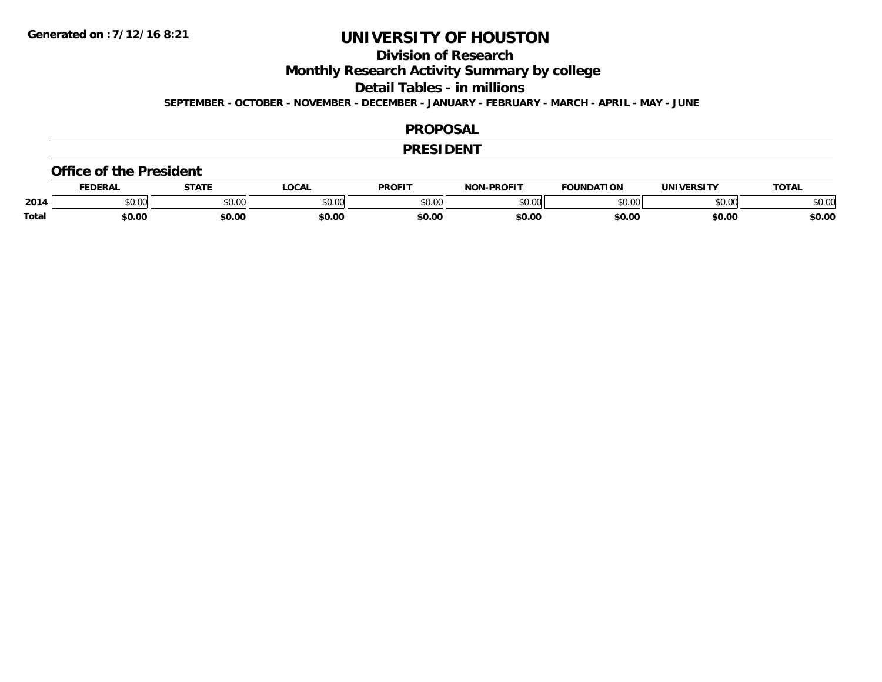## **Division of Research**

**Monthly Research Activity Summary by college**

**Detail Tables - in millions**

**SEPTEMBER - OCTOBER - NOVEMBER - DECEMBER - JANUARY - FEBRUARY - MARCH - APRIL - MAY - JUNE**

#### **PROPOSAL**

#### **PRESIDENT**

#### **Office of the President**

|              | <b>EDERAI</b>   | <b>CTATE</b> | <b>OCAL</b> | <b>PROFIT</b>  | <b>DDOCLT</b><br>NIAR | <b>FOUNDATION</b> | UNIVERSITY | <b>TOTAL</b>   |
|--------------|-----------------|--------------|-------------|----------------|-----------------------|-------------------|------------|----------------|
| 2014         | $\sim$<br>JU.UU | JU.UU        | \$0.00      | ტი იი<br>JU.UU | 0.00<br>וטטוע         | 0000<br>u.uu      | \$0.00     | ልስ አር<br>JU.UU |
| <b>Total</b> | \$0.00          | \$0.00       | \$0.00      | \$0.00         | \$0.00                | \$0.00            | \$0.00     | \$0.00         |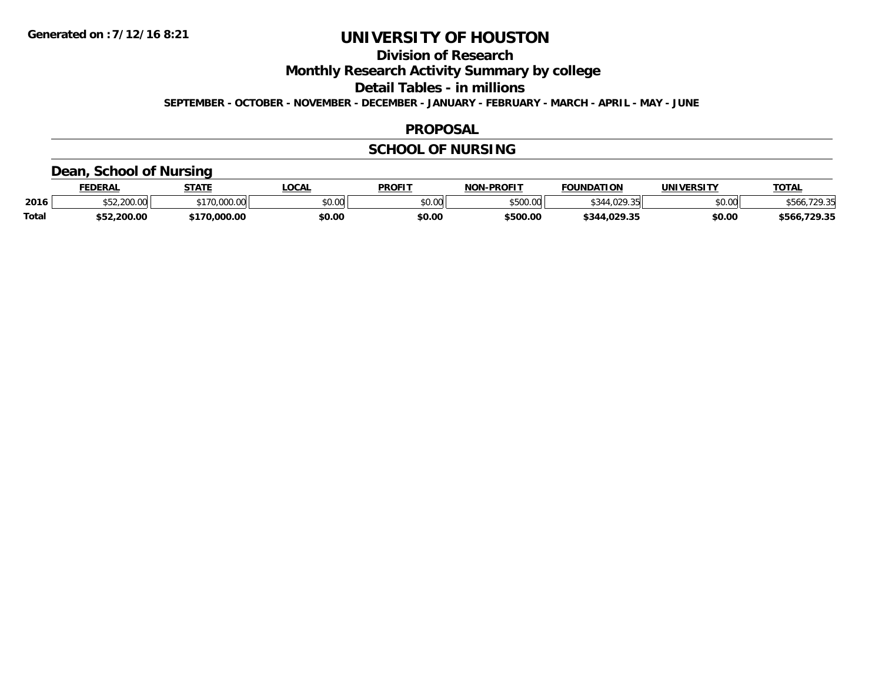# **Division of Research**

**Monthly Research Activity Summary by college**

**Detail Tables - in millions**

**SEPTEMBER - OCTOBER - NOVEMBER - DECEMBER - JANUARY - FEBRUARY - MARCH - APRIL - MAY - JUNE**

#### **PROPOSAL**

## **SCHOOL OF NURSING**

## **Dean, School of Nursing**

|              | <b>FEDERAL</b> | <b>STATE</b> | <b>OCAL</b>   | <b>PROFIT</b> | <b>NON-PROFIT</b> | <b>FOUNDATION</b>    | UNIVERSITY | <b>TOTAL</b>           |
|--------------|----------------|--------------|---------------|---------------|-------------------|----------------------|------------|------------------------|
| 2016         | 0.200.00       | \$170,000,00 | 0.00<br>JU.UU | \$0.00        | \$500.00          | $6311000 - 7$<br>.uz | \$0.00     | <b>20 SE</b><br>\$566. |
| <b>Total</b> | \$52,200.00    | 70,000.00    | \$0.00        | \$0.00        | \$500.00          | \$344,029.35         | \$0.00     | \$566,729.35           |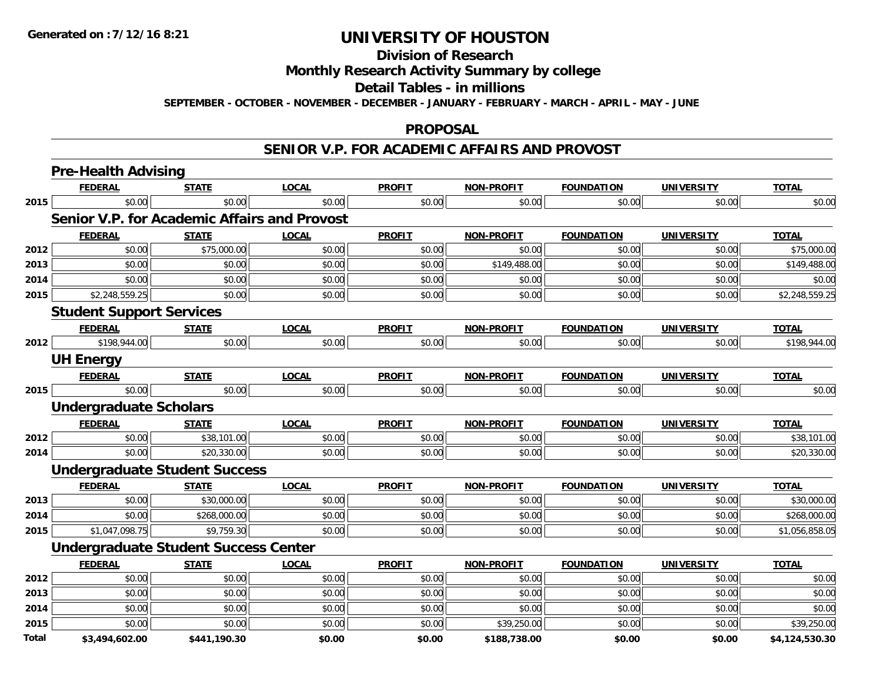## **Division of Research**

## **Monthly Research Activity Summary by college**

#### **Detail Tables - in millions**

**SEPTEMBER - OCTOBER - NOVEMBER - DECEMBER - JANUARY - FEBRUARY - MARCH - APRIL - MAY - JUNE**

#### **PROPOSAL**

#### **SENIOR V.P. FOR ACADEMIC AFFAIRS AND PROVOST**

|              | <b>Pre-Health Advising</b>                          |              |              |               |                   |                   |                   |                |
|--------------|-----------------------------------------------------|--------------|--------------|---------------|-------------------|-------------------|-------------------|----------------|
|              | <b>FEDERAL</b>                                      | <b>STATE</b> | <b>LOCAL</b> | <b>PROFIT</b> | <b>NON-PROFIT</b> | <b>FOUNDATION</b> | <b>UNIVERSITY</b> | <b>TOTAL</b>   |
| 2015         | \$0.00                                              | \$0.00       | \$0.00       | \$0.00        | \$0.00            | \$0.00            | \$0.00            | \$0.00         |
|              | <b>Senior V.P. for Academic Affairs and Provost</b> |              |              |               |                   |                   |                   |                |
|              | <b>FEDERAL</b>                                      | <b>STATE</b> | <b>LOCAL</b> | <b>PROFIT</b> | <b>NON-PROFIT</b> | <b>FOUNDATION</b> | <b>UNIVERSITY</b> | <b>TOTAL</b>   |
| 2012         | \$0.00                                              | \$75,000.00  | \$0.00       | \$0.00        | \$0.00            | \$0.00            | \$0.00            | \$75,000.00    |
| 2013         | \$0.00                                              | \$0.00       | \$0.00       | \$0.00        | \$149,488.00      | \$0.00            | \$0.00            | \$149,488.00   |
| 2014         | \$0.00                                              | \$0.00       | \$0.00       | \$0.00        | \$0.00            | \$0.00            | \$0.00            | \$0.00         |
| 2015         | \$2,248,559.25                                      | \$0.00       | \$0.00       | \$0.00        | \$0.00            | \$0.00            | \$0.00            | \$2,248,559.25 |
|              | <b>Student Support Services</b>                     |              |              |               |                   |                   |                   |                |
|              | <b>FEDERAL</b>                                      | <b>STATE</b> | <b>LOCAL</b> | <b>PROFIT</b> | <b>NON-PROFIT</b> | <b>FOUNDATION</b> | <b>UNIVERSITY</b> | <b>TOTAL</b>   |
| 2012         | \$198,944.00                                        | \$0.00       | \$0.00       | \$0.00        | \$0.00            | \$0.00            | \$0.00            | \$198,944.00   |
|              | <b>UH Energy</b>                                    |              |              |               |                   |                   |                   |                |
|              | <b>FEDERAL</b>                                      | <b>STATE</b> | <b>LOCAL</b> | <b>PROFIT</b> | <b>NON-PROFIT</b> | <b>FOUNDATION</b> | <b>UNIVERSITY</b> | <b>TOTAL</b>   |
| 2015         | \$0.00                                              | \$0.00       | \$0.00       | \$0.00        | \$0.00            | \$0.00            | \$0.00            | \$0.00         |
|              | <b>Undergraduate Scholars</b>                       |              |              |               |                   |                   |                   |                |
|              | <b>FEDERAL</b>                                      | <b>STATE</b> | <b>LOCAL</b> | <b>PROFIT</b> | <b>NON-PROFIT</b> | <b>FOUNDATION</b> | <b>UNIVERSITY</b> | <b>TOTAL</b>   |
| 2012         | \$0.00                                              | \$38,101.00  | \$0.00       | \$0.00        | \$0.00            | \$0.00            | \$0.00            | \$38,101.00    |
| 2014         | \$0.00                                              | \$20,330.00  | \$0.00       | \$0.00        | \$0.00            | \$0.00            | \$0.00            | \$20,330.00    |
|              | <b>Undergraduate Student Success</b>                |              |              |               |                   |                   |                   |                |
|              | <b>FEDERAL</b>                                      | <b>STATE</b> | <b>LOCAL</b> | <b>PROFIT</b> | <b>NON-PROFIT</b> | <b>FOUNDATION</b> | <b>UNIVERSITY</b> | <b>TOTAL</b>   |
| 2013         | \$0.00                                              | \$30,000.00  | \$0.00       | \$0.00        | \$0.00            | \$0.00            | \$0.00            | \$30,000.00    |
| 2014         | \$0.00                                              | \$268,000.00 | \$0.00       | \$0.00        | \$0.00            | \$0.00            | \$0.00            | \$268,000.00   |
| 2015         | \$1,047,098.75                                      | \$9,759.30   | \$0.00       | \$0.00        | \$0.00            | \$0.00            | \$0.00            | \$1,056,858.05 |
|              | <b>Undergraduate Student Success Center</b>         |              |              |               |                   |                   |                   |                |
|              | <b>FEDERAL</b>                                      | <b>STATE</b> | <b>LOCAL</b> | <b>PROFIT</b> | NON-PROFIT        | <b>FOUNDATION</b> | <b>UNIVERSITY</b> | <b>TOTAL</b>   |
| 2012         | \$0.00                                              | \$0.00       | \$0.00       | \$0.00        | \$0.00            | \$0.00            | \$0.00            | \$0.00         |
| 2013         | \$0.00                                              | \$0.00       | \$0.00       | \$0.00        | \$0.00            | \$0.00            | \$0.00            | \$0.00         |
| 2014         | \$0.00                                              | \$0.00       | \$0.00       | \$0.00        | \$0.00            | \$0.00            | \$0.00            | \$0.00         |
| 2015         | \$0.00                                              | \$0.00       | \$0.00       | \$0.00        | \$39,250.00       | \$0.00            | \$0.00            | \$39,250.00    |
| <b>Total</b> | \$3,494,602.00                                      | \$441,190.30 | \$0.00       | \$0.00        | \$188,738.00      | \$0.00            | \$0.00            | \$4,124,530.30 |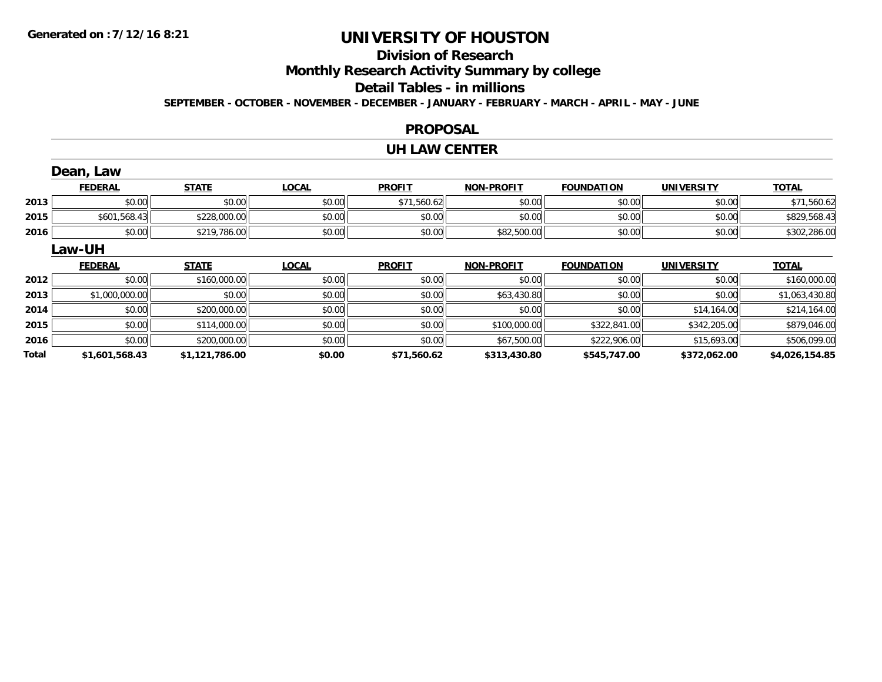# **Division of Research**

**Monthly Research Activity Summary by college**

#### **Detail Tables - in millions**

**SEPTEMBER - OCTOBER - NOVEMBER - DECEMBER - JANUARY - FEBRUARY - MARCH - APRIL - MAY - JUNE**

#### **PROPOSAL**

#### **UH LAW CENTER**

|       | Dean, Law      |                |              |               |                   |                   |                   |                |
|-------|----------------|----------------|--------------|---------------|-------------------|-------------------|-------------------|----------------|
|       | <b>FEDERAL</b> | <b>STATE</b>   | <b>LOCAL</b> | <b>PROFIT</b> | <b>NON-PROFIT</b> | <b>FOUNDATION</b> | <b>UNIVERSITY</b> | <b>TOTAL</b>   |
| 2013  | \$0.00         | \$0.00         | \$0.00       | \$71,560.62   | \$0.00            | \$0.00            | \$0.00            | \$71,560.62    |
| 2015  | \$601,568.43   | \$228,000.00   | \$0.00       | \$0.00        | \$0.00            | \$0.00            | \$0.00            | \$829,568.43   |
| 2016  | \$0.00         | \$219,786.00   | \$0.00       | \$0.00        | \$82,500.00       | \$0.00            | \$0.00            | \$302,286.00   |
|       | Law-UH         |                |              |               |                   |                   |                   |                |
|       | <b>FEDERAL</b> | <b>STATE</b>   | <b>LOCAL</b> | <b>PROFIT</b> | <b>NON-PROFIT</b> | <b>FOUNDATION</b> | <b>UNIVERSITY</b> | <b>TOTAL</b>   |
| 2012  | \$0.00         | \$160,000.00   | \$0.00       | \$0.00        | \$0.00            | \$0.00            | \$0.00            | \$160,000.00   |
| 2013  | \$1,000,000.00 | \$0.00         | \$0.00       | \$0.00        | \$63,430.80       | \$0.00            | \$0.00            | \$1,063,430.80 |
| 2014  | \$0.00         | \$200,000.00   | \$0.00       | \$0.00        | \$0.00            | \$0.00            | \$14,164.00       | \$214,164.00   |
| 2015  | \$0.00         | \$114,000.00   | \$0.00       | \$0.00        | \$100,000.00      | \$322,841.00      | \$342,205.00      | \$879,046.00   |
| 2016  | \$0.00         | \$200,000.00   | \$0.00       | \$0.00        | \$67,500.00       | \$222,906.00      | \$15,693.00       | \$506,099.00   |
| Total | \$1,601,568.43 | \$1,121,786.00 | \$0.00       | \$71,560.62   | \$313,430.80      | \$545,747.00      | \$372,062.00      | \$4,026,154.85 |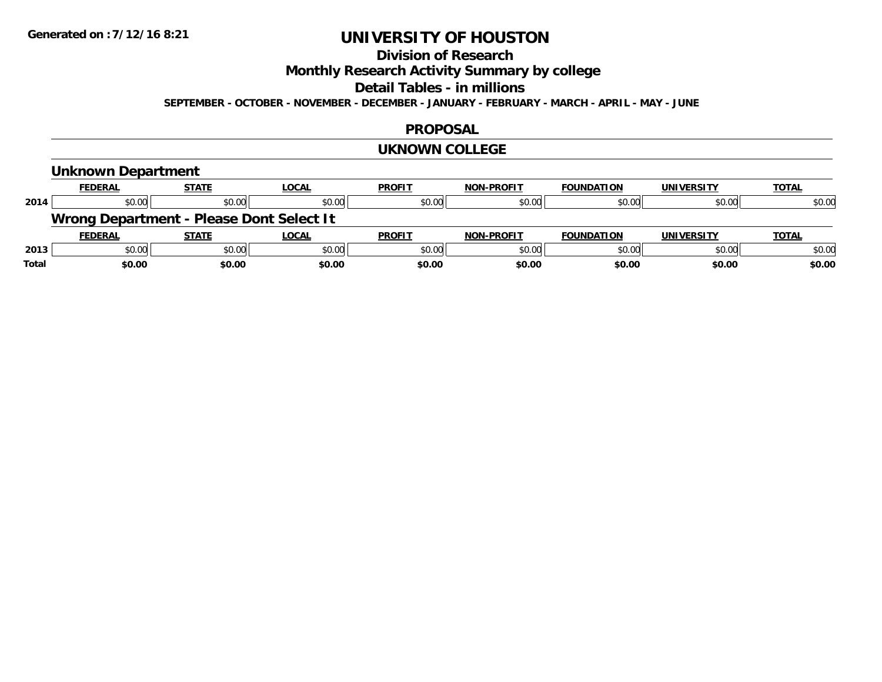# **Division of Research**

**Monthly Research Activity Summary by college**

#### **Detail Tables - in millions**

**SEPTEMBER - OCTOBER - NOVEMBER - DECEMBER - JANUARY - FEBRUARY - MARCH - APRIL - MAY - JUNE**

#### **PROPOSAL**

#### **UKNOWN COLLEGE**

## **Unknown Department**

|      | <b>FEDERAL</b> | <b>STATE</b>                             | <b>LOCAL</b> | <b>PROFIT</b> | <b>NON-PROFIT</b> | <b>FOUNDATION</b> | <b>UNIVERSITY</b> | <b>TOTAL</b> |
|------|----------------|------------------------------------------|--------------|---------------|-------------------|-------------------|-------------------|--------------|
| 2014 | \$0.00         | \$0.00                                   | \$0.00       | \$0.00        | \$0.00            | \$0.00            | \$0.00            | \$0.00       |
|      |                | Wrong Department - Please Dont Select It |              |               |                   |                   |                   |              |
|      | <b>FEDERAL</b> | <b>STATE</b>                             | <b>LOCAL</b> | <b>PROFIT</b> | <b>NON-PROFIT</b> | <b>FOUNDATION</b> | <b>UNIVERSITY</b> |              |
|      |                |                                          |              |               |                   |                   |                   | <b>TOTAL</b> |
| 2013 | \$0.00         | \$0.00                                   | \$0.00       | \$0.00        | \$0.00            | \$0.00            | \$0.00            | \$0.00       |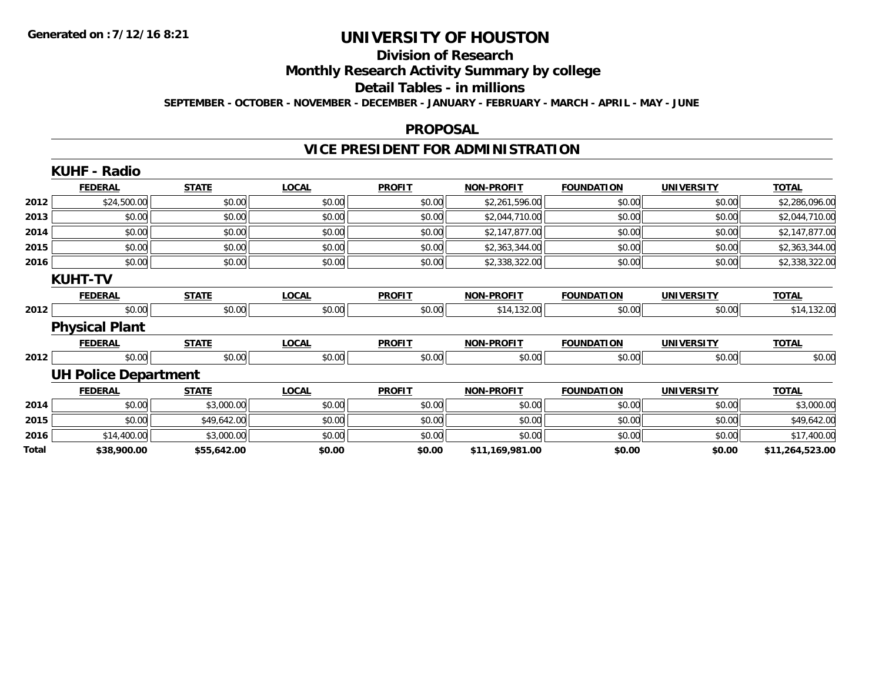#### **Division of Research**

**Monthly Research Activity Summary by college**

**Detail Tables - in millions**

**SEPTEMBER - OCTOBER - NOVEMBER - DECEMBER - JANUARY - FEBRUARY - MARCH - APRIL - MAY - JUNE**

#### **PROPOSAL**

# **VICE PRESIDENT FOR ADMINISTRATION**

|       | <b>KUHF - Radio</b>         |              |              |               |                   |                   |                   |                 |
|-------|-----------------------------|--------------|--------------|---------------|-------------------|-------------------|-------------------|-----------------|
|       | <b>FEDERAL</b>              | <b>STATE</b> | <b>LOCAL</b> | <b>PROFIT</b> | <b>NON-PROFIT</b> | <b>FOUNDATION</b> | <b>UNIVERSITY</b> | <b>TOTAL</b>    |
| 2012  | \$24,500.00                 | \$0.00       | \$0.00       | \$0.00        | \$2,261,596.00    | \$0.00            | \$0.00            | \$2,286,096.00  |
| 2013  | \$0.00                      | \$0.00       | \$0.00       | \$0.00        | \$2,044,710.00    | \$0.00            | \$0.00            | \$2,044,710.00  |
| 2014  | \$0.00                      | \$0.00       | \$0.00       | \$0.00        | \$2,147,877.00    | \$0.00            | \$0.00            | \$2,147,877.00  |
| 2015  | \$0.00                      | \$0.00       | \$0.00       | \$0.00        | \$2,363,344.00    | \$0.00            | \$0.00            | \$2,363,344.00  |
| 2016  | \$0.00                      | \$0.00       | \$0.00       | \$0.00        | \$2,338,322.00    | \$0.00            | \$0.00            | \$2,338,322.00  |
|       | <b>KUHT-TV</b>              |              |              |               |                   |                   |                   |                 |
|       | <b>FEDERAL</b>              | <b>STATE</b> | <b>LOCAL</b> | <b>PROFIT</b> | <b>NON-PROFIT</b> | <b>FOUNDATION</b> | <b>UNIVERSITY</b> | <b>TOTAL</b>    |
| 2012  | \$0.00                      | \$0.00       | \$0.00       | \$0.00        | \$14,132.00       | \$0.00            | \$0.00            | \$14,132.00     |
|       | <b>Physical Plant</b>       |              |              |               |                   |                   |                   |                 |
|       | <b>FEDERAL</b>              | <b>STATE</b> | <b>LOCAL</b> | <b>PROFIT</b> | <b>NON-PROFIT</b> | <b>FOUNDATION</b> | <b>UNIVERSITY</b> | <b>TOTAL</b>    |
| 2012  | \$0.00                      | \$0.00       | \$0.00       | \$0.00        | \$0.00            | \$0.00            | \$0.00            | \$0.00          |
|       | <b>UH Police Department</b> |              |              |               |                   |                   |                   |                 |
|       | <b>FEDERAL</b>              | <b>STATE</b> | <b>LOCAL</b> | <b>PROFIT</b> | <b>NON-PROFIT</b> | <b>FOUNDATION</b> | <b>UNIVERSITY</b> | <b>TOTAL</b>    |
| 2014  | \$0.00                      | \$3,000.00   | \$0.00       | \$0.00        | \$0.00            | \$0.00            | \$0.00            | \$3,000.00      |
| 2015  | \$0.00                      | \$49,642.00  | \$0.00       | \$0.00        | \$0.00            | \$0.00            | \$0.00            | \$49,642.00     |
| 2016  | \$14,400.00                 | \$3,000.00   | \$0.00       | \$0.00        | \$0.00            | \$0.00            | \$0.00            | \$17,400.00     |
| Total | \$38,900.00                 | \$55,642.00  | \$0.00       | \$0.00        | \$11,169,981.00   | \$0.00            | \$0.00            | \$11,264,523.00 |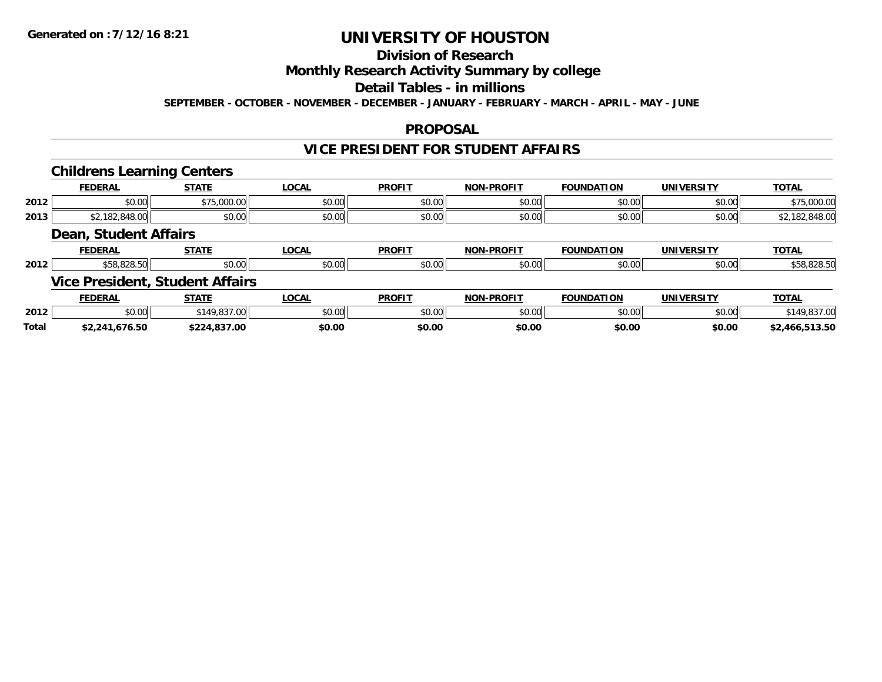# **Division of Research**

## **Monthly Research Activity Summary by college**

## **Detail Tables - in millions**

**SEPTEMBER - OCTOBER - NOVEMBER - DECEMBER - JANUARY - FEBRUARY - MARCH - APRIL - MAY - JUNE**

#### **PROPOSAL**

### **VICE PRESIDENT FOR STUDENT AFFAIRS**

#### **Childrens Learning Centers**

|      | <b>FEDERAL</b>        | <b>STATE</b> | <b>OCAL</b> | <b>PROFIT</b> | <b>NON-PROFIT</b> | <b>FOUNDATION</b> | <b>UNIVERSITY</b> | <b>TOTAL</b> |
|------|-----------------------|--------------|-------------|---------------|-------------------|-------------------|-------------------|--------------|
| 2012 | 0000<br>JU.UU         | \$75,000.00  | \$0.00      | \$0.00        | \$0.00            | \$0.00            | \$0.00            | \$75,000.00  |
| 2013 | ,040.UU               | \$0.00       | \$0.00      | \$0.00        | \$0.00            | \$0.00            | \$0.00            |              |
|      | Doon Cturdont Affoire |              |             |               |                   |                   |                   |              |

#### **Dean, Student Affairs**

|      | <b>FEDERAL</b>                 | <b>CTATE</b><br>. | <b>OCAL</b>   | <b>PROFIT</b>  | -PROFIT<br>NON- | <b>FOUNDATION</b> | UNIVERSITY | TOTA.                                     |
|------|--------------------------------|-------------------|---------------|----------------|-----------------|-------------------|------------|-------------------------------------------|
| 2012 | 0.00<br>ozo.:u                 | 0.00<br>JU.UU     | 0000<br>JU.UU | ሶስ ሰስ<br>JU.UU | 0000<br>JU.UU   | 0000<br>∕∪.∪∪ ∙   | \$0.00     | $\sim$ $\sim$ $\sim$ $\sim$<br>,08.828.3U |
|      | Wiss Drasident Chident Affairs |                   |               |                |                 |                   |            |                                           |

#### **Vice President, Student Affairs**

|              | <b>FEDERAL</b>          | <b>STATE</b>                              | .OCAL  | <b>PROFIT</b> | <b>M-PROFIT</b><br>NON | <b>FOUNDATION</b>  | <b>UNIVERSITY</b> | <b>TOTAL</b> |
|--------------|-------------------------|-------------------------------------------|--------|---------------|------------------------|--------------------|-------------------|--------------|
| 2012         | \$0.00                  | 0.11002700<br>. 49.<br>، ده،<br>$\cdot$ u | \$0.00 | 0000<br>JU.UU | \$0.00                 | $\sim$ 00<br>JU.UU | \$0.00            | ، ده         |
| <b>Total</b> | 576.50<br><b>to 241</b> | .837.00<br>                               | \$0.00 | \$0.00        | \$0.00                 | \$0.00             | \$0.00            | 2,466,513.50 |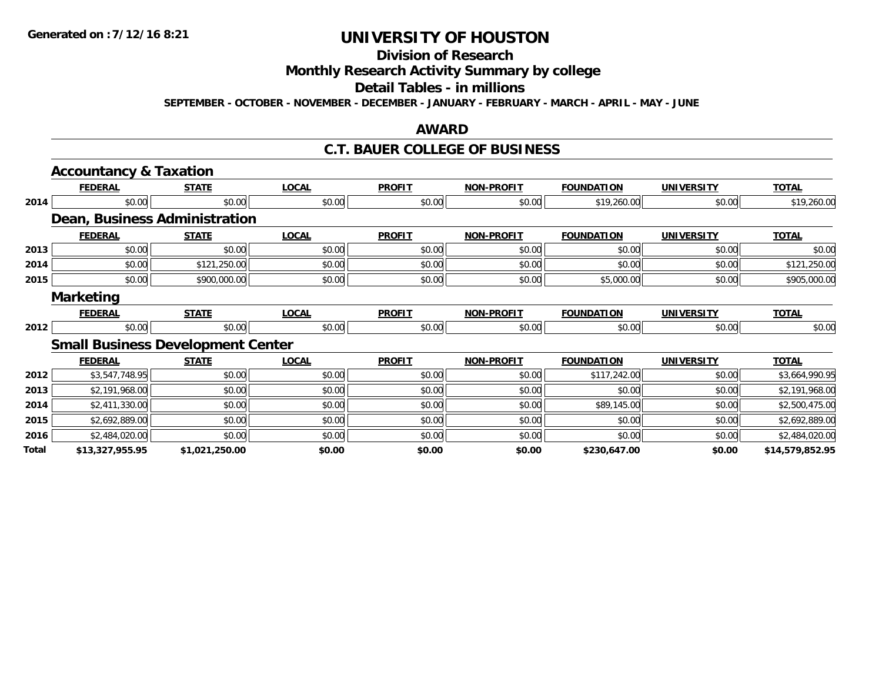# **Division of Research**

# **Monthly Research Activity Summary by college**

#### **Detail Tables - in millions**

**SEPTEMBER - OCTOBER - NOVEMBER - DECEMBER - JANUARY - FEBRUARY - MARCH - APRIL - MAY - JUNE**

### **AWARD**

### **C.T. BAUER COLLEGE OF BUSINESS**

|       | <b>Accountancy &amp; Taxation</b> |                                          |              |               |                   |                   |                   |                 |
|-------|-----------------------------------|------------------------------------------|--------------|---------------|-------------------|-------------------|-------------------|-----------------|
|       | <b>FEDERAL</b>                    | <b>STATE</b>                             | <b>LOCAL</b> | <b>PROFIT</b> | <b>NON-PROFIT</b> | <b>FOUNDATION</b> | <b>UNIVERSITY</b> | <b>TOTAL</b>    |
| 2014  | \$0.00                            | \$0.00                                   | \$0.00       | \$0.00        | \$0.00            | \$19,260.00       | \$0.00            | \$19,260.00     |
|       |                                   | Dean, Business Administration            |              |               |                   |                   |                   |                 |
|       | <b>FEDERAL</b>                    | <b>STATE</b>                             | <b>LOCAL</b> | <b>PROFIT</b> | <b>NON-PROFIT</b> | <b>FOUNDATION</b> | <b>UNIVERSITY</b> | <b>TOTAL</b>    |
| 2013  | \$0.00                            | \$0.00                                   | \$0.00       | \$0.00        | \$0.00            | \$0.00            | \$0.00            | \$0.00          |
| 2014  | \$0.00                            | \$121,250.00                             | \$0.00       | \$0.00        | \$0.00            | \$0.00            | \$0.00            | \$121,250.00    |
| 2015  | \$0.00                            | \$900,000.00                             | \$0.00       | \$0.00        | \$0.00            | \$5,000.00        | \$0.00            | \$905,000.00    |
|       | <b>Marketing</b>                  |                                          |              |               |                   |                   |                   |                 |
|       | <b>FEDERAL</b>                    | <b>STATE</b>                             | <b>LOCAL</b> | <b>PROFIT</b> | <b>NON-PROFIT</b> | <b>FOUNDATION</b> | <b>UNIVERSITY</b> | <b>TOTAL</b>    |
| 2012  | \$0.00                            | \$0.00                                   | \$0.00       | \$0.00        | \$0.00            | \$0.00            | \$0.00            | \$0.00          |
|       |                                   | <b>Small Business Development Center</b> |              |               |                   |                   |                   |                 |
|       | <b>FEDERAL</b>                    | <b>STATE</b>                             | <b>LOCAL</b> | <b>PROFIT</b> | <b>NON-PROFIT</b> | <b>FOUNDATION</b> | <b>UNIVERSITY</b> | <b>TOTAL</b>    |
| 2012  | \$3,547,748.95                    | \$0.00                                   | \$0.00       | \$0.00        | \$0.00            | \$117,242.00      | \$0.00            | \$3,664,990.95  |
| 2013  | \$2,191,968.00                    | \$0.00                                   | \$0.00       | \$0.00        | \$0.00            | \$0.00            | \$0.00            | \$2,191,968.00  |
| 2014  | \$2,411,330.00                    | \$0.00                                   | \$0.00       | \$0.00        | \$0.00            | \$89,145.00       | \$0.00            | \$2,500,475.00  |
| 2015  | \$2,692,889.00                    | \$0.00                                   | \$0.00       | \$0.00        | \$0.00            | \$0.00            | \$0.00            | \$2,692,889.00  |
| 2016  | \$2,484,020.00                    | \$0.00                                   | \$0.00       | \$0.00        | \$0.00            | \$0.00            | \$0.00            | \$2,484,020.00  |
| Total | \$13,327,955.95                   | \$1,021,250.00                           | \$0.00       | \$0.00        | \$0.00            | \$230,647.00      | \$0.00            | \$14,579,852.95 |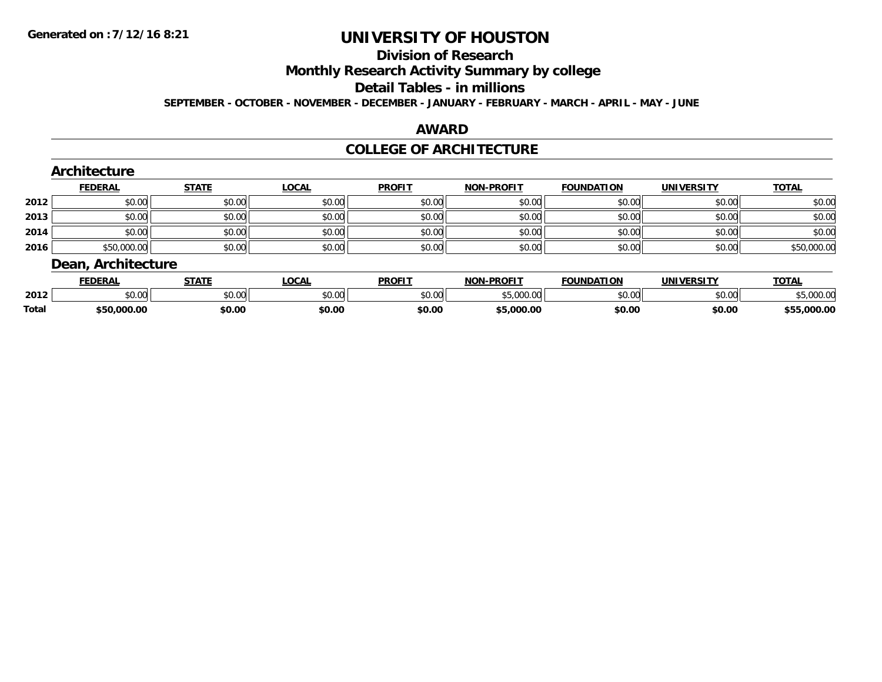#### **Division of Research**

**Monthly Research Activity Summary by college**

#### **Detail Tables - in millions**

**SEPTEMBER - OCTOBER - NOVEMBER - DECEMBER - JANUARY - FEBRUARY - MARCH - APRIL - MAY - JUNE**

#### **AWARD**

### **COLLEGE OF ARCHITECTURE**

|      | Architecture       |              |              |               |                   |                   |                   |              |
|------|--------------------|--------------|--------------|---------------|-------------------|-------------------|-------------------|--------------|
|      | <b>FEDERAL</b>     | <b>STATE</b> | <b>LOCAL</b> | <b>PROFIT</b> | <b>NON-PROFIT</b> | <b>FOUNDATION</b> | <b>UNIVERSITY</b> | <b>TOTAL</b> |
| 2012 | \$0.00             | \$0.00       | \$0.00       | \$0.00        | \$0.00            | \$0.00            | \$0.00            | \$0.00       |
| 2013 | \$0.00             | \$0.00       | \$0.00       | \$0.00        | \$0.00            | \$0.00            | \$0.00            | \$0.00       |
| 2014 | \$0.00             | \$0.00       | \$0.00       | \$0.00        | \$0.00            | \$0.00            | \$0.00            | \$0.00       |
| 2016 | \$50,000.00        | \$0.00       | \$0.00       | \$0.00        | \$0.00            | \$0.00            | \$0.00            | \$50,000.00  |
|      | Dean, Architecture |              |              |               |                   |                   |                   |              |
|      | <b>FEDERAL</b>     | <b>STATE</b> | LOCAL        | <b>PROFIT</b> | <b>NON-PROFIT</b> | <b>FOUNDATION</b> | <b>UNIVERSITY</b> | <b>TOTAL</b> |

|       | FEDERAL        | 1 A I E                                                                                   | -UUAL          | PRUFI  | NUN-PRUFI        | <b>FUUNDAIIUN</b> | UNIVERSIIY    | UIAL           |
|-------|----------------|-------------------------------------------------------------------------------------------|----------------|--------|------------------|-------------------|---------------|----------------|
| 2012  | ሶስ ሰሰ<br>JU.UU | 0.00<br>וט.טי                                                                             | ტი იი<br>₽U.UU | \$0.00 | 00000<br>,uuu.uu | \$0.00            | 0.00<br>JU.UU | 00000<br>uuu.u |
| Total | \$50,000.00    | \$0.00<br>the contract of the contract of the contract of the contract of the contract of | \$0.00         | \$0.00 | 5,000.00         | \$0.00            | \$0.00        | ,000.00        |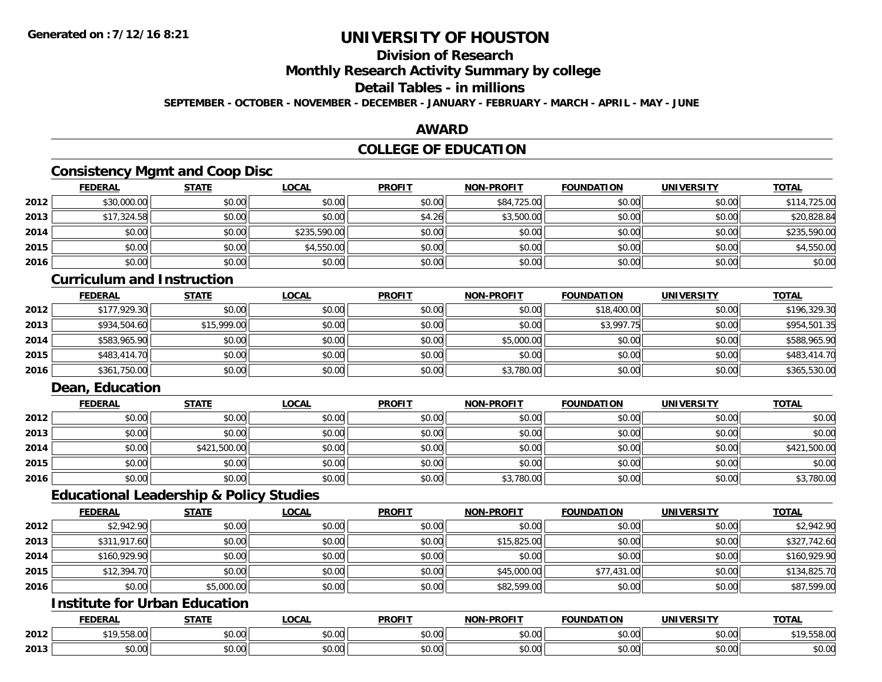# **Division of Research**

**Monthly Research Activity Summary by college**

## **Detail Tables - in millions**

**SEPTEMBER - OCTOBER - NOVEMBER - DECEMBER - JANUARY - FEBRUARY - MARCH - APRIL - MAY - JUNE**

### **AWARD**

## **COLLEGE OF EDUCATION**

## **Consistency Mgmt and Coop Disc**

|      | <b>FEDERAL</b> | <b>STATE</b> | <u>LOCAL</u> | <b>PROFIT</b> | <b>NON-PROFIT</b> | <b>FOUNDATION</b> | <b>UNIVERSITY</b> | <b>TOTAL</b> |
|------|----------------|--------------|--------------|---------------|-------------------|-------------------|-------------------|--------------|
| 2012 | \$30,000.00    | \$0.00       | \$0.00       | \$0.00        | \$84,725.00       | \$0.00            | \$0.00            | \$114,725.00 |
| 2013 | \$17,324.58    | \$0.00       | \$0.00       | \$4.26        | \$3,500.00        | \$0.00            | \$0.00            | \$20,828.84  |
| 2014 | \$0.00         | \$0.00       | \$235,590.00 | \$0.00        | \$0.00            | \$0.00            | \$0.00            | \$235,590.00 |
| 2015 | \$0.00         | \$0.00       | \$4,550.00   | \$0.00        | \$0.00            | \$0.00            | \$0.00            | \$4,550.00   |
| 2016 | \$0.00         | \$0.00       | \$0.00       | \$0.00        | \$0.00            | \$0.00            | \$0.00            | \$0.00       |

#### **Curriculum and Instruction**

|      | <u>FEDERAL</u> | <u>STATE</u> | <u>LOCAL</u> | <b>PROFIT</b> | <b>NON-PROFIT</b> | <b>FOUNDATION</b> | <b>UNIVERSITY</b> | <b>TOTAL</b> |
|------|----------------|--------------|--------------|---------------|-------------------|-------------------|-------------------|--------------|
| 2012 | \$177,929.30   | \$0.00       | \$0.00       | \$0.00        | \$0.00            | \$18,400.00       | \$0.00            | \$196,329.30 |
| 2013 | \$934,504.60   | \$15,999.00  | \$0.00       | \$0.00        | \$0.00            | \$3,997.75        | \$0.00            | \$954,501.35 |
| 2014 | \$583,965.90   | \$0.00       | \$0.00       | \$0.00        | \$5,000.00        | \$0.00            | \$0.00            | \$588,965.90 |
| 2015 | \$483,414.70   | \$0.00       | \$0.00       | \$0.00        | \$0.00            | \$0.00            | \$0.00            | \$483,414.70 |
| 2016 | \$361,750.00   | \$0.00       | \$0.00       | \$0.00        | \$3,780.00        | \$0.00            | \$0.00            | \$365,530.00 |

## **Dean, Education**

|      | <b>FEDERAL</b> | <b>STATE</b> | <u>LOCAL</u> | <b>PROFIT</b> | <b>NON-PROFIT</b> | <b>FOUNDATION</b> | <b>UNIVERSITY</b> | <b>TOTAL</b> |
|------|----------------|--------------|--------------|---------------|-------------------|-------------------|-------------------|--------------|
| 2012 | \$0.00         | \$0.00       | \$0.00       | \$0.00        | \$0.00            | \$0.00            | \$0.00            | \$0.00       |
| 2013 | \$0.00         | \$0.00       | \$0.00       | \$0.00        | \$0.00            | \$0.00            | \$0.00            | \$0.00       |
| 2014 | \$0.00         | \$421,500.00 | \$0.00       | \$0.00        | \$0.00            | \$0.00            | \$0.00            | \$421,500.00 |
| 2015 | \$0.00         | \$0.00       | \$0.00       | \$0.00        | \$0.00            | \$0.00            | \$0.00            | \$0.00       |
| 2016 | \$0.00         | \$0.00       | \$0.00       | \$0.00        | \$3,780.00        | \$0.00            | \$0.00            | \$3,780.00   |

### **Educational Leadership & Policy Studies**

|      | <b>FEDERAL</b> | <b>STATE</b> | <u>LOCAL</u> | <b>PROFIT</b> | <b>NON-PROFIT</b> | <b>FOUNDATION</b> | <b>UNIVERSITY</b> | <b>TOTAL</b> |
|------|----------------|--------------|--------------|---------------|-------------------|-------------------|-------------------|--------------|
| 2012 | \$2,942.90     | \$0.00       | \$0.00       | \$0.00        | \$0.00            | \$0.00            | \$0.00            | \$2,942.90   |
| 2013 | \$311,917.60   | \$0.00       | \$0.00       | \$0.00        | \$15,825.00       | \$0.00            | \$0.00            | \$327,742.60 |
| 2014 | \$160,929.90   | \$0.00       | \$0.00       | \$0.00        | \$0.00            | \$0.00            | \$0.00            | \$160,929.90 |
| 2015 | \$12,394.70    | \$0.00       | \$0.00       | \$0.00        | \$45,000.00       | \$77,431.00       | \$0.00            | \$134,825.70 |
| 2016 | \$0.00         | \$5,000.00   | \$0.00       | \$0.00        | \$82,599.00       | \$0.00            | \$0.00            | \$87,599.00  |

## **Institute for Urban Education**

|      | <b>FEDERAL</b>     | <b>STATE</b>  | LOCAL                     | <b>PROFIT</b>      | J-PROFIT<br><b>MANI</b>                               | <b>FOUNDATION</b> | <b>UNIVERSITY</b><br>-кэг | <b>TOTAL</b> |
|------|--------------------|---------------|---------------------------|--------------------|-------------------------------------------------------|-------------------|---------------------------|--------------|
| 2012 | $\sim$<br>UU.õCC.' | \$0.00        | $\sim$<br>$\sim$<br>vv.vv | 0000<br>DU.UU      | 0.00<br>vu.vu                                         | \$0.00            | 0000<br>\$0.00            | 19,558.00    |
| 2013 | 0000<br>JU.UU      | 0000<br>ง∪.∪บ | ሐ ሴ<br>$\sim$<br>vu.uu    | $\sim$ 00<br>DU.UU | $\mathsf{A} \cap \mathsf{A} \cap \mathsf{A}$<br>JU.UU | \$0.00            | 0000<br>\$0.00            | \$0.00       |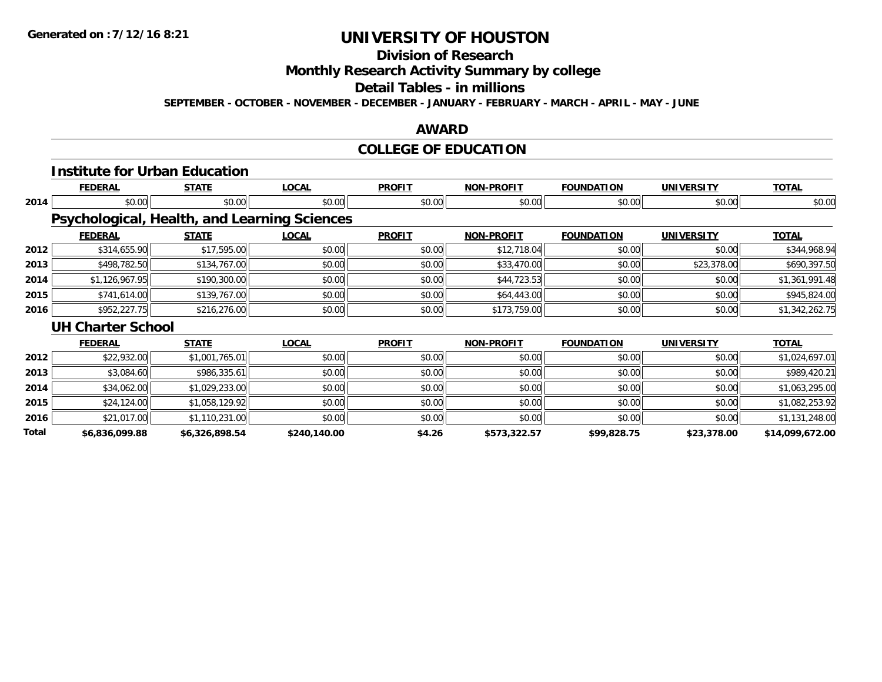# **Division of Research**

**Monthly Research Activity Summary by college**

#### **Detail Tables - in millions**

**SEPTEMBER - OCTOBER - NOVEMBER - DECEMBER - JANUARY - FEBRUARY - MARCH - APRIL - MAY - JUNE**

### **AWARD**

# **COLLEGE OF EDUCATION**

|              | <b>Institute for Urban Education</b>         |                |              |               |                   |                   |                   |                 |
|--------------|----------------------------------------------|----------------|--------------|---------------|-------------------|-------------------|-------------------|-----------------|
|              | <b>FEDERAL</b>                               | <b>STATE</b>   | <b>LOCAL</b> | <b>PROFIT</b> | <b>NON-PROFIT</b> | <b>FOUNDATION</b> | <b>UNIVERSITY</b> | <b>TOTAL</b>    |
| 2014         | \$0.00                                       | \$0.00         | \$0.00       | \$0.00        | \$0.00            | \$0.00            | \$0.00            | \$0.00          |
|              | Psychological, Health, and Learning Sciences |                |              |               |                   |                   |                   |                 |
|              | <b>FEDERAL</b>                               | <b>STATE</b>   | <b>LOCAL</b> | <b>PROFIT</b> | <b>NON-PROFIT</b> | <b>FOUNDATION</b> | <b>UNIVERSITY</b> | <b>TOTAL</b>    |
| 2012         | \$314,655.90                                 | \$17,595.00    | \$0.00       | \$0.00        | \$12,718.04       | \$0.00            | \$0.00            | \$344,968.94    |
| 2013         | \$498,782.50                                 | \$134,767.00   | \$0.00       | \$0.00        | \$33,470.00       | \$0.00            | \$23,378.00       | \$690,397.50    |
| 2014         | \$1,126,967.95                               | \$190,300.00   | \$0.00       | \$0.00        | \$44,723.53       | \$0.00            | \$0.00            | \$1,361,991.48  |
| 2015         | \$741,614.00                                 | \$139,767.00   | \$0.00       | \$0.00        | \$64,443.00       | \$0.00            | \$0.00            | \$945,824.00    |
| 2016         | \$952,227.75                                 | \$216,276.00   | \$0.00       | \$0.00        | \$173,759.00      | \$0.00            | \$0.00            | \$1,342,262.75  |
|              | <b>UH Charter School</b>                     |                |              |               |                   |                   |                   |                 |
|              | <b>FEDERAL</b>                               | <u>STATE</u>   | <b>LOCAL</b> | <b>PROFIT</b> | <b>NON-PROFIT</b> | <b>FOUNDATION</b> | <b>UNIVERSITY</b> | <b>TOTAL</b>    |
| 2012         | \$22,932.00                                  | \$1,001,765.01 | \$0.00       | \$0.00        | \$0.00            | \$0.00            | \$0.00            | \$1,024,697.01  |
| 2013         | \$3,084.60                                   | \$986,335.61   | \$0.00       | \$0.00        | \$0.00            | \$0.00            | \$0.00            | \$989,420.21    |
| 2014         | \$34,062.00                                  | \$1,029,233.00 | \$0.00       | \$0.00        | \$0.00            | \$0.00            | \$0.00            | \$1,063,295.00  |
| 2015         | \$24,124.00                                  | \$1,058,129.92 | \$0.00       | \$0.00        | \$0.00            | \$0.00            | \$0.00            | \$1,082,253.92  |
| 2016         | \$21,017.00                                  | \$1,110,231.00 | \$0.00       | \$0.00        | \$0.00            | \$0.00            | \$0.00            | \$1,131,248.00  |
| <b>Total</b> | \$6,836,099.88                               | \$6,326,898.54 | \$240,140.00 | \$4.26        | \$573,322.57      | \$99,828.75       | \$23,378.00       | \$14,099,672.00 |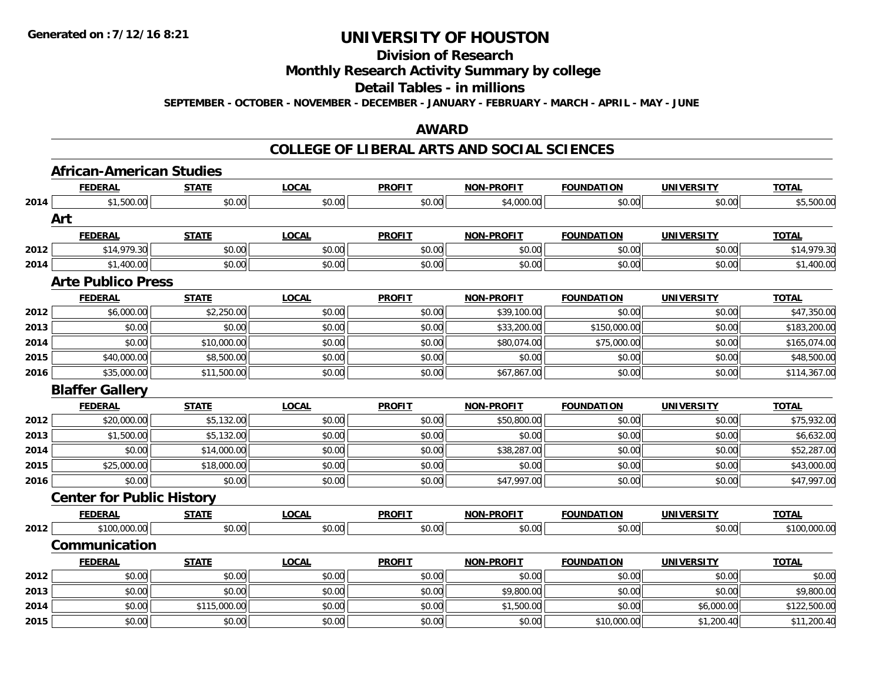## **Division of Research**

### **Monthly Research Activity Summary by college**

#### **Detail Tables - in millions**

**SEPTEMBER - OCTOBER - NOVEMBER - DECEMBER - JANUARY - FEBRUARY - MARCH - APRIL - MAY - JUNE**

### **AWARD**

#### **COLLEGE OF LIBERAL ARTS AND SOCIAL SCIENCES**

|      | <b>African-American Studies</b>  |              |              |               |                   |                   |                   |              |
|------|----------------------------------|--------------|--------------|---------------|-------------------|-------------------|-------------------|--------------|
|      | <b>FEDERAL</b>                   | <b>STATE</b> | <b>LOCAL</b> | <b>PROFIT</b> | <b>NON-PROFIT</b> | <b>FOUNDATION</b> | <b>UNIVERSITY</b> | <b>TOTAL</b> |
| 2014 | \$1,500.00                       | \$0.00       | \$0.00       | \$0.00        | \$4,000.00        | \$0.00            | \$0.00            | \$5,500.00   |
|      | Art                              |              |              |               |                   |                   |                   |              |
|      | <b>FEDERAL</b>                   | <b>STATE</b> | <b>LOCAL</b> | <b>PROFIT</b> | <b>NON-PROFIT</b> | <b>FOUNDATION</b> | <b>UNIVERSITY</b> | <b>TOTAL</b> |
| 2012 | \$14,979.30                      | \$0.00       | \$0.00       | \$0.00        | \$0.00            | \$0.00            | \$0.00            | \$14,979.30  |
| 2014 | \$1,400.00                       | \$0.00       | \$0.00       | \$0.00        | \$0.00            | \$0.00            | \$0.00            | \$1,400.00   |
|      | <b>Arte Publico Press</b>        |              |              |               |                   |                   |                   |              |
|      | <b>FEDERAL</b>                   | <b>STATE</b> | <b>LOCAL</b> | <b>PROFIT</b> | <b>NON-PROFIT</b> | <b>FOUNDATION</b> | <b>UNIVERSITY</b> | <b>TOTAL</b> |
| 2012 | \$6,000.00                       | \$2,250.00   | \$0.00       | \$0.00        | \$39,100.00       | \$0.00            | \$0.00            | \$47,350.00  |
| 2013 | \$0.00                           | \$0.00       | \$0.00       | \$0.00        | \$33,200.00       | \$150,000.00      | \$0.00            | \$183,200.00 |
| 2014 | \$0.00                           | \$10,000.00  | \$0.00       | \$0.00        | \$80,074.00       | \$75,000.00       | \$0.00            | \$165,074.00 |
| 2015 | \$40,000.00                      | \$8,500.00   | \$0.00       | \$0.00        | \$0.00            | \$0.00            | \$0.00            | \$48,500.00  |
| 2016 | \$35,000.00                      | \$11,500.00  | \$0.00       | \$0.00        | \$67,867.00       | \$0.00            | \$0.00            | \$114,367.00 |
|      | <b>Blaffer Gallery</b>           |              |              |               |                   |                   |                   |              |
|      | <b>FEDERAL</b>                   | <b>STATE</b> | <b>LOCAL</b> | <b>PROFIT</b> | <b>NON-PROFIT</b> | <b>FOUNDATION</b> | <b>UNIVERSITY</b> | <b>TOTAL</b> |
| 2012 | \$20,000.00                      | \$5,132.00   | \$0.00       | \$0.00        | \$50,800.00       | \$0.00            | \$0.00            | \$75,932.00  |
| 2013 | \$1,500.00                       | \$5,132.00   | \$0.00       | \$0.00        | \$0.00            | \$0.00            | \$0.00            | \$6,632.00   |
| 2014 | \$0.00                           | \$14,000.00  | \$0.00       | \$0.00        | \$38,287.00       | \$0.00            | \$0.00            | \$52,287.00  |
| 2015 | \$25,000.00                      | \$18,000.00  | \$0.00       | \$0.00        | \$0.00            | \$0.00            | \$0.00            | \$43,000.00  |
| 2016 | \$0.00                           | \$0.00       | \$0.00       | \$0.00        | \$47,997.00       | \$0.00            | \$0.00            | \$47,997.00  |
|      | <b>Center for Public History</b> |              |              |               |                   |                   |                   |              |
|      | <b>FEDERAL</b>                   | <b>STATE</b> | <b>LOCAL</b> | <b>PROFIT</b> | <b>NON-PROFIT</b> | <b>FOUNDATION</b> | <b>UNIVERSITY</b> | <b>TOTAL</b> |
| 2012 | \$100,000.00                     | \$0.00       | \$0.00       | \$0.00        | \$0.00            | \$0.00            | \$0.00            | \$100,000.00 |
|      | Communication                    |              |              |               |                   |                   |                   |              |
|      | <b>FEDERAL</b>                   | <b>STATE</b> | <b>LOCAL</b> | <b>PROFIT</b> | <b>NON-PROFIT</b> | <b>FOUNDATION</b> | <b>UNIVERSITY</b> | <b>TOTAL</b> |
| 2012 | \$0.00                           | \$0.00       | \$0.00       | \$0.00        | \$0.00            | \$0.00            | \$0.00            | \$0.00       |
| 2013 | \$0.00                           | \$0.00       | \$0.00       | \$0.00        | \$9,800.00        | \$0.00            | \$0.00            | \$9,800.00   |
| 2014 | \$0.00                           | \$115,000.00 | \$0.00       | \$0.00        | \$1,500.00        | \$0.00            | \$6,000.00        | \$122,500.00 |
| 2015 | \$0.00                           | \$0.00       | \$0.00       | \$0.00        | \$0.00            | \$10,000.00       | \$1,200.40        | \$11,200.40  |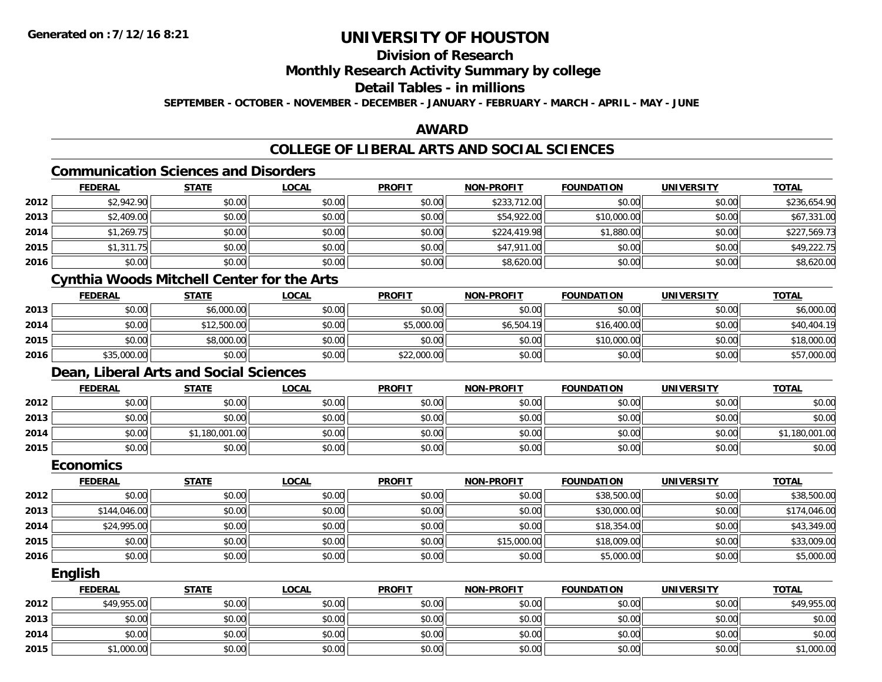# **Division of Research**

### **Monthly Research Activity Summary by college**

#### **Detail Tables - in millions**

**SEPTEMBER - OCTOBER - NOVEMBER - DECEMBER - JANUARY - FEBRUARY - MARCH - APRIL - MAY - JUNE**

### **AWARD**

# **COLLEGE OF LIBERAL ARTS AND SOCIAL SCIENCES**

# **Communication Sciences and Disorders**

|      | <b>FEDERAL</b> | <b>STATE</b> | <b>LOCAL</b> | <b>PROFIT</b> | <b>NON-PROFIT</b> | <b>FOUNDATION</b> | <b>UNIVERSITY</b> | <b>TOTAL</b> |
|------|----------------|--------------|--------------|---------------|-------------------|-------------------|-------------------|--------------|
| 2012 | \$2,942.90     | \$0.00       | \$0.00       | \$0.00        | \$233,712.00      | \$0.00            | \$0.00            | \$236,654.90 |
| 2013 | \$2,409.00     | \$0.00       | \$0.00       | \$0.00        | \$54,922.00       | \$10,000.00       | \$0.00            | \$67,331.00  |
| 2014 | \$1,269.75     | \$0.00       | \$0.00       | \$0.00        | \$224,419.98      | \$1,880.00        | \$0.00            | \$227,569.73 |
| 2015 | \$1,311.75     | \$0.00       | \$0.00       | \$0.00        | \$47,911.00       | \$0.00            | \$0.00            | \$49,222.75  |
| 2016 | \$0.00         | \$0.00       | \$0.00       | \$0.00        | \$8,620.00        | \$0.00            | \$0.00            | \$8,620.00   |

# **Cynthia Woods Mitchell Center for the Arts**

|      | <u>FEDERAL</u> | <b>STATE</b> | <u>LOCAL</u> | <b>PROFIT</b> | <b>NON-PROFIT</b> | <b>FOUNDATION</b> | <b>UNIVERSITY</b> | <b>TOTAL</b> |
|------|----------------|--------------|--------------|---------------|-------------------|-------------------|-------------------|--------------|
| 2013 | \$0.00         | \$6,000.00   | \$0.00       | \$0.00        | \$0.00            | \$0.00            | \$0.00            | \$6,000.00   |
| 2014 | \$0.00         | \$12,500.00  | \$0.00       | \$5,000.00    | \$6,504.19        | \$16,400.00       | \$0.00            | \$40,404.19  |
| 2015 | \$0.00         | \$8,000.00   | \$0.00       | \$0.00        | \$0.00            | \$10,000.00       | \$0.00            | \$18,000.00  |
| 2016 | \$35,000.00    | \$0.00       | \$0.00       | \$22,000.00   | \$0.00            | \$0.00            | \$0.00            | \$57,000.00  |

## **Dean, Liberal Arts and Social Sciences**

|      | <u>FEDERAL</u> | <b>STATE</b> | <u>LOCAL</u> | <b>PROFIT</b> | <b>NON-PROFIT</b> | <b>FOUNDATION</b> | <b>UNIVERSITY</b> | <u>TOTAL</u> |
|------|----------------|--------------|--------------|---------------|-------------------|-------------------|-------------------|--------------|
| 2012 | \$0.00         | \$0.00       | \$0.00       | \$0.00        | \$0.00            | \$0.00            | \$0.00            | \$0.00       |
| 2013 | \$0.00         | \$0.00       | \$0.00       | \$0.00        | \$0.00            | \$0.00            | \$0.00            | \$0.00       |
| 2014 | \$0.00         | .180.001.00  | \$0.00       | \$0.00        | \$0.00            | \$0.00            | \$0.00            | 1,180,001.00 |
| 2015 | \$0.00         | \$0.00       | \$0.00       | \$0.00        | \$0.00            | \$0.00            | \$0.00            | \$0.00       |

#### **Economics**

|      | <b>FEDERAL</b> | <b>STATE</b> | <b>LOCAL</b> | <b>PROFIT</b> | <b>NON-PROFIT</b> | <b>FOUNDATION</b> | <b>UNIVERSITY</b> | <b>TOTAL</b> |
|------|----------------|--------------|--------------|---------------|-------------------|-------------------|-------------------|--------------|
| 2012 | \$0.00         | \$0.00       | \$0.00       | \$0.00        | \$0.00            | \$38,500.00       | \$0.00            | \$38,500.00  |
| 2013 | \$144,046.00   | \$0.00       | \$0.00       | \$0.00        | \$0.00            | \$30,000.00       | \$0.00            | \$174,046.00 |
| 2014 | \$24,995.00    | \$0.00       | \$0.00       | \$0.00        | \$0.00            | \$18,354.00       | \$0.00            | \$43,349.00  |
| 2015 | \$0.00         | \$0.00       | \$0.00       | \$0.00        | \$15,000.00       | \$18,009.00       | \$0.00            | \$33,009.00  |
| 2016 | \$0.00         | \$0.00       | \$0.00       | \$0.00        | \$0.00            | \$5,000.00        | \$0.00            | \$5,000.00   |

#### **English**

|      | <b>FEDERAL</b> | <b>STATE</b> | <u>LOCAL</u> | <b>PROFIT</b> | <b>NON-PROFIT</b> | <b>FOUNDATION</b> | <b>UNIVERSITY</b> | <b>TOTAL</b> |
|------|----------------|--------------|--------------|---------------|-------------------|-------------------|-------------------|--------------|
| 2012 | \$49,955.00    | \$0.00       | \$0.00       | \$0.00        | \$0.00            | \$0.00            | \$0.00            | \$49,955.00  |
| 2013 | \$0.00         | \$0.00       | \$0.00       | \$0.00        | \$0.00            | \$0.00            | \$0.00            | \$0.00       |
| 2014 | \$0.00         | \$0.00       | \$0.00       | \$0.00        | \$0.00            | \$0.00            | \$0.00            | \$0.00       |
| 2015 | \$1,000.00     | \$0.00       | \$0.00       | \$0.00        | \$0.00            | \$0.00            | \$0.00            | \$1,000.00   |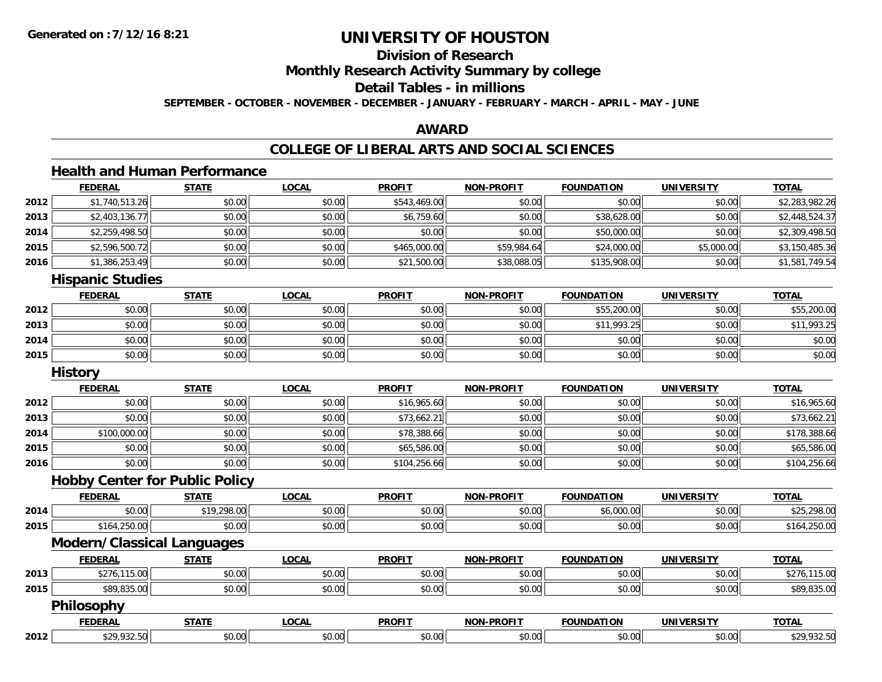# **Division of Research**

**Monthly Research Activity Summary by college**

### **Detail Tables - in millions**

**SEPTEMBER - OCTOBER - NOVEMBER - DECEMBER - JANUARY - FEBRUARY - MARCH - APRIL - MAY - JUNE**

### **AWARD**

### **COLLEGE OF LIBERAL ARTS AND SOCIAL SCIENCES**

# **Health and Human Performance**

|      | <b>FEDERAL</b>                        | <b>STATE</b> | <b>LOCAL</b> | <b>PROFIT</b> | <b>NON-PROFIT</b> | <b>FOUNDATION</b> | <b>UNIVERSITY</b> | <b>TOTAL</b>   |
|------|---------------------------------------|--------------|--------------|---------------|-------------------|-------------------|-------------------|----------------|
| 2012 | \$1,740,513.26                        | \$0.00       | \$0.00       | \$543,469.00  | \$0.00            | \$0.00            | \$0.00            | \$2,283,982.26 |
| 2013 | \$2,403,136.77                        | \$0.00       | \$0.00       | \$6,759.60    | \$0.00            | \$38,628.00       | \$0.00            | \$2,448,524.37 |
| 2014 | \$2,259,498.50                        | \$0.00       | \$0.00       | \$0.00        | \$0.00            | \$50,000.00       | \$0.00            | \$2,309,498.50 |
| 2015 | \$2,596,500.72                        | \$0.00       | \$0.00       | \$465,000.00  | \$59,984.64       | \$24,000.00       | \$5,000.00        | \$3,150,485.36 |
| 2016 | \$1,386,253.49                        | \$0.00       | \$0.00       | \$21,500.00   | \$38,088.05       | \$135,908.00      | \$0.00            | \$1,581,749.54 |
|      | <b>Hispanic Studies</b>               |              |              |               |                   |                   |                   |                |
|      | <b>FEDERAL</b>                        | <b>STATE</b> | <b>LOCAL</b> | <b>PROFIT</b> | <b>NON-PROFIT</b> | <b>FOUNDATION</b> | <b>UNIVERSITY</b> | <b>TOTAL</b>   |
| 2012 | \$0.00                                | \$0.00       | \$0.00       | \$0.00        | \$0.00            | \$55,200.00       | \$0.00            | \$55,200.00    |
| 2013 | \$0.00                                | \$0.00       | \$0.00       | \$0.00        | \$0.00            | \$11,993.25       | \$0.00            | \$11,993.25    |
| 2014 | \$0.00                                | \$0.00       | \$0.00       | \$0.00        | \$0.00            | \$0.00            | \$0.00            | \$0.00         |
| 2015 | \$0.00                                | \$0.00       | \$0.00       | \$0.00        | \$0.00            | \$0.00            | \$0.00            | \$0.00         |
|      | <b>History</b>                        |              |              |               |                   |                   |                   |                |
|      | <b>FEDERAL</b>                        | <b>STATE</b> | <b>LOCAL</b> | <b>PROFIT</b> | <b>NON-PROFIT</b> | <b>FOUNDATION</b> | <b>UNIVERSITY</b> | <b>TOTAL</b>   |
| 2012 | \$0.00                                | \$0.00       | \$0.00       | \$16,965.60   | \$0.00            | \$0.00            | \$0.00            | \$16,965.60    |
| 2013 | \$0.00                                | \$0.00       | \$0.00       | \$73,662.21   | \$0.00            | \$0.00            | \$0.00            | \$73,662.21    |
| 2014 | \$100,000.00                          | \$0.00       | \$0.00       | \$78,388.66   | \$0.00            | \$0.00            | \$0.00            | \$178,388.66   |
| 2015 | \$0.00                                | \$0.00       | \$0.00       | \$65,586.00   | \$0.00            | \$0.00            | \$0.00            | \$65,586.00    |
| 2016 | \$0.00                                | \$0.00       | \$0.00       | \$104,256.66  | \$0.00            | \$0.00            | \$0.00            | \$104,256.66   |
|      | <b>Hobby Center for Public Policy</b> |              |              |               |                   |                   |                   |                |
|      | <b>FEDERAL</b>                        | <b>STATE</b> | <b>LOCAL</b> | <b>PROFIT</b> | <b>NON-PROFIT</b> | <b>FOUNDATION</b> | <b>UNIVERSITY</b> | <b>TOTAL</b>   |
| 2014 | \$0.00                                | \$19,298.00  | \$0.00       | \$0.00        | \$0.00            | \$6,000.00        | \$0.00            | \$25,298.00    |
| 2015 | \$164,250.00                          | \$0.00       | \$0.00       | \$0.00        | \$0.00            | \$0.00            | \$0.00            | \$164,250.00   |
|      | <b>Modern/Classical Languages</b>     |              |              |               |                   |                   |                   |                |
|      | <b>FEDERAL</b>                        | <b>STATE</b> | <b>LOCAL</b> | <b>PROFIT</b> | <b>NON-PROFIT</b> | <b>FOUNDATION</b> | <b>UNIVERSITY</b> | <b>TOTAL</b>   |
| 2013 | \$276,115.00                          | \$0.00       | \$0.00       | \$0.00        | \$0.00            | \$0.00            | \$0.00            | \$276,115.00   |
| 2015 | \$89,835.00                           | \$0.00       | \$0.00       | \$0.00        | \$0.00            | \$0.00            | \$0.00            | \$89,835.00    |
|      | <b>Philosophy</b>                     |              |              |               |                   |                   |                   |                |
|      | <b>FEDERAL</b>                        | <b>STATE</b> | <b>LOCAL</b> | <b>PROFIT</b> | <b>NON-PROFIT</b> | <b>FOUNDATION</b> | <b>UNIVERSITY</b> | <b>TOTAL</b>   |
| 2012 | \$29,932.50                           | \$0.00       | \$0.00       | \$0.00        | \$0.00            | \$0.00            | \$0.00            | \$29,932.50    |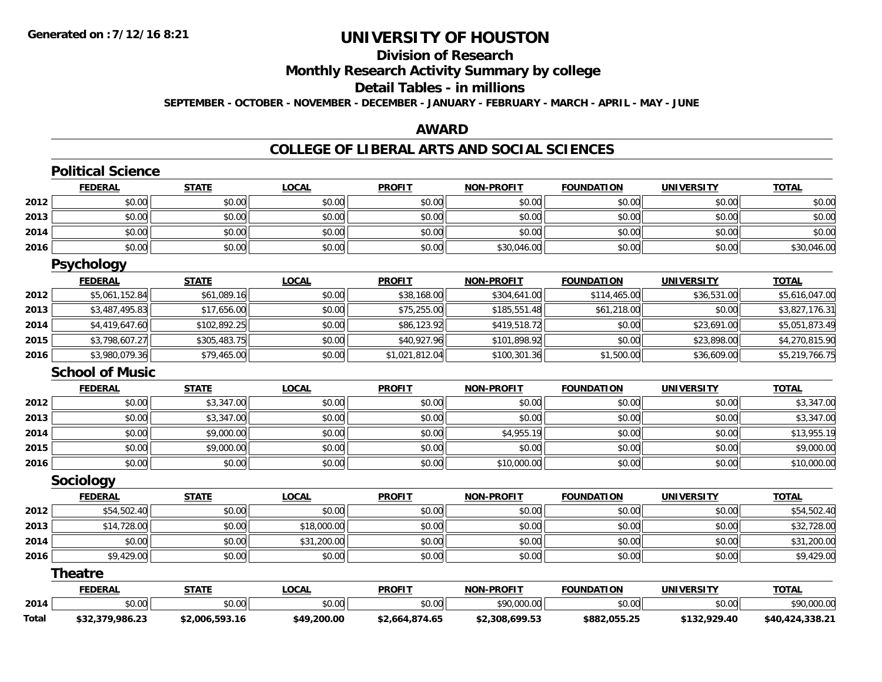# **Division of Research**

**Monthly Research Activity Summary by college**

### **Detail Tables - in millions**

**SEPTEMBER - OCTOBER - NOVEMBER - DECEMBER - JANUARY - FEBRUARY - MARCH - APRIL - MAY - JUNE**

### **AWARD**

# **COLLEGE OF LIBERAL ARTS AND SOCIAL SCIENCES**

|              | <b>Political Science</b> |                |              |                |                   |                   |                   |                 |
|--------------|--------------------------|----------------|--------------|----------------|-------------------|-------------------|-------------------|-----------------|
|              | <b>FEDERAL</b>           | <b>STATE</b>   | <b>LOCAL</b> | <b>PROFIT</b>  | <b>NON-PROFIT</b> | <b>FOUNDATION</b> | <b>UNIVERSITY</b> | <b>TOTAL</b>    |
| 2012         | \$0.00                   | \$0.00         | \$0.00       | \$0.00         | \$0.00            | \$0.00            | \$0.00            | \$0.00          |
| 2013         | \$0.00                   | \$0.00         | \$0.00       | \$0.00         | \$0.00            | \$0.00            | \$0.00            | \$0.00          |
| 2014         | \$0.00                   | \$0.00         | \$0.00       | \$0.00         | \$0.00            | \$0.00            | \$0.00            | \$0.00          |
| 2016         | \$0.00                   | \$0.00         | \$0.00       | \$0.00         | \$30,046.00       | \$0.00            | \$0.00            | \$30,046.00     |
|              | <b>Psychology</b>        |                |              |                |                   |                   |                   |                 |
|              | <b>FEDERAL</b>           | <b>STATE</b>   | <b>LOCAL</b> | <b>PROFIT</b>  | <b>NON-PROFIT</b> | <b>FOUNDATION</b> | <b>UNIVERSITY</b> | <b>TOTAL</b>    |
| 2012         | \$5,061,152.84           | \$61,089.16    | \$0.00       | \$38,168.00    | \$304,641.00      | \$114,465.00      | \$36,531.00       | \$5,616,047.00  |
| 2013         | \$3,487,495.83           | \$17,656.00    | \$0.00       | \$75,255.00    | \$185,551.48      | \$61,218.00       | \$0.00            | \$3,827,176.31  |
| 2014         | \$4,419,647.60           | \$102,892.25   | \$0.00       | \$86,123.92    | \$419,518.72      | \$0.00            | \$23,691.00       | \$5,051,873.49  |
| 2015         | \$3,798,607.27           | \$305,483.75   | \$0.00       | \$40,927.96    | \$101,898.92      | \$0.00            | \$23,898.00       | \$4,270,815.90  |
| 2016         | \$3,980,079.36           | \$79,465.00    | \$0.00       | \$1,021,812.04 | \$100,301.36      | \$1,500.00        | \$36,609.00       | \$5,219,766.75  |
|              | <b>School of Music</b>   |                |              |                |                   |                   |                   |                 |
|              | <b>FEDERAL</b>           | <b>STATE</b>   | <b>LOCAL</b> | <b>PROFIT</b>  | <b>NON-PROFIT</b> | <b>FOUNDATION</b> | <b>UNIVERSITY</b> | <b>TOTAL</b>    |
| 2012         | \$0.00                   | \$3,347.00     | \$0.00       | \$0.00         | \$0.00            | \$0.00            | \$0.00            | \$3,347.00      |
| 2013         | \$0.00                   | \$3,347.00     | \$0.00       | \$0.00         | \$0.00            | \$0.00            | \$0.00            | \$3,347.00      |
| 2014         | \$0.00                   | \$9,000.00     | \$0.00       | \$0.00         | \$4,955.19        | \$0.00            | \$0.00            | \$13,955.19     |
| 2015         | \$0.00                   | \$9,000.00     | \$0.00       | \$0.00         | \$0.00            | \$0.00            | \$0.00            | \$9,000.00      |
| 2016         | \$0.00                   | \$0.00         | \$0.00       | \$0.00         | \$10,000.00       | \$0.00            | \$0.00            | \$10,000.00     |
|              | Sociology                |                |              |                |                   |                   |                   |                 |
|              | <b>FEDERAL</b>           | <b>STATE</b>   | <b>LOCAL</b> | <b>PROFIT</b>  | <b>NON-PROFIT</b> | <b>FOUNDATION</b> | <b>UNIVERSITY</b> | <b>TOTAL</b>    |
| 2012         | \$54,502.40              | \$0.00         | \$0.00       | \$0.00         | \$0.00            | \$0.00            | \$0.00            | \$54,502.40     |
| 2013         | \$14,728.00              | \$0.00         | \$18,000.00  | \$0.00         | \$0.00            | \$0.00            | \$0.00            | \$32,728.00     |
| 2014         | \$0.00                   | \$0.00         | \$31,200.00  | \$0.00         | \$0.00            | \$0.00            | \$0.00            | \$31,200.00     |
| 2016         | \$9,429.00               | \$0.00         | \$0.00       | \$0.00         | \$0.00            | \$0.00            | \$0.00            | \$9,429.00      |
|              | <b>Theatre</b>           |                |              |                |                   |                   |                   |                 |
|              | <b>FEDERAL</b>           | <b>STATE</b>   | <b>LOCAL</b> | <b>PROFIT</b>  | <b>NON-PROFIT</b> | <b>FOUNDATION</b> | <b>UNIVERSITY</b> | <b>TOTAL</b>    |
| 2014         | \$0.00                   | \$0.00         | \$0.00       | \$0.00         | \$90,000.00       | \$0.00            | \$0.00            | \$90,000.00     |
| <b>Total</b> | \$32,379,986.23          | \$2,006,593.16 | \$49,200.00  | \$2,664,874.65 | \$2,308,699.53    | \$882,055.25      | \$132,929.40      | \$40,424,338.21 |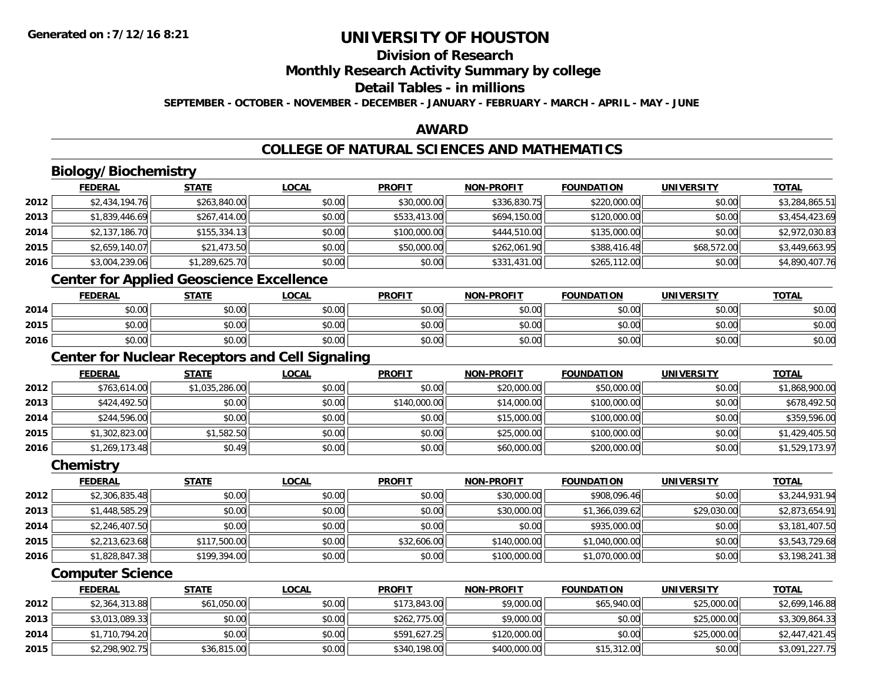# **Division of Research**

**Monthly Research Activity Summary by college**

#### **Detail Tables - in millions**

**SEPTEMBER - OCTOBER - NOVEMBER - DECEMBER - JANUARY - FEBRUARY - MARCH - APRIL - MAY - JUNE**

# **AWARD**

# **COLLEGE OF NATURAL SCIENCES AND MATHEMATICS**

# **Biology/Biochemistry**

|      | <b>FEDERAL</b> | <b>STATE</b>   | <u>LOCAL</u> | <b>PROFIT</b> | <b>NON-PROFIT</b> | <b>FOUNDATION</b> | <b>UNIVERSITY</b> | <b>TOTAL</b>   |
|------|----------------|----------------|--------------|---------------|-------------------|-------------------|-------------------|----------------|
| 2012 | \$2,434,194.76 | \$263,840.00   | \$0.00       | \$30,000.00   | \$336,830.75      | \$220,000.00      | \$0.00            | \$3,284,865.51 |
| 2013 | \$1,839,446.69 | \$267,414.00   | \$0.00       | \$533,413.00  | \$694,150.00      | \$120,000.00      | \$0.00            | \$3,454,423.69 |
| 2014 | \$2,137,186.70 | \$155,334.13   | \$0.00       | \$100,000.00  | \$444,510.00      | \$135,000.00      | \$0.00            | \$2,972,030.83 |
| 2015 | \$2,659,140.07 | \$21,473.50    | \$0.00       | \$50,000.00   | \$262,061.90      | \$388,416.48      | \$68,572.00       | \$3,449,663.95 |
| 2016 | \$3,004,239.06 | \$1,289,625.70 | \$0.00       | \$0.00        | \$331,431.00      | \$265,112.00      | \$0.00            | \$4,890,407.76 |

<u> 1980 - Johann Barbara, martxa amerikan bashkar (</u>

### **Center for Applied Geoscience Excellence**

|      | <b>FEDERAL</b> | <b>STATE</b> | <u>LOCAL</u>         | <b>PROFIT</b>          | <b>NON-PROFIT</b> | <b>FOUNDATION</b> | <b>UNIVERSITY</b> | <u>TOTAL</u> |
|------|----------------|--------------|----------------------|------------------------|-------------------|-------------------|-------------------|--------------|
| 2014 | \$0.00         | \$0.00       | 0000<br><b>DU.UU</b> | \$0.00<br><b>DU.UG</b> | \$0.00            | \$0.00            | \$0.00            | \$0.00       |
| 2015 | \$0.00         | \$0.00       | \$0.00               | \$0.00                 | \$0.00            | \$0.00            | \$0.00            | \$0.00       |
| 2016 | \$0.00         | \$0.00       | \$0.00               | \$0.00                 | \$0.00            | \$0.00            | \$0.00            | \$0.00       |

<u> 1980 - Johann Barn, fransk politik (d. 1980)</u>

# **Center for Nuclear Receptors and Cell Signaling**

|      | <b>FEDERAL</b> | <b>STATE</b>   | <u>LOCAL</u> | <b>PROFIT</b> | <b>NON-PROFIT</b> | <b>FOUNDATION</b> | <b>UNIVERSITY</b> | <b>TOTAL</b>   |
|------|----------------|----------------|--------------|---------------|-------------------|-------------------|-------------------|----------------|
| 2012 | \$763,614.00   | \$1,035,286.00 | \$0.00       | \$0.00        | \$20,000.00       | \$50,000.00       | \$0.00            | \$1,868,900.00 |
| 2013 | \$424,492.50   | \$0.00         | \$0.00       | \$140,000.00  | \$14,000.00       | \$100,000.00      | \$0.00            | \$678,492.50   |
| 2014 | \$244,596.00   | \$0.00         | \$0.00       | \$0.00        | \$15,000.00       | \$100,000.00      | \$0.00            | \$359,596.00   |
| 2015 | \$1,302,823.00 | \$1,582.50     | \$0.00       | \$0.00        | \$25,000.00       | \$100,000.00      | \$0.00            | \$1,429,405.50 |
| 2016 | \$1,269,173.48 | \$0.49         | \$0.00       | \$0.00        | \$60,000.00       | \$200,000.00      | \$0.00            | \$1,529,173.97 |

#### **Chemistry**

|      | <b>FEDERAL</b> | <b>STATE</b> | <u>LOCAL</u> | <b>PROFIT</b> | <b>NON-PROFIT</b> | <b>FOUNDATION</b> | <b>UNIVERSITY</b> | <b>TOTAL</b>   |
|------|----------------|--------------|--------------|---------------|-------------------|-------------------|-------------------|----------------|
| 2012 | \$2,306,835.48 | \$0.00       | \$0.00       | \$0.00        | \$30,000.00       | \$908,096.46      | \$0.00            | \$3,244,931.94 |
| 2013 | \$1,448,585.29 | \$0.00       | \$0.00       | \$0.00        | \$30,000.00       | \$1,366,039.62    | \$29,030.00       | \$2,873,654.91 |
| 2014 | \$2,246,407.50 | \$0.00       | \$0.00       | \$0.00        | \$0.00            | \$935,000.00      | \$0.00            | \$3,181,407.50 |
| 2015 | \$2,213,623.68 | \$117,500.00 | \$0.00       | \$32,606.00   | \$140,000.00      | \$1,040,000.00    | \$0.00            | \$3,543,729.68 |
| 2016 | \$1,828,847.38 | \$199,394.00 | \$0.00       | \$0.00        | \$100,000.00      | \$1,070,000.00    | \$0.00            | \$3,198,241.38 |

#### **Computer Science**

|      | <b>FEDERAL</b> | <u>STATE</u> | <u>LOCAL</u> | <b>PROFIT</b> | <b>NON-PROFIT</b> | <b>FOUNDATION</b> | UNIVERSITY  | <b>TOTAL</b>   |
|------|----------------|--------------|--------------|---------------|-------------------|-------------------|-------------|----------------|
| 2012 | \$2,364,313.88 | \$61,050.00  | \$0.00       | \$173,843.00  | \$9,000.00        | \$65,940.00       | \$25,000.00 | \$2,699,146.88 |
| 2013 | \$3,013,089.33 | \$0.00       | \$0.00       | \$262,775.00  | \$9,000.00        | \$0.00            | \$25,000.00 | \$3,309,864.33 |
| 2014 | \$1,710,794.20 | \$0.00       | \$0.00       | \$591,627.25  | \$120,000.00      | \$0.00            | \$25,000.00 | \$2,447,421.45 |
| 2015 | \$2,298,902.75 | \$36,815.00  | \$0.00       | \$340,198,00  | \$400,000.00      | \$15,312,00       | \$0.00      | \$3,091,227.75 |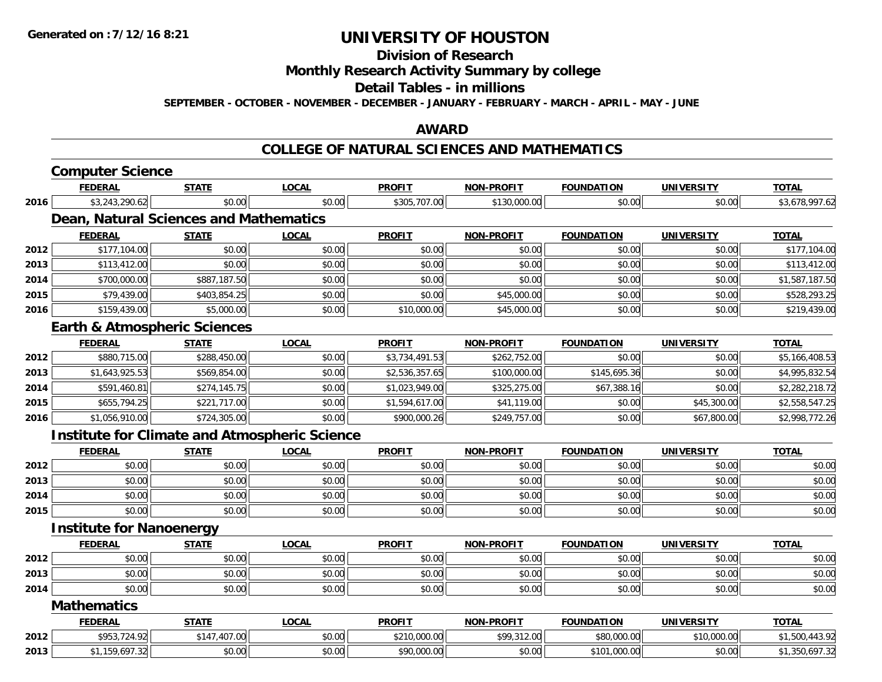#### **Division of Research**

### **Monthly Research Activity Summary by college**

#### **Detail Tables - in millions**

**SEPTEMBER - OCTOBER - NOVEMBER - DECEMBER - JANUARY - FEBRUARY - MARCH - APRIL - MAY - JUNE**

#### **AWARD**

#### **COLLEGE OF NATURAL SCIENCES AND MATHEMATICS**

|      | <b>Computer Science</b>                              |              |              |                |                   |                   |                   |                |
|------|------------------------------------------------------|--------------|--------------|----------------|-------------------|-------------------|-------------------|----------------|
|      | <b>FEDERAL</b>                                       | <b>STATE</b> | <b>LOCAL</b> | <b>PROFIT</b>  | <b>NON-PROFIT</b> | <b>FOUNDATION</b> | <b>UNIVERSITY</b> | <b>TOTAL</b>   |
| 2016 | \$3,243,290.62                                       | \$0.00       | \$0.00       | \$305,707.00   | \$130,000.00      | \$0.00            | \$0.00            | \$3,678,997.62 |
|      | <b>Dean, Natural Sciences and Mathematics</b>        |              |              |                |                   |                   |                   |                |
|      | <b>FEDERAL</b>                                       | <b>STATE</b> | <b>LOCAL</b> | <b>PROFIT</b>  | <b>NON-PROFIT</b> | <b>FOUNDATION</b> | <b>UNIVERSITY</b> | <b>TOTAL</b>   |
| 2012 | \$177,104.00                                         | \$0.00       | \$0.00       | \$0.00         | \$0.00            | \$0.00            | \$0.00            | \$177,104.00   |
| 2013 | \$113,412.00                                         | \$0.00       | \$0.00       | \$0.00         | \$0.00            | \$0.00            | \$0.00            | \$113,412.00   |
| 2014 | \$700,000.00                                         | \$887,187.50 | \$0.00       | \$0.00         | \$0.00            | \$0.00            | \$0.00            | \$1,587,187.50 |
| 2015 | \$79,439.00                                          | \$403,854.25 | \$0.00       | \$0.00         | \$45,000.00       | \$0.00            | \$0.00            | \$528,293.25   |
| 2016 | \$159,439.00                                         | \$5,000.00   | \$0.00       | \$10,000.00    | \$45,000.00       | \$0.00            | \$0.00            | \$219,439.00   |
|      | <b>Earth &amp; Atmospheric Sciences</b>              |              |              |                |                   |                   |                   |                |
|      | <b>FEDERAL</b>                                       | <b>STATE</b> | <b>LOCAL</b> | <b>PROFIT</b>  | <b>NON-PROFIT</b> | <b>FOUNDATION</b> | <b>UNIVERSITY</b> | <b>TOTAL</b>   |
| 2012 | \$880,715.00                                         | \$288,450.00 | \$0.00       | \$3,734,491.53 | \$262,752.00      | \$0.00            | \$0.00            | \$5,166,408.53 |
| 2013 | \$1,643,925.53                                       | \$569,854.00 | \$0.00       | \$2,536,357.65 | \$100,000.00      | \$145,695.36      | \$0.00            | \$4,995,832.54 |
| 2014 | \$591,460.81                                         | \$274,145.75 | \$0.00       | \$1,023,949.00 | \$325,275.00      | \$67,388.16       | \$0.00            | \$2,282,218.72 |
| 2015 | \$655,794.25                                         | \$221,717.00 | \$0.00       | \$1,594,617.00 | \$41,119.00       | \$0.00            | \$45,300.00       | \$2,558,547.25 |
| 2016 | \$1,056,910.00                                       | \$724,305.00 | \$0.00       | \$900,000.26   | \$249,757.00      | \$0.00            | \$67,800.00       | \$2,998,772.26 |
|      | <b>Institute for Climate and Atmospheric Science</b> |              |              |                |                   |                   |                   |                |
|      | <b>FEDERAL</b>                                       | <b>STATE</b> | <b>LOCAL</b> | <b>PROFIT</b>  | <b>NON-PROFIT</b> | <b>FOUNDATION</b> | <b>UNIVERSITY</b> | <b>TOTAL</b>   |
| 2012 | \$0.00                                               | \$0.00       | \$0.00       | \$0.00         | \$0.00            | \$0.00            | \$0.00            | \$0.00         |
| 2013 | \$0.00                                               | \$0.00       | \$0.00       | \$0.00         | \$0.00            | \$0.00            | \$0.00            | \$0.00         |
| 2014 | \$0.00                                               | \$0.00       | \$0.00       | \$0.00         | \$0.00            | \$0.00            | \$0.00            | \$0.00         |
| 2015 | \$0.00                                               | \$0.00       | \$0.00       | \$0.00         | \$0.00            | \$0.00            | \$0.00            | \$0.00         |
|      | <b>Institute for Nanoenergy</b>                      |              |              |                |                   |                   |                   |                |
|      | <b>FEDERAL</b>                                       | <b>STATE</b> | <b>LOCAL</b> | <b>PROFIT</b>  | <b>NON-PROFIT</b> | <b>FOUNDATION</b> | <b>UNIVERSITY</b> | <b>TOTAL</b>   |
| 2012 | \$0.00                                               | \$0.00       | \$0.00       | \$0.00         | \$0.00            | \$0.00            | \$0.00            | \$0.00         |
| 2013 | \$0.00                                               | \$0.00       | \$0.00       | \$0.00         | \$0.00            | \$0.00            | \$0.00            | \$0.00         |
| 2014 | \$0.00                                               | \$0.00       | \$0.00       | \$0.00         | \$0.00            | \$0.00            | \$0.00            | \$0.00         |
|      | <b>Mathematics</b>                                   |              |              |                |                   |                   |                   |                |
|      | <b>FEDERAL</b>                                       | <b>STATE</b> | <b>LOCAL</b> | <b>PROFIT</b>  | <b>NON-PROFIT</b> | <b>FOUNDATION</b> | <b>UNIVERSITY</b> | <b>TOTAL</b>   |
| 2012 | \$953,724.92                                         | \$147,407.00 | \$0.00       | \$210,000.00   | \$99,312.00       | \$80,000.00       | \$10,000.00       | \$1,500,443.92 |
| 2013 | \$1,159,697.32                                       | \$0.00       | \$0.00       | \$90,000.00    | \$0.00            | \$101,000.00      | \$0.00            | \$1,350,697.32 |
|      |                                                      |              |              |                |                   |                   |                   |                |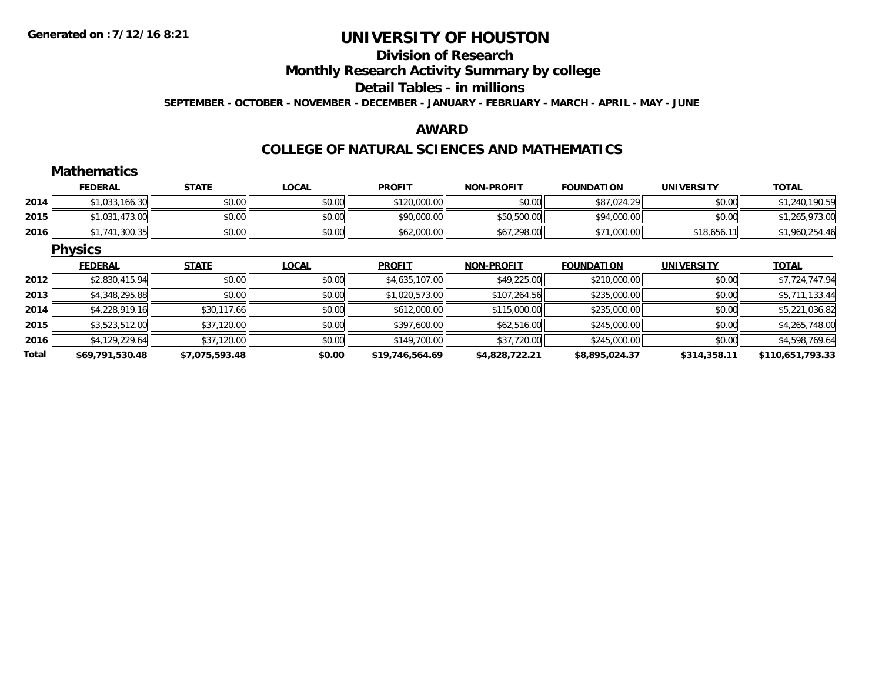#### **Division of Research**

**Monthly Research Activity Summary by college**

#### **Detail Tables - in millions**

**SEPTEMBER - OCTOBER - NOVEMBER - DECEMBER - JANUARY - FEBRUARY - MARCH - APRIL - MAY - JUNE**

#### **AWARD**

#### **COLLEGE OF NATURAL SCIENCES AND MATHEMATICS**

|       | <b>Mathematics</b> |                |              |                 |                   |                   |                   |                  |
|-------|--------------------|----------------|--------------|-----------------|-------------------|-------------------|-------------------|------------------|
|       | <b>FEDERAL</b>     | <b>STATE</b>   | <b>LOCAL</b> | <b>PROFIT</b>   | <b>NON-PROFIT</b> | <b>FOUNDATION</b> | <b>UNIVERSITY</b> | <b>TOTAL</b>     |
| 2014  | \$1,033,166.30     | \$0.00         | \$0.00       | \$120,000.00    | \$0.00            | \$87,024.29       | \$0.00            | \$1,240,190.59   |
| 2015  | \$1,031,473.00     | \$0.00         | \$0.00       | \$90,000.00     | \$50,500.00       | \$94,000.00       | \$0.00            | \$1,265,973.00   |
| 2016  | \$1,741,300.35     | \$0.00         | \$0.00       | \$62,000.00     | \$67,298.00       | \$71,000.00       | \$18,656.11       | \$1,960,254.46   |
|       | <b>Physics</b>     |                |              |                 |                   |                   |                   |                  |
|       | <b>FEDERAL</b>     | <b>STATE</b>   | <b>LOCAL</b> | <b>PROFIT</b>   | <b>NON-PROFIT</b> | <b>FOUNDATION</b> | <b>UNIVERSITY</b> | <b>TOTAL</b>     |
| 2012  | \$2,830,415.94     | \$0.00         | \$0.00       | \$4,635,107.00  | \$49,225.00       | \$210,000.00      | \$0.00            | \$7,724,747.94   |
| 2013  | \$4,348,295.88     | \$0.00         | \$0.00       | \$1,020,573.00  | \$107,264.56      | \$235,000.00      | \$0.00            | \$5,711,133.44   |
| 2014  | \$4,228,919.16     | \$30,117.66    | \$0.00       | \$612,000.00    | \$115,000.00      | \$235,000.00      | \$0.00            | \$5,221,036.82   |
| 2015  | \$3,523,512.00     | \$37,120.00    | \$0.00       | \$397,600.00    | \$62,516.00       | \$245,000.00      | \$0.00            | \$4,265,748.00   |
| 2016  | \$4,129,229.64     | \$37,120.00    | \$0.00       | \$149,700.00    | \$37,720.00       | \$245,000.00      | \$0.00            | \$4,598,769.64   |
| Total | \$69,791,530.48    | \$7,075,593.48 | \$0.00       | \$19,746,564.69 | \$4,828,722.21    | \$8,895,024.37    | \$314,358.11      | \$110,651,793.33 |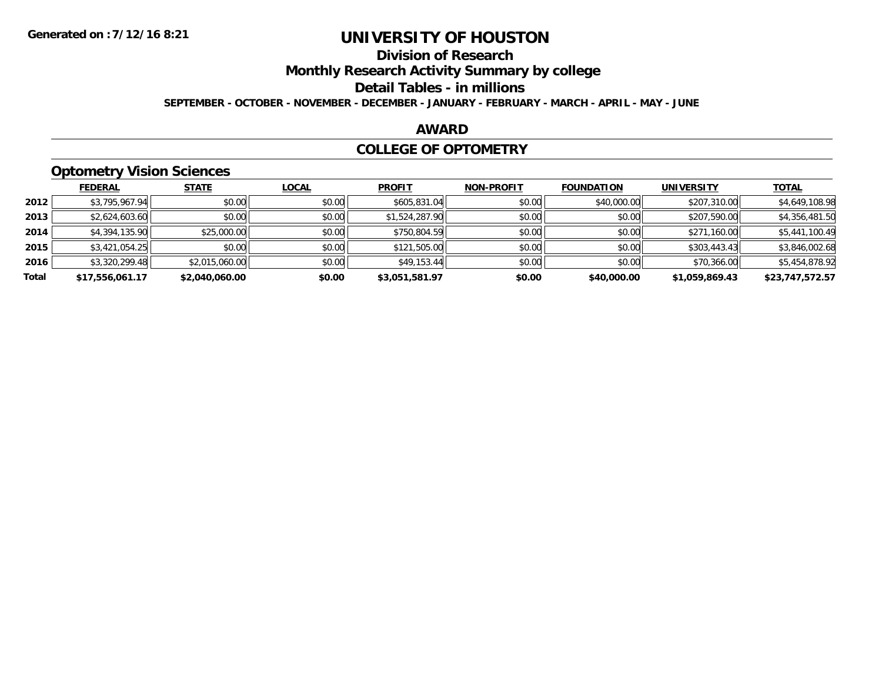# **Division of Research**

**Monthly Research Activity Summary by college**

#### **Detail Tables - in millions**

**SEPTEMBER - OCTOBER - NOVEMBER - DECEMBER - JANUARY - FEBRUARY - MARCH - APRIL - MAY - JUNE**

### **AWARD**

#### **COLLEGE OF OPTOMETRY**

# **Optometry Vision Sciences**

|       | <b>FEDERAL</b>  | <b>STATE</b>   | LOCAL  | <b>PROFIT</b>  | <b>NON-PROFIT</b> | <b>FOUNDATION</b> | <b>UNIVERSITY</b> | <b>TOTAL</b>    |
|-------|-----------------|----------------|--------|----------------|-------------------|-------------------|-------------------|-----------------|
| 2012  | \$3,795,967.94  | \$0.00         | \$0.00 | \$605,831.04   | \$0.00            | \$40,000.00       | \$207,310.00      | \$4,649,108.98  |
| 2013  | \$2,624,603.60  | \$0.00         | \$0.00 | \$1,524,287.90 | \$0.00            | \$0.00            | \$207,590.00      | \$4,356,481.50  |
| 2014  | \$4,394,135.90  | \$25,000.00    | \$0.00 | \$750,804.59   | \$0.00            | \$0.00            | \$271,160.00      | \$5,441,100.49  |
| 2015  | \$3,421,054.25  | \$0.00         | \$0.00 | \$121,505.00   | \$0.00            | \$0.00            | \$303,443.43      | \$3,846,002.68  |
| 2016  | \$3,320,299.48  | \$2,015,060.00 | \$0.00 | \$49,153.44    | \$0.00            | \$0.00            | \$70,366.00       | \$5,454,878.92  |
| Total | \$17,556,061.17 | \$2.040.060.00 | \$0.00 | \$3.051.581.97 | \$0.00            | \$40,000.00       | \$1.059.869.43    | \$23.747.572.57 |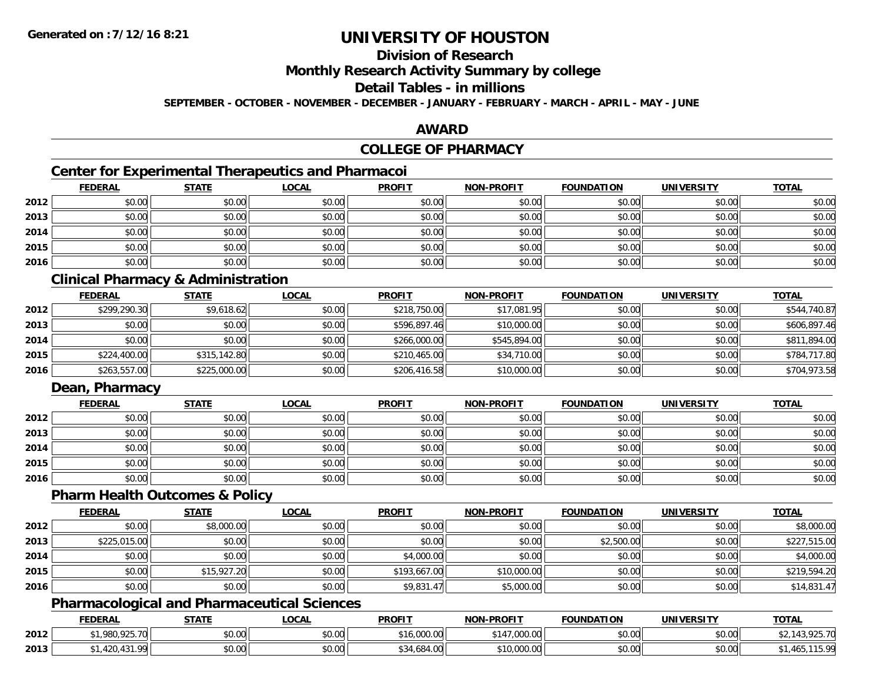# **Division of Research**

**Monthly Research Activity Summary by college**

#### **Detail Tables - in millions**

**SEPTEMBER - OCTOBER - NOVEMBER - DECEMBER - JANUARY - FEBRUARY - MARCH - APRIL - MAY - JUNE**

### **AWARD**

## **COLLEGE OF PHARMACY**

# **Center for Experimental Therapeutics and Pharmacoi**

|      | <b>FEDERAL</b> | <b>STATE</b> | <u>LOCAL</u> | <b>PROFIT</b> | <b>NON-PROFIT</b> | <b>FOUNDATION</b> | <b>UNIVERSITY</b> | <b>TOTAL</b> |
|------|----------------|--------------|--------------|---------------|-------------------|-------------------|-------------------|--------------|
| 2012 | \$0.00         | \$0.00       | \$0.00       | \$0.00        | \$0.00            | \$0.00            | \$0.00            | \$0.00       |
| 2013 | \$0.00         | \$0.00       | \$0.00       | \$0.00        | \$0.00            | \$0.00            | \$0.00            | \$0.00       |
| 2014 | \$0.00         | \$0.00       | \$0.00       | \$0.00        | \$0.00            | \$0.00            | \$0.00            | \$0.00       |
| 2015 | \$0.00         | \$0.00       | \$0.00       | \$0.00        | \$0.00            | \$0.00            | \$0.00            | \$0.00       |
| 2016 | \$0.00         | \$0.00       | \$0.00       | \$0.00        | \$0.00            | \$0.00            | \$0.00            | \$0.00       |

## **Clinical Pharmacy & Administration**

|      | <b>FEDERAL</b> | <b>STATE</b> | <b>LOCAL</b> | <b>PROFIT</b> | <b>NON-PROFIT</b> | <b>FOUNDATION</b> | <b>UNIVERSITY</b> | <b>TOTAL</b> |
|------|----------------|--------------|--------------|---------------|-------------------|-------------------|-------------------|--------------|
| 2012 | \$299,290.30   | \$9,618.62   | \$0.00       | \$218,750.00  | \$17,081.95       | \$0.00            | \$0.00            | \$544,740.87 |
| 2013 | \$0.00         | \$0.00       | \$0.00       | \$596.897.46  | \$10,000.00       | \$0.00            | \$0.00            | \$606,897.46 |
| 2014 | \$0.00         | \$0.00       | \$0.00       | \$266,000.00  | \$545,894.00      | \$0.00            | \$0.00            | \$811,894.00 |
| 2015 | \$224,400.00   | \$315,142.80 | \$0.00       | \$210,465.00  | \$34,710.00       | \$0.00            | \$0.00            | \$784,717.80 |
| 2016 | \$263,557.00   | \$225,000.00 | \$0.00       | \$206,416.58  | \$10,000.00       | \$0.00            | \$0.00            | \$704,973.58 |

# **Dean, Pharmacy**

|      | <u>FEDERAL</u> | <b>STATE</b> | <u>LOCAL</u> | <b>PROFIT</b> | <b>NON-PROFIT</b> | <b>FOUNDATION</b> | <b>UNIVERSITY</b> | <b>TOTAL</b> |
|------|----------------|--------------|--------------|---------------|-------------------|-------------------|-------------------|--------------|
| 2012 | \$0.00         | \$0.00       | \$0.00       | \$0.00        | \$0.00            | \$0.00            | \$0.00            | \$0.00       |
| 2013 | \$0.00         | \$0.00       | \$0.00       | \$0.00        | \$0.00            | \$0.00            | \$0.00            | \$0.00       |
| 2014 | \$0.00         | \$0.00       | \$0.00       | \$0.00        | \$0.00            | \$0.00            | \$0.00            | \$0.00       |
| 2015 | \$0.00         | \$0.00       | \$0.00       | \$0.00        | \$0.00            | \$0.00            | \$0.00            | \$0.00       |
| 2016 | \$0.00         | \$0.00       | \$0.00       | \$0.00        | \$0.00            | \$0.00            | \$0.00            | \$0.00       |

#### **Pharm Health Outcomes & Policy**

|      | <b>FEDERAL</b> | <b>STATE</b> | <u>LOCAL</u> | <b>PROFIT</b> | <b>NON-PROFIT</b> | <b>FOUNDATION</b> | <b>UNIVERSITY</b> | <b>TOTAL</b> |
|------|----------------|--------------|--------------|---------------|-------------------|-------------------|-------------------|--------------|
| 2012 | \$0.00         | \$8,000.00   | \$0.00       | \$0.00        | \$0.00            | \$0.00            | \$0.00            | \$8,000.00   |
| 2013 | \$225,015.00   | \$0.00       | \$0.00       | \$0.00        | \$0.00            | \$2,500.00        | \$0.00            | \$227,515.00 |
| 2014 | \$0.00         | \$0.00       | \$0.00       | \$4,000.00    | \$0.00            | \$0.00            | \$0.00            | \$4,000.00   |
| 2015 | \$0.00         | \$15,927.20  | \$0.00       | \$193,667.00  | \$10,000.00       | \$0.00            | \$0.00            | \$219,594.20 |
| 2016 | \$0.00         | \$0.00       | \$0.00       | \$9,831.47    | \$5,000.00        | \$0.00            | \$0.00            | \$14,831.47  |

## **Pharmacological and Pharmaceutical Sciences**

|      | <b>FEDERAL</b>         | <b>STATE</b> | <b>LOCAL</b>   | <b>PROFIT</b>             | <b>NON-PROFIT</b>       | <b>FOUNDATION</b> | <b>UNIVERSITY</b> | <b>TOTAL</b>         |
|------|------------------------|--------------|----------------|---------------------------|-------------------------|-------------------|-------------------|----------------------|
| 2012 | \$1,980,925.70         | \$0.00       | mn n¢<br>DU.UU | 16,000.00                 | 0.1170000<br>, ,uuu .uu | \$0.00            | \$0.00            | 12 025 70<br>.925.70 |
| 2013 | 131.00<br>1,420,431.99 | \$0.00       | \$0.00         | \$34,684.00<br>$\uparrow$ | \$10,000.00             | \$0.00            | \$0.00            | 115.00<br>.400.<br>. |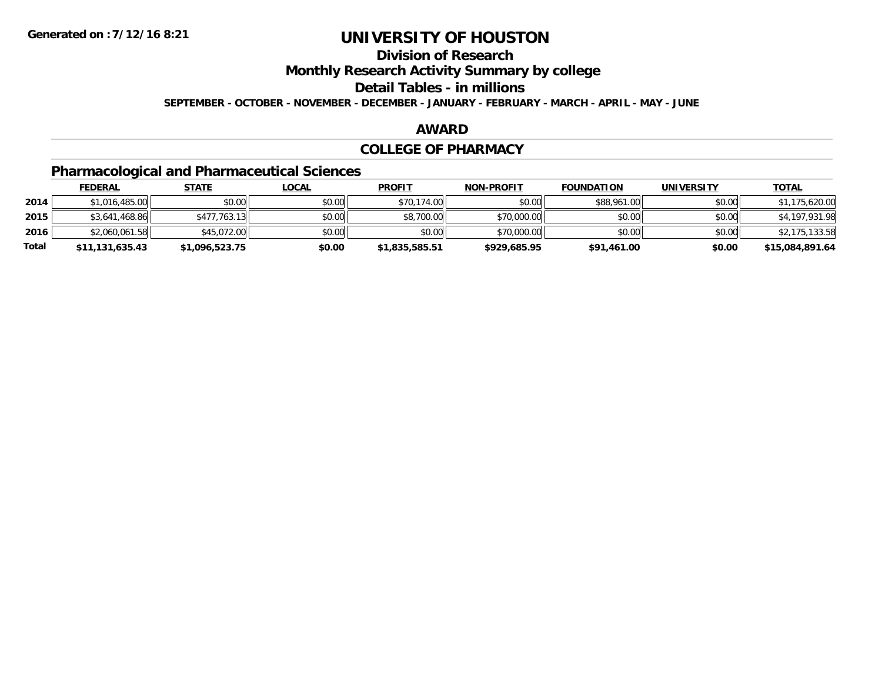# **Division of Research**

**Monthly Research Activity Summary by college**

**Detail Tables - in millions**

**SEPTEMBER - OCTOBER - NOVEMBER - DECEMBER - JANUARY - FEBRUARY - MARCH - APRIL - MAY - JUNE**

#### **AWARD**

#### **COLLEGE OF PHARMACY**

# **Pharmacological and Pharmaceutical Sciences**

|       | <b>FEDERAL</b>  | <u>STATE</u>   | <u>LOCAL</u> | <b>PROFIT</b>  | <b>NON-PROFIT</b> | <b>FOUNDATION</b> | <b>UNIVERSITY</b> | <b>TOTAL</b>    |
|-------|-----------------|----------------|--------------|----------------|-------------------|-------------------|-------------------|-----------------|
| 2014  | \$1,016,485.00  | \$0.00         | \$0.00       | \$70,174.00    | \$0.00            | \$88,961.00       | \$0.00            | \$1,175,620.00  |
| 2015  | \$3,641,468.86  | \$477,763.13   | \$0.00       | \$8,700.00     | \$70,000.00       | \$0.00            | \$0.00            | \$4,197,931.98  |
| 2016  | \$2,060,061.58  | \$45,072.00    | \$0.00       | \$0.00         | \$70,000.00       | \$0.00            | \$0.00            | \$2,175,133.58  |
| Total | \$11,131,635.43 | \$1,096,523.75 | \$0.00       | \$1,835,585.51 | \$929,685.95      | \$91,461.00       | \$0.00            | \$15,084,891.64 |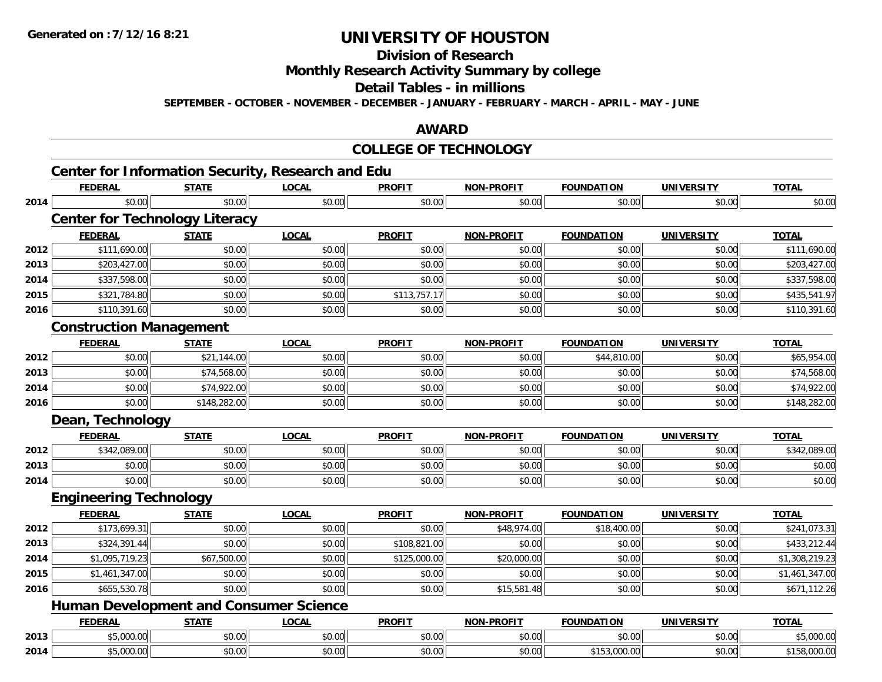**Division of Research**

**Monthly Research Activity Summary by college**

**Detail Tables - in millions**

**SEPTEMBER - OCTOBER - NOVEMBER - DECEMBER - JANUARY - FEBRUARY - MARCH - APRIL - MAY - JUNE**

### **AWARD**

#### **COLLEGE OF TECHNOLOGY**

|      | <b>Center for Information Security, Research and Edu</b> |              |              |               |                   |                   |                   |                |
|------|----------------------------------------------------------|--------------|--------------|---------------|-------------------|-------------------|-------------------|----------------|
|      | <b>FEDERAL</b>                                           | <b>STATE</b> | <b>LOCAL</b> | <b>PROFIT</b> | <b>NON-PROFIT</b> | <b>FOUNDATION</b> | <b>UNIVERSITY</b> | <b>TOTAL</b>   |
| 2014 | \$0.00                                                   | \$0.00       | \$0.00       | \$0.00        | \$0.00            | \$0.00            | \$0.00            | \$0.00         |
|      | <b>Center for Technology Literacy</b>                    |              |              |               |                   |                   |                   |                |
|      | <b>FEDERAL</b>                                           | <b>STATE</b> | <b>LOCAL</b> | <b>PROFIT</b> | <b>NON-PROFIT</b> | <b>FOUNDATION</b> | <b>UNIVERSITY</b> | <b>TOTAL</b>   |
| 2012 | \$111,690.00                                             | \$0.00       | \$0.00       | \$0.00        | \$0.00            | \$0.00            | \$0.00            | \$111,690.00   |
| 2013 | \$203,427.00                                             | \$0.00       | \$0.00       | \$0.00        | \$0.00            | \$0.00            | \$0.00            | \$203,427.00   |
| 2014 | \$337,598.00                                             | \$0.00       | \$0.00       | \$0.00        | \$0.00            | \$0.00            | \$0.00            | \$337,598.00   |
| 2015 | \$321,784.80                                             | \$0.00       | \$0.00       | \$113,757.17  | \$0.00            | \$0.00            | \$0.00            | \$435,541.97   |
| 2016 | \$110,391.60                                             | \$0.00       | \$0.00       | \$0.00        | \$0.00            | \$0.00            | \$0.00            | \$110,391.60   |
|      | <b>Construction Management</b>                           |              |              |               |                   |                   |                   |                |
|      | <b>FEDERAL</b>                                           | <b>STATE</b> | <b>LOCAL</b> | <b>PROFIT</b> | <b>NON-PROFIT</b> | <b>FOUNDATION</b> | <b>UNIVERSITY</b> | <b>TOTAL</b>   |
| 2012 | \$0.00                                                   | \$21,144.00  | \$0.00       | \$0.00        | \$0.00            | \$44,810.00       | \$0.00            | \$65,954.00    |
| 2013 | \$0.00                                                   | \$74,568.00  | \$0.00       | \$0.00        | \$0.00            | \$0.00            | \$0.00            | \$74,568.00    |
| 2014 | \$0.00                                                   | \$74,922.00  | \$0.00       | \$0.00        | \$0.00            | \$0.00            | \$0.00            | \$74,922.00    |
| 2016 | \$0.00                                                   | \$148,282.00 | \$0.00       | \$0.00        | \$0.00            | \$0.00            | \$0.00            | \$148,282.00   |
|      | Dean, Technology                                         |              |              |               |                   |                   |                   |                |
|      | <b>FEDERAL</b>                                           | <b>STATE</b> | <b>LOCAL</b> | <b>PROFIT</b> | <b>NON-PROFIT</b> | <b>FOUNDATION</b> | <b>UNIVERSITY</b> | <b>TOTAL</b>   |
| 2012 | \$342,089.00                                             | \$0.00       | \$0.00       | \$0.00        | \$0.00            | \$0.00            | \$0.00            | \$342,089.00   |
| 2013 | \$0.00                                                   | \$0.00       | \$0.00       | \$0.00        | \$0.00            | \$0.00            | \$0.00            | \$0.00         |
| 2014 | \$0.00                                                   | \$0.00       | \$0.00       | \$0.00        | \$0.00            | \$0.00            | \$0.00            | \$0.00         |
|      | <b>Engineering Technology</b>                            |              |              |               |                   |                   |                   |                |
|      | <b>FEDERAL</b>                                           | <b>STATE</b> | <b>LOCAL</b> | <b>PROFIT</b> | <b>NON-PROFIT</b> | <b>FOUNDATION</b> | <b>UNIVERSITY</b> | <b>TOTAL</b>   |
| 2012 | \$173,699.31                                             | \$0.00       | \$0.00       | \$0.00        | \$48,974.00       | \$18,400.00       | \$0.00            | \$241,073.31   |
| 2013 | \$324,391.44                                             | \$0.00       | \$0.00       | \$108,821.00  | \$0.00            | \$0.00            | \$0.00            | \$433,212.44   |
| 2014 | \$1,095,719.23                                           | \$67,500.00  | \$0.00       | \$125,000.00  | \$20,000.00       | \$0.00            | \$0.00            | \$1,308,219.23 |
| 2015 | \$1,461,347.00                                           | \$0.00       | \$0.00       | \$0.00        | \$0.00            | \$0.00            | \$0.00            | \$1,461,347.00 |
| 2016 | \$655,530.78                                             | \$0.00       | \$0.00       | \$0.00        | \$15,581.48       | \$0.00            | \$0.00            | \$671,112.26   |
|      | <b>Human Development and Consumer Science</b>            |              |              |               |                   |                   |                   |                |
|      | <b>FEDERAL</b>                                           | <b>STATE</b> | <b>LOCAL</b> | <b>PROFIT</b> | <b>NON-PROFIT</b> | <b>FOUNDATION</b> | <b>UNIVERSITY</b> | <b>TOTAL</b>   |
| 2013 | \$5,000.00                                               | \$0.00       | \$0.00       | \$0.00        | \$0.00            | \$0.00            | \$0.00            | \$5,000.00     |
| 2014 | \$5,000.00                                               | \$0.00       | \$0.00       | \$0.00        | \$0.00            | \$153,000.00      | \$0.00            | \$158,000.00   |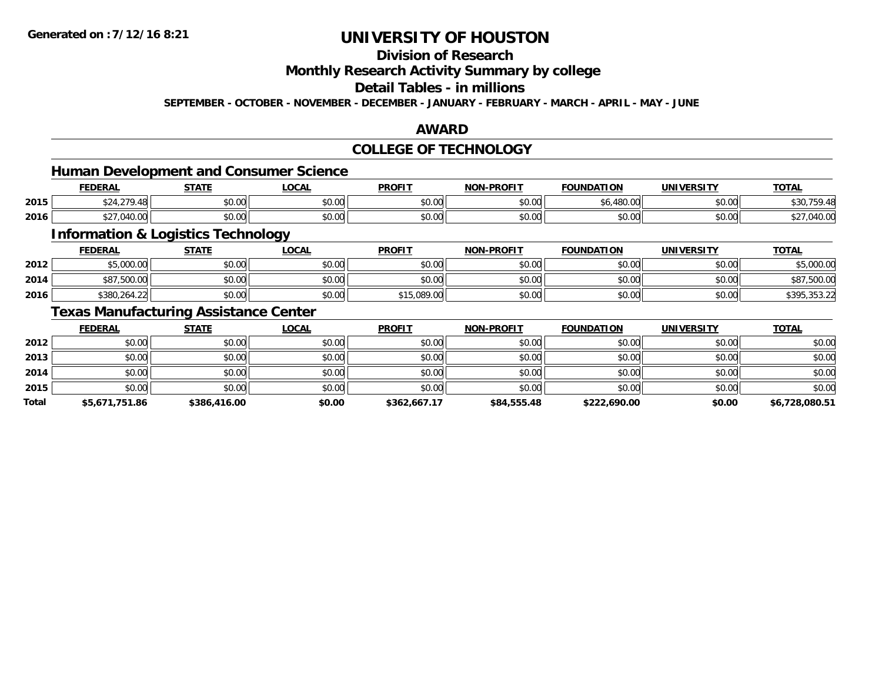# **Division of Research**

**Monthly Research Activity Summary by college**

## **Detail Tables - in millions**

**SEPTEMBER - OCTOBER - NOVEMBER - DECEMBER - JANUARY - FEBRUARY - MARCH - APRIL - MAY - JUNE**

### **AWARD**

#### **COLLEGE OF TECHNOLOGY**

### **Human Development and Consumer Science**

|      | <b>FEDERAL</b>      | <b>STATE</b>   | $\sim$<br>"UUAL | <b>PROFIT</b>            | <b>A-PROFIT</b><br>NON-L | FOUNDATION            | UNIVERSITY | <b>TOTAL</b>      |
|------|---------------------|----------------|-----------------|--------------------------|--------------------------|-----------------------|------------|-------------------|
| 2015 | $\sim$              | ტი იი<br>JU.UU | ሶስ ስስ<br>DU.UU  | 0.00<br>JU.UU            | 0000<br>ง∪.∪¢            | 10000<br>10.UU<br>υU. | \$0.00     | 43U<br>$  -$      |
| 2016 | $\sim$<br>. . J. UU | ሶስ ሰሰ<br>JU.UU | ሶስ ሰሰ<br>JU.UU  | $n \cap \Omega$<br>JU.UU | 0000<br><b>SU.UU</b>     | \$0.00                | \$0.00     | 0.1000<br>,040.UU |

<u> 1989 - Johann Stoff, deutscher Stoffen und der Stoffen und der Stoffen und der Stoffen und der Stoffen und der</u>

## **Information & Logistics Technology**

|      | <b>FEDERAL</b>  | STATE          | LOCAL  | <b>PROFIT</b>             | <b>NON-PROFIT</b> | <b>FOUNDATION</b> | UNIVERSITY | <u>TOTAL</u>                        |
|------|-----------------|----------------|--------|---------------------------|-------------------|-------------------|------------|-------------------------------------|
| 2012 | 5.000.00        | ልስ ሰሰ<br>JU.UU | \$0.00 | \$0.00                    | \$0.00            | \$0.00            | \$0.00     | \$5,000.00                          |
| 2014 | .500.00<br>DO 1 | 40.00<br>JU.UU | \$0.00 | \$0.00                    | 40.00<br>PO.OO    | \$0.00            | \$0.00     | \$87,500.00                         |
| 2016 | \$380,264.22    | \$0.00         | \$0.00 | 0.089.00<br>$AA =$<br>. . | \$0.00            | \$0.00            | \$0.00     | 1205.252.22<br><b>JUTU, JUJ.</b> 2. |

### **Texas Manufacturing Assistance Center**

|              | <b>FEDERAL</b> | <b>STATE</b> | <b>LOCAL</b> | <b>PROFIT</b> | <b>NON-PROFIT</b> | <b>FOUNDATION</b> | <b>UNIVERSITY</b> | <b>TOTAL</b>   |
|--------------|----------------|--------------|--------------|---------------|-------------------|-------------------|-------------------|----------------|
| 2012         | \$0.00         | \$0.00       | \$0.00       | \$0.00        | \$0.00            | \$0.00            | \$0.00            | \$0.00         |
| 2013         | \$0.00         | \$0.00       | \$0.00       | \$0.00        | \$0.00            | \$0.00            | \$0.00            | \$0.00         |
| 2014         | \$0.00         | \$0.00       | \$0.00       | \$0.00        | \$0.00            | \$0.00            | \$0.00            | \$0.00         |
| 2015         | \$0.00         | \$0.00       | \$0.00       | \$0.00        | \$0.00            | \$0.00            | \$0.00            | \$0.00         |
| <b>Total</b> | \$5,671,751.86 | \$386,416.00 | \$0.00       | \$362,667.17  | \$84,555.48       | \$222,690.00      | \$0.00            | \$6,728,080.51 |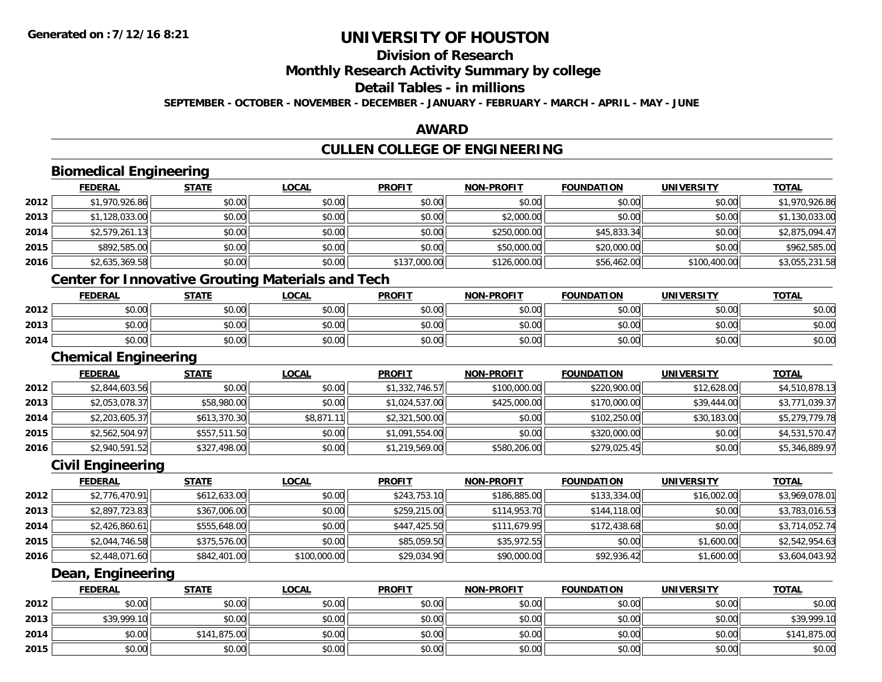**2014**

**2015**

# **UNIVERSITY OF HOUSTON**

# **Division of Research**

**Monthly Research Activity Summary by college**

#### **Detail Tables - in millions**

**SEPTEMBER - OCTOBER - NOVEMBER - DECEMBER - JANUARY - FEBRUARY - MARCH - APRIL - MAY - JUNE**

### **AWARD**

# **CULLEN COLLEGE OF ENGINEERING**

|      | <b>Biomedical Engineering</b>                            |              |              |                |                   |                   |                   |                |
|------|----------------------------------------------------------|--------------|--------------|----------------|-------------------|-------------------|-------------------|----------------|
|      | <b>FEDERAL</b>                                           | <b>STATE</b> | <b>LOCAL</b> | <b>PROFIT</b>  | <b>NON-PROFIT</b> | <b>FOUNDATION</b> | <b>UNIVERSITY</b> | <b>TOTAL</b>   |
| 2012 | \$1,970,926.86                                           | \$0.00       | \$0.00       | \$0.00         | \$0.00            | \$0.00            | \$0.00            | \$1,970,926.86 |
| 2013 | \$1,128,033.00                                           | \$0.00       | \$0.00       | \$0.00         | \$2,000.00        | \$0.00            | \$0.00            | \$1,130,033.00 |
| 2014 | \$2,579,261.13                                           | \$0.00       | \$0.00       | \$0.00         | \$250,000.00      | \$45,833.34       | \$0.00            | \$2,875,094.47 |
| 2015 | \$892,585.00                                             | \$0.00       | \$0.00       | \$0.00         | \$50,000.00       | \$20,000.00       | \$0.00            | \$962,585.00   |
| 2016 | \$2,635,369.58                                           | \$0.00       | \$0.00       | \$137,000.00   | \$126,000.00      | \$56,462.00       | \$100,400.00      | \$3,055,231.58 |
|      | <b>Center for Innovative Grouting Materials and Tech</b> |              |              |                |                   |                   |                   |                |
|      | <b>FEDERAL</b>                                           | <b>STATE</b> | <b>LOCAL</b> | <b>PROFIT</b>  | <b>NON-PROFIT</b> | <b>FOUNDATION</b> | <b>UNIVERSITY</b> | <b>TOTAL</b>   |
| 2012 | \$0.00                                                   | \$0.00       | \$0.00       | \$0.00         | \$0.00            | \$0.00            | \$0.00            | \$0.00         |
| 2013 | \$0.00                                                   | \$0.00       | \$0.00       | \$0.00         | \$0.00            | \$0.00            | \$0.00            | \$0.00         |
| 2014 | \$0.00                                                   | \$0.00       | \$0.00       | \$0.00         | \$0.00            | \$0.00            | \$0.00            | \$0.00         |
|      | <b>Chemical Engineering</b>                              |              |              |                |                   |                   |                   |                |
|      | <b>FEDERAL</b>                                           | <b>STATE</b> | <b>LOCAL</b> | <b>PROFIT</b>  | <b>NON-PROFIT</b> | <b>FOUNDATION</b> | <b>UNIVERSITY</b> | <b>TOTAL</b>   |
| 2012 | \$2,844,603.56                                           | \$0.00       | \$0.00       | \$1,332,746.57 | \$100,000.00      | \$220,900.00      | \$12,628.00       | \$4,510,878.13 |
| 2013 | \$2,053,078.37                                           | \$58,980.00  | \$0.00       | \$1,024,537.00 | \$425,000.00      | \$170,000.00      | \$39,444.00       | \$3,771,039.37 |
| 2014 | \$2,203,605.37                                           | \$613,370.30 | \$8,871.11   | \$2,321,500.00 | \$0.00            | \$102,250.00      | \$30,183.00       | \$5,279,779.78 |
| 2015 | \$2,562,504.97                                           | \$557,511.50 | \$0.00       | \$1,091,554.00 | \$0.00            | \$320,000.00      | \$0.00            | \$4,531,570.47 |
| 2016 | \$2,940,591.52                                           | \$327,498.00 | \$0.00       | \$1,219,569.00 | \$580,206.00      | \$279,025.45      | \$0.00            | \$5,346,889.97 |
|      | <b>Civil Engineering</b>                                 |              |              |                |                   |                   |                   |                |
|      | <b>FEDERAL</b>                                           | <b>STATE</b> | <b>LOCAL</b> | <b>PROFIT</b>  | <b>NON-PROFIT</b> | <b>FOUNDATION</b> | <b>UNIVERSITY</b> | <b>TOTAL</b>   |
| 2012 | \$2,776,470.91                                           | \$612,633.00 | \$0.00       | \$243,753.10   | \$186,885.00      | \$133,334.00      | \$16,002.00       | \$3,969,078.01 |
| 2013 | \$2,897,723.83                                           | \$367,006.00 | \$0.00       | \$259,215.00   | \$114,953.70      | \$144,118.00      | \$0.00            | \$3,783,016.53 |
| 2014 | \$2,426,860.61                                           | \$555,648.00 | \$0.00       | \$447,425.50   | \$111,679.95      | \$172,438.68      | \$0.00            | \$3,714,052.74 |
| 2015 | \$2,044,746.58                                           | \$375,576.00 | \$0.00       | \$85,059.50    | \$35,972.55       | \$0.00            | \$1,600.00        | \$2,542,954.63 |
| 2016 | \$2,448,071.60                                           | \$842,401.00 | \$100,000.00 | \$29,034.90    | \$90,000.00       | \$92,936.42       | \$1,600.00        | \$3,604,043.92 |
|      | Dean, Engineering                                        |              |              |                |                   |                   |                   |                |
|      | <b>FEDERAL</b>                                           | <b>STATE</b> | <b>LOCAL</b> | <b>PROFIT</b>  | <b>NON-PROFIT</b> | <b>FOUNDATION</b> | <b>UNIVERSITY</b> | <b>TOTAL</b>   |
| 2012 | \$0.00                                                   | \$0.00       | \$0.00       | \$0.00         | \$0.00            | \$0.00            | \$0.00            | \$0.00         |
| 2013 | \$39,999.10                                              | \$0.00       | \$0.00       | \$0.00         | \$0.00            | \$0.00            | \$0.00            | \$39,999.10    |

4 \$0.00| \$141,875.00| \$0.00| \$0.00| \$0.00| \$0.00| \$141,875.00|

\$0.00 \$0.00 \$0.00 \$0.00 \$0.00 \$0.00 \$0.00 \$0.00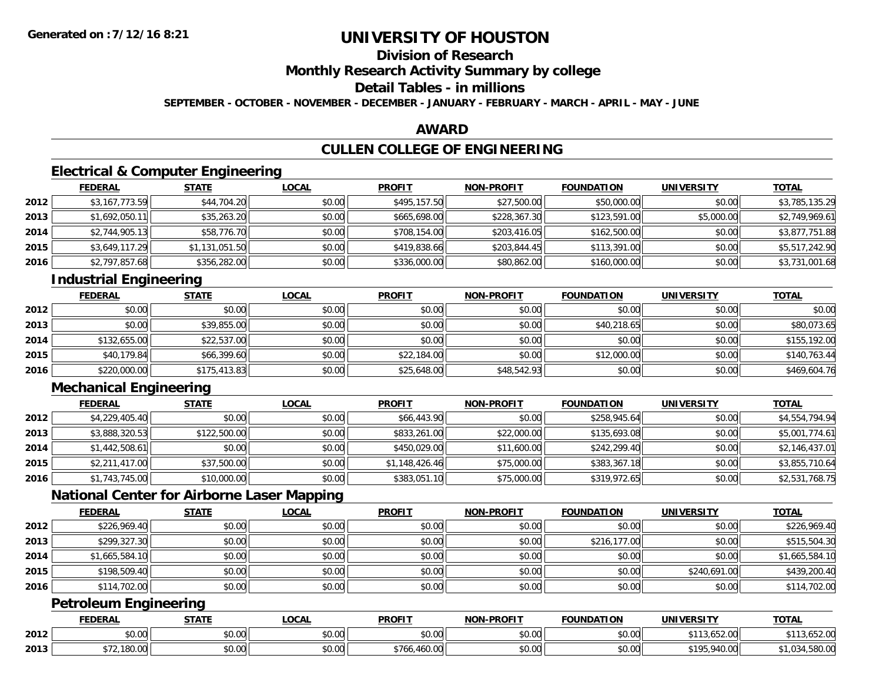# **Division of Research**

**Monthly Research Activity Summary by college**

## **Detail Tables - in millions**

**SEPTEMBER - OCTOBER - NOVEMBER - DECEMBER - JANUARY - FEBRUARY - MARCH - APRIL - MAY - JUNE**

### **AWARD**

# **CULLEN COLLEGE OF ENGINEERING**

## **Electrical & Computer Engineering**

|      | <u>FEDERAL</u> | <b>STATE</b>   | <u>LOCAL</u> | <b>PROFIT</b> | <b>NON-PROFIT</b> | <b>FOUNDATION</b> | <b>UNIVERSITY</b> | <b>TOTAL</b>   |
|------|----------------|----------------|--------------|---------------|-------------------|-------------------|-------------------|----------------|
| 2012 | \$3,167,773.59 | \$44,704.20    | \$0.00       | \$495,157.50  | \$27,500.00       | \$50,000.00       | \$0.00            | \$3,785,135.29 |
| 2013 | \$1,692,050.11 | \$35,263.20    | \$0.00       | \$665,698.00  | \$228,367.30      | \$123,591.00      | \$5,000.00        | \$2,749,969.61 |
| 2014 | \$2,744,905.13 | \$58,776.70    | \$0.00       | \$708,154.00  | \$203,416.05      | \$162,500.00      | \$0.00            | \$3,877,751.88 |
| 2015 | \$3,649,117.29 | \$1,131,051.50 | \$0.00       | \$419,838.66  | \$203,844.45      | \$113,391.00      | \$0.00            | \$5,517,242.90 |
| 2016 | \$2,797,857.68 | \$356,282.00   | \$0.00       | \$336,000.00  | \$80,862.00       | \$160,000.00      | \$0.00            | \$3,731,001.68 |

## **Industrial Engineering**

|      | <u>FEDERAL</u> | <b>STATE</b> | <b>LOCAL</b> | <b>PROFIT</b> | <b>NON-PROFIT</b> | <b>FOUNDATION</b> | <b>UNIVERSITY</b> | <b>TOTAL</b> |
|------|----------------|--------------|--------------|---------------|-------------------|-------------------|-------------------|--------------|
| 2012 | \$0.00         | \$0.00       | \$0.00       | \$0.00        | \$0.00            | \$0.00            | \$0.00            | \$0.00       |
| 2013 | \$0.00         | \$39,855.00  | \$0.00       | \$0.00        | \$0.00            | \$40,218.65       | \$0.00            | \$80,073.65  |
| 2014 | \$132,655.00   | \$22,537.00  | \$0.00       | \$0.00        | \$0.00            | \$0.00            | \$0.00            | \$155,192.00 |
| 2015 | \$40,179.84    | \$66,399.60  | \$0.00       | \$22,184.00   | \$0.00            | \$12,000.00       | \$0.00            | \$140,763.44 |
| 2016 | \$220,000.00   | \$175,413.83 | \$0.00       | \$25,648.00   | \$48,542.93       | \$0.00            | \$0.00            | \$469,604.76 |

# **Mechanical Engineering**

|      | <b>FEDERAL</b> | <b>STATE</b> | <b>LOCAL</b> | <b>PROFIT</b>  | <b>NON-PROFIT</b> | <b>FOUNDATION</b> | <b>UNIVERSITY</b> | <b>TOTAL</b>   |
|------|----------------|--------------|--------------|----------------|-------------------|-------------------|-------------------|----------------|
| 2012 | \$4,229,405.40 | \$0.00       | \$0.00       | \$66,443.90    | \$0.00            | \$258,945.64      | \$0.00            | \$4,554,794.94 |
| 2013 | \$3,888,320.53 | \$122,500.00 | \$0.00       | \$833,261.00   | \$22,000.00       | \$135,693.08      | \$0.00            | \$5,001,774.61 |
| 2014 | \$1,442,508.61 | \$0.00       | \$0.00       | \$450,029.00   | \$11,600.00       | \$242,299.40      | \$0.00            | \$2,146,437.01 |
| 2015 | \$2,211,417.00 | \$37,500.00  | \$0.00       | \$1,148,426.46 | \$75,000.00       | \$383,367.18      | \$0.00            | \$3,855,710.64 |
| 2016 | \$1,743,745.00 | \$10,000.00  | \$0.00       | \$383,051.10   | \$75,000.00       | \$319,972.65      | \$0.00            | \$2,531,768.75 |

## **National Center for Airborne Laser Mapping**

|      | <b>FEDERAL</b> | <b>STATE</b> | <b>LOCAL</b> | <b>PROFIT</b> | <b>NON-PROFIT</b> | <b>FOUNDATION</b> | <b>UNIVERSITY</b> | <b>TOTAL</b>   |
|------|----------------|--------------|--------------|---------------|-------------------|-------------------|-------------------|----------------|
| 2012 | \$226,969.40   | \$0.00       | \$0.00       | \$0.00        | \$0.00            | \$0.00            | \$0.00            | \$226,969.40   |
| 2013 | \$299,327.30   | \$0.00       | \$0.00       | \$0.00        | \$0.00            | \$216,177.00      | \$0.00            | \$515,504.30   |
| 2014 | \$1,665,584.10 | \$0.00       | \$0.00       | \$0.00        | \$0.00            | \$0.00            | \$0.00            | \$1,665,584.10 |
| 2015 | \$198,509.40   | \$0.00       | \$0.00       | \$0.00        | \$0.00            | \$0.00            | \$240,691.00      | \$439,200.40   |
| 2016 | \$114,702.00   | \$0.00       | \$0.00       | \$0.00        | \$0.00            | \$0.00            | \$0.00            | \$114,702.00   |

## **Petroleum Engineering**

|      | <b>FEDERAL</b> | 27.77                            | .OCAI                 | <b>PROFIT</b>          | <b>LPROFIT</b><br>ימות | <b>FOUNDATION</b> | UNIVE<br>EDCIT'              | <b>TOTAL</b>           |
|------|----------------|----------------------------------|-----------------------|------------------------|------------------------|-------------------|------------------------------|------------------------|
| 2012 | 0.00<br>טט.טע  | \$0.00                           | $\sim$ $\sim$<br>וטט. | ሐሴ ሰሰ<br>JU.UU         | 0000<br>vu.uu          | \$0.00            | 1500<br>.<br>1.J.UJZ.UU      | חח כ:<br>,ujz.uu<br>.  |
| 2013 | 100.UU         | $\overline{a}$<br>״∩ ∩∩<br>,u.uu | $\sim$<br>vu.vu       | $^{\ast}76$<br>. 460.0 | ስ ለሰ<br>PO.OO          | \$0.00            | 410<br>0.4000<br>740.UU<br>. | 0000<br>UU.UÖC, I<br>. |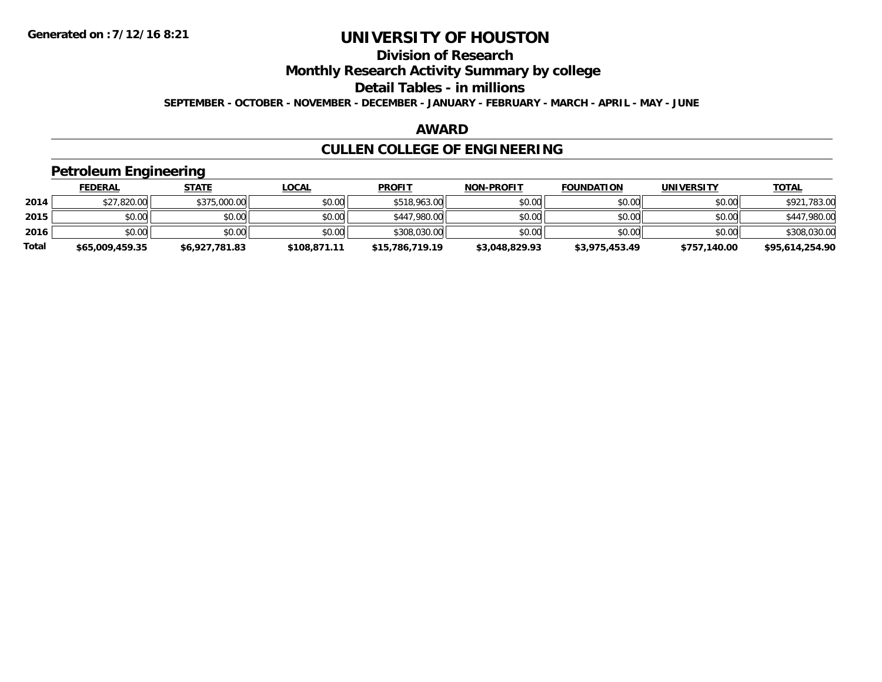# **Division of Research**

**Monthly Research Activity Summary by college**

**Detail Tables - in millions**

**SEPTEMBER - OCTOBER - NOVEMBER - DECEMBER - JANUARY - FEBRUARY - MARCH - APRIL - MAY - JUNE**

#### **AWARD**

# **CULLEN COLLEGE OF ENGINEERING**

### **Petroleum Engineering**

|       | <b>FEDERAL</b>  | <u>STATE</u>   | <u>LOCAL</u> | <b>PROFIT</b>   | <b>NON-PROFIT</b> | <b>FOUNDATION</b> | <b>UNIVERSITY</b> | <b>TOTAL</b>    |
|-------|-----------------|----------------|--------------|-----------------|-------------------|-------------------|-------------------|-----------------|
| 2014  | \$27,820.00     | \$375,000.00   | \$0.00       | \$518,963.00    | \$0.00            | \$0.00            | \$0.00            | \$921,783.00    |
| 2015  | \$0.00          | \$0.00         | \$0.00       | \$447,980.00    | \$0.00            | \$0.00            | \$0.00            | \$447,980.00    |
| 2016  | \$0.00          | \$0.00         | \$0.00       | \$308,030.00    | \$0.00            | \$0.00            | \$0.00            | \$308,030.00    |
| Total | \$65,009,459.35 | \$6,927,781.83 | \$108,871.11 | \$15,786,719.19 | \$3,048,829.93    | \$3,975,453.49    | \$757,140.00      | \$95,614,254.90 |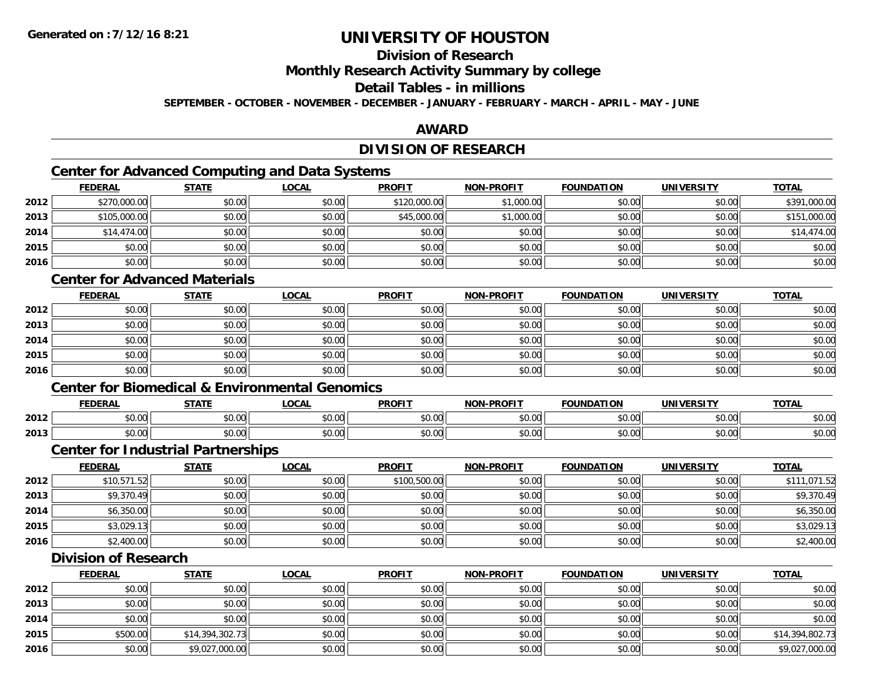# **Division of Research**

**Monthly Research Activity Summary by college**

#### **Detail Tables - in millions**

**SEPTEMBER - OCTOBER - NOVEMBER - DECEMBER - JANUARY - FEBRUARY - MARCH - APRIL - MAY - JUNE**

### **AWARD**

## **DIVISION OF RESEARCH**

# **Center for Advanced Computing and Data Systems**

|      | <b>FEDERAL</b> | <b>STATE</b> | <u>LOCAL</u> | <b>PROFIT</b> | <b>NON-PROFIT</b> | <b>FOUNDATION</b> | <b>UNIVERSITY</b> | <b>TOTAL</b> |
|------|----------------|--------------|--------------|---------------|-------------------|-------------------|-------------------|--------------|
| 2012 | \$270,000.00   | \$0.00       | \$0.00       | \$120,000.00  | \$1,000.00        | \$0.00            | \$0.00            | \$391,000.00 |
| 2013 | \$105,000.00   | \$0.00       | \$0.00       | \$45,000.00   | \$1,000.00        | \$0.00            | \$0.00            | \$151,000.00 |
| 2014 | \$14,474.00    | \$0.00       | \$0.00       | \$0.00        | \$0.00            | \$0.00            | \$0.00            | \$14,474.00  |
| 2015 | \$0.00         | \$0.00       | \$0.00       | \$0.00        | \$0.00            | \$0.00            | \$0.00            | \$0.00       |
| 2016 | \$0.00         | \$0.00       | \$0.00       | \$0.00        | \$0.00            | \$0.00            | \$0.00            | \$0.00       |

### **Center for Advanced Materials**

|      | <u>FEDERAL</u> | <b>STATE</b> | <u>LOCAL</u> | <b>PROFIT</b> | <b>NON-PROFIT</b> | <b>FOUNDATION</b> | <b>UNIVERSITY</b> | <b>TOTAL</b> |
|------|----------------|--------------|--------------|---------------|-------------------|-------------------|-------------------|--------------|
| 2012 | \$0.00         | \$0.00       | \$0.00       | \$0.00        | \$0.00            | \$0.00            | \$0.00            | \$0.00       |
| 2013 | \$0.00         | \$0.00       | \$0.00       | \$0.00        | \$0.00            | \$0.00            | \$0.00            | \$0.00       |
| 2014 | \$0.00         | \$0.00       | \$0.00       | \$0.00        | \$0.00            | \$0.00            | \$0.00            | \$0.00       |
| 2015 | \$0.00         | \$0.00       | \$0.00       | \$0.00        | \$0.00            | \$0.00            | \$0.00            | \$0.00       |
| 2016 | \$0.00         | \$0.00       | \$0.00       | \$0.00        | \$0.00            | \$0.00            | \$0.00            | \$0.00       |

#### **Center for Biomedical & Environmental Genomics**

|      | <b>FEDERAI</b> | $C = 1$ | <b>OCAL</b>        | <b>PROFIT</b> | <b>DDAF!?</b><br><b>BLAP</b> | ־מרוחו ו<br>10N | INI<br><b>TDCITY</b> | <b>TOTAL</b> |
|------|----------------|---------|--------------------|---------------|------------------------------|-----------------|----------------------|--------------|
| 2012 | 0000<br>JU.UU  | \$0.00  | $\sim$<br>JU.UU    | 0.00<br>JU.UU | 0000<br>JU.UU                | 0000<br>JU.UU   | 0000<br>DU.UU        | \$0.00       |
| 2013 | \$0.00         | \$0.00  | $\sim$ 00<br>JU.UU | 0.00<br>JU.UU | 0000<br>JU.UU                | 0000<br>JU.UU   | 0000<br>DU.UU        | \$0.00       |

#### **Center for Industrial Partnerships**

|      | <u>FEDERAL</u> | <b>STATE</b> | <u>LOCAL</u> | <b>PROFIT</b> | <b>NON-PROFIT</b> | <b>FOUNDATION</b> | <b>UNIVERSITY</b> | <b>TOTAL</b> |
|------|----------------|--------------|--------------|---------------|-------------------|-------------------|-------------------|--------------|
| 2012 | \$10,571.52    | \$0.00       | \$0.00       | \$100,500.00  | \$0.00            | \$0.00            | \$0.00            | \$111,071.52 |
| 2013 | \$9,370.49     | \$0.00       | \$0.00       | \$0.00        | \$0.00            | \$0.00            | \$0.00            | \$9,370.49   |
| 2014 | \$6,350.00     | \$0.00       | \$0.00       | \$0.00        | \$0.00            | \$0.00            | \$0.00            | \$6,350.00   |
| 2015 | \$3,029.13     | \$0.00       | \$0.00       | \$0.00        | \$0.00            | \$0.00            | \$0.00            | \$3,029.13   |
| 2016 | \$2,400.00     | \$0.00       | \$0.00       | \$0.00        | \$0.00            | \$0.00            | \$0.00            | \$2,400.00   |

### **Division of Research**

|      | <b>FEDERAL</b> | <b>STATE</b>    | <b>LOCAL</b> | <b>PROFIT</b> | <b>NON-PROFIT</b> | <b>FOUNDATION</b> | <b>UNIVERSITY</b> | <b>TOTAL</b>    |
|------|----------------|-----------------|--------------|---------------|-------------------|-------------------|-------------------|-----------------|
| 2012 | \$0.00         | \$0.00          | \$0.00       | \$0.00        | \$0.00            | \$0.00            | \$0.00            | \$0.00          |
| 2013 | \$0.00         | \$0.00          | \$0.00       | \$0.00        | \$0.00            | \$0.00            | \$0.00            | \$0.00          |
| 2014 | \$0.00         | \$0.00          | \$0.00       | \$0.00        | \$0.00            | \$0.00            | \$0.00            | \$0.00          |
| 2015 | \$500.00       | \$14,394,302.73 | \$0.00       | \$0.00        | \$0.00            | \$0.00            | \$0.00            | \$14,394,802.73 |
| 2016 | \$0.00         | \$9,027,000.00  | \$0.00       | \$0.00        | \$0.00            | \$0.00            | \$0.00            | \$9,027,000.00  |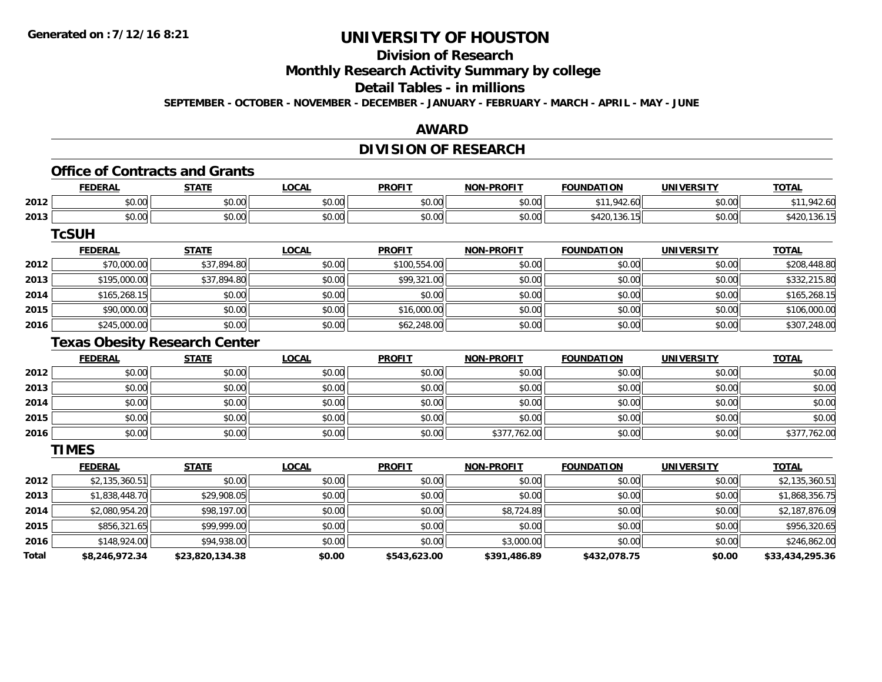# **Division of Research**

**Monthly Research Activity Summary by college**

## **Detail Tables - in millions**

**SEPTEMBER - OCTOBER - NOVEMBER - DECEMBER - JANUARY - FEBRUARY - MARCH - APRIL - MAY - JUNE**

#### **AWARD**

## **DIVISION OF RESEARCH**

# **Office of Contracts and Grants**

|      | <b>FEDERAL</b>           | <b>CTATE</b><br>3 I A I I | _OCAI          | <b>PROFIT</b> | <b>DDAF!?</b> | <b>FIAN</b><br><b>'INDAT.</b><br>ושו | UNIVERSITY<br>. . | <b>TOTAL</b>                    |
|------|--------------------------|---------------------------|----------------|---------------|---------------|--------------------------------------|-------------------|---------------------------------|
| 2012 | $n \cap \Omega$<br>DU.UU | 0.00<br>JU.UU             | ሶስ ሰሰ<br>JU.UU | \$0.00        | \$0.00        | 0.11012<br>.60                       | \$0.00            | ດ <i>∧</i> ດ<br>$42.60^{\circ}$ |
| 2013 | ልስ ለሰ<br>DU.UU           | 0.00<br>JU.UU             | ሶስ ሰሰ<br>JU.UU | \$0.00        | \$0.00        | 542U.I30.<br>.                       | \$0.00            |                                 |

#### **TcSUH**

|      | <b>FEDERAL</b> | <b>STATE</b> | <u>LOCAL</u> | <b>PROFIT</b> | <b>NON-PROFIT</b> | <b>FOUNDATION</b> | <b>UNIVERSITY</b> | <b>TOTAL</b> |
|------|----------------|--------------|--------------|---------------|-------------------|-------------------|-------------------|--------------|
| 2012 | \$70,000.00    | \$37,894.80  | \$0.00       | \$100,554.00  | \$0.00            | \$0.00            | \$0.00            | \$208,448.80 |
| 2013 | \$195,000.00   | \$37,894.80  | \$0.00       | \$99,321.00   | \$0.00            | \$0.00            | \$0.00            | \$332,215.80 |
| 2014 | \$165,268.15   | \$0.00       | \$0.00       | \$0.00        | \$0.00            | \$0.00            | \$0.00            | \$165,268.15 |
| 2015 | \$90,000.00    | \$0.00       | \$0.00       | \$16,000.00   | \$0.00            | \$0.00            | \$0.00            | \$106,000.00 |
| 2016 | \$245,000.00   | \$0.00       | \$0.00       | \$62,248.00   | \$0.00            | \$0.00            | \$0.00            | \$307,248.00 |

### **Texas Obesity Research Center**

|      | <b>FEDERAL</b> | <b>STATE</b> | <b>LOCAL</b> | <b>PROFIT</b> | <b>NON-PROFIT</b> | <b>FOUNDATION</b> | <b>UNIVERSITY</b> | <b>TOTAL</b> |
|------|----------------|--------------|--------------|---------------|-------------------|-------------------|-------------------|--------------|
| 2012 | \$0.00         | \$0.00       | \$0.00       | \$0.00        | \$0.00            | \$0.00            | \$0.00            | \$0.00       |
| 2013 | \$0.00         | \$0.00       | \$0.00       | \$0.00        | \$0.00            | \$0.00            | \$0.00            | \$0.00       |
| 2014 | \$0.00         | \$0.00       | \$0.00       | \$0.00        | \$0.00            | \$0.00            | \$0.00            | \$0.00       |
| 2015 | \$0.00         | \$0.00       | \$0.00       | \$0.00        | \$0.00            | \$0.00            | \$0.00            | \$0.00       |
| 2016 | \$0.00         | \$0.00       | \$0.00       | \$0.00        | \$377,762.00      | \$0.00            | \$0.00            | \$377,762.00 |

**TIMES**

|       | <b>FEDERAL</b> | <b>STATE</b>    | <b>LOCAL</b> | <b>PROFIT</b> | <b>NON-PROFIT</b> | <b>FOUNDATION</b> | <b>UNIVERSITY</b> | <b>TOTAL</b>    |
|-------|----------------|-----------------|--------------|---------------|-------------------|-------------------|-------------------|-----------------|
| 2012  | \$2,135,360.51 | \$0.00          | \$0.00       | \$0.00        | \$0.00            | \$0.00            | \$0.00            | \$2,135,360.51  |
| 2013  | \$1,838,448.70 | \$29,908.05     | \$0.00       | \$0.00        | \$0.00            | \$0.00            | \$0.00            | \$1,868,356.75  |
| 2014  | \$2,080,954.20 | \$98,197.00     | \$0.00       | \$0.00        | \$8,724.89        | \$0.00            | \$0.00            | \$2,187,876.09  |
| 2015  | \$856,321.65   | \$99,999.00     | \$0.00       | \$0.00        | \$0.00            | \$0.00            | \$0.00            | \$956,320.65    |
| 2016  | \$148,924.00   | \$94,938,00     | \$0.00       | \$0.00        | \$3,000.00        | \$0.00            | \$0.00            | \$246,862.00    |
| Total | \$8,246,972.34 | \$23,820,134.38 | \$0.00       | \$543,623.00  | \$391,486.89      | \$432,078.75      | \$0.00            | \$33,434,295.36 |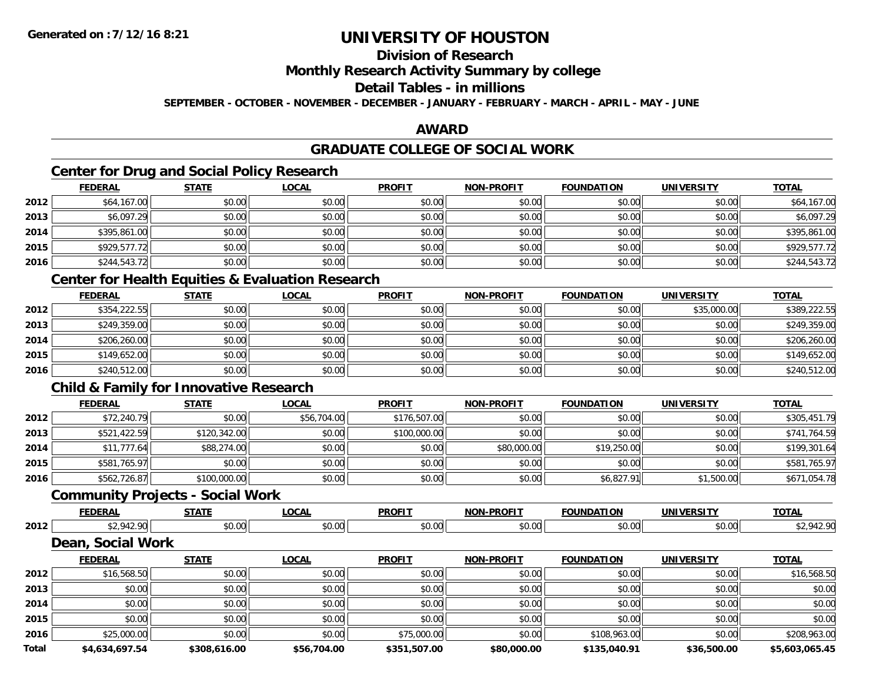# **Division of Research**

### **Monthly Research Activity Summary by college**

#### **Detail Tables - in millions**

**SEPTEMBER - OCTOBER - NOVEMBER - DECEMBER - JANUARY - FEBRUARY - MARCH - APRIL - MAY - JUNE**

### **AWARD**

# **GRADUATE COLLEGE OF SOCIAL WORK**

# **Center for Drug and Social Policy Research**

|      | <b>FEDERAL</b> | <b>STATE</b> | <u>LOCAL</u> | <b>PROFIT</b> | <b>NON-PROFIT</b> | <b>FOUNDATION</b> | <b>UNIVERSITY</b> | <b>TOTAL</b> |
|------|----------------|--------------|--------------|---------------|-------------------|-------------------|-------------------|--------------|
| 2012 | \$64,167.00    | \$0.00       | \$0.00       | \$0.00        | \$0.00            | \$0.00            | \$0.00            | \$64,167.00  |
| 2013 | \$6,097.29     | \$0.00       | \$0.00       | \$0.00        | \$0.00            | \$0.00            | \$0.00            | \$6,097.29   |
| 2014 | \$395,861.00   | \$0.00       | \$0.00       | \$0.00        | \$0.00            | \$0.00            | \$0.00            | \$395,861.00 |
| 2015 | \$929,577.72   | \$0.00       | \$0.00       | \$0.00        | \$0.00            | \$0.00            | \$0.00            | \$929,577.72 |
| 2016 | \$244,543.72   | \$0.00       | \$0.00       | \$0.00        | \$0.00            | \$0.00            | \$0.00            | \$244,543.72 |

### **Center for Health Equities & Evaluation Research**

|      | <u>FEDERAL</u> | <b>STATE</b> | <b>LOCAL</b> | <b>PROFIT</b> | <b>NON-PROFIT</b> | <b>FOUNDATION</b> | <b>UNIVERSITY</b> | <b>TOTAL</b> |
|------|----------------|--------------|--------------|---------------|-------------------|-------------------|-------------------|--------------|
| 2012 | \$354,222.55   | \$0.00       | \$0.00       | \$0.00        | \$0.00            | \$0.00            | \$35,000.00       | \$389,222.55 |
| 2013 | \$249,359.00   | \$0.00       | \$0.00       | \$0.00        | \$0.00            | \$0.00            | \$0.00            | \$249,359.00 |
| 2014 | \$206,260.00   | \$0.00       | \$0.00       | \$0.00        | \$0.00            | \$0.00            | \$0.00            | \$206,260.00 |
| 2015 | \$149,652.00   | \$0.00       | \$0.00       | \$0.00        | \$0.00            | \$0.00            | \$0.00            | \$149,652.00 |
| 2016 | \$240,512.00   | \$0.00       | \$0.00       | \$0.00        | \$0.00            | \$0.00            | \$0.00            | \$240,512.00 |

## **Child & Family for Innovative Research**

|      | <b>FEDERAL</b> | <b>STATE</b> | <b>LOCAL</b> | <b>PROFIT</b> | <b>NON-PROFIT</b> | <b>FOUNDATION</b> | UNIVERSITY | <b>TOTAL</b> |
|------|----------------|--------------|--------------|---------------|-------------------|-------------------|------------|--------------|
| 2012 | \$72,240.79    | \$0.00       | \$56,704.00  | \$176,507.00  | \$0.00            | \$0.00            | \$0.00     | \$305,451.79 |
| 2013 | \$521,422.59   | \$120,342.00 | \$0.00       | \$100,000.00  | \$0.00            | \$0.00            | \$0.00     | \$741,764.59 |
| 2014 | \$11,777.64    | \$88,274.00  | \$0.00       | \$0.00        | \$80,000.00       | \$19,250.00       | \$0.00     | \$199,301.64 |
| 2015 | \$581,765.97   | \$0.00       | \$0.00       | \$0.00        | \$0.00            | \$0.00            | \$0.00     | \$581,765.97 |
| 2016 | \$562,726.87   | \$100,000.00 | \$0.00       | \$0.00        | \$0.00            | \$6,827.91        | \$1,500.00 | \$671,054.78 |

#### **Community Projects - Social Work**

|      | ----           | $\sim$         | <b>PROFIT</b> |           | INF          | INIL | <b>TOT</b> |
|------|----------------|----------------|---------------|-----------|--------------|------|------------|
| 2012 | ້ດ ດດ<br>70.UU | $\sim$<br>.v.v | $\sim$        | $\ddotsc$ | 0000<br>ט.טע | "~   |            |

#### **Dean, Social Work**

|              | <b>FEDERAL</b> | <b>STATE</b> | <b>LOCAL</b> | <b>PROFIT</b> | <b>NON-PROFIT</b> | <b>FOUNDATION</b> | <b>UNIVERSITY</b> | <b>TOTAL</b>   |
|--------------|----------------|--------------|--------------|---------------|-------------------|-------------------|-------------------|----------------|
| 2012         | \$16,568.50    | \$0.00       | \$0.00       | \$0.00        | \$0.00            | \$0.00            | \$0.00            | \$16,568.50    |
| 2013         | \$0.00         | \$0.00       | \$0.00       | \$0.00        | \$0.00            | \$0.00            | \$0.00            | \$0.00         |
| 2014         | \$0.00         | \$0.00       | \$0.00       | \$0.00        | \$0.00            | \$0.00            | \$0.00            | \$0.00         |
| 2015         | \$0.00         | \$0.00       | \$0.00       | \$0.00        | \$0.00            | \$0.00            | \$0.00            | \$0.00         |
| 2016         | \$25,000.00    | \$0.00       | \$0.00       | \$75,000.00   | \$0.00            | \$108,963.00      | \$0.00            | \$208,963.00   |
| <b>Total</b> | \$4,634,697.54 | \$308,616.00 | \$56,704.00  | \$351,507.00  | \$80,000.00       | \$135,040.91      | \$36,500.00       | \$5,603,065.45 |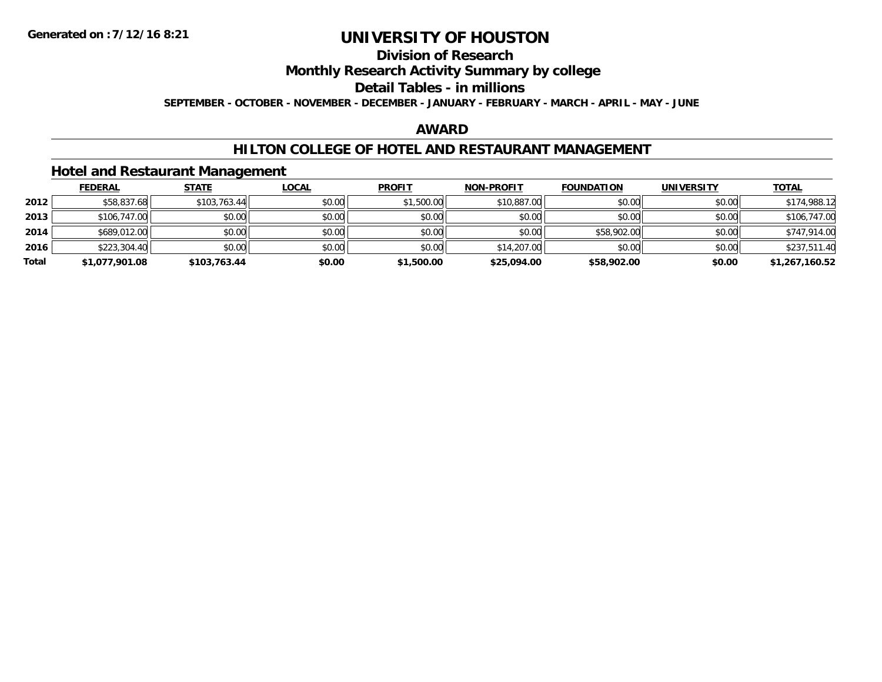# **Division of Research**

**Monthly Research Activity Summary by college**

#### **Detail Tables - in millions**

**SEPTEMBER - OCTOBER - NOVEMBER - DECEMBER - JANUARY - FEBRUARY - MARCH - APRIL - MAY - JUNE**

### **AWARD**

### **HILTON COLLEGE OF HOTEL AND RESTAURANT MANAGEMENT**

### **Hotel and Restaurant Management**

|       | <b>FEDERAL</b> | STATE        | <u>LOCAL</u> | <b>PROFIT</b> | <b>NON-PROFIT</b> | <b>FOUNDATION</b> | <b>UNIVERSITY</b> | <b>TOTAL</b>   |
|-------|----------------|--------------|--------------|---------------|-------------------|-------------------|-------------------|----------------|
| 2012  | \$58,837.68    | \$103,763.44 | \$0.00       | \$1,500.00    | \$10,887.00       | \$0.00            | \$0.00            | \$174,988.12   |
| 2013  | \$106,747.00   | \$0.00       | \$0.00       | \$0.00        | \$0.00            | \$0.00            | \$0.00            | \$106,747.00   |
| 2014  | \$689,012.00   | \$0.00       | \$0.00       | \$0.00        | \$0.00            | \$58,902.00       | \$0.00            | \$747,914.00   |
| 2016  | \$223,304.40   | \$0.00       | \$0.00       | \$0.00        | \$14,207.00       | \$0.00            | \$0.00            | \$237,511.40   |
| Total | \$1,077,901.08 | \$103,763.44 | \$0.00       | \$1,500.00    | \$25,094.00       | \$58,902.00       | \$0.00            | \$1,267,160.52 |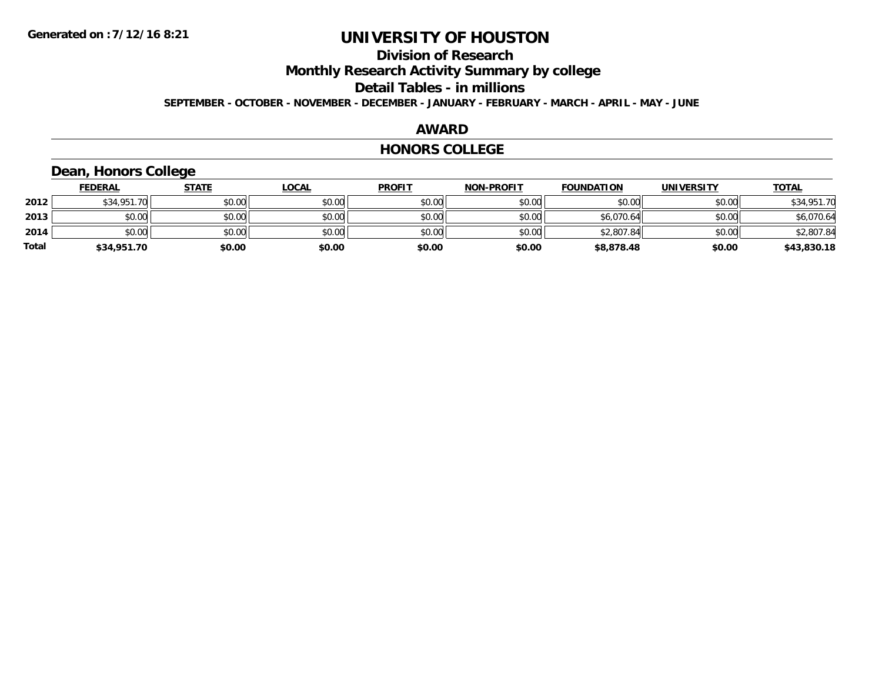# **Division of Research**

**Monthly Research Activity Summary by college**

**Detail Tables - in millions**

**SEPTEMBER - OCTOBER - NOVEMBER - DECEMBER - JANUARY - FEBRUARY - MARCH - APRIL - MAY - JUNE**

#### **AWARD**

#### **HONORS COLLEGE**

### **Dean, Honors College**

|              | <b>FEDERAL</b> | <b>STATE</b> | <u>LOCAL</u> | <b>PROFIT</b> | <b>NON-PROFIT</b> | <b>FOUNDATION</b> | <b>UNIVERSITY</b> | <b>TOTAL</b> |
|--------------|----------------|--------------|--------------|---------------|-------------------|-------------------|-------------------|--------------|
| 2012         | \$34,951.70    | \$0.00       | \$0.00       | \$0.00        | \$0.00            | \$0.00            | \$0.00            | \$34,951.70  |
| 2013         | \$0.00         | \$0.00       | \$0.00       | \$0.00        | \$0.00            | \$6,070.64        | \$0.00            | \$6,070.64   |
| 2014         | \$0.00         | \$0.00       | \$0.00       | \$0.00        | \$0.00            | \$2,807.84        | \$0.00            | \$2,807.84   |
| <b>Total</b> | \$34,951.70    | \$0.00       | \$0.00       | \$0.00        | \$0.00            | \$8,878.48        | \$0.00            | \$43,830.18  |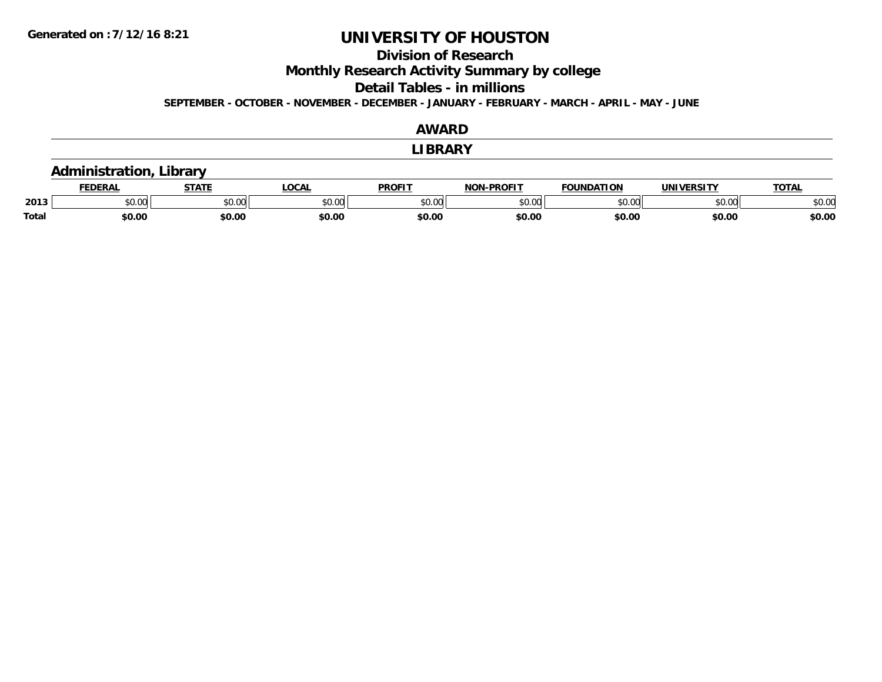## **Division of Research**

**Monthly Research Activity Summary by college**

**Detail Tables - in millions**

**SEPTEMBER - OCTOBER - NOVEMBER - DECEMBER - JANUARY - FEBRUARY - MARCH - APRIL - MAY - JUNE**

|              |                                |              |              | AWARD          |                   |                   |                   |              |
|--------------|--------------------------------|--------------|--------------|----------------|-------------------|-------------------|-------------------|--------------|
|              |                                |              |              | <b>LIBRARY</b> |                   |                   |                   |              |
|              | <b>Administration, Library</b> |              |              |                |                   |                   |                   |              |
|              | <b>FEDERAL</b>                 | <b>STATE</b> | <b>LOCAL</b> | <b>PROFIT</b>  | <b>NON-PROFIT</b> | <b>FOUNDATION</b> | <b>UNIVERSITY</b> | <b>TOTAL</b> |
| 2013         | \$0.00                         | \$0.00       | \$0.00       | \$0.00         | \$0.00            | \$0.00            | \$0.00            | \$0.00       |
| <b>Total</b> | \$0.00                         | \$0.00       | \$0.00       | \$0.00         | \$0.00            | \$0.00            | \$0.00            | \$0.00       |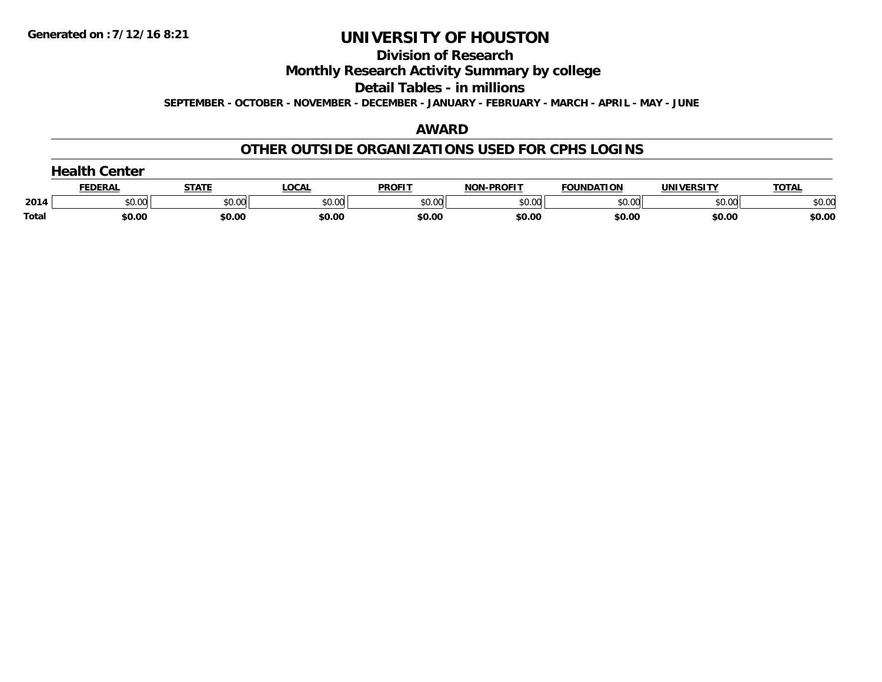#### **Division of Research**

**Monthly Research Activity Summary by college**

**Detail Tables - in millions**

**SEPTEMBER - OCTOBER - NOVEMBER - DECEMBER - JANUARY - FEBRUARY - MARCH - APRIL - MAY - JUNE**

### **AWARD**

### **OTHER OUTSIDE ORGANIZATIONS USED FOR CPHS LOGINS**

|              | Center<br>$\sim$ alth |              |        |               |                   |                   |                   |              |  |  |
|--------------|-----------------------|--------------|--------|---------------|-------------------|-------------------|-------------------|--------------|--|--|
|              | <b>FEDERAL</b>        | <b>STATE</b> | LOCAL  | <b>PROFIT</b> | <b>NON-PROFIT</b> | <b>FOUNDATION</b> | <b>UNIVERSITY</b> | <u>TOTAL</u> |  |  |
| 2014         | \$0.00                | \$0.00       | \$0.00 | \$0.00        | \$0.00            | \$0.00            | \$0.00            | \$0.00       |  |  |
| <b>Total</b> | \$0.00                | \$0.00       | \$0.00 | \$0.00        | \$0.00            | \$0.00            | \$0.00            | \$0.00       |  |  |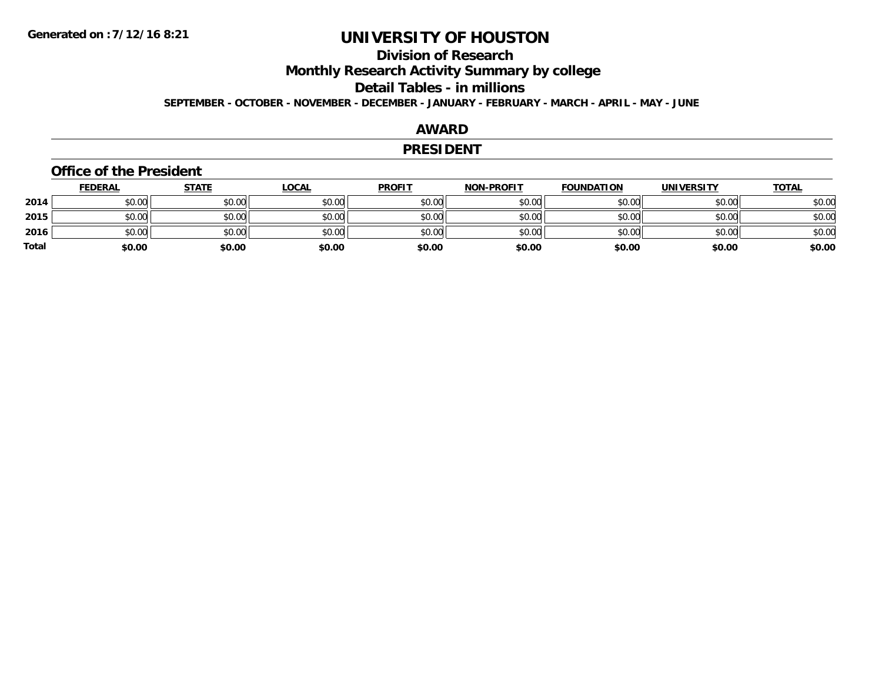# **Division of Research**

**Monthly Research Activity Summary by college**

**Detail Tables - in millions**

**SEPTEMBER - OCTOBER - NOVEMBER - DECEMBER - JANUARY - FEBRUARY - MARCH - APRIL - MAY - JUNE**

### **AWARD**

#### **PRESIDENT**

#### **Office of the President**

|              | <b>FEDERAL</b> | <b>STATE</b> | <b>LOCAL</b> | <b>PROFIT</b> | <b>NON-PROFIT</b> | <b>FOUNDATION</b> | <b>UNIVERSITY</b> | <b>TOTAL</b> |
|--------------|----------------|--------------|--------------|---------------|-------------------|-------------------|-------------------|--------------|
| 2014         | \$0.00         | \$0.00       | \$0.00       | \$0.00        | \$0.00            | \$0.00            | \$0.00            | \$0.00       |
| 2015         | \$0.00         | \$0.00       | \$0.00       | \$0.00        | \$0.00            | \$0.00            | \$0.00            | \$0.00       |
| 2016         | \$0.00         | \$0.00       | \$0.00       | \$0.00        | \$0.00            | \$0.00            | \$0.00            | \$0.00       |
| <b>Total</b> | \$0.00         | \$0.00       | \$0.00       | \$0.00        | \$0.00            | \$0.00            | \$0.00            | \$0.00       |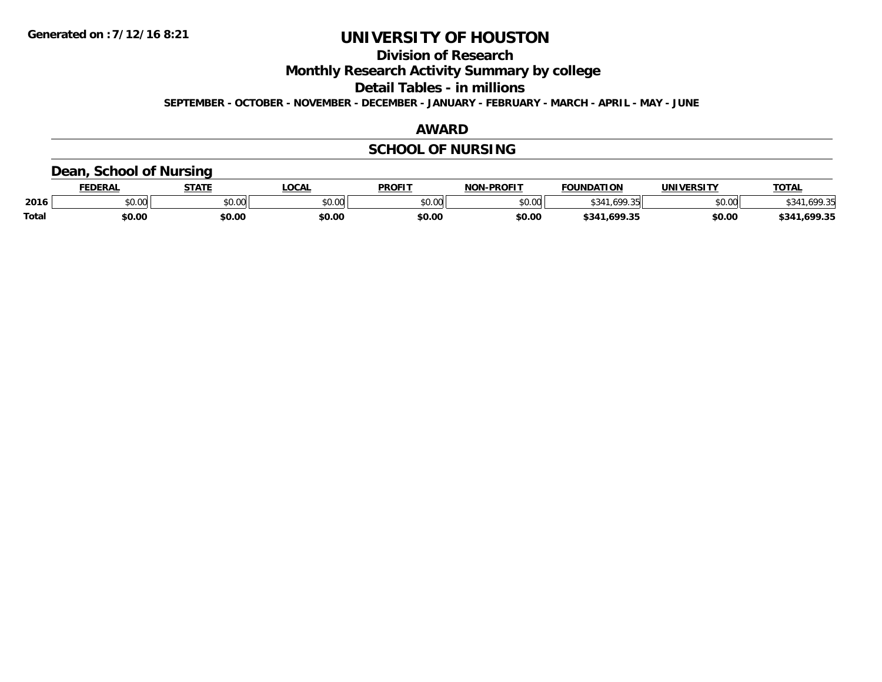**Division of Research**

**Monthly Research Activity Summary by college**

**Detail Tables - in millions**

**SEPTEMBER - OCTOBER - NOVEMBER - DECEMBER - JANUARY - FEBRUARY - MARCH - APRIL - MAY - JUNE**

### **AWARD**

## **SCHOOL OF NURSING**

### **Dean, School of Nursing**

|              | EDERAI        | <b>STATE</b> | OCAL   | <b>PROFIT</b> | -PROFIT<br>ש∩ו | FOUNDATION        | <b>UNIVERSITY</b> | <b>TOTAL</b>      |
|--------------|---------------|--------------|--------|---------------|----------------|-------------------|-------------------|-------------------|
| 2016         | 0.00<br>JU.UU | \$0.00       | JU.UU  | \$0.00        | \$0.00         |                   | \$0.00            | 100 3日<br>.       |
| <b>Total</b> | \$0.00        | \$0.00       | \$0.00 | \$0.00        | \$0.00         | .699.35<br>\$341. | \$0.00            | .699.35<br>\$341. |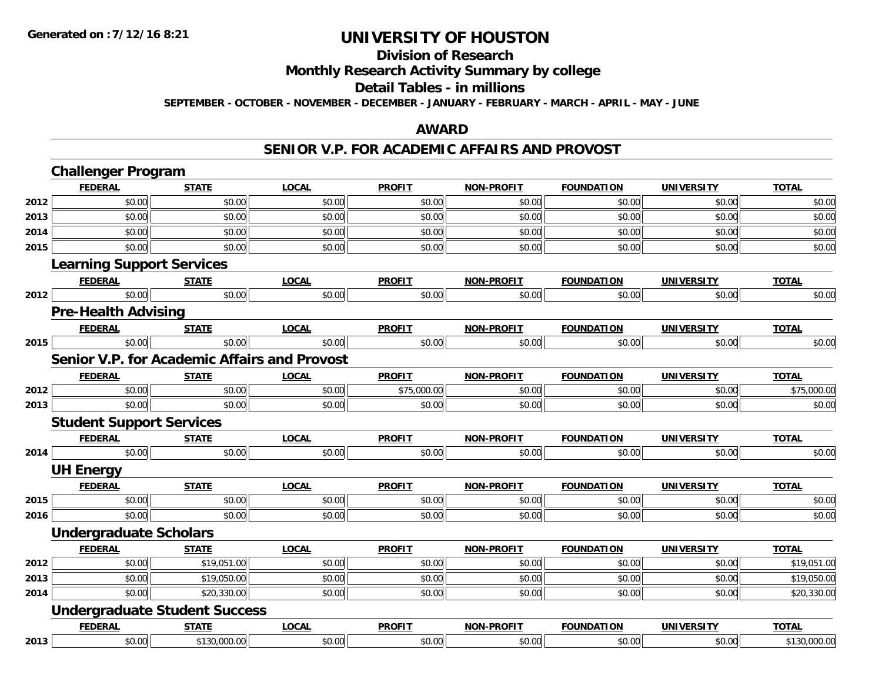#### **Division of Research**

**Monthly Research Activity Summary by college**

#### **Detail Tables - in millions**

**SEPTEMBER - OCTOBER - NOVEMBER - DECEMBER - JANUARY - FEBRUARY - MARCH - APRIL - MAY - JUNE**

### **AWARD**

#### **SENIOR V.P. FOR ACADEMIC AFFAIRS AND PROVOST**

|      | <b>Challenger Program</b>                           |              |              |               |                   |                   |                   |              |
|------|-----------------------------------------------------|--------------|--------------|---------------|-------------------|-------------------|-------------------|--------------|
|      | <b>FEDERAL</b>                                      | <b>STATE</b> | <b>LOCAL</b> | <b>PROFIT</b> | NON-PROFIT        | <b>FOUNDATION</b> | <b>UNIVERSITY</b> | <b>TOTAL</b> |
| 2012 | \$0.00                                              | \$0.00       | \$0.00       | \$0.00        | \$0.00            | \$0.00            | \$0.00            | \$0.00       |
| 2013 | \$0.00                                              | \$0.00       | \$0.00       | \$0.00        | \$0.00            | \$0.00            | \$0.00            | \$0.00       |
| 2014 | \$0.00                                              | \$0.00       | \$0.00       | \$0.00        | \$0.00            | \$0.00            | \$0.00            | \$0.00       |
| 2015 | \$0.00                                              | \$0.00       | \$0.00       | \$0.00        | \$0.00            | \$0.00            | \$0.00            | \$0.00       |
|      | <b>Learning Support Services</b>                    |              |              |               |                   |                   |                   |              |
|      | <b>FEDERAL</b>                                      | <b>STATE</b> | <b>LOCAL</b> | <b>PROFIT</b> | <b>NON-PROFIT</b> | <b>FOUNDATION</b> | <b>UNIVERSITY</b> | <b>TOTAL</b> |
| 2012 | \$0.00                                              | \$0.00       | \$0.00       | \$0.00        | \$0.00            | \$0.00            | \$0.00            | \$0.00       |
|      | <b>Pre-Health Advising</b>                          |              |              |               |                   |                   |                   |              |
|      | <b>FEDERAL</b>                                      | <b>STATE</b> | <b>LOCAL</b> | <b>PROFIT</b> | <b>NON-PROFIT</b> | <b>FOUNDATION</b> | <b>UNIVERSITY</b> | <b>TOTAL</b> |
| 2015 | \$0.00                                              | \$0.00       | \$0.00       | \$0.00        | \$0.00            | \$0.00            | \$0.00            | \$0.00       |
|      | <b>Senior V.P. for Academic Affairs and Provost</b> |              |              |               |                   |                   |                   |              |
|      | <b>FEDERAL</b>                                      | <b>STATE</b> | <b>LOCAL</b> | <b>PROFIT</b> | <b>NON-PROFIT</b> | <b>FOUNDATION</b> | <b>UNIVERSITY</b> | <b>TOTAL</b> |
| 2012 | \$0.00                                              | \$0.00       | \$0.00       | \$75,000.00   | \$0.00            | \$0.00            | \$0.00            | \$75,000.00  |
| 2013 | \$0.00                                              | \$0.00       | \$0.00       | \$0.00        | \$0.00            | \$0.00            | \$0.00            | \$0.00       |
|      | <b>Student Support Services</b>                     |              |              |               |                   |                   |                   |              |
|      | <b>FEDERAL</b>                                      | <b>STATE</b> | <b>LOCAL</b> | <b>PROFIT</b> | <b>NON-PROFIT</b> | <b>FOUNDATION</b> | <b>UNIVERSITY</b> | <b>TOTAL</b> |
| 2014 | \$0.00                                              | \$0.00       | \$0.00       | \$0.00        | \$0.00            | \$0.00            | \$0.00            | \$0.00       |
|      | <b>UH Energy</b>                                    |              |              |               |                   |                   |                   |              |
|      | <b>FEDERAL</b>                                      | <b>STATE</b> | <b>LOCAL</b> | <b>PROFIT</b> | <b>NON-PROFIT</b> | <b>FOUNDATION</b> | <b>UNIVERSITY</b> | <b>TOTAL</b> |
| 2015 | \$0.00                                              | \$0.00       | \$0.00       | \$0.00        | \$0.00            | \$0.00            | \$0.00            | \$0.00       |
| 2016 | \$0.00                                              | \$0.00       | \$0.00       | \$0.00        | \$0.00            | \$0.00            | \$0.00            | \$0.00       |
|      | <b>Undergraduate Scholars</b>                       |              |              |               |                   |                   |                   |              |
|      | <b>FEDERAL</b>                                      | <b>STATE</b> | <b>LOCAL</b> | <b>PROFIT</b> | <b>NON-PROFIT</b> | <b>FOUNDATION</b> | <b>UNIVERSITY</b> | <b>TOTAL</b> |
| 2012 | \$0.00                                              | \$19,051.00  | \$0.00       | \$0.00        | \$0.00            | \$0.00            | \$0.00            | \$19,051.00  |
| 2013 | \$0.00                                              | \$19,050.00  | \$0.00       | \$0.00        | \$0.00            | \$0.00            | \$0.00            | \$19,050.00  |
| 2014 | \$0.00                                              | \$20,330.00  | \$0.00       | \$0.00        | \$0.00            | \$0.00            | \$0.00            | \$20,330.00  |
|      | <b>Undergraduate Student Success</b>                |              |              |               |                   |                   |                   |              |
|      | <b>FEDERAL</b>                                      | <b>STATE</b> | <b>LOCAL</b> | <b>PROFIT</b> | <b>NON-PROFIT</b> | <b>FOUNDATION</b> | <b>UNIVERSITY</b> | <b>TOTAL</b> |
| 2013 | \$0.00                                              | \$130,000.00 | \$0.00       | \$0.00        | \$0.00            | \$0.00            | \$0.00            | \$130,000.00 |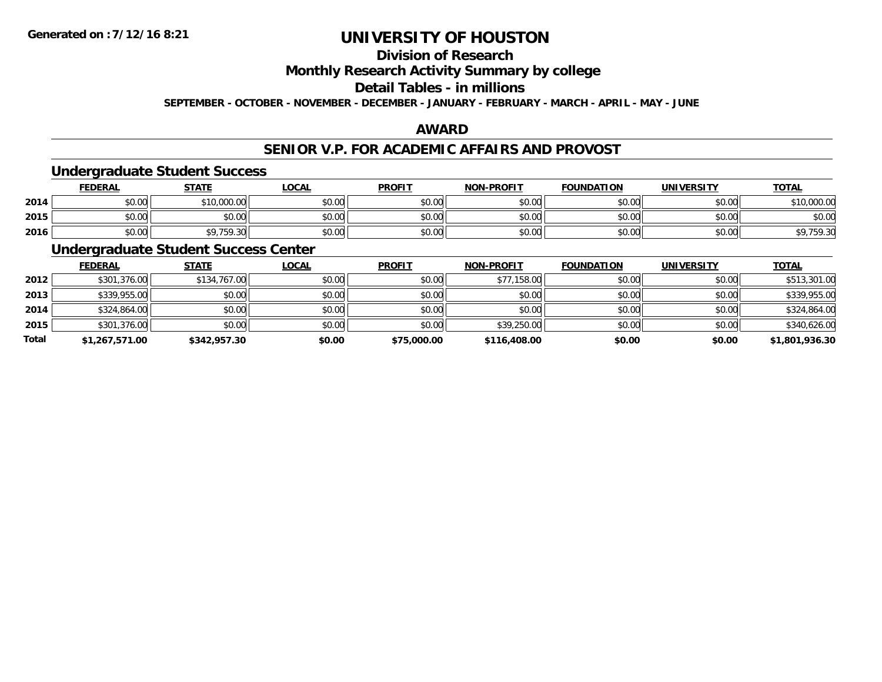# **Division of Research**

**Monthly Research Activity Summary by college**

## **Detail Tables - in millions**

**SEPTEMBER - OCTOBER - NOVEMBER - DECEMBER - JANUARY - FEBRUARY - MARCH - APRIL - MAY - JUNE**

### **AWARD**

### **SENIOR V.P. FOR ACADEMIC AFFAIRS AND PROVOST**

#### **Undergraduate Student Success**

|      | <u>FEDERAL</u> | <b>STATE</b> | <u>LOCAL</u> | <b>PROFIT</b> | <b>NON-PROFIT</b> | <b>FOUNDATION</b> | <b>UNIVERSITY</b> | <u>TOTAL</u>                          |
|------|----------------|--------------|--------------|---------------|-------------------|-------------------|-------------------|---------------------------------------|
| 2014 | \$0.00         | 10,000.00    | \$0.00       | \$0.00        | \$0.00            | \$0.00            | \$0.00            | \$10,000.00                           |
| 2015 | \$0.00         | \$0.00       | \$0.00       | \$0.00        | \$0.00            | \$0.00            | \$0.00            | \$0.00                                |
| 2016 | \$0.00         | \$9,759.30   | \$0.00       | \$0.00        | \$0.00            | \$0.00            | \$0.00            | <b>CO 750 20</b><br><b>\$7,757.50</b> |

## **Undergraduate Student Success Center**

|       | <b>FEDERAL</b> | <b>STATE</b> | <b>LOCAL</b> | <b>PROFIT</b> | <b>NON-PROFIT</b> | <b>FOUNDATION</b> | <b>UNIVERSITY</b> | <b>TOTAL</b>   |
|-------|----------------|--------------|--------------|---------------|-------------------|-------------------|-------------------|----------------|
| 2012  | \$301,376.00   | \$134,767.00 | \$0.00       | \$0.00        | \$77,158.00       | \$0.00            | \$0.00            | \$513,301.00   |
| 2013  | \$339,955.00   | \$0.00       | \$0.00       | \$0.00        | \$0.00            | \$0.00            | \$0.00            | \$339,955.00   |
| 2014  | \$324,864.00   | \$0.00       | \$0.00       | \$0.00        | \$0.00            | \$0.00            | \$0.00            | \$324,864.00   |
| 2015  | \$301,376.00   | \$0.00       | \$0.00       | \$0.00        | \$39,250.00       | \$0.00            | \$0.00            | \$340,626.00   |
| Total | \$1,267,571.00 | \$342,957.30 | \$0.00       | \$75,000.00   | \$116,408.00      | \$0.00            | \$0.00            | \$1,801,936.30 |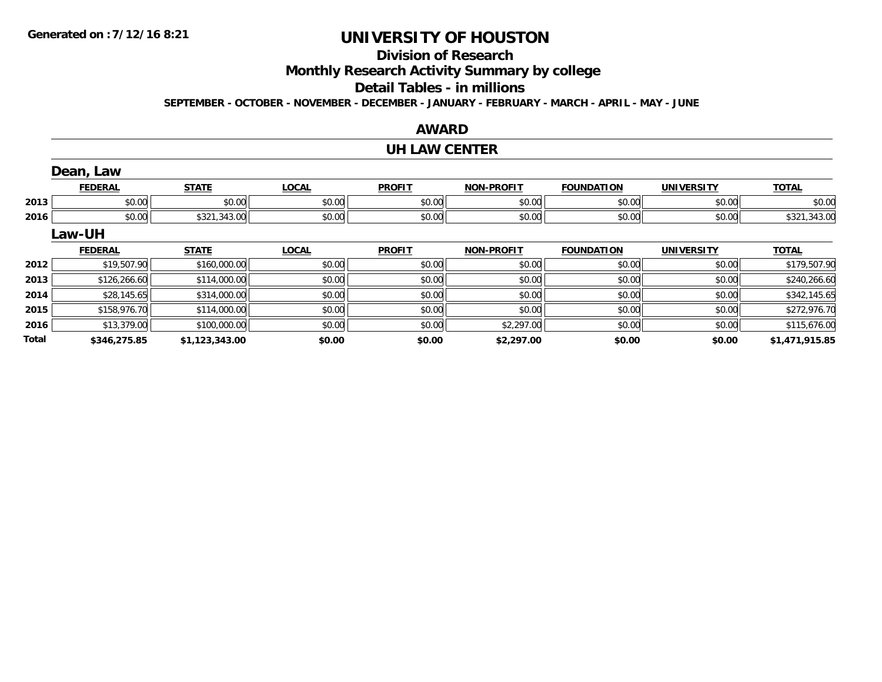# **Division of Research**

**Monthly Research Activity Summary by college**

#### **Detail Tables - in millions**

**SEPTEMBER - OCTOBER - NOVEMBER - DECEMBER - JANUARY - FEBRUARY - MARCH - APRIL - MAY - JUNE**

### **AWARD**

#### **UH LAW CENTER**

|       | Dean, Law      |                |              |               |                   |                   |                   |                |
|-------|----------------|----------------|--------------|---------------|-------------------|-------------------|-------------------|----------------|
|       | <b>FEDERAL</b> | <b>STATE</b>   | <b>LOCAL</b> | <b>PROFIT</b> | <b>NON-PROFIT</b> | <b>FOUNDATION</b> | <b>UNIVERSITY</b> | <b>TOTAL</b>   |
| 2013  | \$0.00         | \$0.00         | \$0.00       | \$0.00        | \$0.00            | \$0.00            | \$0.00            | \$0.00         |
| 2016  | \$0.00         | \$321,343.00   | \$0.00       | \$0.00        | \$0.00            | \$0.00            | \$0.00            | \$321,343.00   |
|       | Law-UH         |                |              |               |                   |                   |                   |                |
|       | <b>FEDERAL</b> | <b>STATE</b>   | <b>LOCAL</b> | <b>PROFIT</b> | <b>NON-PROFIT</b> | <b>FOUNDATION</b> | <b>UNIVERSITY</b> | <b>TOTAL</b>   |
| 2012  | \$19,507.90    | \$160,000.00   | \$0.00       | \$0.00        | \$0.00            | \$0.00            | \$0.00            | \$179,507.90   |
| 2013  | \$126,266.60   | \$114,000.00   | \$0.00       | \$0.00        | \$0.00            | \$0.00            | \$0.00            | \$240,266.60   |
| 2014  | \$28,145.65    | \$314,000.00   | \$0.00       | \$0.00        | \$0.00            | \$0.00            | \$0.00            | \$342,145.65   |
| 2015  | \$158,976.70   | \$114,000.00   | \$0.00       | \$0.00        | \$0.00            | \$0.00            | \$0.00            | \$272,976.70   |
| 2016  | \$13,379.00    | \$100,000.00   | \$0.00       | \$0.00        | \$2,297.00        | \$0.00            | \$0.00            | \$115,676.00   |
| Total | \$346.275.85   | \$1.123.343.00 | \$0.00       | \$0.00        | \$2,297.00        | \$0.00            | \$0.00            | \$1,471,915.85 |

**\$346,275.85 \$1,123,343.00 \$0.00 \$0.00 \$2,297.00 \$0.00 \$0.00 \$1,471,915.85**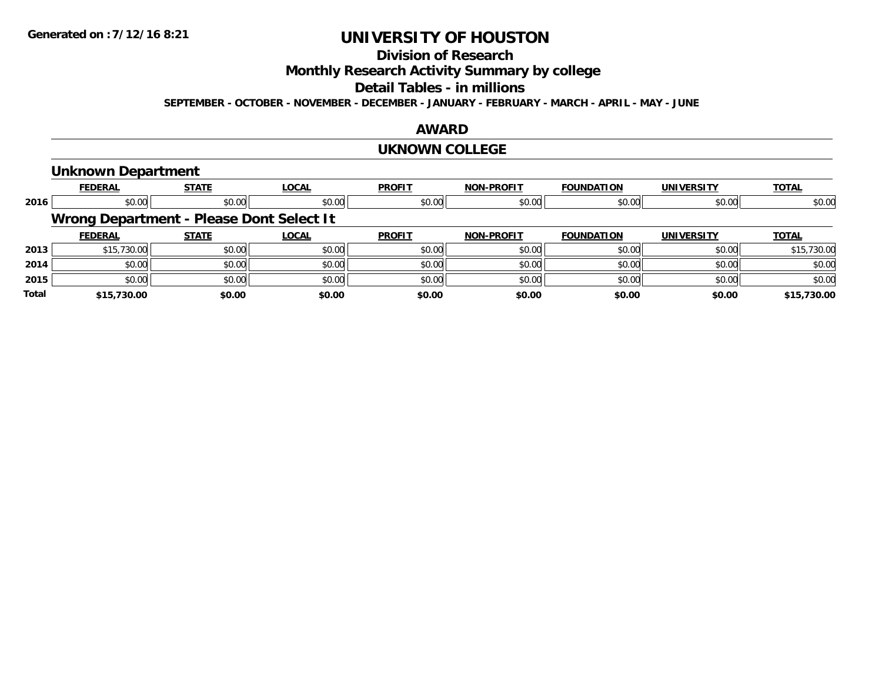# **Division of Research**

**Monthly Research Activity Summary by college**

#### **Detail Tables - in millions**

**SEPTEMBER - OCTOBER - NOVEMBER - DECEMBER - JANUARY - FEBRUARY - MARCH - APRIL - MAY - JUNE**

### **AWARD**

#### **UKNOWN COLLEGE**

#### **Unknown Department**

|              | <b>FEDERAL</b>                           | <b>STATE</b> | <b>LOCAL</b> | <b>PROFIT</b> | <b>NON-PROFIT</b> | <b>FOUNDATION</b> | <b>UNIVERSITY</b> | <b>TOTAL</b> |
|--------------|------------------------------------------|--------------|--------------|---------------|-------------------|-------------------|-------------------|--------------|
| 2016         | \$0.00                                   | \$0.00       | \$0.00       | \$0.00        | \$0.00            | \$0.00            | \$0.00            | \$0.00       |
|              | Wrong Department - Please Dont Select It |              |              |               |                   |                   |                   |              |
|              | <b>FEDERAL</b>                           | <b>STATE</b> | <b>LOCAL</b> | <b>PROFIT</b> | <b>NON-PROFIT</b> | <b>FOUNDATION</b> | <b>UNIVERSITY</b> | <b>TOTAL</b> |
| 2013         | \$15,730.00                              | \$0.00       | \$0.00       | \$0.00        | \$0.00            | \$0.00            | \$0.00            | \$15,730.00  |
| 2014         | \$0.00                                   | \$0.00       | \$0.00       | \$0.00        | \$0.00            | \$0.00            | \$0.00            | \$0.00       |
| 2015         | \$0.00                                   | \$0.00       | \$0.00       | \$0.00        | \$0.00            | \$0.00            | \$0.00            | \$0.00       |
| <b>Total</b> | \$15,730.00                              | \$0.00       | \$0.00       | \$0.00        | \$0.00            | \$0.00            | \$0.00            | \$15,730.00  |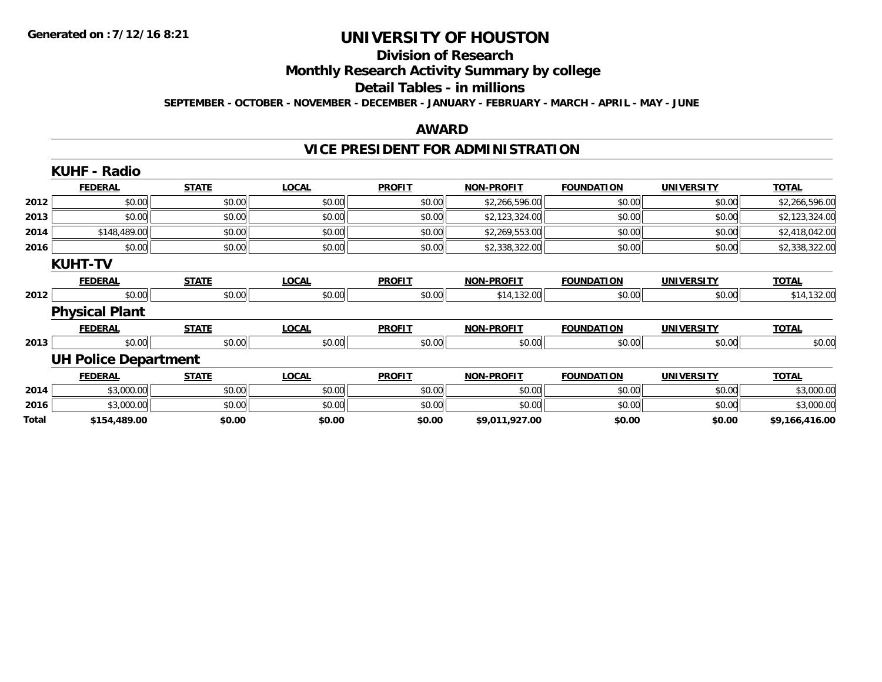#### **Division of Research**

**Monthly Research Activity Summary by college**

#### **Detail Tables - in millions**

**SEPTEMBER - OCTOBER - NOVEMBER - DECEMBER - JANUARY - FEBRUARY - MARCH - APRIL - MAY - JUNE**

### **AWARD**

# **VICE PRESIDENT FOR ADMINISTRATION**

|       | <b>KUHF - Radio</b>         |              |              |               |                   |                   |                   |                |
|-------|-----------------------------|--------------|--------------|---------------|-------------------|-------------------|-------------------|----------------|
|       | <b>FEDERAL</b>              | <b>STATE</b> | <b>LOCAL</b> | <b>PROFIT</b> | <b>NON-PROFIT</b> | <b>FOUNDATION</b> | <b>UNIVERSITY</b> | <b>TOTAL</b>   |
| 2012  | \$0.00                      | \$0.00       | \$0.00       | \$0.00        | \$2,266,596.00    | \$0.00            | \$0.00            | \$2,266,596.00 |
| 2013  | \$0.00                      | \$0.00       | \$0.00       | \$0.00        | \$2,123,324.00    | \$0.00            | \$0.00            | \$2,123,324.00 |
| 2014  | \$148,489.00                | \$0.00       | \$0.00       | \$0.00        | \$2,269,553.00    | \$0.00            | \$0.00            | \$2,418,042.00 |
| 2016  | \$0.00                      | \$0.00       | \$0.00       | \$0.00        | \$2,338,322.00    | \$0.00            | \$0.00            | \$2,338,322.00 |
|       | <b>KUHT-TV</b>              |              |              |               |                   |                   |                   |                |
|       | <b>FEDERAL</b>              | <b>STATE</b> | <b>LOCAL</b> | <b>PROFIT</b> | <b>NON-PROFIT</b> | <b>FOUNDATION</b> | <b>UNIVERSITY</b> | <b>TOTAL</b>   |
| 2012  | \$0.00                      | \$0.00       | \$0.00       | \$0.00        | \$14,132.00       | \$0.00            | \$0.00            | \$14,132.00    |
|       | <b>Physical Plant</b>       |              |              |               |                   |                   |                   |                |
|       | <b>FEDERAL</b>              | <b>STATE</b> | <b>LOCAL</b> | <b>PROFIT</b> | <b>NON-PROFIT</b> | <b>FOUNDATION</b> | <b>UNIVERSITY</b> | <b>TOTAL</b>   |
| 2013  | \$0.00                      | \$0.00       | \$0.00       | \$0.00        | \$0.00            | \$0.00            | \$0.00            | \$0.00         |
|       | <b>UH Police Department</b> |              |              |               |                   |                   |                   |                |
|       | <b>FEDERAL</b>              | <b>STATE</b> | <b>LOCAL</b> | <b>PROFIT</b> | <b>NON-PROFIT</b> | <b>FOUNDATION</b> | <b>UNIVERSITY</b> | <b>TOTAL</b>   |
| 2014  | \$3,000.00                  | \$0.00       | \$0.00       | \$0.00        | \$0.00            | \$0.00            | \$0.00            | \$3,000.00     |
| 2016  | \$3,000.00                  | \$0.00       | \$0.00       | \$0.00        | \$0.00            | \$0.00            | \$0.00            | \$3,000.00     |
| Total | \$154,489.00                | \$0.00       | \$0.00       | \$0.00        | \$9,011,927.00    | \$0.00            | \$0.00            | \$9,166,416.00 |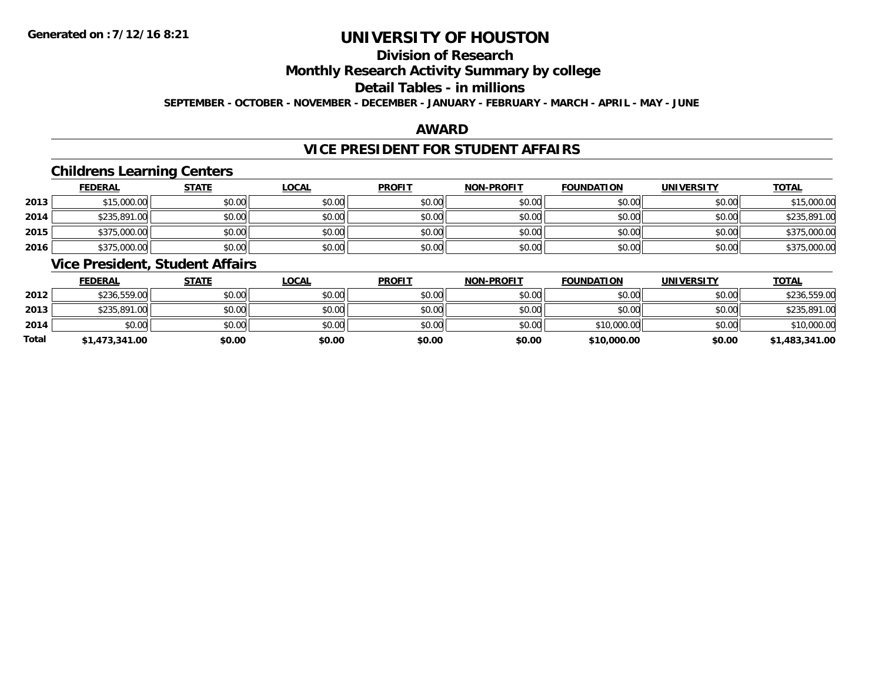# **Division of Research**

### **Monthly Research Activity Summary by college**

#### **Detail Tables - in millions**

**SEPTEMBER - OCTOBER - NOVEMBER - DECEMBER - JANUARY - FEBRUARY - MARCH - APRIL - MAY - JUNE**

### **AWARD**

### **VICE PRESIDENT FOR STUDENT AFFAIRS**

### **Childrens Learning Centers**

|      | <b>FEDERAL</b> | <b>STATE</b> | <u>LOCAL</u> | <b>PROFIT</b> | <b>NON-PROFIT</b> | <b>FOUNDATION</b> | <b>UNIVERSITY</b> | <b>TOTAL</b> |
|------|----------------|--------------|--------------|---------------|-------------------|-------------------|-------------------|--------------|
| 2013 | \$15,000.00    | \$0.00       | \$0.00       | \$0.00        | \$0.00            | \$0.00            | \$0.00            | \$15,000.00  |
| 2014 | \$235,891.00   | \$0.00       | \$0.00       | \$0.00        | \$0.00            | \$0.00            | \$0.00            | \$235,891.00 |
| 2015 | \$375,000.00   | \$0.00       | \$0.00       | \$0.00        | \$0.00            | \$0.00            | \$0.00            | \$375,000.00 |
| 2016 | \$375,000.00   | \$0.00       | \$0.00       | \$0.00        | \$0.00            | \$0.00            | \$0.00            | \$375,000.00 |

### **Vice President, Student Affairs**

|       | <b>FEDERAL</b> | <u>STATE</u> | <u>LOCAL</u> | <b>PROFIT</b> | <b>NON-PROFIT</b> | <b>FOUNDATION</b> | <b>UNIVERSITY</b> | <b>TOTAL</b>   |
|-------|----------------|--------------|--------------|---------------|-------------------|-------------------|-------------------|----------------|
| 2012  | \$236,559.00   | \$0.00       | \$0.00       | \$0.00        | \$0.00            | \$0.00            | \$0.00            | \$236,559.00   |
| 2013  | \$235,891.00   | \$0.00       | \$0.00       | \$0.00        | \$0.00            | \$0.00            | \$0.00            | \$235,891.00   |
| 2014  | \$0.00         | \$0.00       | \$0.00       | \$0.00        | \$0.00            | \$10,000.00       | \$0.00            | \$10,000.00    |
| Total | \$1,473,341.00 | \$0.00       | \$0.00       | \$0.00        | \$0.00            | \$10,000.00       | \$0.00            | \$1,483,341.00 |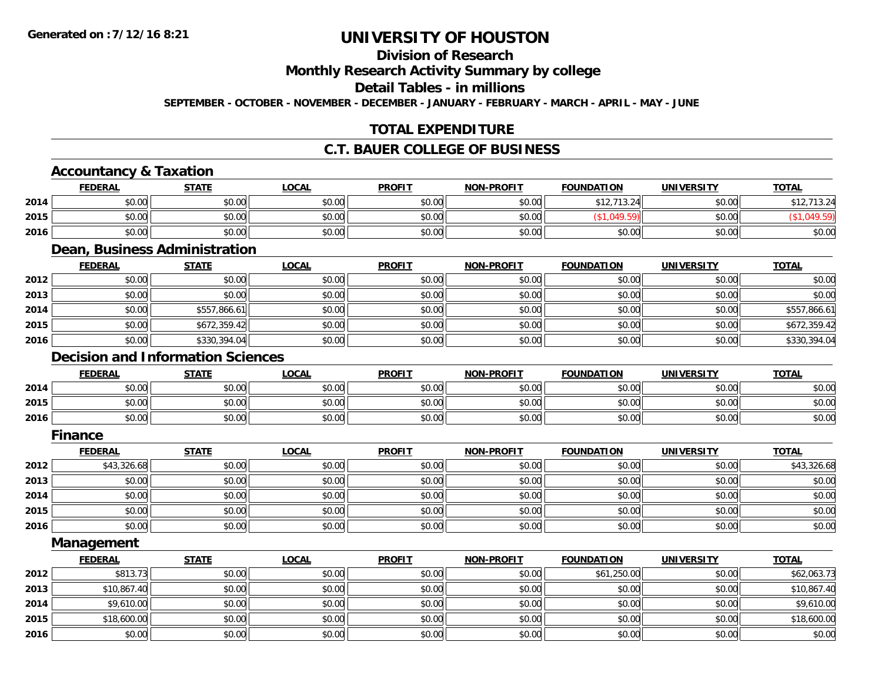# **Division of Research**

**Monthly Research Activity Summary by college**

**Detail Tables - in millions**

**SEPTEMBER - OCTOBER - NOVEMBER - DECEMBER - JANUARY - FEBRUARY - MARCH - APRIL - MAY - JUNE**

# **TOTAL EXPENDITURE**

## **C.T. BAUER COLLEGE OF BUSINESS**

## **Accountancy & Taxation**

|      | <b>FEDERAL</b> | <b>STATE</b> | <u>LOCAL</u> | <b>PROFIT</b> | <b>NON-PROFIT</b> | <b>FOUNDATION</b> | <b>UNIVERSITY</b> | <b>TOTAL</b> |
|------|----------------|--------------|--------------|---------------|-------------------|-------------------|-------------------|--------------|
| 2014 | \$0.00         | \$0.00       | \$0.00       | \$0.00        | \$0.00            | \$12.713.24       | \$0.00            | \$12,713.24  |
| 2015 | \$0.00         | \$0.00       | \$0.00       | \$0.00        | \$0.00            |                   | \$0.00            |              |
| 2016 | \$0.00         | \$0.00       | \$0.00       | \$0.00        | \$0.00            | \$0.00            | \$0.00            | \$0.00       |

#### **Dean, Business Administration**

|      | <u>FEDERAL</u> | <b>STATE</b> | <u>LOCAL</u> | <b>PROFIT</b> | <b>NON-PROFIT</b> | <b>FOUNDATION</b> | <b>UNIVERSITY</b> | <b>TOTAL</b> |
|------|----------------|--------------|--------------|---------------|-------------------|-------------------|-------------------|--------------|
| 2012 | \$0.00         | \$0.00       | \$0.00       | \$0.00        | \$0.00            | \$0.00            | \$0.00            | \$0.00       |
| 2013 | \$0.00         | \$0.00       | \$0.00       | \$0.00        | \$0.00            | \$0.00            | \$0.00            | \$0.00       |
| 2014 | \$0.00         | \$557,866.61 | \$0.00       | \$0.00        | \$0.00            | \$0.00            | \$0.00            | \$557,866.61 |
| 2015 | \$0.00         | \$672,359.42 | \$0.00       | \$0.00        | \$0.00            | \$0.00            | \$0.00            | \$672,359.42 |
| 2016 | \$0.00         | \$330,394.04 | \$0.00       | \$0.00        | \$0.00            | \$0.00            | \$0.00            | \$330,394.04 |

### **Decision and Information Sciences**

|      | <b>FEDERAL</b> | <b>STATE</b>          | LOCAL          | <b>PROFIT</b> | <b>NON-PROFIT</b> | <b>FOUNDATION</b> | UNIVERSITY | <b>TOTAL</b> |
|------|----------------|-----------------------|----------------|---------------|-------------------|-------------------|------------|--------------|
| 2014 | \$0.00         | <b>CO OD</b><br>JU.UU | \$0.00         | \$0.00        | \$0.00            | \$0.00            | \$0.00     | \$0.00       |
| 2015 | \$0.00         | \$0.00                | ልስ ሰሰ<br>JU.UU | \$0.00        | \$0.00            | \$0.00            | \$0.00     | \$0.00       |
| 2016 | \$0.00         | \$0.00                | \$0.00         | \$0.00        | \$0.00            | \$0.00            | \$0.00     | \$0.00       |

#### **Finance**

|      | <b>FEDERAL</b> | <b>STATE</b> | <b>LOCAL</b> | <b>PROFIT</b> | <b>NON-PROFIT</b> | <b>FOUNDATION</b> | <b>UNIVERSITY</b> | <b>TOTAL</b> |
|------|----------------|--------------|--------------|---------------|-------------------|-------------------|-------------------|--------------|
| 2012 | \$43,326.68    | \$0.00       | \$0.00       | \$0.00        | \$0.00            | \$0.00            | \$0.00            | \$43,326.68  |
| 2013 | \$0.00         | \$0.00       | \$0.00       | \$0.00        | \$0.00            | \$0.00            | \$0.00            | \$0.00       |
| 2014 | \$0.00         | \$0.00       | \$0.00       | \$0.00        | \$0.00            | \$0.00            | \$0.00            | \$0.00       |
| 2015 | \$0.00         | \$0.00       | \$0.00       | \$0.00        | \$0.00            | \$0.00            | \$0.00            | \$0.00       |
| 2016 | \$0.00         | \$0.00       | \$0.00       | \$0.00        | \$0.00            | \$0.00            | \$0.00            | \$0.00       |

**Management**

|      | <b>FEDERAL</b> | <b>STATE</b> | <u>LOCAL</u> | <b>PROFIT</b> | <b>NON-PROFIT</b> | <b>FOUNDATION</b> | <b>UNIVERSITY</b> | <b>TOTAL</b> |
|------|----------------|--------------|--------------|---------------|-------------------|-------------------|-------------------|--------------|
| 2012 | \$813.73       | \$0.00       | \$0.00       | \$0.00        | \$0.00            | \$61,250.00       | \$0.00            | \$62,063.73  |
| 2013 | \$10,867.40    | \$0.00       | \$0.00       | \$0.00        | \$0.00            | \$0.00            | \$0.00            | \$10,867.40  |
| 2014 | \$9,610.00     | \$0.00       | \$0.00       | \$0.00        | \$0.00            | \$0.00            | \$0.00            | \$9,610.00   |
| 2015 | \$18,600.00    | \$0.00       | \$0.00       | \$0.00        | \$0.00            | \$0.00            | \$0.00            | \$18,600.00  |
| 2016 | \$0.00         | \$0.00       | \$0.00       | \$0.00        | \$0.00            | \$0.00            | \$0.00            | \$0.00       |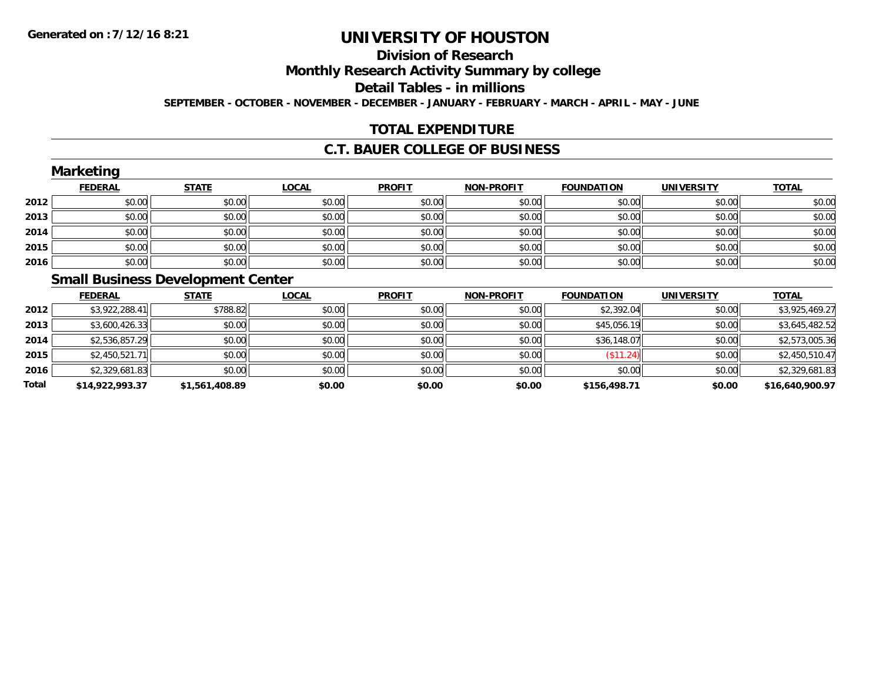# **Division of Research**

**Monthly Research Activity Summary by college**

**Detail Tables - in millions**

**SEPTEMBER - OCTOBER - NOVEMBER - DECEMBER - JANUARY - FEBRUARY - MARCH - APRIL - MAY - JUNE**

# **TOTAL EXPENDITURE**

### **C.T. BAUER COLLEGE OF BUSINESS**

|      | <b>Marketing</b> |                                          |              |               |                   |                   |                   |              |
|------|------------------|------------------------------------------|--------------|---------------|-------------------|-------------------|-------------------|--------------|
|      | <b>FEDERAL</b>   | <b>STATE</b>                             | <b>LOCAL</b> | <b>PROFIT</b> | <b>NON-PROFIT</b> | <b>FOUNDATION</b> | <b>UNIVERSITY</b> | <b>TOTAL</b> |
| 2012 | \$0.00           | \$0.00                                   | \$0.00       | \$0.00        | \$0.00            | \$0.00            | \$0.00            | \$0.00       |
| 2013 | \$0.00           | \$0.00                                   | \$0.00       | \$0.00        | \$0.00            | \$0.00            | \$0.00            | \$0.00       |
| 2014 | \$0.00           | \$0.00                                   | \$0.00       | \$0.00        | \$0.00            | \$0.00            | \$0.00            | \$0.00       |
| 2015 | \$0.00           | \$0.00                                   | \$0.00       | \$0.00        | \$0.00            | \$0.00            | \$0.00            | \$0.00       |
| 2016 | \$0.00           | \$0.00                                   | \$0.00       | \$0.00        | \$0.00            | \$0.00            | \$0.00            | \$0.00       |
|      |                  | <b>Small Rusiness Development Center</b> |              |               |                   |                   |                   |              |

#### **Small Business Development Center**

|       | <b>FEDERAL</b>  | <b>STATE</b>   | <u>LOCAL</u> | <b>PROFIT</b> | <b>NON-PROFIT</b> | <b>FOUNDATION</b> | <b>UNIVERSITY</b> | <u>TOTAL</u>    |
|-------|-----------------|----------------|--------------|---------------|-------------------|-------------------|-------------------|-----------------|
| 2012  | \$3,922,288.41  | \$788.82       | \$0.00       | \$0.00        | \$0.00            | \$2,392.04        | \$0.00            | \$3,925,469.27  |
| 2013  | \$3,600,426.33  | \$0.00         | \$0.00       | \$0.00        | \$0.00            | \$45,056.19       | \$0.00            | \$3,645,482.52  |
| 2014  | \$2,536,857.29  | \$0.00         | \$0.00       | \$0.00        | \$0.00            | \$36,148.07       | \$0.00            | \$2,573,005.36  |
| 2015  | \$2,450,521.71  | \$0.00         | \$0.00       | \$0.00        | \$0.00            | (\$11.24)         | \$0.00            | \$2,450,510.47  |
| 2016  | \$2,329,681.83  | \$0.00         | \$0.00       | \$0.00        | \$0.00            | \$0.00            | \$0.00            | \$2,329,681.83  |
| Total | \$14,922,993.37 | \$1,561,408.89 | \$0.00       | \$0.00        | \$0.00            | \$156,498.71      | \$0.00            | \$16,640,900.97 |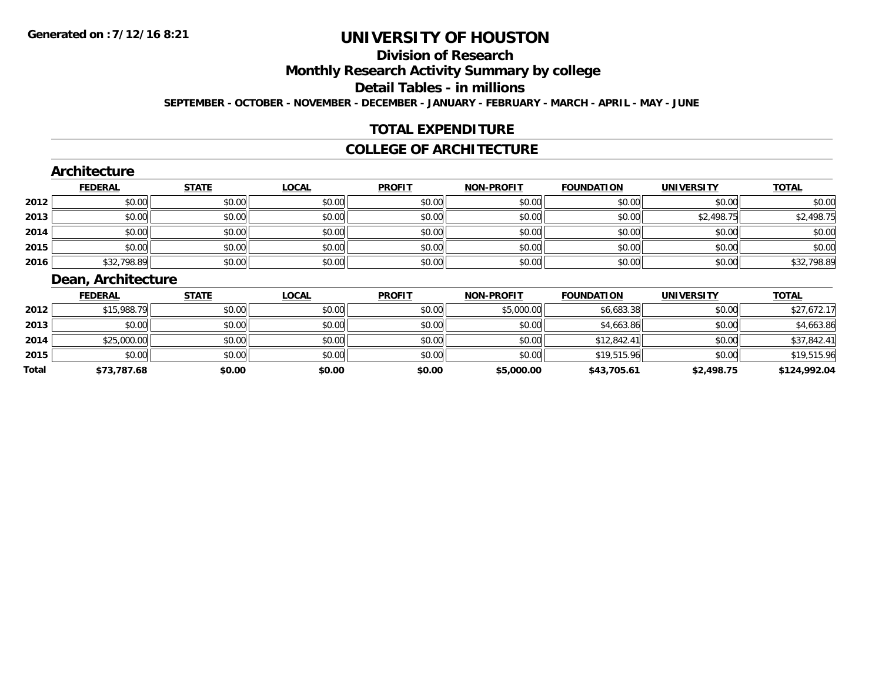# **Division of Research**

**Monthly Research Activity Summary by college**

**Detail Tables - in millions**

**SEPTEMBER - OCTOBER - NOVEMBER - DECEMBER - JANUARY - FEBRUARY - MARCH - APRIL - MAY - JUNE**

## **TOTAL EXPENDITURE**

#### **COLLEGE OF ARCHITECTURE**

#### **Architecture**

|      | <b>FEDERAL</b> | <b>STATE</b> | <b>LOCAL</b> | <b>PROFIT</b> | <b>NON-PROFIT</b> | <b>FOUNDATION</b> | <b>UNIVERSITY</b> | <b>TOTAL</b> |
|------|----------------|--------------|--------------|---------------|-------------------|-------------------|-------------------|--------------|
| 2012 | \$0.00         | \$0.00       | \$0.00       | \$0.00        | \$0.00            | \$0.00            | \$0.00            | \$0.00       |
| 2013 | \$0.00         | \$0.00       | \$0.00       | \$0.00        | \$0.00            | \$0.00            | \$2,498.75        | \$2,498.75   |
| 2014 | \$0.00         | \$0.00       | \$0.00       | \$0.00        | \$0.00            | \$0.00            | \$0.00            | \$0.00       |
| 2015 | \$0.00         | \$0.00       | \$0.00       | \$0.00        | \$0.00            | \$0.00            | \$0.00            | \$0.00       |
| 2016 | \$32,798.89    | \$0.00       | \$0.00       | \$0.00        | \$0.00            | \$0.00            | \$0.00            | \$32,798.89  |

## **Dean, Architecture**

|       | <b>FEDERAL</b> | <b>STATE</b> | <u>LOCAL</u> | <b>PROFIT</b> | <b>NON-PROFIT</b> | <b>FOUNDATION</b> | <b>UNIVERSITY</b> | <b>TOTAL</b> |
|-------|----------------|--------------|--------------|---------------|-------------------|-------------------|-------------------|--------------|
| 2012  | \$15,988.79    | \$0.00       | \$0.00       | \$0.00        | \$5,000.00        | \$6,683.38        | \$0.00            | \$27,672.17  |
| 2013  | \$0.00         | \$0.00       | \$0.00       | \$0.00        | \$0.00            | \$4,663.86        | \$0.00            | \$4,663.86   |
| 2014  | \$25,000.00    | \$0.00       | \$0.00       | \$0.00        | \$0.00            | \$12,842.41       | \$0.00            | \$37,842.41  |
| 2015  | \$0.00         | \$0.00       | \$0.00       | \$0.00        | \$0.00            | \$19,515.96       | \$0.00            | \$19,515.96  |
| Total | \$73,787.68    | \$0.00       | \$0.00       | \$0.00        | \$5,000.00        | \$43,705.61       | \$2,498.75        | \$124,992.04 |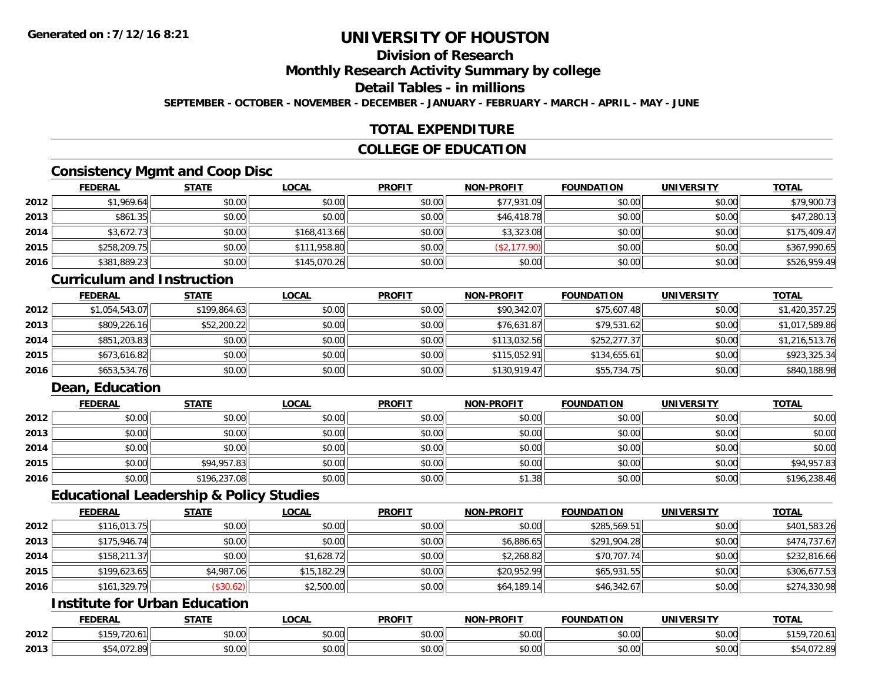# **Division of Research**

**Monthly Research Activity Summary by college**

#### **Detail Tables - in millions**

**SEPTEMBER - OCTOBER - NOVEMBER - DECEMBER - JANUARY - FEBRUARY - MARCH - APRIL - MAY - JUNE**

### **TOTAL EXPENDITURE**

### **COLLEGE OF EDUCATION**

### **Consistency Mgmt and Coop Disc**

|      | <u>FEDERAL</u> | <b>STATE</b> | <u>LOCAL</u> | <b>PROFIT</b> | <b>NON-PROFIT</b> | <b>FOUNDATION</b> | <b>UNIVERSITY</b> | <b>TOTAL</b> |
|------|----------------|--------------|--------------|---------------|-------------------|-------------------|-------------------|--------------|
| 2012 | \$1,969.64     | \$0.00       | \$0.00       | \$0.00        | \$77,931.09       | \$0.00            | \$0.00            | \$79,900.73  |
| 2013 | \$861.35       | \$0.00       | \$0.00       | \$0.00        | \$46,418.78       | \$0.00            | \$0.00            | \$47,280.13  |
| 2014 | \$3,672.73     | \$0.00       | \$168,413.66 | \$0.00        | \$3,323.08        | \$0.00            | \$0.00            | \$175,409.47 |
| 2015 | \$258,209.75   | \$0.00       | \$111,958.80 | \$0.00        | (S2, 177.90)      | \$0.00            | \$0.00            | \$367,990.65 |
| 2016 | \$381,889.23   | \$0.00       | \$145,070.26 | \$0.00        | \$0.00            | \$0.00            | \$0.00            | \$526,959.49 |

#### **Curriculum and Instruction**

|      | <b>FEDERAL</b> | <b>STATE</b> | <u>LOCAL</u> | <b>PROFIT</b> | <b>NON-PROFIT</b> | <b>FOUNDATION</b> | <b>UNIVERSITY</b> | <b>TOTAL</b>   |
|------|----------------|--------------|--------------|---------------|-------------------|-------------------|-------------------|----------------|
| 2012 | \$1,054,543.07 | \$199,864.63 | \$0.00       | \$0.00        | \$90,342.07       | \$75,607.48       | \$0.00            | \$1,420,357.25 |
| 2013 | \$809,226.16   | \$52,200.22  | \$0.00       | \$0.00        | \$76,631.87       | \$79,531.62       | \$0.00            | \$1,017,589.86 |
| 2014 | \$851,203.83   | \$0.00       | \$0.00       | \$0.00        | \$113,032.56      | \$252,277.37      | \$0.00            | \$1,216,513.76 |
| 2015 | \$673,616.82   | \$0.00       | \$0.00       | \$0.00        | \$115,052.91      | \$134,655.61      | \$0.00            | \$923,325.34   |
| 2016 | \$653,534.76   | \$0.00       | \$0.00       | \$0.00        | \$130,919.47      | \$55,734.75       | \$0.00            | \$840,188.98   |

## **Dean, Education**

|      | <b>FEDERAL</b> | <u>STATE</u> | <u>LOCAL</u> | <b>PROFIT</b> | <b>NON-PROFIT</b> | <b>FOUNDATION</b> | <b>UNIVERSITY</b> | <b>TOTAL</b> |
|------|----------------|--------------|--------------|---------------|-------------------|-------------------|-------------------|--------------|
| 2012 | \$0.00         | \$0.00       | \$0.00       | \$0.00        | \$0.00            | \$0.00            | \$0.00            | \$0.00       |
| 2013 | \$0.00         | \$0.00       | \$0.00       | \$0.00        | \$0.00            | \$0.00            | \$0.00            | \$0.00       |
| 2014 | \$0.00         | \$0.00       | \$0.00       | \$0.00        | \$0.00            | \$0.00            | \$0.00            | \$0.00       |
| 2015 | \$0.00         | \$94,957.83  | \$0.00       | \$0.00        | \$0.00            | \$0.00            | \$0.00            | \$94,957.83  |
| 2016 | \$0.00         | \$196,237.08 | \$0.00       | \$0.00        | \$1.38            | \$0.00            | \$0.00            | \$196,238.46 |

#### **Educational Leadership & Policy Studies**

|      | <b>FEDERAL</b> | <b>STATE</b> | <u>LOCAL</u> | <b>PROFIT</b> | <b>NON-PROFIT</b> | <b>FOUNDATION</b> | <b>UNIVERSITY</b> | <b>TOTAL</b> |
|------|----------------|--------------|--------------|---------------|-------------------|-------------------|-------------------|--------------|
| 2012 | \$116,013.75   | \$0.00       | \$0.00       | \$0.00        | \$0.00            | \$285,569.51      | \$0.00            | \$401,583.26 |
| 2013 | \$175,946.74   | \$0.00       | \$0.00       | \$0.00        | \$6,886.65        | \$291,904.28      | \$0.00            | \$474,737.67 |
| 2014 | \$158,211.37   | \$0.00       | \$1,628.72   | \$0.00        | \$2,268.82        | \$70,707.74       | \$0.00            | \$232,816.66 |
| 2015 | \$199,623.65   | \$4,987.06   | \$15,182.29  | \$0.00        | \$20,952.99       | \$65,931.55       | \$0.00            | \$306,677.53 |
| 2016 | \$161,329.79   | (\$30.62)    | \$2,500.00   | \$0.00        | \$64,189.14       | \$46,342.67       | \$0.00            | \$274,330.98 |

## **Institute for Urban Education**

|      | <b>FEDERAI</b> | $- - - - -$  | <b>OCA</b>                                    | <b>PROFIT</b>          | $\mathbf{H}$ DDAL:<br><b>MARI</b>       | UNDATION | UNIVERSITY           | <b>TOTA</b>       |
|------|----------------|--------------|-----------------------------------------------|------------------------|-----------------------------------------|----------|----------------------|-------------------|
| 2012 | <b>¢150</b>    | 0.00<br>ט.טי | 0000<br>vv.v                                  | $\sim$ $\sim$<br>טט.טע | $\uparrow$ $\wedge$ $\uparrow$<br>vu.vu | \$0.00   | 0000<br><b>JU.UU</b> | . د ۲۰ ت<br>.     |
| 2013 |                | 0000<br>,uu  | $\uparrow$ $\uparrow$<br>$\sim$ $\sim$<br>טט. | ሐሴ ሰሰ<br>טט.טע         | $\sim$ 00<br>vv.vv                      | \$0.00   | 0000<br><b>JU.UU</b> | .2.8<br>$\cdot$ u |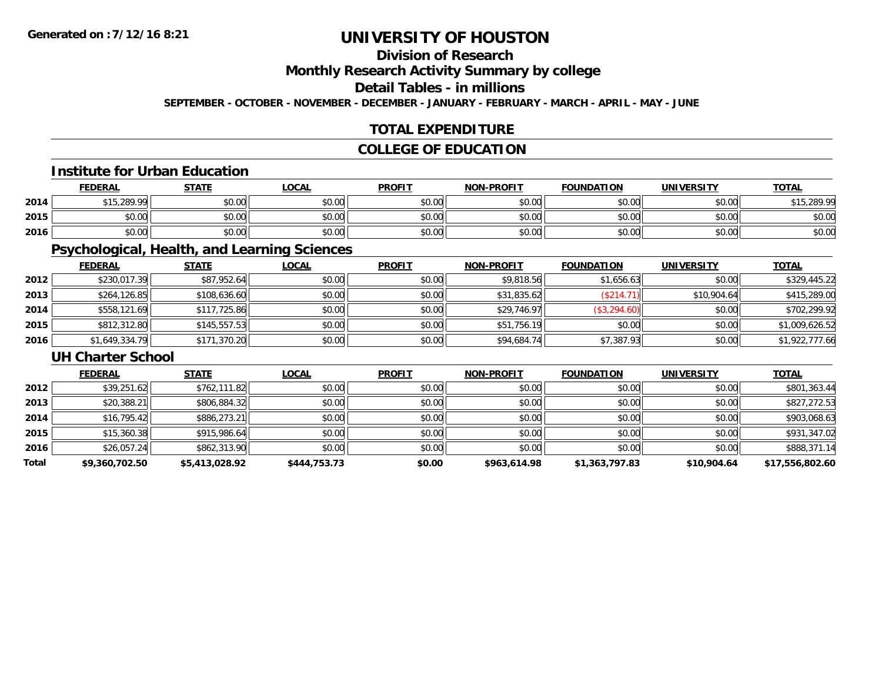# **Division of Research**

**Monthly Research Activity Summary by college**

# **Detail Tables - in millions**

**SEPTEMBER - OCTOBER - NOVEMBER - DECEMBER - JANUARY - FEBRUARY - MARCH - APRIL - MAY - JUNE**

## **TOTAL EXPENDITURE**

## **COLLEGE OF EDUCATION**

#### **Institute for Urban Education**

|      | <b>FEDERAL</b> | <b>STATE</b> | <b>LOCAL</b>       | <b>PROFIT</b> | <b>NON-PROFIT</b> | <b>FOUNDATION</b> | <b>UNIVERSITY</b> | <b>TOTAL</b> |
|------|----------------|--------------|--------------------|---------------|-------------------|-------------------|-------------------|--------------|
| 2014 | \$15,289.99    | \$0.00       | $\sim$ 00<br>DU.UU | \$0.00        | \$0.00            | \$0.00            | \$0.00            | \$15 289 99  |
| 2015 | \$0.00         | \$0.00       | $\sim$ 00<br>DU.UU | \$0.00        | \$0.00            | \$0.00            | \$0.00            | \$0.00       |
| 2016 | \$0.00         | \$0.00       | \$0.00             | \$0.00        | \$0.00            | \$0.00            | \$0.00            | \$0.00       |

## **Psychological, Health, and Learning Sciences**

|      | <b>FEDERAL</b> | <b>STATE</b> | <u>LOCAL</u> | <b>PROFIT</b> | <b>NON-PROFIT</b> | <b>FOUNDATION</b> | <b>UNIVERSITY</b> | <b>TOTAL</b>   |
|------|----------------|--------------|--------------|---------------|-------------------|-------------------|-------------------|----------------|
| 2012 | \$230,017.39   | \$87,952.64  | \$0.00       | \$0.00        | \$9,818.56        | \$1,656.63        | \$0.00            | \$329,445.22   |
| 2013 | \$264,126.85   | \$108,636.60 | \$0.00       | \$0.00        | \$31,835.62       | (\$214.71)        | \$10,904.64       | \$415,289.00   |
| 2014 | \$558,121.69   | \$117,725.86 | \$0.00       | \$0.00        | \$29,746.97       | (\$3,294.60)      | \$0.00            | \$702,299.92   |
| 2015 | \$812,312.80   | \$145.557.53 | \$0.00       | \$0.00        | \$51,756.19       | \$0.00            | \$0.00            | \$1,009,626.52 |
| 2016 | \$1,649,334.79 | \$171,370.20 | \$0.00       | \$0.00        | \$94,684.74       | \$7,387.93        | \$0.00            | \$1,922,777.66 |

#### **UH Charter School**

|       | <b>FEDERAL</b> | <b>STATE</b>   | <b>LOCAL</b> | <b>PROFIT</b> | <b>NON-PROFIT</b> | <b>FOUNDATION</b> | <b>UNIVERSITY</b> | <b>TOTAL</b>    |
|-------|----------------|----------------|--------------|---------------|-------------------|-------------------|-------------------|-----------------|
| 2012  | \$39,251.62    | \$762,111.82   | \$0.00       | \$0.00        | \$0.00            | \$0.00            | \$0.00            | \$801,363.44    |
| 2013  | \$20,388.21    | \$806,884.32   | \$0.00       | \$0.00        | \$0.00            | \$0.00            | \$0.00            | \$827,272.53    |
| 2014  | \$16,795.42    | \$886,273.21   | \$0.00       | \$0.00        | \$0.00            | \$0.00            | \$0.00            | \$903,068.63    |
| 2015  | \$15,360.38    | \$915,986.64   | \$0.00       | \$0.00        | \$0.00            | \$0.00            | \$0.00            | \$931,347.02    |
| 2016  | \$26,057.24    | \$862,313.90   | \$0.00       | \$0.00        | \$0.00            | \$0.00            | \$0.00            | \$888,371.14    |
| Total | \$9,360,702.50 | \$5,413,028.92 | \$444,753.73 | \$0.00        | \$963,614.98      | \$1,363,797.83    | \$10,904.64       | \$17,556,802.60 |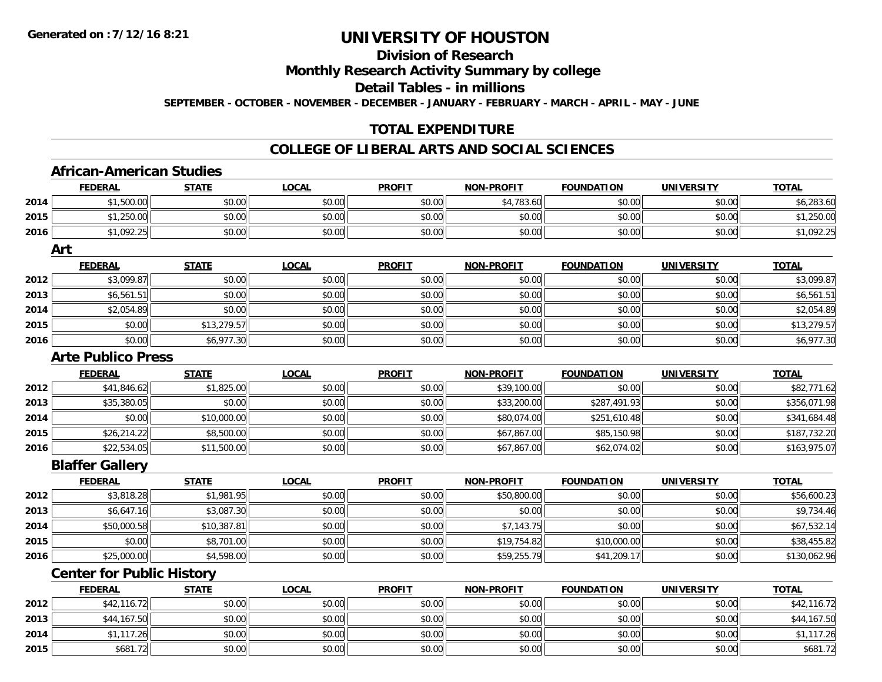### **Division of Research**

**Monthly Research Activity Summary by college**

**Detail Tables - in millions**

**SEPTEMBER - OCTOBER - NOVEMBER - DECEMBER - JANUARY - FEBRUARY - MARCH - APRIL - MAY - JUNE**

#### **TOTAL EXPENDITURE**

#### **COLLEGE OF LIBERAL ARTS AND SOCIAL SCIENCES**

#### **African-American Studies**

|      | <b>FEDERAL</b>                   | <b>STATE</b> | <b>LOCAL</b> | <b>PROFIT</b> | <b>NON-PROFIT</b> | <b>FOUNDATION</b> | <b>UNIVERSITY</b> | <b>TOTAL</b> |
|------|----------------------------------|--------------|--------------|---------------|-------------------|-------------------|-------------------|--------------|
| 2014 | \$1,500.00                       | \$0.00       | \$0.00       | \$0.00        | \$4,783.60        | \$0.00            | \$0.00            | \$6,283.60   |
| 2015 | \$1,250.00                       | \$0.00       | \$0.00       | \$0.00        | \$0.00            | \$0.00            | \$0.00            | \$1,250.00   |
| 2016 | \$1,092.25                       | \$0.00       | \$0.00       | \$0.00        | \$0.00            | \$0.00            | \$0.00            | \$1,092.25   |
|      | Art                              |              |              |               |                   |                   |                   |              |
|      | <b>FEDERAL</b>                   | <b>STATE</b> | <b>LOCAL</b> | <b>PROFIT</b> | <b>NON-PROFIT</b> | <b>FOUNDATION</b> | <b>UNIVERSITY</b> | <b>TOTAL</b> |
| 2012 | \$3,099.87                       | \$0.00       | \$0.00       | \$0.00        | \$0.00            | \$0.00            | \$0.00            | \$3,099.87   |
| 2013 | \$6,561.51                       | \$0.00       | \$0.00       | \$0.00        | \$0.00            | \$0.00            | \$0.00            | \$6,561.51   |
| 2014 | \$2,054.89                       | \$0.00       | \$0.00       | \$0.00        | \$0.00            | \$0.00            | \$0.00            | \$2,054.89   |
| 2015 | \$0.00                           | \$13,279.57  | \$0.00       | \$0.00        | \$0.00            | \$0.00            | \$0.00            | \$13,279.57  |
| 2016 | \$0.00                           | \$6,977.30   | \$0.00       | \$0.00        | \$0.00            | \$0.00            | \$0.00            | \$6,977.30   |
|      | <b>Arte Publico Press</b>        |              |              |               |                   |                   |                   |              |
|      | <b>FEDERAL</b>                   | <b>STATE</b> | <b>LOCAL</b> | <b>PROFIT</b> | <b>NON-PROFIT</b> | <b>FOUNDATION</b> | <b>UNIVERSITY</b> | <b>TOTAL</b> |
| 2012 | \$41,846.62                      | \$1,825.00   | \$0.00       | \$0.00        | \$39,100.00       | \$0.00            | \$0.00            | \$82,771.62  |
| 2013 | \$35,380.05                      | \$0.00       | \$0.00       | \$0.00        | \$33,200.00       | \$287,491.93      | \$0.00            | \$356,071.98 |
| 2014 | \$0.00                           | \$10,000.00  | \$0.00       | \$0.00        | \$80,074.00       | \$251,610.48      | \$0.00            | \$341,684.48 |
| 2015 | \$26,214.22                      | \$8,500.00   | \$0.00       | \$0.00        | \$67,867.00       | \$85,150.98       | \$0.00            | \$187,732.20 |
| 2016 | \$22,534.05                      | \$11,500.00  | \$0.00       | \$0.00        | \$67,867.00       | \$62,074.02       | \$0.00            | \$163,975.07 |
|      | <b>Blaffer Gallery</b>           |              |              |               |                   |                   |                   |              |
|      | <b>FEDERAL</b>                   | <b>STATE</b> | <b>LOCAL</b> | <b>PROFIT</b> | <b>NON-PROFIT</b> | <b>FOUNDATION</b> | <b>UNIVERSITY</b> | <b>TOTAL</b> |
| 2012 | \$3,818.28                       | \$1,981.95   | \$0.00       | \$0.00        | \$50,800.00       | \$0.00            | \$0.00            | \$56,600.23  |
| 2013 | \$6,647.16                       | \$3,087.30   | \$0.00       | \$0.00        | \$0.00            | \$0.00            | \$0.00            | \$9,734.46   |
| 2014 | \$50,000.58                      | \$10,387.81  | \$0.00       | \$0.00        | \$7,143.75        | \$0.00            | \$0.00            | \$67,532.14  |
| 2015 | \$0.00                           | \$8,701.00   | \$0.00       | \$0.00        | \$19,754.82       | \$10,000.00       | \$0.00            | \$38,455.82  |
| 2016 | \$25,000.00                      | \$4,598.00   | \$0.00       | \$0.00        | \$59,255.79       | \$41,209.17       | \$0.00            | \$130,062.96 |
|      | <b>Center for Public History</b> |              |              |               |                   |                   |                   |              |
|      | <b>FEDERAL</b>                   | <b>STATE</b> | <b>LOCAL</b> | <b>PROFIT</b> | <b>NON-PROFIT</b> | <b>FOUNDATION</b> | <b>UNIVERSITY</b> | <b>TOTAL</b> |
|      |                                  |              |              |               |                   |                   |                   |              |

|      |             | _____  | $    -$        | ______ |        | .      | _ _ _ _ _ _ _ _ _ _ _ | ______      |
|------|-------------|--------|----------------|--------|--------|--------|-----------------------|-------------|
| 2012 | \$42,116.72 | \$0.00 | \$0.00         | \$0.00 | \$0.00 | \$0.00 | \$0.00                | \$42,116.72 |
| 2013 | .167.50     | \$0.00 | ≮N UU<br>PO.OO | \$0.00 | \$0.00 | \$0.00 | \$0.00                | \$44,167.50 |
| 2014 | .117.26     | \$0.00 | ≮N UV<br>PO.OO | \$0.00 | \$0.00 | \$0.00 | \$0.00                | 17.26       |
| 2015 | \$681.72    | \$0.00 | \$0.00         | \$0.00 | \$0.00 | \$0.00 | \$0.00                | \$681.72    |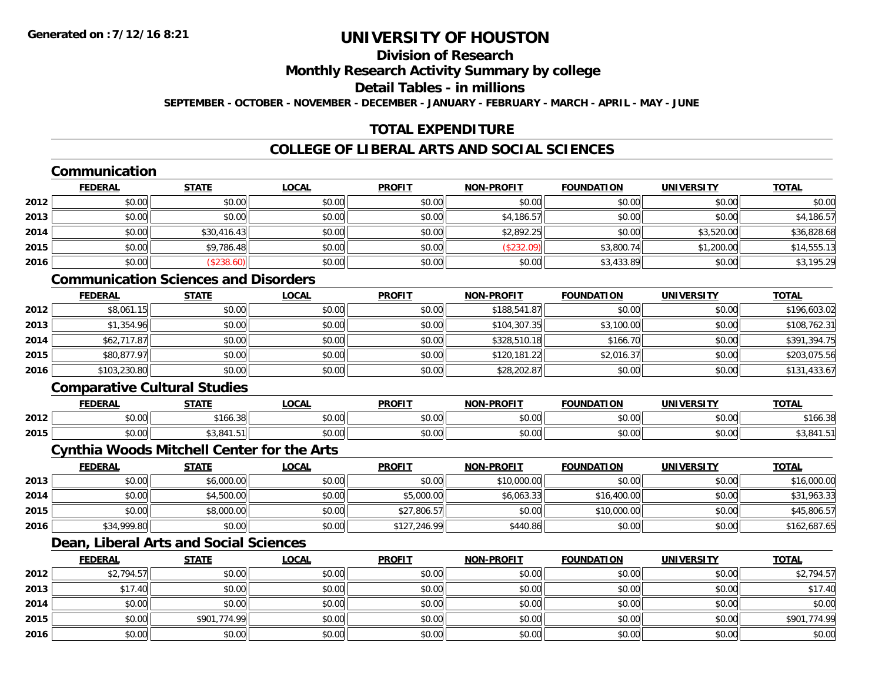### **Division of Research**

#### **Monthly Research Activity Summary by college**

#### **Detail Tables - in millions**

**SEPTEMBER - OCTOBER - NOVEMBER - DECEMBER - JANUARY - FEBRUARY - MARCH - APRIL - MAY - JUNE**

#### **TOTAL EXPENDITURE**

#### **COLLEGE OF LIBERAL ARTS AND SOCIAL SCIENCES**

#### **Communication**

|      | <b>FEDERAL</b> | <b>STATE</b> | <b>LOCAL</b> | <b>PROFIT</b> | <b>NON-PROFIT</b> | <b>FOUNDATION</b> | <b>UNIVERSITY</b> | <b>TOTAL</b> |
|------|----------------|--------------|--------------|---------------|-------------------|-------------------|-------------------|--------------|
| 2012 | \$0.00         | \$0.00       | \$0.00       | \$0.00        | \$0.00            | \$0.00            | \$0.00            | \$0.00       |
| 2013 | \$0.00         | \$0.00       | \$0.00       | \$0.00        | \$4,186.57        | \$0.00            | \$0.00            | \$4,186.57   |
| 2014 | \$0.00         | \$30,416.43  | \$0.00       | \$0.00        | \$2,892.25        | \$0.00            | \$3,520.00        | \$36,828.68  |
| 2015 | \$0.00         | \$9,786.48   | \$0.00       | \$0.00        | (\$232.09)        | \$3,800.74        | \$1,200.00        | \$14,555.13  |
| 2016 | \$0.00         | \$238.60     | \$0.00       | \$0.00        | \$0.00            | \$3,433.89        | \$0.00            | \$3,195.29   |

#### **Communication Sciences and Disorders**

|      | <u>FEDERAL</u> | <u>STATE</u> | <u>LOCAL</u> | <b>PROFIT</b> | <b>NON-PROFIT</b> | <b>FOUNDATION</b> | <b>UNIVERSITY</b> | <b>TOTAL</b> |
|------|----------------|--------------|--------------|---------------|-------------------|-------------------|-------------------|--------------|
| 2012 | \$8,061.15     | \$0.00       | \$0.00       | \$0.00        | \$188,541.87      | \$0.00            | \$0.00            | \$196,603.02 |
| 2013 | \$1,354.96     | \$0.00       | \$0.00       | \$0.00        | \$104,307.35      | \$3,100.00        | \$0.00            | \$108,762.31 |
| 2014 | \$62,717.87    | \$0.00       | \$0.00       | \$0.00        | \$328,510.18      | \$166.70          | \$0.00            | \$391,394.75 |
| 2015 | \$80,877.97    | \$0.00       | \$0.00       | \$0.00        | \$120,181.22      | \$2,016.37        | \$0.00            | \$203,075.56 |
| 2016 | \$103,230.80   | \$0.00       | \$0.00       | \$0.00        | \$28,202.87       | \$0.00            | \$0.00            | \$131,433.67 |

#### **Comparative Cultural Studies**

|      | <b>FEDERAL</b>                            | стлті             | $\bigcap_{n}$<br>.UUA | <b>PROFIT</b> | <b>-PROFIT</b><br>NON | <b>FOUNDATION</b> | UNIVERSITY            | <b>TOTAL</b>     |
|------|-------------------------------------------|-------------------|-----------------------|---------------|-----------------------|-------------------|-----------------------|------------------|
| 2012 | $\mathbf{A} \cap \mathbf{A}$<br>ט.טי      | نګ ۱۵۵.           | $\sim$ 00<br>vu.vu    | 0.00<br>JU.UU | 0000<br>vv.vv         | 0000<br>,u.uu     | 0.00<br>⊸∪.∪u         | $A - I$<br>166.3 |
| 2015 | $\uparrow$ $\uparrow$ $\uparrow$<br>וטטוע | 0.11<br>י טי<br>. | 0000<br>vu.vu         | 0000<br>JU.UU | 0000<br>ง∪.∪บ         | 0000<br>JU.UU⊡    | ልስ ለሰ<br><b>DU.UG</b> | ∵ ⊶0, ت پ        |

#### **Cynthia Woods Mitchell Center for the Arts**

|      | <b>FEDERAL</b> | <u>STATE</u> | <u>LOCAL</u> | <b>PROFIT</b> | <b>NON-PROFIT</b> | <b>FOUNDATION</b> | <b>UNIVERSITY</b> | <b>TOTAL</b> |
|------|----------------|--------------|--------------|---------------|-------------------|-------------------|-------------------|--------------|
| 2013 | \$0.00         | \$6,000.00   | \$0.00       | \$0.00        | \$10,000.00       | \$0.00            | \$0.00            | \$16,000.00  |
| 2014 | \$0.00         | \$4,500.00   | \$0.00       | \$5,000.00    | \$6,063.33        | \$16,400.00       | \$0.00            | \$31,963.33  |
| 2015 | \$0.00         | \$8,000.00   | \$0.00       | \$27,806.57   | \$0.00            | \$10,000.00       | \$0.00            | \$45,806.57  |
| 2016 | \$34,999.80    | \$0.00       | \$0.00       | \$127,246.99  | \$440.86          | \$0.00            | \$0.00            | \$162,687.65 |

### **Dean, Liberal Arts and Social Sciences**

|      | <b>FEDERAL</b> | <b>STATE</b> | <u>LOCAL</u> | <b>PROFIT</b> | <b>NON-PROFIT</b> | <b>FOUNDATION</b> | <b>UNIVERSITY</b> | <b>TOTAL</b> |
|------|----------------|--------------|--------------|---------------|-------------------|-------------------|-------------------|--------------|
| 2012 | \$2,794.57     | \$0.00       | \$0.00       | \$0.00        | \$0.00            | \$0.00            | \$0.00            | \$2,794.57   |
| 2013 | \$17.40        | \$0.00       | \$0.00       | \$0.00        | \$0.00            | \$0.00            | \$0.00            | \$17.40      |
| 2014 | \$0.00         | \$0.00       | \$0.00       | \$0.00        | \$0.00            | \$0.00            | \$0.00            | \$0.00       |
| 2015 | \$0.00         | \$901,774.99 | \$0.00       | \$0.00        | \$0.00            | \$0.00            | \$0.00            | \$901,774.99 |
| 2016 | \$0.00         | \$0.00       | \$0.00       | \$0.00        | \$0.00            | \$0.00            | \$0.00            | \$0.00       |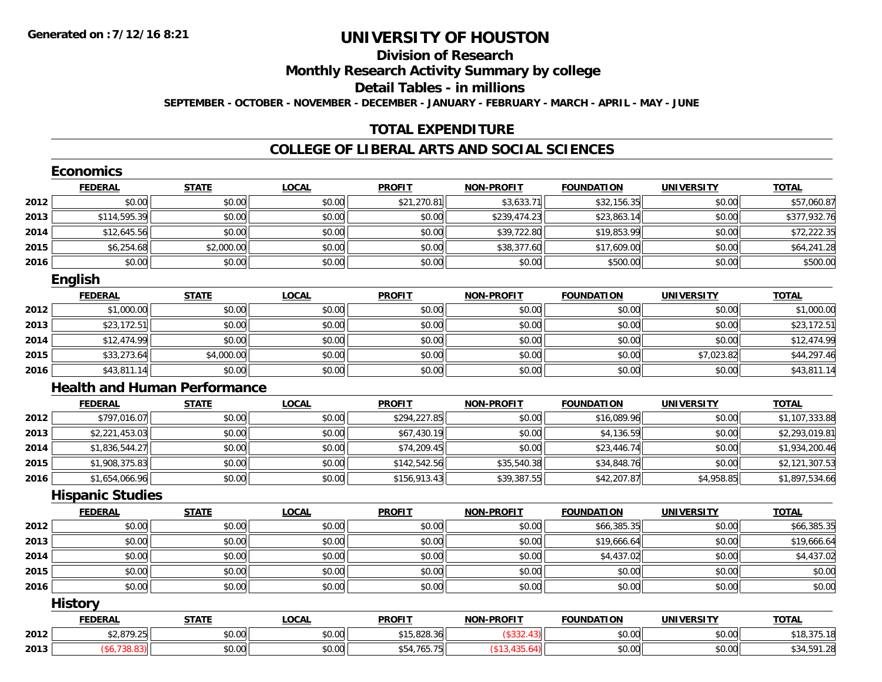### **Division of Research**

**Monthly Research Activity Summary by college**

**Detail Tables - in millions**

**SEPTEMBER - OCTOBER - NOVEMBER - DECEMBER - JANUARY - FEBRUARY - MARCH - APRIL - MAY - JUNE**

#### **TOTAL EXPENDITURE**

#### **COLLEGE OF LIBERAL ARTS AND SOCIAL SCIENCES**

|      | <b>Economics</b>        |                                     |              |               |                   |                   |                   |                |
|------|-------------------------|-------------------------------------|--------------|---------------|-------------------|-------------------|-------------------|----------------|
|      | <b>FEDERAL</b>          | <b>STATE</b>                        | <b>LOCAL</b> | <b>PROFIT</b> | <b>NON-PROFIT</b> | <b>FOUNDATION</b> | <b>UNIVERSITY</b> | <b>TOTAL</b>   |
| 2012 | \$0.00                  | \$0.00                              | \$0.00       | \$21,270.81   | \$3,633.71        | \$32,156.35       | \$0.00            | \$57,060.87    |
| 2013 | \$114,595.39            | \$0.00                              | \$0.00       | \$0.00        | \$239,474.23      | \$23,863.14       | \$0.00            | \$377,932.76   |
| 2014 | \$12,645.56             | \$0.00                              | \$0.00       | \$0.00        | \$39,722.80       | \$19,853.99       | \$0.00            | \$72,222.35    |
| 2015 | \$6,254.68              | \$2,000.00                          | \$0.00       | \$0.00        | \$38,377.60       | \$17,609.00       | \$0.00            | \$64,241.28    |
| 2016 | \$0.00                  | \$0.00                              | \$0.00       | \$0.00        | \$0.00            | \$500.00          | \$0.00            | \$500.00       |
|      | <b>English</b>          |                                     |              |               |                   |                   |                   |                |
|      | <b>FEDERAL</b>          | <b>STATE</b>                        | <b>LOCAL</b> | <b>PROFIT</b> | <b>NON-PROFIT</b> | <b>FOUNDATION</b> | <b>UNIVERSITY</b> | <b>TOTAL</b>   |
| 2012 | \$1,000.00              | \$0.00                              | \$0.00       | \$0.00        | \$0.00            | \$0.00            | \$0.00            | \$1,000.00     |
| 2013 | \$23,172.51             | \$0.00                              | \$0.00       | \$0.00        | \$0.00            | \$0.00            | \$0.00            | \$23,172.51    |
| 2014 | \$12,474.99             | \$0.00                              | \$0.00       | \$0.00        | \$0.00            | \$0.00            | \$0.00            | \$12,474.99    |
| 2015 | \$33,273.64             | \$4,000.00                          | \$0.00       | \$0.00        | \$0.00            | \$0.00            | \$7,023.82        | \$44,297.46    |
| 2016 | \$43,811.14             | \$0.00                              | \$0.00       | \$0.00        | \$0.00            | \$0.00            | \$0.00            | \$43,811.14    |
|      |                         | <b>Health and Human Performance</b> |              |               |                   |                   |                   |                |
|      | <b>FEDERAL</b>          | <b>STATE</b>                        | <b>LOCAL</b> | <b>PROFIT</b> | <b>NON-PROFIT</b> | <b>FOUNDATION</b> | <b>UNIVERSITY</b> | <b>TOTAL</b>   |
| 2012 | \$797,016.07            | \$0.00                              | \$0.00       | \$294,227.85  | \$0.00            | \$16,089.96       | \$0.00            | \$1,107,333.88 |
| 2013 | \$2,221,453.03          | \$0.00                              | \$0.00       | \$67,430.19   | \$0.00            | \$4,136.59        | \$0.00            | \$2,293,019.81 |
| 2014 | \$1,836,544.27          | \$0.00                              | \$0.00       | \$74,209.45   | \$0.00            | \$23,446.74       | \$0.00            | \$1,934,200.46 |
| 2015 | \$1,908,375.83          | \$0.00                              | \$0.00       | \$142,542.56  | \$35,540.38       | \$34,848.76       | \$0.00            | \$2,121,307.53 |
| 2016 | \$1,654,066.96          | \$0.00                              | \$0.00       | \$156,913.43  | \$39,387.55       | \$42,207.87       | \$4,958.85        | \$1,897,534.66 |
|      | <b>Hispanic Studies</b> |                                     |              |               |                   |                   |                   |                |
|      | <b>FEDERAL</b>          | <b>STATE</b>                        | <b>LOCAL</b> | <b>PROFIT</b> | <b>NON-PROFIT</b> | <b>FOUNDATION</b> | <b>UNIVERSITY</b> | <b>TOTAL</b>   |
| 2012 | \$0.00                  | \$0.00                              | \$0.00       | \$0.00        | \$0.00            | \$66,385.35       | \$0.00            | \$66,385.35    |
| 2013 | \$0.00                  | \$0.00                              | \$0.00       | \$0.00        | \$0.00            | \$19,666.64       | \$0.00            | \$19,666.64    |
| 2014 | \$0.00                  | \$0.00                              | \$0.00       | \$0.00        | \$0.00            | \$4,437.02        | \$0.00            | \$4,437.02     |
| 2015 | \$0.00                  | \$0.00                              | \$0.00       | \$0.00        | \$0.00            | \$0.00            | \$0.00            | \$0.00         |
| 2016 | \$0.00                  | \$0.00                              | \$0.00       | \$0.00        | \$0.00            | \$0.00            | \$0.00            | \$0.00         |
|      | <b>History</b>          |                                     |              |               |                   |                   |                   |                |
|      | <b>FEDERAL</b>          | <b>STATE</b>                        | <b>LOCAL</b> | <b>PROFIT</b> | <b>NON-PROFIT</b> | <b>FOUNDATION</b> | <b>UNIVERSITY</b> | <b>TOTAL</b>   |
| 2012 | \$2,879.25              | \$0.00                              | \$0.00       | \$15,828.36   | (\$332.43)        | \$0.00            | \$0.00            | \$18,375.18    |
| 2013 | (\$6,738.83)            | \$0.00                              | \$0.00       | \$54,765.75   | (\$13,435.64)     | \$0.00            | \$0.00            | \$34,591.28    |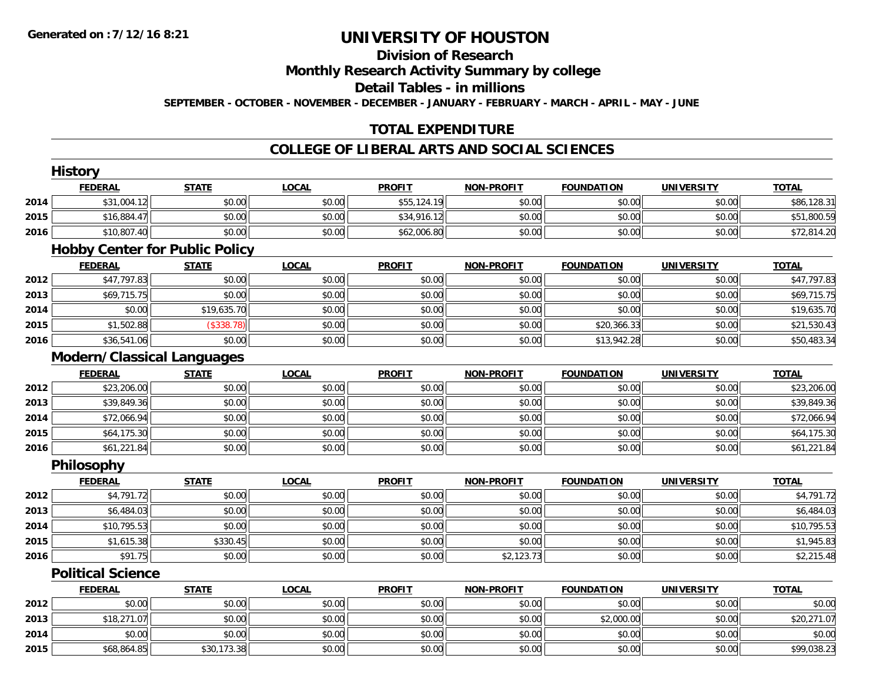### **Division of Research**

#### **Monthly Research Activity Summary by college**

#### **Detail Tables - in millions**

**SEPTEMBER - OCTOBER - NOVEMBER - DECEMBER - JANUARY - FEBRUARY - MARCH - APRIL - MAY - JUNE**

#### **TOTAL EXPENDITURE**

#### **COLLEGE OF LIBERAL ARTS AND SOCIAL SCIENCES**

|      | <b>History</b>                        |              |              |               |                   |                   |                   |              |
|------|---------------------------------------|--------------|--------------|---------------|-------------------|-------------------|-------------------|--------------|
|      | <b>FEDERAL</b>                        | <b>STATE</b> | <b>LOCAL</b> | <b>PROFIT</b> | <b>NON-PROFIT</b> | <b>FOUNDATION</b> | <b>UNIVERSITY</b> | <b>TOTAL</b> |
| 2014 | \$31,004.12                           | \$0.00       | \$0.00       | \$55,124.19   | \$0.00            | \$0.00            | \$0.00            | \$86,128.31  |
| 2015 | \$16,884.47                           | \$0.00       | \$0.00       | \$34,916.12   | \$0.00            | \$0.00            | \$0.00            | \$51,800.59  |
| 2016 | \$10,807.40                           | \$0.00       | \$0.00       | \$62,006.80   | \$0.00            | \$0.00            | \$0.00            | \$72,814.20  |
|      | <b>Hobby Center for Public Policy</b> |              |              |               |                   |                   |                   |              |
|      | <b>FEDERAL</b>                        | <b>STATE</b> | <b>LOCAL</b> | <b>PROFIT</b> | <b>NON-PROFIT</b> | <b>FOUNDATION</b> | <b>UNIVERSITY</b> | <b>TOTAL</b> |
| 2012 | \$47,797.83                           | \$0.00       | \$0.00       | \$0.00        | \$0.00            | \$0.00            | \$0.00            | \$47,797.83  |
| 2013 | \$69,715.75                           | \$0.00       | \$0.00       | \$0.00        | \$0.00            | \$0.00            | \$0.00            | \$69,715.75  |
| 2014 | \$0.00                                | \$19,635.70  | \$0.00       | \$0.00        | \$0.00            | \$0.00            | \$0.00            | \$19,635.70  |
| 2015 | \$1,502.88                            | (\$338.78)   | \$0.00       | \$0.00        | \$0.00            | \$20,366.33       | \$0.00            | \$21,530.43  |
| 2016 | \$36,541.06                           | \$0.00       | \$0.00       | \$0.00        | \$0.00            | \$13,942.28       | \$0.00            | \$50,483.34  |
|      | <b>Modern/Classical Languages</b>     |              |              |               |                   |                   |                   |              |
|      | <b>FEDERAL</b>                        | <b>STATE</b> | <b>LOCAL</b> | <b>PROFIT</b> | <b>NON-PROFIT</b> | <b>FOUNDATION</b> | <b>UNIVERSITY</b> | <b>TOTAL</b> |
| 2012 | \$23,206.00                           | \$0.00       | \$0.00       | \$0.00        | \$0.00            | \$0.00            | \$0.00            | \$23,206.00  |
| 2013 | \$39,849.36                           | \$0.00       | \$0.00       | \$0.00        | \$0.00            | \$0.00            | \$0.00            | \$39,849.36  |
| 2014 | \$72,066.94                           | \$0.00       | \$0.00       | \$0.00        | \$0.00            | \$0.00            | \$0.00            | \$72,066.94  |
| 2015 | \$64,175.30                           | \$0.00       | \$0.00       | \$0.00        | \$0.00            | \$0.00            | \$0.00            | \$64,175.30  |
| 2016 | \$61,221.84                           | \$0.00       | \$0.00       | \$0.00        | \$0.00            | \$0.00            | \$0.00            | \$61,221.84  |
|      | Philosophy                            |              |              |               |                   |                   |                   |              |
|      | <b>FEDERAL</b>                        | <b>STATE</b> | <b>LOCAL</b> | <b>PROFIT</b> | <b>NON-PROFIT</b> | <b>FOUNDATION</b> | <b>UNIVERSITY</b> | <b>TOTAL</b> |
| 2012 | \$4,791.72                            | \$0.00       | \$0.00       | \$0.00        | \$0.00            | \$0.00            | \$0.00            | \$4,791.72   |
| 2013 | \$6,484.03                            | \$0.00       | \$0.00       | \$0.00        | \$0.00            | \$0.00            | \$0.00            | \$6,484.03   |
| 2014 | \$10,795.53                           | \$0.00       | \$0.00       | \$0.00        | \$0.00            | \$0.00            | \$0.00            | \$10,795.53  |
| 2015 | \$1,615.38                            | \$330.45     | \$0.00       | \$0.00        | \$0.00            | \$0.00            | \$0.00            | \$1,945.83   |
| 2016 | \$91.75                               | \$0.00       | \$0.00       | \$0.00        | \$2,123.73        | \$0.00            | \$0.00            | \$2,215.48   |
|      | <b>Political Science</b>              |              |              |               |                   |                   |                   |              |
|      | <b>FEDERAL</b>                        | <b>STATE</b> | <b>LOCAL</b> | <b>PROFIT</b> | <b>NON-PROFIT</b> | <b>FOUNDATION</b> | <b>UNIVERSITY</b> | <b>TOTAL</b> |
| 2012 | \$0.00                                | \$0.00       | \$0.00       | \$0.00        | \$0.00            | \$0.00            | \$0.00            | \$0.00       |
| 2013 | \$18,271.07                           | \$0.00       | \$0.00       | \$0.00        | \$0.00            | \$2,000.00        | \$0.00            | \$20,271.07  |
| 2014 | \$0.00                                | \$0.00       | \$0.00       | \$0.00        | \$0.00            | \$0.00            | \$0.00            | \$0.00       |
| 2015 | \$68,864.85                           | \$30,173.38  | \$0.00       | \$0.00        | \$0.00            | \$0.00            | \$0.00            | \$99,038.23  |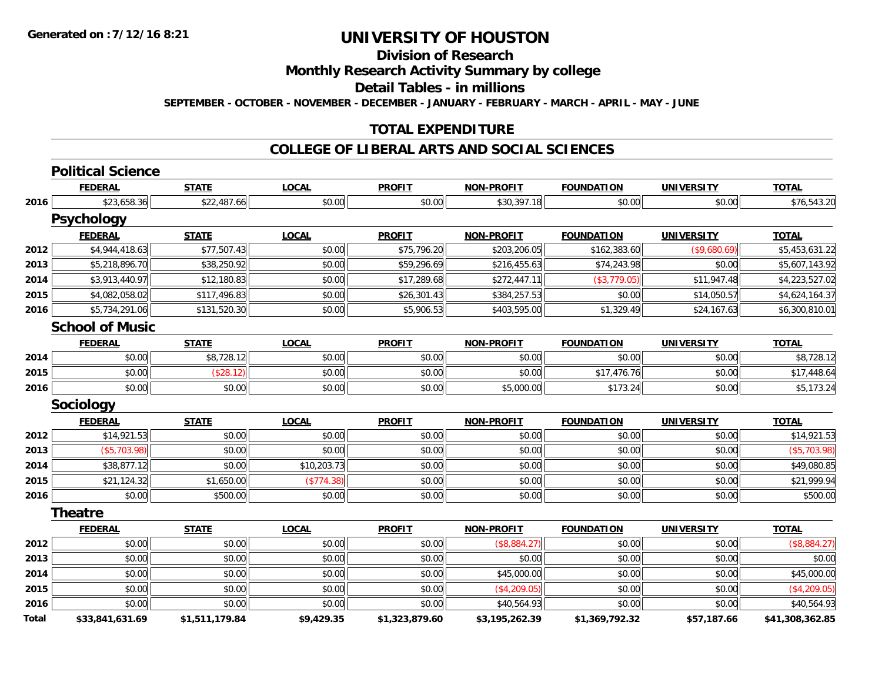**Division of Research**

**Monthly Research Activity Summary by college**

**Detail Tables - in millions**

**SEPTEMBER - OCTOBER - NOVEMBER - DECEMBER - JANUARY - FEBRUARY - MARCH - APRIL - MAY - JUNE**

#### **TOTAL EXPENDITURE**

#### **COLLEGE OF LIBERAL ARTS AND SOCIAL SCIENCES**

|              | <b>Political Science</b> |                |              |                |                   |                   |                   |                 |
|--------------|--------------------------|----------------|--------------|----------------|-------------------|-------------------|-------------------|-----------------|
|              | <b>FEDERAL</b>           | <b>STATE</b>   | <b>LOCAL</b> | <b>PROFIT</b>  | <b>NON-PROFIT</b> | <b>FOUNDATION</b> | <b>UNIVERSITY</b> | <b>TOTAL</b>    |
| 2016         | \$23,658.36              | \$22,487.66    | \$0.00       | \$0.00         | \$30,397.18       | \$0.00            | \$0.00            | \$76,543.20     |
|              | <b>Psychology</b>        |                |              |                |                   |                   |                   |                 |
|              | <b>FEDERAL</b>           | <b>STATE</b>   | <b>LOCAL</b> | <b>PROFIT</b>  | <b>NON-PROFIT</b> | <b>FOUNDATION</b> | <b>UNIVERSITY</b> | <b>TOTAL</b>    |
| 2012         | \$4,944,418.63           | \$77,507.43    | \$0.00       | \$75,796.20    | \$203,206.05      | \$162,383.60      | (\$9,680.69)      | \$5,453,631.22  |
| 2013         | \$5,218,896.70           | \$38,250.92    | \$0.00       | \$59,296.69    | \$216,455.63      | \$74,243.98       | \$0.00            | \$5,607,143.92  |
| 2014         | \$3,913,440.97           | \$12,180.83    | \$0.00       | \$17,289.68    | \$272,447.11      | (\$3,779.05)      | \$11,947.48       | \$4,223,527.02  |
| 2015         | \$4,082,058.02           | \$117,496.83   | \$0.00       | \$26,301.43    | \$384,257.53      | \$0.00            | \$14,050.57       | \$4,624,164.37  |
| 2016         | \$5,734,291.06           | \$131,520.30   | \$0.00       | \$5,906.53     | \$403,595.00      | \$1,329.49        | \$24,167.63       | \$6,300,810.01  |
|              | <b>School of Music</b>   |                |              |                |                   |                   |                   |                 |
|              | <b>FEDERAL</b>           | <b>STATE</b>   | <b>LOCAL</b> | <b>PROFIT</b>  | <b>NON-PROFIT</b> | <b>FOUNDATION</b> | <b>UNIVERSITY</b> | <b>TOTAL</b>    |
| 2014         | \$0.00                   | \$8,728.12     | \$0.00       | \$0.00         | \$0.00            | \$0.00            | \$0.00            | \$8,728.12      |
| 2015         | \$0.00                   | (\$28.12)      | \$0.00       | \$0.00         | \$0.00            | \$17,476.76       | \$0.00            | \$17,448.64     |
| 2016         | \$0.00                   | \$0.00         | \$0.00       | \$0.00         | \$5,000.00        | \$173.24          | \$0.00            | \$5,173.24      |
|              | Sociology                |                |              |                |                   |                   |                   |                 |
|              | <b>FEDERAL</b>           | <b>STATE</b>   | <b>LOCAL</b> | <b>PROFIT</b>  | <b>NON-PROFIT</b> | <b>FOUNDATION</b> | <b>UNIVERSITY</b> | <b>TOTAL</b>    |
| 2012         | \$14,921.53              | \$0.00         | \$0.00       | \$0.00         | \$0.00            | \$0.00            | \$0.00            | \$14,921.53     |
| 2013         | (\$5,703.98)             | \$0.00         | \$0.00       | \$0.00         | \$0.00            | \$0.00            | \$0.00            | (\$5,703.98)    |
| 2014         | \$38,877.12              | \$0.00         | \$10,203.73  | \$0.00         | \$0.00            | \$0.00            | \$0.00            | \$49,080.85     |
| 2015         | \$21,124.32              | \$1,650.00     | (\$774.38)   | \$0.00         | \$0.00            | \$0.00            | \$0.00            | \$21,999.94     |
| 2016         | \$0.00                   | \$500.00       | \$0.00       | \$0.00         | \$0.00            | \$0.00            | \$0.00            | \$500.00        |
|              | <b>Theatre</b>           |                |              |                |                   |                   |                   |                 |
|              | <b>FEDERAL</b>           | <b>STATE</b>   | <b>LOCAL</b> | <b>PROFIT</b>  | <b>NON-PROFIT</b> | <b>FOUNDATION</b> | <b>UNIVERSITY</b> | <b>TOTAL</b>    |
| 2012         | \$0.00                   | \$0.00         | \$0.00       | \$0.00         | (\$8,884.27)      | \$0.00            | \$0.00            | (\$8,884.27)    |
| 2013         | \$0.00                   | \$0.00         | \$0.00       | \$0.00         | \$0.00            | \$0.00            | \$0.00            | \$0.00          |
| 2014         | \$0.00                   | \$0.00         | \$0.00       | \$0.00         | \$45,000.00       | \$0.00            | \$0.00            | \$45,000.00     |
| 2015         | \$0.00                   | \$0.00         | \$0.00       | \$0.00         | (\$4,209.05)      | \$0.00            | \$0.00            | (\$4, 209.05)   |
| 2016         | \$0.00                   | \$0.00         | \$0.00       | \$0.00         | \$40,564.93       | \$0.00            | \$0.00            | \$40,564.93     |
| <b>Total</b> | \$33.841.631.69          | \$1.511.179.84 | \$9.429.35   | \$1.323.879.60 | \$3.195.262.39    | \$1.369.792.32    | \$57.187.66       | \$41.308.362.85 |

**\$33,841,631.69 \$1,511,179.84 \$9,429.35 \$1,323,879.60 \$3,195,262.39 \$1,369,792.32 \$57,187.66 \$41,308,362.85**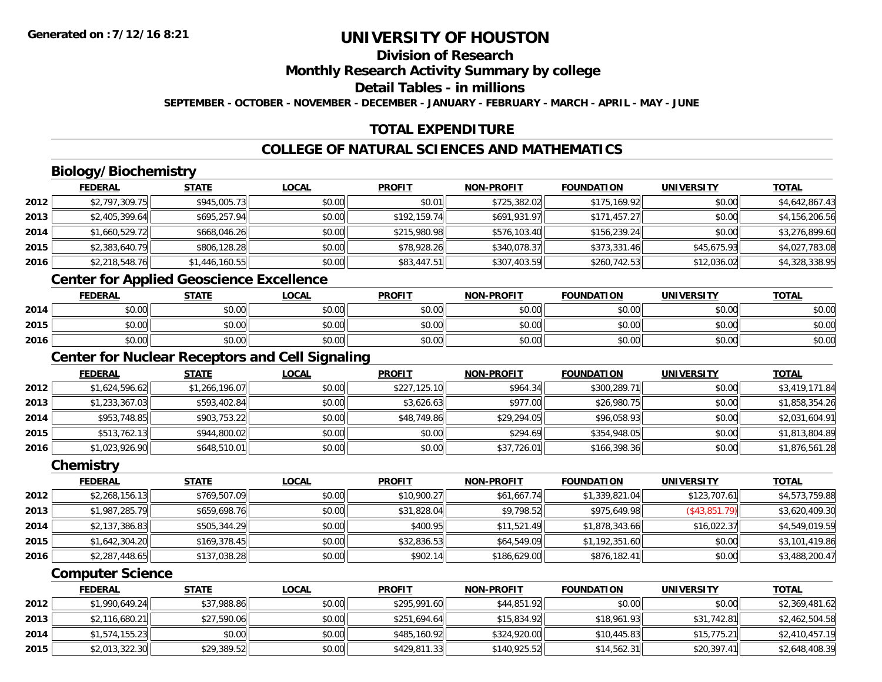### **Division of Research**

**Monthly Research Activity Summary by college**

**Detail Tables - in millions**

**SEPTEMBER - OCTOBER - NOVEMBER - DECEMBER - JANUARY - FEBRUARY - MARCH - APRIL - MAY - JUNE**

#### **TOTAL EXPENDITURE**

#### **COLLEGE OF NATURAL SCIENCES AND MATHEMATICS**

### **Biology/Biochemistry**

|      | <b>FEDERAL</b> | <b>STATE</b>   | <u>LOCAL</u> | <b>PROFIT</b> | <b>NON-PROFIT</b> | <b>FOUNDATION</b> | <b>UNIVERSITY</b> | <b>TOTAL</b>   |
|------|----------------|----------------|--------------|---------------|-------------------|-------------------|-------------------|----------------|
| 2012 | \$2,797,309.75 | \$945,005.73   | \$0.00       | \$0.01        | \$725,382.02      | \$175,169.92      | \$0.00            | \$4,642,867.43 |
| 2013 | \$2,405,399.64 | \$695,257.94   | \$0.00       | \$192,159.74  | \$691,931.97      | \$171,457.27      | \$0.00            | \$4,156,206.56 |
| 2014 | \$1,660,529.72 | \$668,046.26   | \$0.00       | \$215,980.98  | \$576,103.40      | \$156,239.24      | \$0.00            | \$3,276,899.60 |
| 2015 | \$2,383,640.79 | \$806,128.28   | \$0.00       | \$78,928.26   | \$340,078.37      | \$373,331.46      | \$45.675.93       | \$4,027,783.08 |
| 2016 | \$2,218,548.76 | \$1,446,160.55 | \$0.00       | \$83,447.51   | \$307,403.59      | \$260,742.53      | \$12,036.02       | \$4,328,338.95 |

#### **Center for Applied Geoscience Excellence**

|      | <b>FEDERAL</b>               | <b>STATE</b> | <u>LOCAL</u> | <b>PROFIT</b> | <b>NON-PROFIT</b> | <b>FOUNDATION</b> | UNIVERSITY | <b>TOTAL</b> |
|------|------------------------------|--------------|--------------|---------------|-------------------|-------------------|------------|--------------|
| 2014 | $\sim$<br>JU.UU              | \$0.00       | \$0.00       | \$0.00        | \$0.00            | \$0.00            | \$0.00     | \$0.00       |
| 2015 | $\sim$ $\sim$<br>וטטוע       | \$0.00       | \$0.00       | \$0.00        | \$0.00            | \$0.00            | \$0.00     | \$0.00       |
| 2016 | <b>↑∩</b><br>$\sim$<br>JU.UU | \$0.00       | \$0.00       | \$0.00        | \$0.00            | \$0.00            | \$0.00     | \$0.00       |

<u> 1980 - Johann Barn, fransk politik (d. 1980)</u>

#### **Center for Nuclear Receptors and Cell Signaling**

|      | <b>FEDERAL</b> | <b>STATE</b>   | <u>LOCAL</u> | <b>PROFIT</b> | <b>NON-PROFIT</b> | <b>FOUNDATION</b> | <b>UNIVERSITY</b> | <b>TOTAL</b>   |
|------|----------------|----------------|--------------|---------------|-------------------|-------------------|-------------------|----------------|
| 2012 | \$1,624,596.62 | \$1,266,196.07 | \$0.00       | \$227,125.10  | \$964.34          | \$300,289.71      | \$0.00            | \$3,419,171.84 |
| 2013 | \$1,233,367.03 | \$593,402.84   | \$0.00       | \$3,626.63    | \$977.00          | \$26,980.75       | \$0.00            | \$1,858,354.26 |
| 2014 | \$953,748.85   | \$903,753.22   | \$0.00       | \$48,749.86   | \$29,294.05       | \$96,058.93       | \$0.00            | \$2,031,604.91 |
| 2015 | \$513,762.13   | \$944,800.02   | \$0.00       | \$0.00        | \$294.69          | \$354,948.05      | \$0.00            | \$1,813,804.89 |
| 2016 | \$1,023,926.90 | \$648,510.01   | \$0.00       | \$0.00        | \$37,726.01       | \$166,398.36      | \$0.00            | \$1,876,561.28 |

#### **Chemistry**

|      | <b>FEDERAL</b> | <b>STATE</b> | <b>LOCAL</b> | <b>PROFIT</b> | <b>NON-PROFIT</b> | <b>FOUNDATION</b> | <b>UNIVERSITY</b> | <b>TOTAL</b>   |
|------|----------------|--------------|--------------|---------------|-------------------|-------------------|-------------------|----------------|
| 2012 | \$2,268,156.13 | \$769,507.09 | \$0.00       | \$10,900.27   | \$61,667.74       | \$1,339,821.04    | \$123,707.61      | \$4,573,759.88 |
| 2013 | \$1,987,285.79 | \$659,698.76 | \$0.00       | \$31,828.04   | \$9,798.52        | \$975,649.98      | (\$43,851.79)     | \$3,620,409.30 |
| 2014 | \$2,137,386.83 | \$505,344.29 | \$0.00       | \$400.95      | \$11,521.49       | \$1,878,343.66    | \$16,022.37       | \$4,549,019.59 |
| 2015 | \$1,642,304.20 | \$169,378.45 | \$0.00       | \$32,836.53   | \$64,549.09       | \$1,192,351.60    | \$0.00            | \$3,101,419.86 |
| 2016 | \$2,287,448.65 | \$137,038.28 | \$0.00       | \$902.14      | \$186,629.00      | \$876,182.41      | \$0.00            | \$3,488,200.47 |

#### **Computer Science**

|      | <b>FEDERAL</b> | <u>STATE</u> | <u>LOCAL</u> | <b>PROFIT</b> | <b>NON-PROFIT</b> | <b>FOUNDATION</b> | <b>UNIVERSITY</b> | <b>TOTAL</b>   |
|------|----------------|--------------|--------------|---------------|-------------------|-------------------|-------------------|----------------|
| 2012 | \$1,990,649.24 | \$37,988.86  | \$0.00       | \$295,991.60  | \$44,851.92       | \$0.00            | \$0.00            | \$2,369,481.62 |
| 2013 | \$2,116,680.21 | \$27,590.06  | \$0.00       | \$251,694.64  | \$15,834.92       | \$18.961.93       | \$31,742.81       | \$2,462,504.58 |
| 2014 | \$1,574,155.23 | \$0.00       | \$0.00       | \$485,160.92  | \$324,920.00      | \$10,445.83       | \$15,775.21       | \$2,410,457.19 |
| 2015 | \$2,013,322.30 | \$29,389.52  | \$0.00       | \$429,811.33  | \$140,925.52      | \$14,562.31       | \$20,397.41       | \$2,648,408.39 |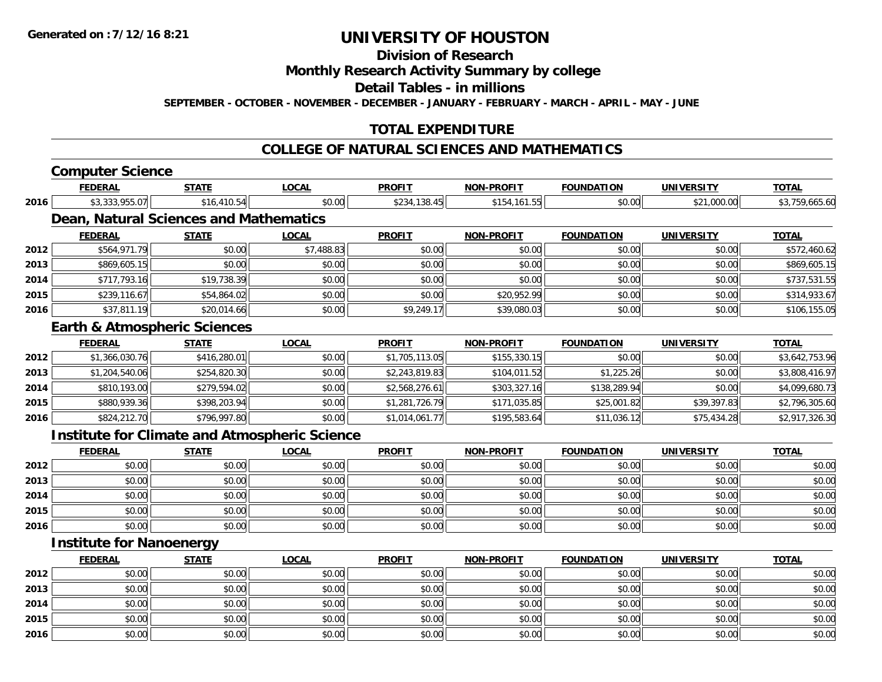### **Division of Research**

#### **Monthly Research Activity Summary by college**

#### **Detail Tables - in millions**

**SEPTEMBER - OCTOBER - NOVEMBER - DECEMBER - JANUARY - FEBRUARY - MARCH - APRIL - MAY - JUNE**

#### **TOTAL EXPENDITURE**

#### **COLLEGE OF NATURAL SCIENCES AND MATHEMATICS**

# **Computer Science**

|      | <b>FEDERAL</b>                          | <b>STATE</b> | <u>LOCAL</u>                                         | <b>PROFIT</b>  | <u>NON-PROFIT</u> | <b>FOUNDATION</b> | <u>UNIVERSITY</u> | <u>TOTAL</u>   |
|------|-----------------------------------------|--------------|------------------------------------------------------|----------------|-------------------|-------------------|-------------------|----------------|
| 2016 | \$3,333,955.07                          | \$16,410.54  | \$0.00                                               | \$234,138.45   | \$154,161.55      | \$0.00            | \$21,000.00       | \$3,759,665.60 |
|      | Dean, Natural Sciences and Mathematics  |              |                                                      |                |                   |                   |                   |                |
|      | <b>FEDERAL</b>                          | <b>STATE</b> | <b>LOCAL</b>                                         | <b>PROFIT</b>  | <b>NON-PROFIT</b> | <b>FOUNDATION</b> | <b>UNIVERSITY</b> | <b>TOTAL</b>   |
| 2012 | \$564,971.79                            | \$0.00       | \$7,488.83                                           | \$0.00         | \$0.00            | \$0.00            | \$0.00            | \$572,460.62   |
| 2013 | \$869,605.15                            | \$0.00       | \$0.00                                               | \$0.00         | \$0.00            | \$0.00            | \$0.00            | \$869,605.15   |
| 2014 | \$717,793.16                            | \$19,738.39  | \$0.00                                               | \$0.00         | \$0.00            | \$0.00            | \$0.00            | \$737,531.55   |
| 2015 | \$239,116.67                            | \$54,864.02  | \$0.00                                               | \$0.00         | \$20,952.99       | \$0.00            | \$0.00            | \$314,933.67   |
| 2016 | \$37,811.19                             | \$20,014.66  | \$0.00                                               | \$9,249.17     | \$39,080.03       | \$0.00            | \$0.00            | \$106,155.05   |
|      | <b>Earth &amp; Atmospheric Sciences</b> |              |                                                      |                |                   |                   |                   |                |
|      | <b>FEDERAL</b>                          | <b>STATE</b> | <b>LOCAL</b>                                         | <b>PROFIT</b>  | <b>NON-PROFIT</b> | <b>FOUNDATION</b> | <b>UNIVERSITY</b> | <b>TOTAL</b>   |
| 2012 | \$1,366,030.76                          | \$416,280.01 | \$0.00                                               | \$1,705,113.05 | \$155,330.15      | \$0.00            | \$0.00            | \$3,642,753.96 |
| 2013 | \$1,204,540.06                          | \$254,820.30 | \$0.00                                               | \$2,243,819.83 | \$104,011.52      | \$1,225.26        | \$0.00            | \$3,808,416.97 |
| 2014 | \$810,193.00                            | \$279,594.02 | \$0.00                                               | \$2,568,276.61 | \$303,327.16      | \$138,289.94      | \$0.00            | \$4,099,680.73 |
| 2015 | \$880,939.36                            | \$398,203.94 | \$0.00                                               | \$1,281,726.79 | \$171,035.85      | \$25,001.82       | \$39,397.83       | \$2,796,305.60 |
| 2016 | \$824,212.70                            | \$796,997.80 | \$0.00                                               | \$1,014,061.77 | \$195,583.64      | \$11,036.12       | \$75,434.28       | \$2,917,326.30 |
|      |                                         |              | <b>Institute for Climate and Atmospheric Science</b> |                |                   |                   |                   |                |
|      | <b>FEDERAL</b>                          | <b>STATE</b> | <b>LOCAL</b>                                         | <b>PROFIT</b>  | NON-PROFIT        | <b>FOUNDATION</b> | <b>UNIVERSITY</b> | <b>TOTAL</b>   |
| 2012 | \$0.00                                  | \$0.00       | \$0.00                                               | \$0.00         | \$0.00            | \$0.00            | \$0.00            | \$0.00         |
| 2013 | \$0.00                                  | \$0.00       | \$0.00                                               | \$0.00         | \$0.00            | \$0.00            | \$0.00            | \$0.00         |
| 2014 | \$0.00                                  | \$0.00       | \$0.00                                               | \$0.00         | \$0.00            | \$0.00            | \$0.00            | \$0.00         |
| 2015 | \$0.00                                  | \$0.00       | \$0.00                                               | \$0.00         | \$0.00            | \$0.00            | \$0.00            | \$0.00         |
| 2016 | \$0.00                                  | \$0.00       | \$0.00                                               | \$0.00         | \$0.00            | \$0.00            | \$0.00            | \$0.00         |
|      | <b>Institute for Nanoenergy</b>         |              |                                                      |                |                   |                   |                   |                |

|      | <u>FEDERAL</u> | <b>STATE</b> | <u>LOCAL</u> | <b>PROFIT</b> | <b>NON-PROFIT</b> | <b>FOUNDATION</b> | <b>UNIVERSITY</b> | <b>TOTAL</b> |
|------|----------------|--------------|--------------|---------------|-------------------|-------------------|-------------------|--------------|
| 2012 | \$0.00         | \$0.00       | \$0.00       | \$0.00        | \$0.00            | \$0.00            | \$0.00            | \$0.00       |
| 2013 | \$0.00         | \$0.00       | \$0.00       | \$0.00        | \$0.00            | \$0.00            | \$0.00            | \$0.00       |
| 2014 | \$0.00         | \$0.00       | \$0.00       | \$0.00        | \$0.00            | \$0.00            | \$0.00            | \$0.00       |
| 2015 | \$0.00         | \$0.00       | \$0.00       | \$0.00        | \$0.00            | \$0.00            | \$0.00            | \$0.00       |
| 2016 | \$0.00         | \$0.00       | \$0.00       | \$0.00        | \$0.00            | \$0.00            | \$0.00            | \$0.00       |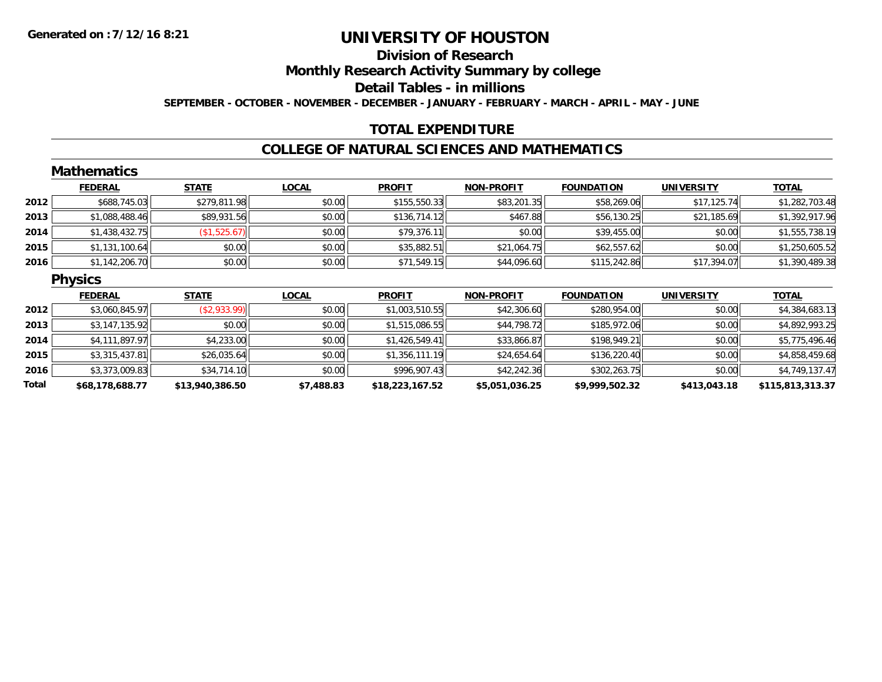# **Division of Research**

**Monthly Research Activity Summary by college**

**Detail Tables - in millions**

**SEPTEMBER - OCTOBER - NOVEMBER - DECEMBER - JANUARY - FEBRUARY - MARCH - APRIL - MAY - JUNE**

### **TOTAL EXPENDITURE**

#### **COLLEGE OF NATURAL SCIENCES AND MATHEMATICS**

|       | <b>Mathematics</b> |                 |              |                 |                   |                   |                   |                  |
|-------|--------------------|-----------------|--------------|-----------------|-------------------|-------------------|-------------------|------------------|
|       | <b>FEDERAL</b>     | <b>STATE</b>    | <b>LOCAL</b> | <b>PROFIT</b>   | <b>NON-PROFIT</b> | <b>FOUNDATION</b> | <b>UNIVERSITY</b> | <b>TOTAL</b>     |
| 2012  | \$688,745.03       | \$279,811.98    | \$0.00       | \$155,550.33    | \$83,201.35       | \$58,269.06       | \$17,125.74       | \$1,282,703.48   |
| 2013  | \$1,088,488.46     | \$89,931.56     | \$0.00       | \$136,714.12    | \$467.88          | \$56,130.25       | \$21,185.69       | \$1,392,917.96   |
| 2014  | \$1,438,432.75     | (\$1,525.67)    | \$0.00       | \$79,376.11     | \$0.00            | \$39,455.00       | \$0.00            | \$1,555,738.19   |
| 2015  | \$1,131,100.64     | \$0.00          | \$0.00       | \$35,882.51     | \$21,064.75       | \$62,557.62       | \$0.00            | \$1,250,605.52   |
| 2016  | \$1,142,206.70     | \$0.00          | \$0.00       | \$71,549.15     | \$44,096.60       | \$115,242.86      | \$17,394.07       | \$1,390,489.38   |
|       | <b>Physics</b>     |                 |              |                 |                   |                   |                   |                  |
|       | <b>FEDERAL</b>     | <b>STATE</b>    | <b>LOCAL</b> | <b>PROFIT</b>   | <b>NON-PROFIT</b> | <b>FOUNDATION</b> | <b>UNIVERSITY</b> | <b>TOTAL</b>     |
| 2012  | \$3,060,845.97     | (\$2,933.99)    | \$0.00       | \$1,003,510.55  | \$42,306.60       | \$280,954.00      | \$0.00            | \$4,384,683.13   |
| 2013  | \$3,147,135.92     | \$0.00          | \$0.00       | \$1,515,086.55  | \$44,798.72       | \$185,972.06      | \$0.00            | \$4,892,993.25   |
| 2014  | \$4,111,897.97     | \$4,233.00      | \$0.00       | \$1,426,549.41  | \$33,866.87       | \$198,949.21      | \$0.00            | \$5,775,496.46   |
| 2015  | \$3,315,437.81     | \$26,035.64     | \$0.00       | \$1,356,111.19  | \$24,654.64       | \$136,220.40      | \$0.00            | \$4,858,459.68   |
| 2016  | \$3,373,009.83     | \$34,714.10     | \$0.00       | \$996,907.43    | \$42,242.36       | \$302,263.75      | \$0.00            | \$4,749,137.47   |
| Total | \$68,178,688.77    | \$13,940,386.50 | \$7,488.83   | \$18,223,167.52 | \$5,051,036.25    | \$9,999,502.32    | \$413,043.18      | \$115,813,313.37 |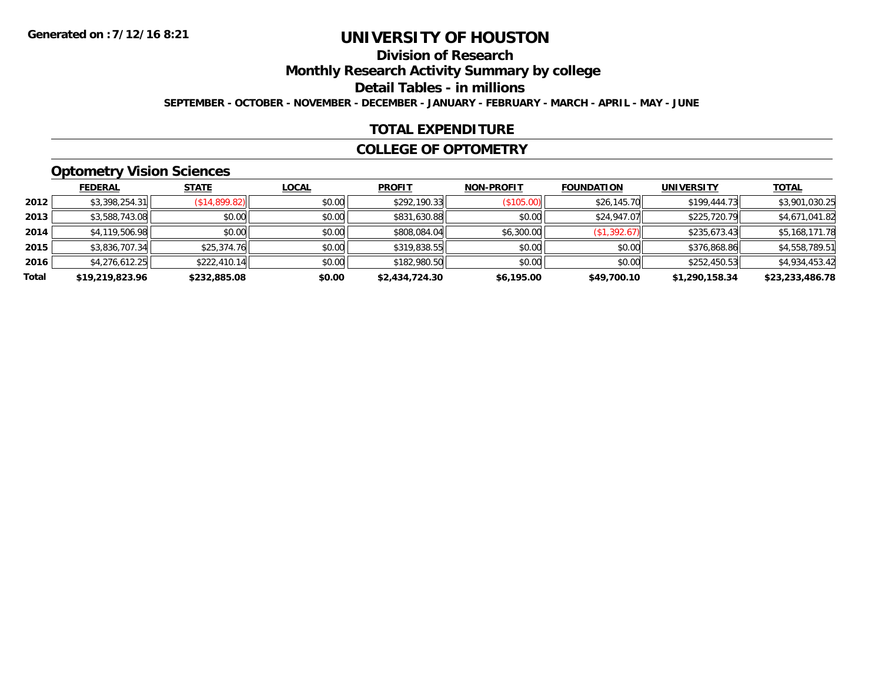### **Division of Research**

**Monthly Research Activity Summary by college**

**Detail Tables - in millions**

**SEPTEMBER - OCTOBER - NOVEMBER - DECEMBER - JANUARY - FEBRUARY - MARCH - APRIL - MAY - JUNE**

#### **TOTAL EXPENDITURE**

#### **COLLEGE OF OPTOMETRY**

### **Optometry Vision Sciences**

|       | <b>FEDERAL</b>  | <b>STATE</b>  | <b>LOCAL</b> | <b>PROFIT</b>  | <b>NON-PROFIT</b> | <b>FOUNDATION</b> | <b>UNIVERSITY</b> | <b>TOTAL</b>    |
|-------|-----------------|---------------|--------------|----------------|-------------------|-------------------|-------------------|-----------------|
| 2012  | \$3,398,254.31  | (S14, 899.82) | \$0.00       | \$292,190.33   | (\$105.00)        | \$26,145.70       | \$199,444.73      | \$3,901,030.25  |
| 2013  | \$3,588,743.08  | \$0.00        | \$0.00       | \$831,630.88   | \$0.00            | \$24,947.07       | \$225,720.79      | \$4,671,041.82  |
| 2014  | \$4,119,506.98  | \$0.00        | \$0.00       | \$808,084.04   | \$6,300.00        | (\$1,392.67)      | \$235,673.43      | \$5,168,171.78  |
| 2015  | \$3,836,707.34  | \$25,374.76   | \$0.00       | \$319,838.55   | \$0.00            | \$0.00            | \$376,868.86      | \$4,558,789.51  |
| 2016  | \$4,276,612.25  | \$222,410.14  | \$0.00       | \$182,980.50   | \$0.00            | \$0.00            | \$252,450.53      | \$4,934,453.42  |
| Total | \$19,219,823.96 | \$232,885.08  | \$0.00       | \$2,434,724.30 | \$6,195.00        | \$49,700.10       | \$1,290,158.34    | \$23,233,486.78 |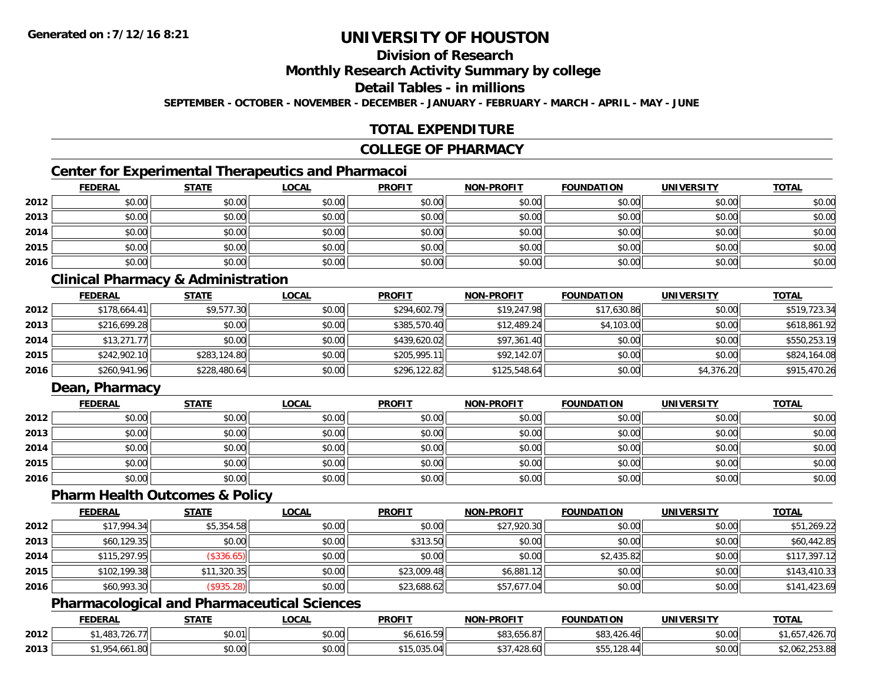### **Division of Research**

**Monthly Research Activity Summary by college**

#### **Detail Tables - in millions**

**SEPTEMBER - OCTOBER - NOVEMBER - DECEMBER - JANUARY - FEBRUARY - MARCH - APRIL - MAY - JUNE**

#### **TOTAL EXPENDITURE**

#### **COLLEGE OF PHARMACY**

### **Center for Experimental Therapeutics and Pharmacoi**

|      | <b>FEDERAL</b> | <b>STATE</b> | <b>LOCAL</b> | <b>PROFIT</b> | <b>NON-PROFIT</b> | <b>FOUNDATION</b> | <b>UNIVERSITY</b> | <b>TOTAL</b> |
|------|----------------|--------------|--------------|---------------|-------------------|-------------------|-------------------|--------------|
| 2012 | \$0.00         | \$0.00       | \$0.00       | \$0.00        | \$0.00            | \$0.00            | \$0.00            | \$0.00       |
| 2013 | \$0.00         | \$0.00       | \$0.00       | \$0.00        | \$0.00            | \$0.00            | \$0.00            | \$0.00       |
| 2014 | \$0.00         | \$0.00       | \$0.00       | \$0.00        | \$0.00            | \$0.00            | \$0.00            | \$0.00       |
| 2015 | \$0.00         | \$0.00       | \$0.00       | \$0.00        | \$0.00            | \$0.00            | \$0.00            | \$0.00       |
| 2016 | \$0.00         | \$0.00       | \$0.00       | \$0.00        | \$0.00            | \$0.00            | \$0.00            | \$0.00       |

#### **Clinical Pharmacy & Administration**

|      | <b>FEDERAL</b> | <u>STATE</u> | <b>LOCAL</b> | <b>PROFIT</b> | <b>NON-PROFIT</b> | <b>FOUNDATION</b> | <b>UNIVERSITY</b> | <b>TOTAL</b> |
|------|----------------|--------------|--------------|---------------|-------------------|-------------------|-------------------|--------------|
| 2012 | \$178,664.41   | \$9,577.30   | \$0.00       | \$294,602.79  | \$19,247.98       | \$17,630.86       | \$0.00            | \$519,723.34 |
| 2013 | \$216,699.28   | \$0.00       | \$0.00       | \$385,570.40  | \$12,489.24       | \$4,103.00        | \$0.00            | \$618,861.92 |
| 2014 | \$13,271.77    | \$0.00       | \$0.00       | \$439,620.02  | \$97,361.40       | \$0.00            | \$0.00            | \$550,253.19 |
| 2015 | \$242,902.10   | \$283,124.80 | \$0.00       | \$205,995.11  | \$92,142.07       | \$0.00            | \$0.00            | \$824,164.08 |
| 2016 | \$260,941.96   | \$228,480.64 | \$0.00       | \$296,122.82  | \$125,548.64      | \$0.00            | \$4,376.20        | \$915,470.26 |

### **Dean, Pharmacy**

|      | <b>FEDERAL</b> | <u>STATE</u> | <u>LOCAL</u> | <b>PROFIT</b> | <b>NON-PROFIT</b> | <b>FOUNDATION</b> | <b>UNIVERSITY</b> | <b>TOTAL</b> |
|------|----------------|--------------|--------------|---------------|-------------------|-------------------|-------------------|--------------|
| 2012 | \$0.00         | \$0.00       | \$0.00       | \$0.00        | \$0.00            | \$0.00            | \$0.00            | \$0.00       |
| 2013 | \$0.00         | \$0.00       | \$0.00       | \$0.00        | \$0.00            | \$0.00            | \$0.00            | \$0.00       |
| 2014 | \$0.00         | \$0.00       | \$0.00       | \$0.00        | \$0.00            | \$0.00            | \$0.00            | \$0.00       |
| 2015 | \$0.00         | \$0.00       | \$0.00       | \$0.00        | \$0.00            | \$0.00            | \$0.00            | \$0.00       |
| 2016 | \$0.00         | \$0.00       | \$0.00       | \$0.00        | \$0.00            | \$0.00            | \$0.00            | \$0.00       |

#### **Pharm Health Outcomes & Policy**

|      | <b>FEDERAL</b> | <b>STATE</b> | <u>LOCAL</u> | <b>PROFIT</b> | <b>NON-PROFIT</b> | <b>FOUNDATION</b> | <b>UNIVERSITY</b> | <b>TOTAL</b> |
|------|----------------|--------------|--------------|---------------|-------------------|-------------------|-------------------|--------------|
| 2012 | \$17,994.34    | \$5,354.58   | \$0.00       | \$0.00        | \$27,920.30       | \$0.00            | \$0.00            | \$51,269.22  |
| 2013 | \$60,129.35    | \$0.00       | \$0.00       | \$313.50      | \$0.00            | \$0.00            | \$0.00            | \$60,442.85  |
| 2014 | \$115,297.95   | (\$336.65)   | \$0.00       | \$0.00        | \$0.00            | \$2,435.82        | \$0.00            | \$117,397.12 |
| 2015 | \$102,199.38   | \$11,320.35  | \$0.00       | \$23,009.48   | \$6,881.12        | \$0.00            | \$0.00            | \$143,410.33 |
| 2016 | \$60,993.30    | (\$935.28)   | \$0.00       | \$23,688.62   | \$57,677.04       | \$0.00            | \$0.00            | \$141,423.69 |

#### **Pharmacological and Pharmaceutical Sciences**

|      | <b>FEDERAL</b> | <b>STATE</b>  | _OCAI              | <b>PROFIT</b>                     | J-PROFI <sup>T</sup><br>וחרות | <b>FOUNDATION</b> | UNIVERSITY | TOTA.                              |
|------|----------------|---------------|--------------------|-----------------------------------|-------------------------------|-------------------|------------|------------------------------------|
| 2012 | $\sqrt{2}$     | \$0.01        | $\sim$ 00<br>vu.uu | 5.010 م                           | $1 - 1 - 0$<br>O.OU<br>. טע   | - < 4 /h ·        | \$0.00     | $\overline{\phantom{a}}$<br>120.7U |
| 2013 | .ou            | 0000<br>ง∪.∪บ | 0.00<br>JU.UU      | $\sim$<br>. റ⊿<br><u>v.J.J.V.</u> | 100<br>+20.00                 |                   | \$0.00     | 2,062,253.88                       |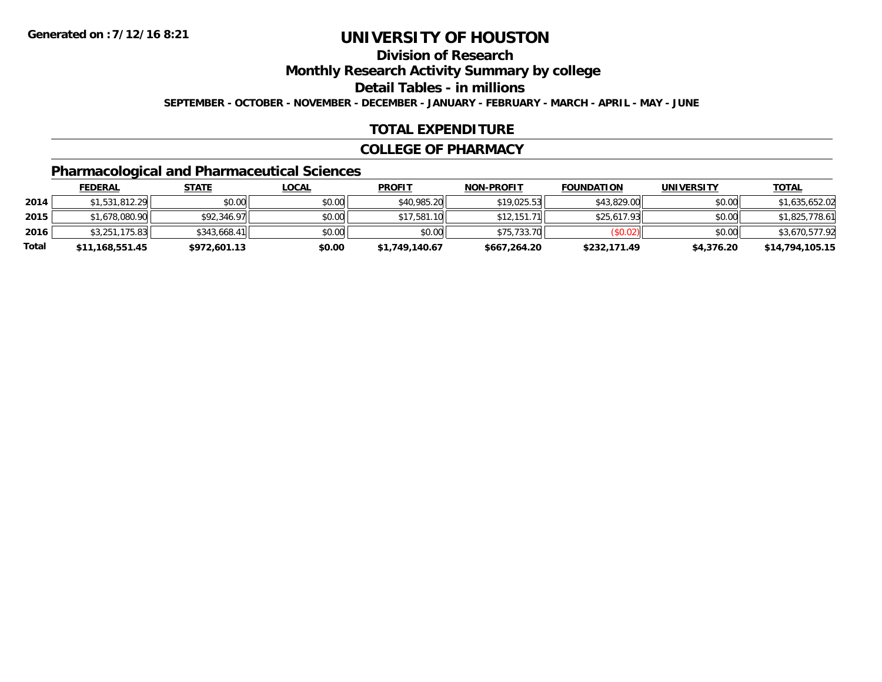### **Division of Research**

**Monthly Research Activity Summary by college**

**Detail Tables - in millions**

**SEPTEMBER - OCTOBER - NOVEMBER - DECEMBER - JANUARY - FEBRUARY - MARCH - APRIL - MAY - JUNE**

#### **TOTAL EXPENDITURE**

#### **COLLEGE OF PHARMACY**

### **Pharmacological and Pharmaceutical Sciences**

|       | <b>FEDERAL</b>  | <u>STATE</u> | <u>LOCAL</u> | <b>PROFIT</b>  | <b>NON-PROFIT</b> | <b>FOUNDATION</b> | <b>UNIVERSITY</b> | <b>TOTAL</b>    |
|-------|-----------------|--------------|--------------|----------------|-------------------|-------------------|-------------------|-----------------|
| 2014  | \$1,531,812.29  | \$0.00       | \$0.00       | \$40,985.20    | \$19.025.53       | \$43,829.00       | \$0.00            | \$1,635,652.02  |
| 2015  | \$1,678,080.90  | \$92,346.97  | \$0.00       | \$17,581.10    | \$12,151.71       | \$25,617.93       | \$0.00            | \$1,825,778.61  |
| 2016  | \$3.251.175.83  | \$343,668.41 | \$0.00       | \$0.00         | \$75,733.70       | (S0.02)           | \$0.00            | \$3,670,577.92  |
| Total | \$11,168,551.45 | \$972,601.13 | \$0.00       | \$1,749,140.67 | \$667,264.20      | \$232,171.49      | \$4,376.20        | \$14,794,105.15 |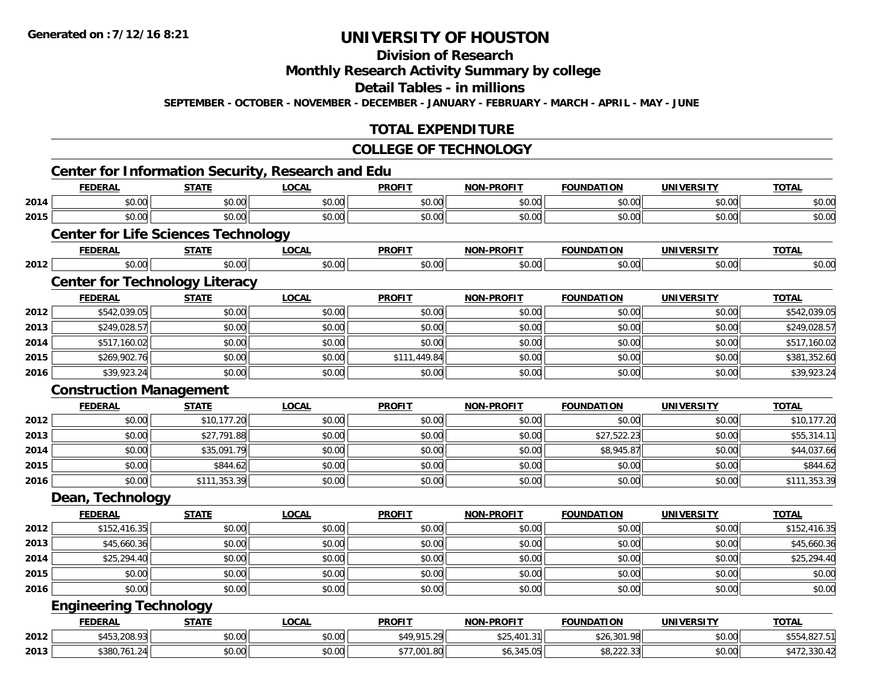### **Division of Research**

### **Monthly Research Activity Summary by college**

#### **Detail Tables - in millions**

**SEPTEMBER - OCTOBER - NOVEMBER - DECEMBER - JANUARY - FEBRUARY - MARCH - APRIL - MAY - JUNE**

#### **TOTAL EXPENDITURE**

#### **COLLEGE OF TECHNOLOGY**

|              |                                |                                            | <b>Center for Information Security, Research and Edu</b> |                         |                   |                             |                             |                              |
|--------------|--------------------------------|--------------------------------------------|----------------------------------------------------------|-------------------------|-------------------|-----------------------------|-----------------------------|------------------------------|
|              | <b>FEDERAL</b>                 | <b>STATE</b>                               | <b>LOCAL</b>                                             | <b>PROFIT</b>           | <b>NON-PROFIT</b> | <b>FOUNDATION</b>           | <b>UNIVERSITY</b>           | <b>TOTAL</b>                 |
| 2014         | \$0.00                         | \$0.00                                     | \$0.00                                                   | \$0.00                  | \$0.00            | \$0.00                      | \$0.00                      | \$0.00                       |
| 2015         | \$0.00                         | \$0.00                                     | \$0.00                                                   | \$0.00                  | \$0.00            | \$0.00                      | \$0.00                      | \$0.00                       |
|              |                                | <b>Center for Life Sciences Technology</b> |                                                          |                         |                   |                             |                             |                              |
|              | <b>FEDERAL</b><br>\$0.00       | <b>STATE</b><br>\$0.00                     | <b>LOCAL</b><br>\$0.00                                   | <b>PROFIT</b><br>\$0.00 | <b>NON-PROFIT</b> | <b>FOUNDATION</b><br>\$0.00 | <b>UNIVERSITY</b><br>\$0.00 | <b>TOTAL</b><br>\$0.00       |
| 2012         |                                |                                            |                                                          |                         | \$0.00            |                             |                             |                              |
|              |                                | <b>Center for Technology Literacy</b>      |                                                          |                         |                   |                             |                             |                              |
|              | <b>FEDERAL</b>                 | <b>STATE</b>                               | <b>LOCAL</b>                                             | <b>PROFIT</b>           | <b>NON-PROFIT</b> | <b>FOUNDATION</b>           | <b>UNIVERSITY</b>           | <b>TOTAL</b>                 |
| 2012<br>2013 | \$542,039.05<br>\$249,028.57   | \$0.00<br>\$0.00                           | \$0.00<br>\$0.00                                         | \$0.00<br>\$0.00        | \$0.00<br>\$0.00  | \$0.00<br>\$0.00            | \$0.00<br>\$0.00            | \$542,039.05<br>\$249,028.57 |
| 2014         | \$517,160.02                   | \$0.00                                     | \$0.00                                                   | \$0.00                  | \$0.00            | \$0.00                      | \$0.00                      | \$517,160.02                 |
| 2015         | \$269,902.76                   | \$0.00                                     | \$0.00                                                   | \$111,449.84            | \$0.00            | \$0.00                      | \$0.00                      | \$381,352.60                 |
| 2016         | \$39,923.24                    | \$0.00                                     | \$0.00                                                   | \$0.00                  | \$0.00            | \$0.00                      | \$0.00                      | \$39,923.24                  |
|              | <b>Construction Management</b> |                                            |                                                          |                         |                   |                             |                             |                              |
|              | <b>FEDERAL</b>                 | <b>STATE</b>                               | <b>LOCAL</b>                                             | <b>PROFIT</b>           | <b>NON-PROFIT</b> | <b>FOUNDATION</b>           | <b>UNIVERSITY</b>           | <b>TOTAL</b>                 |
| 2012         | \$0.00                         | \$10,177.20                                | \$0.00                                                   | \$0.00                  | \$0.00            | \$0.00                      | \$0.00                      | \$10,177.20                  |
| 2013         | \$0.00                         | \$27,791.88                                | \$0.00                                                   | \$0.00                  | \$0.00            | \$27,522.23                 | \$0.00                      | \$55,314.11                  |
| 2014         | \$0.00                         | \$35,091.79                                | \$0.00                                                   | \$0.00                  | \$0.00            | \$8,945.87                  | \$0.00                      | \$44,037.66                  |
| 2015         | \$0.00                         | \$844.62                                   | \$0.00                                                   | \$0.00                  | \$0.00            | \$0.00                      | \$0.00                      | \$844.62                     |
| 2016         | \$0.00                         | \$111,353.39                               | \$0.00                                                   | \$0.00                  | \$0.00            | \$0.00                      | \$0.00                      | \$111,353.39                 |
|              | Dean, Technology               |                                            |                                                          |                         |                   |                             |                             |                              |
|              | <b>FEDERAL</b>                 | <b>STATE</b>                               | <b>LOCAL</b>                                             | <b>PROFIT</b>           | <b>NON-PROFIT</b> | <b>FOUNDATION</b>           | <b>UNIVERSITY</b>           | <b>TOTAL</b>                 |
| 2012         | \$152,416.35                   | \$0.00                                     | \$0.00                                                   | \$0.00                  | \$0.00            | \$0.00                      | \$0.00                      | \$152,416.35                 |
| 2013         | \$45,660.36                    | \$0.00                                     | \$0.00                                                   | \$0.00                  | \$0.00            | \$0.00                      | \$0.00                      | \$45,660.36                  |
| 2014         | \$25,294.40                    | \$0.00                                     | \$0.00                                                   | \$0.00                  | \$0.00            | \$0.00                      | \$0.00                      | \$25,294.40                  |
| 2015         | \$0.00                         | \$0.00                                     | \$0.00                                                   | \$0.00                  | \$0.00            | \$0.00                      | \$0.00                      | \$0.00                       |
| 2016         | \$0.00                         | \$0.00                                     | \$0.00                                                   | \$0.00                  | \$0.00            | \$0.00                      | \$0.00                      | \$0.00                       |
|              | <b>Engineering Technology</b>  |                                            |                                                          |                         |                   |                             |                             |                              |
|              | <b>FEDERAL</b>                 | <b>STATE</b>                               | <b>LOCAL</b>                                             | <b>PROFIT</b>           | <b>NON-PROFIT</b> | <b>FOUNDATION</b>           | <b>UNIVERSITY</b>           | <b>TOTAL</b>                 |
| 2012         | \$453,208.93                   | \$0.00                                     | \$0.00                                                   | \$49,915.29             | \$25,401.31       | \$26,301.98                 | \$0.00                      | \$554,827.51                 |
| 2013         | \$380,761.24                   | \$0.00                                     | \$0.00                                                   | \$77,001.80             | \$6,345.05        | \$8,222.33                  | \$0.00                      | \$472,330.42                 |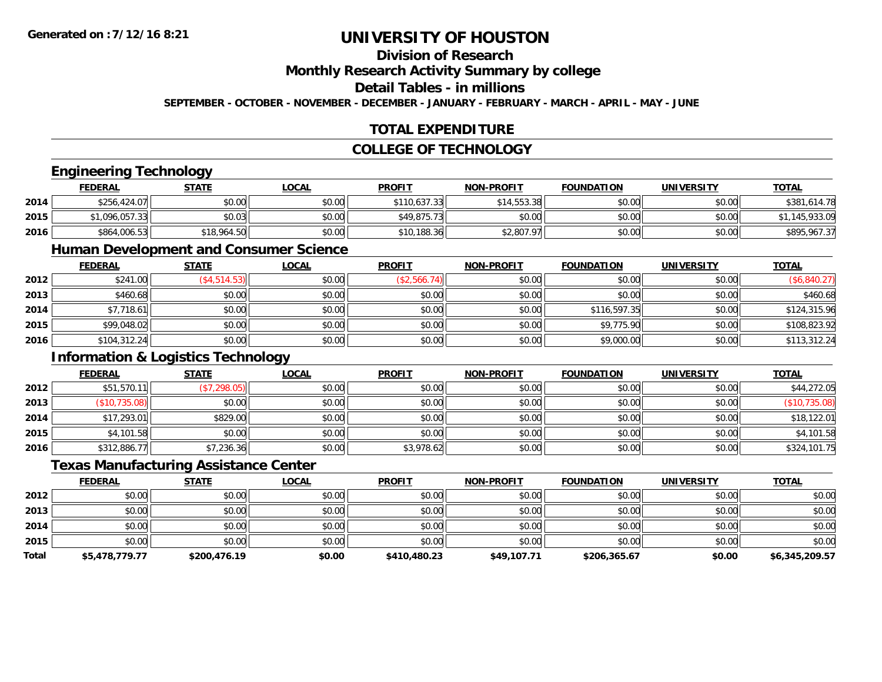### **Division of Research**

#### **Monthly Research Activity Summary by college**

#### **Detail Tables - in millions**

**SEPTEMBER - OCTOBER - NOVEMBER - DECEMBER - JANUARY - FEBRUARY - MARCH - APRIL - MAY - JUNE**

#### **TOTAL EXPENDITURE**

#### **COLLEGE OF TECHNOLOGY**

#### **Engineering Technology**

|      | <b>FEDERAL</b> | <b>STATE</b> | <u>LOCAL</u> | <b>PROFIT</b> | <b>NON-PROFIT</b> | <b>FOUNDATION</b> | <b>UNIVERSITY</b> | <b>TOTAL</b> |
|------|----------------|--------------|--------------|---------------|-------------------|-------------------|-------------------|--------------|
| 2014 | \$256,424.07   | \$0.00       | \$0.00       | \$110,637.33  | \$14,553.38       | \$0.00            | \$0.00            | \$381,614.78 |
| 2015 | \$1,096,057.33 | \$0.03       | \$0.00       | \$49,875.73   | \$0.00            | \$0.00            | \$0.00            | ,933.09      |
| 2016 | \$864,006.53   | \$18,964.50  | \$0.00       | \$10,188.36   | \$2,807.97        | \$0.00            | \$0.00            | \$895,967.37 |

#### **Human Development and Consumer Science**

|      | <u>FEDERAL</u> | <u>STATE</u>    | <b>LOCAL</b> | <b>PROFIT</b> | <b>NON-PROFIT</b> | <b>FOUNDATION</b> | <b>UNIVERSITY</b> | <b>TOTAL</b> |
|------|----------------|-----------------|--------------|---------------|-------------------|-------------------|-------------------|--------------|
| 2012 | \$241.00       | $($ \$4,514.53) | \$0.00       | (\$2,566.74)  | \$0.00            | \$0.00            | \$0.00            | (\$6,840.27) |
| 2013 | \$460.68       | \$0.00          | \$0.00       | \$0.00        | \$0.00            | \$0.00            | \$0.00            | \$460.68     |
| 2014 | \$7,718.61     | \$0.00          | \$0.00       | \$0.00        | \$0.00            | \$116,597.35      | \$0.00            | \$124,315.96 |
| 2015 | \$99,048.02    | \$0.00          | \$0.00       | \$0.00        | \$0.00            | \$9,775.90        | \$0.00            | \$108,823.92 |
| 2016 | \$104,312.24   | \$0.00          | \$0.00       | \$0.00        | \$0.00            | \$9,000.00        | \$0.00            | \$113,312.24 |

#### **Information & Logistics Technology**

|      | <b>FEDERAL</b> | <u>STATE</u> | <u>LOCAL</u> | <b>PROFIT</b> | <b>NON-PROFIT</b> | <b>FOUNDATION</b> | <b>UNIVERSITY</b> | <b>TOTAL</b>  |
|------|----------------|--------------|--------------|---------------|-------------------|-------------------|-------------------|---------------|
| 2012 | \$51,570.11    | (\$7,298.05) | \$0.00       | \$0.00        | \$0.00            | \$0.00            | \$0.00            | \$44,272.05   |
| 2013 | (\$10,735.08)  | \$0.00       | \$0.00       | \$0.00        | \$0.00            | \$0.00            | \$0.00            | (\$10,735.08) |
| 2014 | \$17,293.01    | \$829.00     | \$0.00       | \$0.00        | \$0.00            | \$0.00            | \$0.00            | \$18,122.01   |
| 2015 | \$4,101.58     | \$0.00       | \$0.00       | \$0.00        | \$0.00            | \$0.00            | \$0.00            | \$4,101.58    |
| 2016 | \$312,886.77   | \$7,236.36   | \$0.00       | \$3,978.62    | \$0.00            | \$0.00            | \$0.00            | \$324,101.75  |

#### **Texas Manufacturing Assistance Center**

|              | <u>FEDERAL</u> | <b>STATE</b> | <u>LOCAL</u> | <b>PROFIT</b> | <b>NON-PROFIT</b> | <b>FOUNDATION</b> | UNIVERSITY | <b>TOTAL</b>   |
|--------------|----------------|--------------|--------------|---------------|-------------------|-------------------|------------|----------------|
| 2012         | \$0.00         | \$0.00       | \$0.00       | \$0.00        | \$0.00            | \$0.00            | \$0.00     | \$0.00         |
| 2013         | \$0.00         | \$0.00       | \$0.00       | \$0.00        | \$0.00            | \$0.00            | \$0.00     | \$0.00         |
| 2014         | \$0.00         | \$0.00       | \$0.00       | \$0.00        | \$0.00            | \$0.00            | \$0.00     | \$0.00         |
| 2015         | \$0.00         | \$0.00       | \$0.00       | \$0.00        | \$0.00            | \$0.00            | \$0.00     | \$0.00         |
| <b>Total</b> | \$5,478,779.77 | \$200,476.19 | \$0.00       | \$410,480.23  | \$49,107.71       | \$206,365.67      | \$0.00     | \$6,345,209.57 |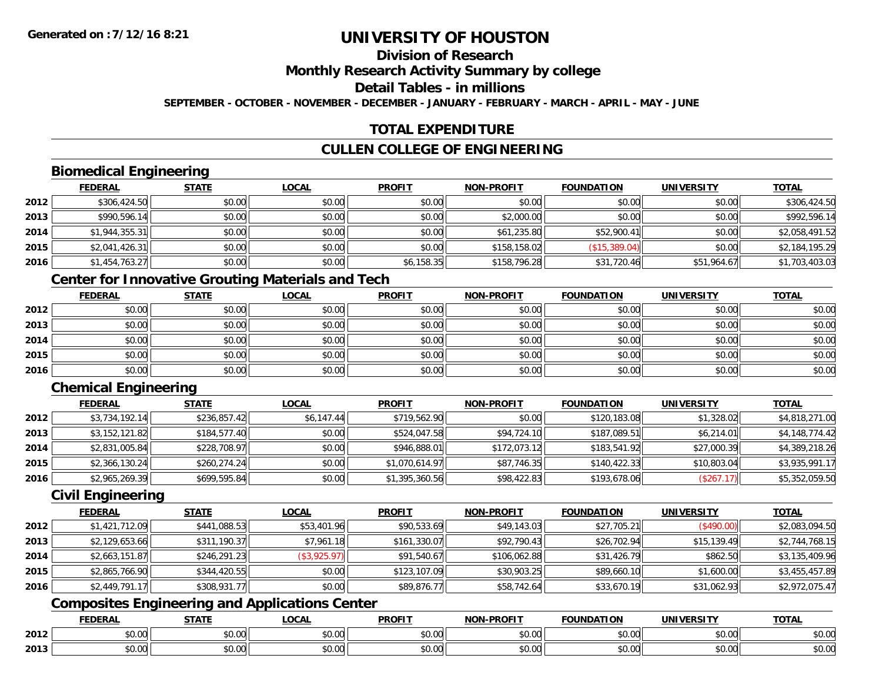### **Division of Research**

**Monthly Research Activity Summary by college**

**Detail Tables - in millions**

**SEPTEMBER - OCTOBER - NOVEMBER - DECEMBER - JANUARY - FEBRUARY - MARCH - APRIL - MAY - JUNE**

#### **TOTAL EXPENDITURE**

#### **CULLEN COLLEGE OF ENGINEERING**

#### **Biomedical Engineering**

|      | <b>FEDERAL</b> | <b>STATE</b> | <b>LOCAL</b> | <b>PROFIT</b> | <b>NON-PROFIT</b> | <b>FOUNDATION</b> | <b>UNIVERSITY</b> | <b>TOTAL</b>   |
|------|----------------|--------------|--------------|---------------|-------------------|-------------------|-------------------|----------------|
| 2012 | \$306,424.50   | \$0.00       | \$0.00       | \$0.00        | \$0.00            | \$0.00            | \$0.00            | \$306,424.50   |
| 2013 | \$990,596.14   | \$0.00       | \$0.00       | \$0.00        | \$2,000.00        | \$0.00            | \$0.00            | \$992,596.14   |
| 2014 | \$1,944,355.31 | \$0.00       | \$0.00       | \$0.00        | \$61,235.80       | \$52,900.41       | \$0.00            | \$2,058,491.52 |
| 2015 | \$2,041,426.31 | \$0.00       | \$0.00       | \$0.00        | \$158,158.02      | (\$15,389.04)     | \$0.00            | \$2,184,195.29 |
| 2016 | \$1,454,763.27 | \$0.00       | \$0.00       | \$6,158.35    | \$158,796.28      | \$31,720.46       | \$51,964.67       | \$1,703,403.03 |

### **Center for Innovative Grouting Materials and Tech**

|      | <b>FEDERAL</b> | <b>STATE</b> | <u>LOCAL</u> | <b>PROFIT</b> | <b>NON-PROFIT</b> | <b>FOUNDATION</b> | <b>UNIVERSITY</b> | <b>TOTAL</b> |
|------|----------------|--------------|--------------|---------------|-------------------|-------------------|-------------------|--------------|
| 2012 | \$0.00         | \$0.00       | \$0.00       | \$0.00        | \$0.00            | \$0.00            | \$0.00            | \$0.00       |
| 2013 | \$0.00         | \$0.00       | \$0.00       | \$0.00        | \$0.00            | \$0.00            | \$0.00            | \$0.00       |
| 2014 | \$0.00         | \$0.00       | \$0.00       | \$0.00        | \$0.00            | \$0.00            | \$0.00            | \$0.00       |
| 2015 | \$0.00         | \$0.00       | \$0.00       | \$0.00        | \$0.00            | \$0.00            | \$0.00            | \$0.00       |
| 2016 | \$0.00         | \$0.00       | \$0.00       | \$0.00        | \$0.00            | \$0.00            | \$0.00            | \$0.00       |

### **Chemical Engineering**

|      | <b>FEDERAL</b> | <b>STATE</b> | <b>LOCAL</b> | <b>PROFIT</b>  | <b>NON-PROFIT</b> | <b>FOUNDATION</b> | <b>UNIVERSITY</b> | <b>TOTAL</b>   |
|------|----------------|--------------|--------------|----------------|-------------------|-------------------|-------------------|----------------|
| 2012 | \$3,734,192.14 | \$236,857.42 | \$6,147.44   | \$719,562.90   | \$0.00            | \$120,183.08      | \$1,328.02        | \$4,818,271.00 |
| 2013 | \$3,152,121.82 | \$184,577.40 | \$0.00       | \$524,047.58   | \$94,724.10       | \$187,089.51      | \$6,214.01        | \$4,148,774.42 |
| 2014 | \$2,831,005.84 | \$228,708.97 | \$0.00       | \$946,888.01   | \$172,073.12      | \$183,541.92      | \$27,000.39       | \$4,389,218.26 |
| 2015 | \$2,366,130.24 | \$260,274.24 | \$0.00       | \$1,070,614.97 | \$87,746.35       | \$140,422.33      | \$10,803.04       | \$3,935,991.17 |
| 2016 | \$2,965,269.39 | \$699,595.84 | \$0.00       | \$1,395,360.56 | \$98,422.83       | \$193,678.06      | (\$267.17)        | \$5,352,059.50 |

#### **Civil Engineering**

|      | <b>FEDERAL</b> | <b>STATE</b> | <b>LOCAL</b> | <b>PROFIT</b> | <b>NON-PROFIT</b> | <b>FOUNDATION</b> | <b>UNIVERSITY</b> | <b>TOTAL</b>   |
|------|----------------|--------------|--------------|---------------|-------------------|-------------------|-------------------|----------------|
| 2012 | \$1,421,712.09 | \$441,088.53 | \$53,401.96  | \$90,533.69   | \$49,143.03       | \$27,705.21       | (\$490.00)        | \$2,083,094.50 |
| 2013 | \$2,129,653.66 | \$311,190.37 | \$7,961.18   | \$161,330.07  | \$92,790.43       | \$26,702.94       | \$15,139.49       | \$2,744,768.15 |
| 2014 | \$2,663,151.87 | \$246,291.23 | (\$3,925.97) | \$91,540.67   | \$106,062.88      | \$31,426.79       | \$862.50          | \$3,135,409.96 |
| 2015 | \$2,865,766.90 | \$344,420.55 | \$0.00       | \$123,107.09  | \$30,903.25       | \$89,660.10       | \$1,600.00        | \$3,455,457.89 |
| 2016 | \$2,449,791.17 | \$308,931.77 | \$0.00       | \$89,876.77   | \$58,742.64       | \$33,670.19       | \$31,062.93       | \$2,972,075.47 |

### **Composites Engineering and Applications Center**

|      | <b>FEDERAL</b>                 | <b>CTATI</b><br>$51h$ . | 0 <sup>n</sup><br>.UUNL   | <b>PROFIT</b>     | <b>DDOEL</b><br><b>NICHI</b>              | DATION | <b>JNIVERSITY</b>                                     | <b>TOTAL</b>             |
|------|--------------------------------|-------------------------|---------------------------|-------------------|-------------------------------------------|--------|-------------------------------------------------------|--------------------------|
| 2012 | 0000<br>ט.טע                   | 0000<br>DU.UU           | $\sim$<br>$\sim$<br>40.00 | $\cdots$<br>JU.UU | 0.00<br>pu.uu                             | \$0.00 | $\mathsf{A} \cap \mathsf{A} \cap \mathsf{A}$<br>vv.vv | 0000<br><b>JU.UU</b>     |
| 2013 | $\uparrow$ $\uparrow$<br>pu.uu | 0000<br>DU.UU           | <b>↑^</b><br>vu.vu        | 0000<br>JU.UU     | $\uparrow$ $\uparrow$ $\uparrow$<br>JU.UU | \$0.00 | $\mathsf{A} \cap \mathsf{A} \cap \mathsf{A}$<br>vv.vv | $\cdots$<br><b>JU.UU</b> |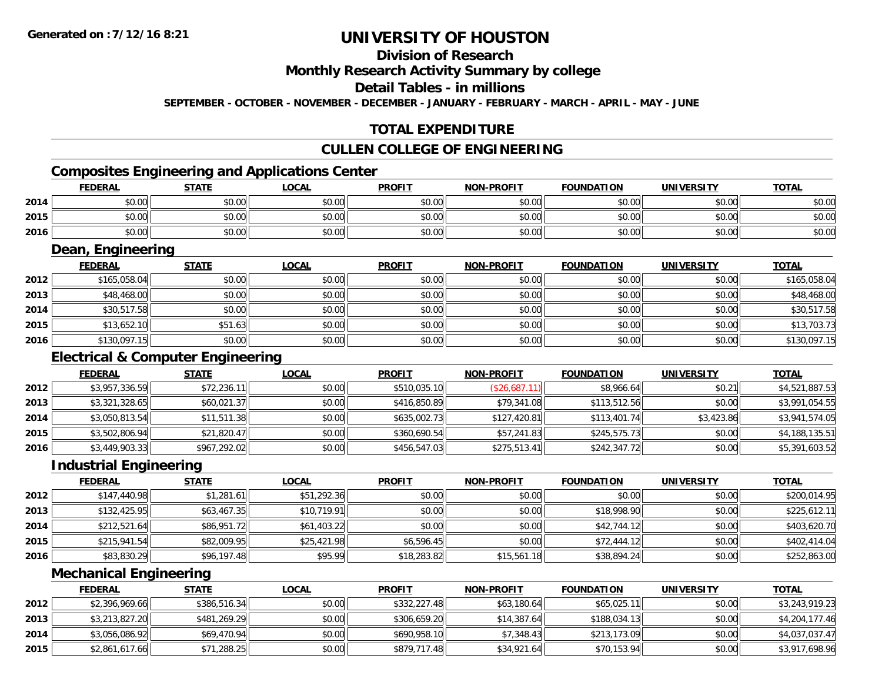### **Division of Research**

#### **Monthly Research Activity Summary by college**

#### **Detail Tables - in millions**

**SEPTEMBER - OCTOBER - NOVEMBER - DECEMBER - JANUARY - FEBRUARY - MARCH - APRIL - MAY - JUNE**

#### **TOTAL EXPENDITURE**

#### **CULLEN COLLEGE OF ENGINEERING**

### **Composites Engineering and Applications Center**

|      | Composites Engineering and Applications Center |        |        |               |                   |                   |            |              |  |  |  |  |
|------|------------------------------------------------|--------|--------|---------------|-------------------|-------------------|------------|--------------|--|--|--|--|
|      | <b>FEDERAL</b>                                 | STATE  | LOCAL  | <b>PROFIT</b> | <b>NON-PROFIT</b> | <b>FOUNDATION</b> | UNIVERSITY | <b>TOTAL</b> |  |  |  |  |
| 2014 | \$0.00                                         | \$0.00 | \$0.00 | \$0.00        | \$0.00            | \$0.00            | \$0.00     | \$0.00       |  |  |  |  |
| 2015 | \$0.00                                         | \$0.00 | \$0.00 | \$0.00        | \$0.00            | \$0.00            | \$0.00     | \$0.00       |  |  |  |  |
| 2016 | \$0.00                                         | \$0.00 | \$0.00 | \$0.00        | \$0.00            | \$0.00            | \$0.00     | \$0.00       |  |  |  |  |

<u> 1989 - Johann Stoff, deutscher Stoffen und der Stoffen und der Stoffen und der Stoffen und der Stoffen und der</u>

#### **Dean, Engineering**

|      | <b>FEDERAL</b> | <b>STATE</b> | <b>LOCAL</b> | <b>PROFIT</b> | <b>NON-PROFIT</b> | <b>FOUNDATION</b> | <b>UNIVERSITY</b> | <b>TOTAL</b> |
|------|----------------|--------------|--------------|---------------|-------------------|-------------------|-------------------|--------------|
| 2012 | \$165,058.04   | \$0.00       | \$0.00       | \$0.00        | \$0.00            | \$0.00            | \$0.00            | \$165,058.04 |
| 2013 | \$48,468.00    | \$0.00       | \$0.00       | \$0.00        | \$0.00            | \$0.00            | \$0.00            | \$48,468.00  |
| 2014 | \$30,517.58    | \$0.00       | \$0.00       | \$0.00        | \$0.00            | \$0.00            | \$0.00            | \$30,517.58  |
| 2015 | \$13,652.10    | \$51.63      | \$0.00       | \$0.00        | \$0.00            | \$0.00            | \$0.00            | \$13,703.73  |
| 2016 | \$130,097.15   | \$0.00       | \$0.00       | \$0.00        | \$0.00            | \$0.00            | \$0.00            | \$130,097.15 |

#### **Electrical & Computer Engineering**

|      | <b>FEDERAL</b> | <b>STATE</b> | <b>LOCAL</b> | <b>PROFIT</b> | <b>NON-PROFIT</b> | <b>FOUNDATION</b> | <b>UNIVERSITY</b> | <b>TOTAL</b>   |
|------|----------------|--------------|--------------|---------------|-------------------|-------------------|-------------------|----------------|
| 2012 | \$3,957,336.59 | \$72,236.11  | \$0.00       | \$510,035.10  | (S26,687.11)      | \$8,966.64        | \$0.21            | \$4,521,887.53 |
| 2013 | \$3,321,328.65 | \$60,021.37  | \$0.00       | \$416,850.89  | \$79,341.08       | \$113,512.56      | \$0.00            | \$3,991,054.55 |
| 2014 | \$3,050,813.54 | \$11,511.38  | \$0.00       | \$635,002.73  | \$127,420.81      | \$113,401.74      | \$3,423.86        | \$3,941,574.05 |
| 2015 | \$3,502,806.94 | \$21,820.47  | \$0.00       | \$360,690.54  | \$57,241.83       | \$245,575.73      | \$0.00            | \$4,188,135.51 |
| 2016 | \$3,449,903.33 | \$967,292.02 | \$0.00       | \$456,547.03  | \$275,513.41      | \$242,347.72      | \$0.00            | \$5,391,603.52 |

<u> 1980 - Johann Barn, mars ann an t-Amhain Aonaich an t-Aonaich an t-Aonaich an t-Aonaich an t-Aonaich an t-Aon</u>

#### **Industrial Engineering**

|      | Industrial Engineering |              |             |               |                   |                   |                   |              |  |  |  |  |
|------|------------------------|--------------|-------------|---------------|-------------------|-------------------|-------------------|--------------|--|--|--|--|
|      | <b>FEDERAL</b>         | <b>STATE</b> | LOCAL       | <b>PROFIT</b> | <b>NON-PROFIT</b> | <b>FOUNDATION</b> | <b>UNIVERSITY</b> | <b>TOTAL</b> |  |  |  |  |
| 2012 | \$147,440.98           | \$1,281.61   | \$51,292.36 | \$0.00        | \$0.00            | \$0.00            | \$0.00            | \$200,014.95 |  |  |  |  |
| 2013 | \$132,425.95           | \$63,467.35  | \$10,719.91 | \$0.00        | \$0.00            | \$18,998.90       | \$0.00            | \$225,612.11 |  |  |  |  |
| 2014 | \$212,521.64           | \$86,951.72  | \$61,403.22 | \$0.00        | \$0.00            | \$42,744.12       | \$0.00            | \$403,620.70 |  |  |  |  |
| 2015 | \$215,941.54           | \$82,009.95  | \$25,421.98 | \$6,596.45    | \$0.00            | \$72,444.12       | \$0.00            | \$402,414.04 |  |  |  |  |
| 2016 | \$83,830.29            | \$96,197.48  | \$95.99     | \$18,283.82   | \$15,561.18       | \$38,894.24       | \$0.00            | \$252,863.00 |  |  |  |  |

#### **Mechanical Engineering**

|      | <b>FEDERAL</b> | <u>STATE</u> | <u>LOCAL</u> | <b>PROFIT</b> | <b>NON-PROFIT</b> | <b>FOUNDATION</b> | UNIVERSITY | <b>TOTAL</b>   |
|------|----------------|--------------|--------------|---------------|-------------------|-------------------|------------|----------------|
| 2012 | \$2,396,969.66 | \$386,516.34 | \$0.00       | \$332,227.48  | \$63,180.64       | \$65,025.11       | \$0.00     | \$3,243,919.23 |
| 2013 | \$3,213,827.20 | \$481,269.29 | \$0.00       | \$306,659.20  | \$14,387.64       | \$188,034.13      | \$0.00     | \$4,204,177.46 |
| 2014 | \$3,056,086.92 | \$69,470.94  | \$0.00       | \$690,958.10  | \$7,348.43        | \$213,173.09      | \$0.00     | \$4,037,037.47 |
| 2015 | \$2,861,617.66 | \$71,288.25  | \$0.00       | \$879,717.48  | \$34,921.64       | \$70,153.94       | \$0.00     | \$3,917,698.96 |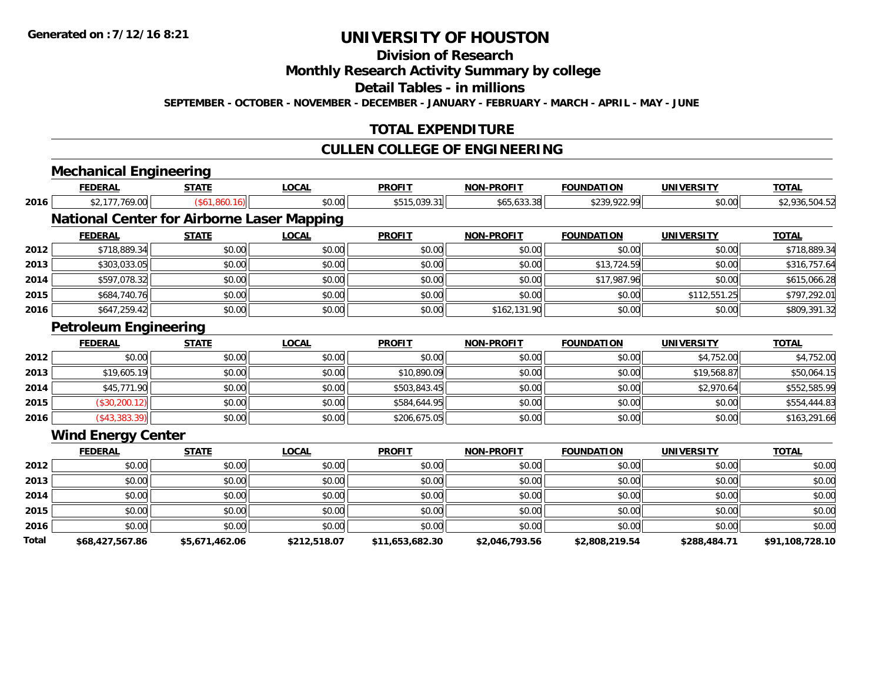### **Division of Research**

### **Monthly Research Activity Summary by college**

#### **Detail Tables - in millions**

**SEPTEMBER - OCTOBER - NOVEMBER - DECEMBER - JANUARY - FEBRUARY - MARCH - APRIL - MAY - JUNE**

#### **TOTAL EXPENDITURE**

#### **CULLEN COLLEGE OF ENGINEERING**

|       | <b>Mechanical Engineering</b> |                                                   |              |                 |                   |                   |                   |                 |
|-------|-------------------------------|---------------------------------------------------|--------------|-----------------|-------------------|-------------------|-------------------|-----------------|
|       | <b>FEDERAL</b>                | <b>STATE</b>                                      | <b>LOCAL</b> | <b>PROFIT</b>   | <b>NON-PROFIT</b> | <b>FOUNDATION</b> | <b>UNIVERSITY</b> | <b>TOTAL</b>    |
| 2016  | \$2,177,769.00                | (\$61,860.16)                                     | \$0.00       | \$515,039.31    | \$65,633.38       | \$239,922.99      | \$0.00            | \$2,936,504.52  |
|       |                               | <b>National Center for Airborne Laser Mapping</b> |              |                 |                   |                   |                   |                 |
|       | <b>FEDERAL</b>                | <b>STATE</b>                                      | <b>LOCAL</b> | <b>PROFIT</b>   | <b>NON-PROFIT</b> | <b>FOUNDATION</b> | <b>UNIVERSITY</b> | <b>TOTAL</b>    |
| 2012  | \$718,889.34                  | \$0.00                                            | \$0.00       | \$0.00          | \$0.00            | \$0.00            | \$0.00            | \$718,889.34    |
| 2013  | \$303,033.05                  | \$0.00                                            | \$0.00       | \$0.00          | \$0.00            | \$13,724.59       | \$0.00            | \$316,757.64    |
| 2014  | \$597,078.32                  | \$0.00                                            | \$0.00       | \$0.00          | \$0.00            | \$17,987.96       | \$0.00            | \$615,066.28    |
| 2015  | \$684,740.76                  | \$0.00                                            | \$0.00       | \$0.00          | \$0.00            | \$0.00            | \$112,551.25      | \$797,292.01    |
| 2016  | \$647,259.42                  | \$0.00                                            | \$0.00       | \$0.00          | \$162,131.90      | \$0.00            | \$0.00            | \$809,391.32    |
|       | <b>Petroleum Engineering</b>  |                                                   |              |                 |                   |                   |                   |                 |
|       | <b>FEDERAL</b>                | <b>STATE</b>                                      | <b>LOCAL</b> | <b>PROFIT</b>   | <b>NON-PROFIT</b> | <b>FOUNDATION</b> | <b>UNIVERSITY</b> | <b>TOTAL</b>    |
| 2012  | \$0.00                        | \$0.00                                            | \$0.00       | \$0.00          | \$0.00            | \$0.00            | \$4,752.00        | \$4,752.00      |
| 2013  | \$19,605.19                   | \$0.00                                            | \$0.00       | \$10,890.09     | \$0.00            | \$0.00            | \$19,568.87       | \$50,064.15     |
| 2014  | \$45,771.90                   | \$0.00                                            | \$0.00       | \$503,843.45    | \$0.00            | \$0.00            | \$2,970.64        | \$552,585.99    |
| 2015  | (\$30,200.12)                 | \$0.00                                            | \$0.00       | \$584,644.95    | \$0.00            | \$0.00            | \$0.00            | \$554,444.83    |
| 2016  | $($ \$43,383.39 $)$           | \$0.00                                            | \$0.00       | \$206,675.05    | \$0.00            | \$0.00            | \$0.00            | \$163,291.66    |
|       | <b>Wind Energy Center</b>     |                                                   |              |                 |                   |                   |                   |                 |
|       | <b>FEDERAL</b>                | <b>STATE</b>                                      | <b>LOCAL</b> | <b>PROFIT</b>   | <b>NON-PROFIT</b> | <b>FOUNDATION</b> | <b>UNIVERSITY</b> | <b>TOTAL</b>    |
| 2012  | \$0.00                        | \$0.00                                            | \$0.00       | \$0.00          | \$0.00            | \$0.00            | \$0.00            | \$0.00          |
| 2013  | \$0.00                        | \$0.00                                            | \$0.00       | \$0.00          | \$0.00            | \$0.00            | \$0.00            | \$0.00          |
| 2014  | \$0.00                        | \$0.00                                            | \$0.00       | \$0.00          | \$0.00            | \$0.00            | \$0.00            | \$0.00          |
| 2015  | \$0.00                        | \$0.00                                            | \$0.00       | \$0.00          | \$0.00            | \$0.00            | \$0.00            | \$0.00          |
| 2016  | \$0.00                        | \$0.00                                            | \$0.00       | \$0.00          | \$0.00            | \$0.00            | \$0.00            | \$0.00          |
| Total | \$68,427,567.86               | \$5,671,462.06                                    | \$212,518.07 | \$11,653,682.30 | \$2,046,793.56    | \$2,808,219.54    | \$288,484.71      | \$91,108,728.10 |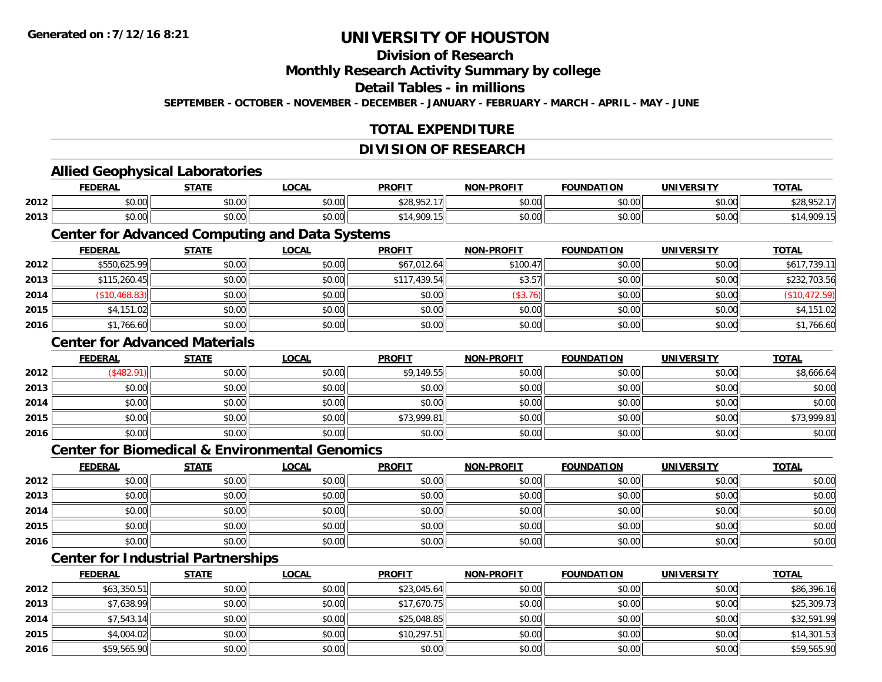#### **Division of Research**

#### **Monthly Research Activity Summary by college**

#### **Detail Tables - in millions**

**SEPTEMBER - OCTOBER - NOVEMBER - DECEMBER - JANUARY - FEBRUARY - MARCH - APRIL - MAY - JUNE**

#### **TOTAL EXPENDITURE**

#### **DIVISION OF RESEARCH**

#### **Allied Geophysical Laboratories FEDERAL STATE LOCAL PROFIT NON-PROFIT FOUNDATION UNIVERSITY TOTALTOTAL 2012** \$0.00 \$0.00 \$0.00 \$28,952.17 \$0.00 \$0.00 \$0.00 \$28,952.17 **2013** $\textbf{3} \mid \textbf{3} \mid \textbf{5} \mid \textbf{6} \mid \textbf{7} \mid \textbf{8} \mid \textbf{9} \mid \textbf{1} \mid \textbf{9} \mid \textbf{1} \mid \textbf{9} \mid \textbf{1} \mid \textbf{1} \mid \textbf{1} \mid \textbf{1} \mid \textbf{1} \mid \textbf{1} \mid \textbf{1} \mid \textbf{1} \mid \textbf{1} \mid \textbf{1} \mid \textbf{1} \mid \textbf{1} \mid \textbf{1} \mid \textbf{1} \mid \textbf{1} \mid \textbf{1} \mid \textbf{$ **Center for Advanced Computing and Data Systems FEDERAL STATE LOCAL PROFIT NON-PROFIT FOUNDATION UNIVERSITY TOTALTOTAL 2012**2 \$550,625.99 \$0.00 \$0.00 \$0.00 \$0.00 \$0.00 \$67,012.64 \$100.47 \$100.47 \$0.00 \$0.00 \$0.00 \$617,739.11 **2013** \$115,260.45 \$0.00 \$0.00 \$117,439.54 \$3.57 \$0.00 \$0.00 \$232,703.56 **2014** (\$10,468.83) \$0.00 \$0.00 \$0.00 (\$3.76) \$0.00 \$0.00 (\$10,472.59) **2015** \$4,151.02 \$0.00 \$0.00 \$0.00 \$0.00 \$0.00 \$0.00 \$4,151.02 **2016**6 \$1,766.60 \$0.00 \$0.00 \$0.00 \$0.00 \$0.00 \$0.00 \$0.00 \$0.00 \$0.00 \$0.00 \$0.00 \$1,766.60 **Center for Advanced MaterialsFEDERAL STATE LOCAL PROFIT NON-PROFIT FOUNDATION UNIVERSITY TOTAL2012**2 | (\$482.91)|| \$0.00|| \$0.00|| \$9,149.55|| \$0.00|| \$0.00|| \$8,666.64 **2013** $\textbf{3} \mid \textbf{3} \mid \textbf{5} \mid \textbf{5} \mid \textbf{6} \mid \textbf{7} \mid \textbf{8} \mid \textbf{1} \mid \textbf{1} \mid \textbf{1} \mid \textbf{1} \mid \textbf{1} \mid \textbf{1} \mid \textbf{1} \mid \textbf{1} \mid \textbf{1} \mid \textbf{1} \mid \textbf{1} \mid \textbf{1} \mid \textbf{1} \mid \textbf{1} \mid \textbf{1} \mid \textbf{1} \mid \textbf{1} \mid \textbf{1} \mid \textbf{1} \mid \textbf{1} \mid \textbf{$ **2014**4 \$0.00 \$0.00 \$0.00 \$0.00 \$0.00 \$0.00 \$0.00 \$0.00 \$0.00 \$0.00 \$0.00 \$0.00 \$0.00 \$0.00 \$0.00 \$0.00 \$0.00 \$0.00 **2015** \$0.00 \$0.00 \$0.00 \$73,999.81 \$0.00 \$0.00 \$0.00 \$73,999.81 **2016** \$0.00 \$0.00 \$0.00 \$0.00 \$0.00 \$0.00 \$0.00 \$0.00 **Center for Biomedical & Environmental GenomicsFEDERAL STATE LOCAL PROFIT NON-PROFIT FOUNDATION UNIVERSITY TOTALTOTAL 2012**2 | \$0.00 \$0.00 \$0.00 \$0.00 \$0.00 \$0.00 \$0.00 \$0.00 \$0.00 \$0.00 \$0.00 \$0.00 \$0.00 \$0.00 \$0.00 \$0.00 \$0.00 \$0.0 **2013**3 \$0.00 | \$0.00 | \$0.00 | \$0.00 | \$0.00 | \$0.00 | \$0.00 | \$0.00 **2014**4 \$0.00 \$0.00 \$0.00 \$0.00 \$0.00 \$0.00 \$0.00 \$0.00 \$0.00 \$0.00 \$0.00 \$0.00 \$0.00 \$0.00 \$0.00 \$0.00 \$0.00 \$0.00 **2015** \$0.00 \$0.00 \$0.00 \$0.00 \$0.00 \$0.00 \$0.00 \$0.00 **2016**6 \$0.00 \$0.00 \$0.00 \$0.00 \$0.00 \$0.00 \$0.00 \$0.00 \$0.00 \$0.00 \$0.00 \$0.00 \$0.00 \$0.00 \$0.00 \$0.00 \$0.00 \$0.00 **Center for Industrial Partnerships**

|      | <b>FEDERAL</b> | <b>STATE</b> | <u>LOCAL</u> | <b>PROFIT</b> | <b>NON-PROFIT</b> | <b>FOUNDATION</b> | UNIVERSITY | <b>TOTAL</b> |
|------|----------------|--------------|--------------|---------------|-------------------|-------------------|------------|--------------|
| 2012 | \$63,350.51    | \$0.00       | \$0.00       | \$23,045.64   | \$0.00            | \$0.00            | \$0.00     | \$86,396.16  |
| 2013 | \$7,638.99     | \$0.00       | \$0.00       | \$17,670.75   | \$0.00            | \$0.00            | \$0.00     | \$25,309.73  |
| 2014 | \$7,543.14     | \$0.00       | \$0.00       | \$25,048.85   | \$0.00            | \$0.00            | \$0.00     | \$32,591.99  |
| 2015 | \$4,004.02     | \$0.00       | \$0.00       | \$10,297.51   | \$0.00            | \$0.00            | \$0.00     | \$14,301.53  |
| 2016 | \$59,565.90    | \$0.00       | \$0.00       | \$0.00        | \$0.00            | \$0.00            | \$0.00     | \$59,565.90  |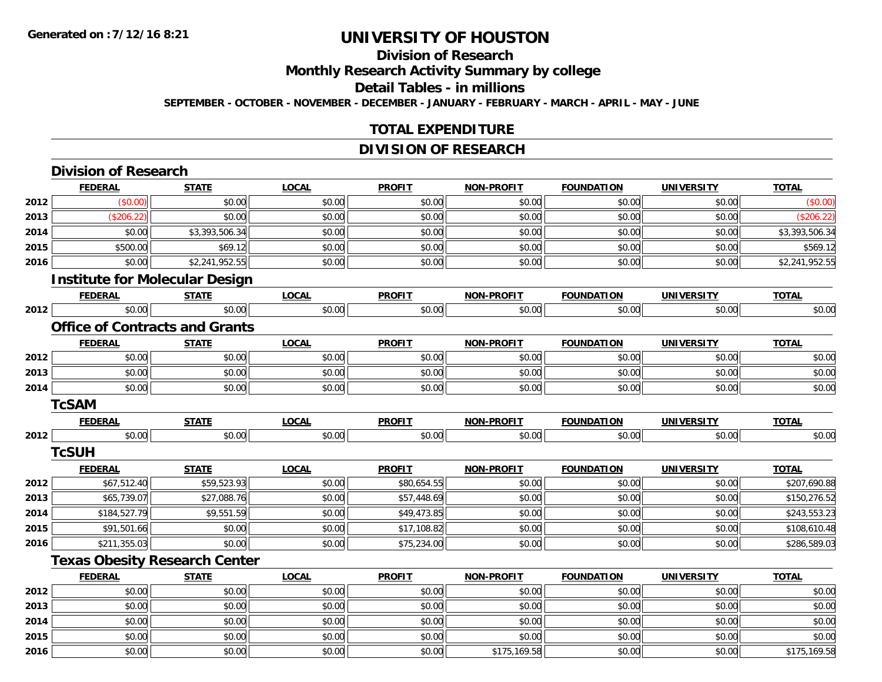**2015**

**2016**

# **UNIVERSITY OF HOUSTON**

### **Division of Research**

**Monthly Research Activity Summary by college**

#### **Detail Tables - in millions**

**SEPTEMBER - OCTOBER - NOVEMBER - DECEMBER - JANUARY - FEBRUARY - MARCH - APRIL - MAY - JUNE**

#### **TOTAL EXPENDITURE**

#### **DIVISION OF RESEARCH**

|      | <b>Division of Research</b>           |                |              |               |                   |                   |                   |                |
|------|---------------------------------------|----------------|--------------|---------------|-------------------|-------------------|-------------------|----------------|
|      | <b>FEDERAL</b>                        | <b>STATE</b>   | <b>LOCAL</b> | <b>PROFIT</b> | <b>NON-PROFIT</b> | <b>FOUNDATION</b> | <b>UNIVERSITY</b> | <b>TOTAL</b>   |
| 2012 | (\$0.00)                              | \$0.00         | \$0.00       | \$0.00        | \$0.00            | \$0.00            | \$0.00            | (\$0.00)       |
| 2013 | (\$206.22)                            | \$0.00         | \$0.00       | \$0.00        | \$0.00            | \$0.00            | \$0.00            | (\$206.22)     |
| 2014 | \$0.00                                | \$3,393,506.34 | \$0.00       | \$0.00        | \$0.00            | \$0.00            | \$0.00            | \$3,393,506.34 |
| 2015 | \$500.00                              | \$69.12        | \$0.00       | \$0.00        | \$0.00            | \$0.00            | \$0.00            | \$569.12       |
| 2016 | \$0.00                                | \$2,241,952.55 | \$0.00       | \$0.00        | \$0.00            | \$0.00            | \$0.00            | \$2,241,952.55 |
|      | <b>Institute for Molecular Design</b> |                |              |               |                   |                   |                   |                |
|      | <b>FEDERAL</b>                        | <b>STATE</b>   | <b>LOCAL</b> | <b>PROFIT</b> | <b>NON-PROFIT</b> | <b>FOUNDATION</b> | <b>UNIVERSITY</b> | <b>TOTAL</b>   |
| 2012 | \$0.00                                | \$0.00         | \$0.00       | \$0.00        | \$0.00            | \$0.00            | \$0.00            | \$0.00         |
|      | <b>Office of Contracts and Grants</b> |                |              |               |                   |                   |                   |                |
|      | <b>FEDERAL</b>                        | <b>STATE</b>   | <b>LOCAL</b> | <b>PROFIT</b> | <b>NON-PROFIT</b> | <b>FOUNDATION</b> | <b>UNIVERSITY</b> | <b>TOTAL</b>   |
| 2012 | \$0.00                                | \$0.00         | \$0.00       | \$0.00        | \$0.00            | \$0.00            | \$0.00            | \$0.00         |
| 2013 | \$0.00                                | \$0.00         | \$0.00       | \$0.00        | \$0.00            | \$0.00            | \$0.00            | \$0.00         |
| 2014 | \$0.00                                | \$0.00         | \$0.00       | \$0.00        | \$0.00            | \$0.00            | \$0.00            | \$0.00         |
|      | <b>TcSAM</b>                          |                |              |               |                   |                   |                   |                |
|      | <b>FEDERAL</b>                        | <b>STATE</b>   | <b>LOCAL</b> | <b>PROFIT</b> | <b>NON-PROFIT</b> | <b>FOUNDATION</b> | <b>UNIVERSITY</b> | <b>TOTAL</b>   |
| 2012 | \$0.00                                | \$0.00         | \$0.00       | \$0.00        | \$0.00            | \$0.00            | \$0.00            | \$0.00         |
|      | <b>TcSUH</b>                          |                |              |               |                   |                   |                   |                |
|      | <b>FEDERAL</b>                        | <b>STATE</b>   | <b>LOCAL</b> | <b>PROFIT</b> | <b>NON-PROFIT</b> | <b>FOUNDATION</b> | <b>UNIVERSITY</b> | <b>TOTAL</b>   |
| 2012 | \$67,512.40                           | \$59,523.93    | \$0.00       | \$80,654.55   | \$0.00            | \$0.00            | \$0.00            | \$207,690.88   |
| 2013 | \$65,739.07                           | \$27,088.76    | \$0.00       | \$57,448.69   | \$0.00            | \$0.00            | \$0.00            | \$150,276.52   |
| 2014 | \$184,527.79                          | \$9,551.59     | \$0.00       | \$49,473.85   | \$0.00            | \$0.00            | \$0.00            | \$243,553.23   |
| 2015 | \$91,501.66                           | \$0.00         | \$0.00       | \$17,108.82   | \$0.00            | \$0.00            | \$0.00            | \$108,610.48   |
| 2016 | \$211,355.03                          | \$0.00         | \$0.00       | \$75,234.00   | \$0.00            | \$0.00            | \$0.00            | \$286,589.03   |
|      | <b>Texas Obesity Research Center</b>  |                |              |               |                   |                   |                   |                |
|      | <b>FEDERAL</b>                        | <b>STATE</b>   | <b>LOCAL</b> | <b>PROFIT</b> | <b>NON-PROFIT</b> | <b>FOUNDATION</b> | <b>UNIVERSITY</b> | <b>TOTAL</b>   |
| 2012 | \$0.00                                | \$0.00         | \$0.00       | \$0.00        | \$0.00            | \$0.00            | \$0.00            | \$0.00         |
| 2013 | \$0.00                                | \$0.00         | \$0.00       | \$0.00        | \$0.00            | \$0.00            | \$0.00            | \$0.00         |
| 2014 | \$0.00                                | \$0.00         | \$0.00       | \$0.00        | \$0.00            | \$0.00            | \$0.00            | \$0.00         |

\$0.00 \$0.00 \$0.00 \$0.00 \$0.00 \$0.00 \$0.00 \$0.00

6 \$0.00 \$0.00 \$0.00 \$0.00 \$0.00 \$0.00 \$0.00 \$0.00 \$0.00 \$175,169.58 \$175,169.58 \$0.00 \$0.00 \$0.00 \$175,169.58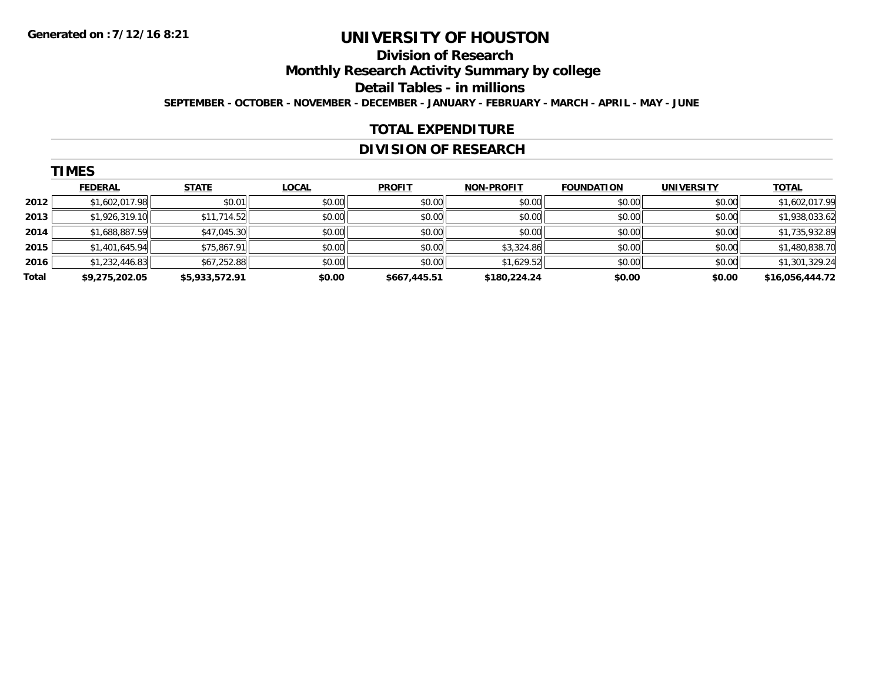### **Division of Research**

**Monthly Research Activity Summary by college**

**Detail Tables - in millions**

**SEPTEMBER - OCTOBER - NOVEMBER - DECEMBER - JANUARY - FEBRUARY - MARCH - APRIL - MAY - JUNE**

#### **TOTAL EXPENDITURE**

#### **DIVISION OF RESEARCH**

|       | <b>TIMES</b>   |                |              |               |                   |                   |                   |                 |
|-------|----------------|----------------|--------------|---------------|-------------------|-------------------|-------------------|-----------------|
|       | <b>FEDERAL</b> | <b>STATE</b>   | <b>LOCAL</b> | <b>PROFIT</b> | <b>NON-PROFIT</b> | <b>FOUNDATION</b> | <b>UNIVERSITY</b> | <b>TOTAL</b>    |
| 2012  | \$1,602,017.98 | \$0.01         | \$0.00       | \$0.00        | \$0.00            | \$0.00            | \$0.00            | \$1,602,017.99  |
| 2013  | \$1,926,319.10 | \$11,714.52    | \$0.00       | \$0.00        | \$0.00            | \$0.00            | \$0.00            | \$1,938,033.62  |
| 2014  | \$1,688,887.59 | \$47,045.30    | \$0.00       | \$0.00        | \$0.00            | \$0.00            | \$0.00            | \$1,735,932.89  |
| 2015  | \$1,401,645.94 | \$75,867.91    | \$0.00       | \$0.00        | \$3,324.86        | \$0.00            | \$0.00            | \$1,480,838.70  |
| 2016  | \$1,232,446.83 | \$67,252.88    | \$0.00       | \$0.00        | \$1,629.52        | \$0.00            | \$0.00            | \$1,301,329.24  |
| Total | \$9,275,202.05 | \$5,933,572.91 | \$0.00       | \$667,445.51  | \$180,224.24      | \$0.00            | \$0.00            | \$16,056,444.72 |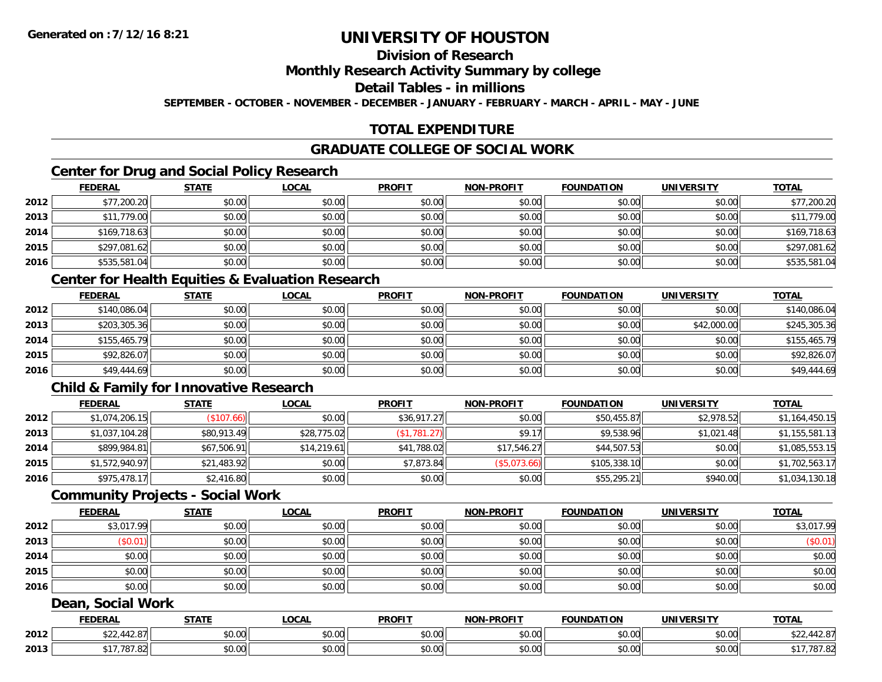### **Division of Research**

#### **Monthly Research Activity Summary by college**

#### **Detail Tables - in millions**

**SEPTEMBER - OCTOBER - NOVEMBER - DECEMBER - JANUARY - FEBRUARY - MARCH - APRIL - MAY - JUNE**

#### **TOTAL EXPENDITURE**

### **GRADUATE COLLEGE OF SOCIAL WORK**

### **Center for Drug and Social Policy Research**

|      | <b>FEDERAL</b> | <b>STATE</b> | <b>LOCAL</b> | <b>PROFIT</b> | <b>NON-PROFIT</b> | <b>FOUNDATION</b> | <b>UNIVERSITY</b> | <b>TOTAL</b> |
|------|----------------|--------------|--------------|---------------|-------------------|-------------------|-------------------|--------------|
| 2012 | \$77,200.20    | \$0.00       | \$0.00       | \$0.00        | \$0.00            | \$0.00            | \$0.00            | \$77,200.20  |
| 2013 | \$11,779.00    | \$0.00       | \$0.00       | \$0.00        | \$0.00            | \$0.00            | \$0.00            | \$11,779.00  |
| 2014 | \$169,718.63   | \$0.00       | \$0.00       | \$0.00        | \$0.00            | \$0.00            | \$0.00            | \$169,718.63 |
| 2015 | \$297,081.62   | \$0.00       | \$0.00       | \$0.00        | \$0.00            | \$0.00            | \$0.00            | \$297,081.62 |
| 2016 | \$535,581.04   | \$0.00       | \$0.00       | \$0.00        | \$0.00            | \$0.00            | \$0.00            | \$535,581.04 |

#### **Center for Health Equities & Evaluation Research**

|      | <b>FEDERAL</b> | <b>STATE</b> | <b>LOCAL</b> | <b>PROFIT</b> | <b>NON-PROFIT</b> | <b>FOUNDATION</b> | <b>UNIVERSITY</b> | <b>TOTAL</b> |
|------|----------------|--------------|--------------|---------------|-------------------|-------------------|-------------------|--------------|
| 2012 | \$140,086.04   | \$0.00       | \$0.00       | \$0.00        | \$0.00            | \$0.00            | \$0.00            | \$140,086.04 |
| 2013 | \$203,305.36   | \$0.00       | \$0.00       | \$0.00        | \$0.00            | \$0.00            | \$42,000.00       | \$245,305.36 |
| 2014 | \$155,465.79   | \$0.00       | \$0.00       | \$0.00        | \$0.00            | \$0.00            | \$0.00            | \$155,465.79 |
| 2015 | \$92,826.07    | \$0.00       | \$0.00       | \$0.00        | \$0.00            | \$0.00            | \$0.00            | \$92,826.07  |
| 2016 | \$49,444.69    | \$0.00       | \$0.00       | \$0.00        | \$0.00            | \$0.00            | \$0.00            | \$49,444.69  |

### **Child & Family for Innovative Research**

|      | <b>FEDERAL</b> | <u>STATE</u> | <u>LOCAL</u> | <b>PROFIT</b> | <b>NON-PROFIT</b> | <b>FOUNDATION</b> | <b>UNIVERSITY</b> | <b>TOTAL</b>   |
|------|----------------|--------------|--------------|---------------|-------------------|-------------------|-------------------|----------------|
| 2012 | \$1,074,206.15 | \$107.66     | \$0.00       | \$36,917.27   | \$0.00            | \$50,455.87       | \$2,978.52        | \$1,164,450.15 |
| 2013 | \$1,037,104.28 | \$80,913.49  | \$28,775.02  | (\$1,781.27)  | \$9.17            | \$9,538.96        | \$1,021.48        | \$1,155,581.13 |
| 2014 | \$899,984.81   | \$67,506.91  | \$14,219.61  | \$41,788.02   | \$17,546.27       | \$44,507.53       | \$0.00            | \$1,085,553.15 |
| 2015 | \$1,572,940.97 | \$21,483.92  | \$0.00       | \$7,873.84    | (\$5,073.66)      | \$105,338.10      | \$0.00            | \$1,702,563.17 |
| 2016 | \$975,478.17   | \$2,416.80   | \$0.00       | \$0.00        | \$0.00            | \$55,295.21       | \$940.00          | \$1,034,130.18 |

#### **Community Projects - Social Work**

|      | <b>FEDERAL</b> | <u>STATE</u> | <b>LOCAL</b> | <b>PROFIT</b> | <b>NON-PROFIT</b> | <b>FOUNDATION</b> | <b>UNIVERSITY</b> | <b>TOTAL</b> |
|------|----------------|--------------|--------------|---------------|-------------------|-------------------|-------------------|--------------|
| 2012 | \$3,017.99     | \$0.00       | \$0.00       | \$0.00        | \$0.00            | \$0.00            | \$0.00            | \$3,017.99   |
| 2013 | \$0.01         | \$0.00       | \$0.00       | \$0.00        | \$0.00            | \$0.00            | \$0.00            | (\$0.01)     |
| 2014 | \$0.00         | \$0.00       | \$0.00       | \$0.00        | \$0.00            | \$0.00            | \$0.00            | \$0.00       |
| 2015 | \$0.00         | \$0.00       | \$0.00       | \$0.00        | \$0.00            | \$0.00            | \$0.00            | \$0.00       |
| 2016 | \$0.00         | \$0.00       | \$0.00       | \$0.00        | \$0.00            | \$0.00            | \$0.00            | \$0.00       |

#### **Dean, Social Work**

|      | <b>FEDERAL</b>                | <b>CTATI</b><br>3 I A I I | <b>_OCAL</b>       | <b>PROFIT</b> | <b>DDOEIT</b><br><b>NIONI</b> | FOUNDATION                                        | UNIVERSITY                   | <b>TOTAL</b>         |
|------|-------------------------------|---------------------------|--------------------|---------------|-------------------------------|---------------------------------------------------|------------------------------|----------------------|
| 2012 | $\sim$<br>$\cdots$<br>12.U    | 0.00<br>ง∪.∪บ             | $\sim$ 00<br>vv.vv | 0000<br>vu.vu | 0.00<br>vu.vu                 | $\mathsf{A}\cap\mathsf{A}\cap\mathsf{A}$<br>40.00 | $\circ$ onli<br><b>JU.UU</b> | 44<br>7 ه.∠،         |
| 2013 | $\sim$ $\sim$ $\sim$<br>01.02 | 0.00<br>JU.UU             | $\sim$ 00<br>ง∪.∪บ | 0000<br>PO.OO | 0.00<br>JU.UU                 | $\sim$ $\sim$<br>vv.vv                            | 0.001<br>JU.UU               | 707.02<br>82. تا 10. |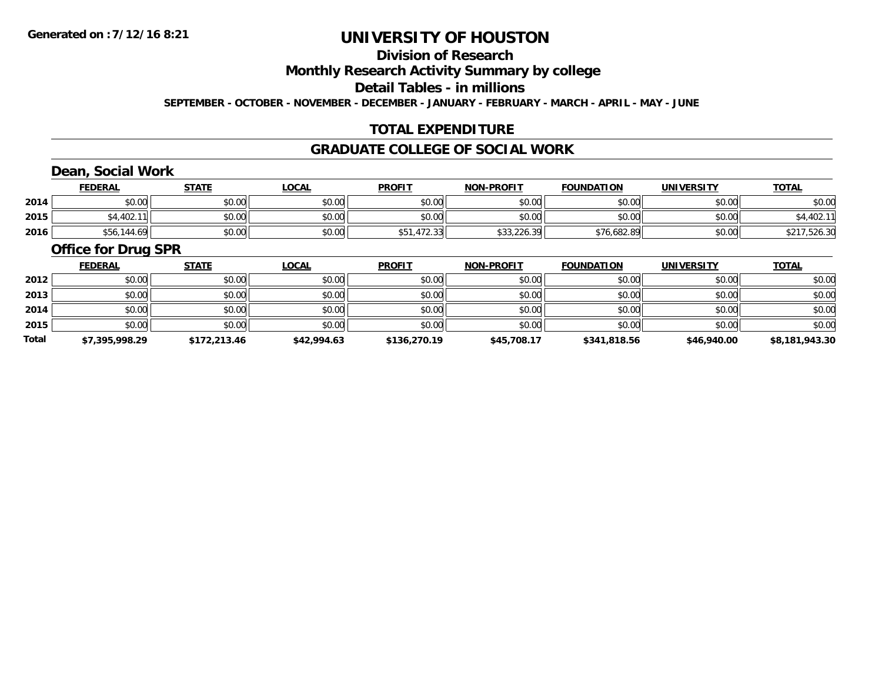### **Division of Research**

**Monthly Research Activity Summary by college**

**Detail Tables - in millions**

**SEPTEMBER - OCTOBER - NOVEMBER - DECEMBER - JANUARY - FEBRUARY - MARCH - APRIL - MAY - JUNE**

#### **TOTAL EXPENDITURE**

#### **GRADUATE COLLEGE OF SOCIAL WORK**

### **Dean, Social Work**

|      | <b>FEDERAL</b> | <b>STATE</b> | <u>_OCAL</u> | <b>PROFIT</b> | <b>NON-PROFIT</b> | <b>FOUNDATION</b> | UNIVERSITY | <b>TOTAL</b> |
|------|----------------|--------------|--------------|---------------|-------------------|-------------------|------------|--------------|
| 2014 | \$0.00         | \$0.00       | \$0.00       | \$0.00        | \$0.00            | \$0.00            | \$0.00     | \$0.00       |
| 2015 | \$4,402.11     | \$0.00       | \$0.00       | \$0.00        | \$0.00            | \$0.00            | \$0.00     | 04,4UZ.I     |
| 2016 | .144.69<br>556 | \$0.00       | \$0.00       | \$51,472.33   | \$33,226.39       | \$76,682.89       | \$0.00     | \$217,526.30 |

#### **Office for Drug SPR**

|       | <b>FEDERAL</b> | <b>STATE</b> | <b>LOCAL</b> | <b>PROFIT</b> | <b>NON-PROFIT</b> | <b>FOUNDATION</b> | <b>UNIVERSITY</b> | <b>TOTAL</b>   |
|-------|----------------|--------------|--------------|---------------|-------------------|-------------------|-------------------|----------------|
| 2012  | \$0.00         | \$0.00       | \$0.00       | \$0.00        | \$0.00            | \$0.00            | \$0.00            | \$0.00         |
| 2013  | \$0.00         | \$0.00       | \$0.00       | \$0.00        | \$0.00            | \$0.00            | \$0.00            | \$0.00         |
| 2014  | \$0.00         | \$0.00       | \$0.00       | \$0.00        | \$0.00            | \$0.00            | \$0.00            | \$0.00         |
| 2015  | \$0.00         | \$0.00       | \$0.00       | \$0.00        | \$0.00            | \$0.00            | \$0.00            | \$0.00         |
| Total | \$7,395,998.29 | \$172,213.46 | \$42,994.63  | \$136,270.19  | \$45,708.17       | \$341,818.56      | \$46,940.00       | \$8,181,943.30 |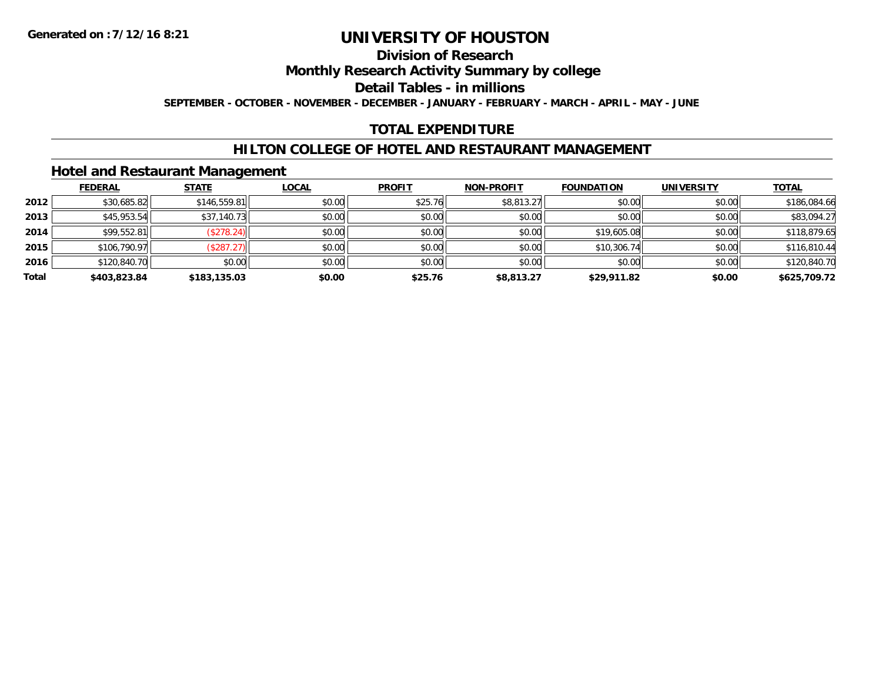#### **Division of Research**

**Monthly Research Activity Summary by college**

**Detail Tables - in millions**

**SEPTEMBER - OCTOBER - NOVEMBER - DECEMBER - JANUARY - FEBRUARY - MARCH - APRIL - MAY - JUNE**

#### **TOTAL EXPENDITURE**

#### **HILTON COLLEGE OF HOTEL AND RESTAURANT MANAGEMENT**

#### **Hotel and Restaurant Management**

|       | <b>FEDERAL</b> | <b>STATE</b> | <u>LOCAL</u> | <b>PROFIT</b> | <b>NON-PROFIT</b> | <b>FOUNDATION</b> | <b>UNIVERSITY</b> | <b>TOTAL</b> |
|-------|----------------|--------------|--------------|---------------|-------------------|-------------------|-------------------|--------------|
| 2012  | \$30,685.82    | \$146,559.81 | \$0.00       | \$25.76       | \$8,813.27        | \$0.00            | \$0.00            | \$186,084.66 |
| 2013  | \$45,953.54    | \$37,140.73  | \$0.00       | \$0.00        | \$0.00            | \$0.00            | \$0.00            | \$83,094.27  |
| 2014  | \$99,552.81    | (\$278.24)   | \$0.00       | \$0.00        | \$0.00            | \$19,605.08       | \$0.00            | \$118,879.65 |
| 2015  | \$106,790.97   | (\$287.27)   | \$0.00       | \$0.00        | \$0.00            | \$10,306.74       | \$0.00            | \$116,810.44 |
| 2016  | \$120,840.70   | \$0.00       | \$0.00       | \$0.00        | \$0.00            | \$0.00            | \$0.00            | \$120,840.70 |
| Total | \$403,823.84   | \$183,135.03 | \$0.00       | \$25.76       | \$8,813.27        | \$29,911.82       | \$0.00            | \$625,709.72 |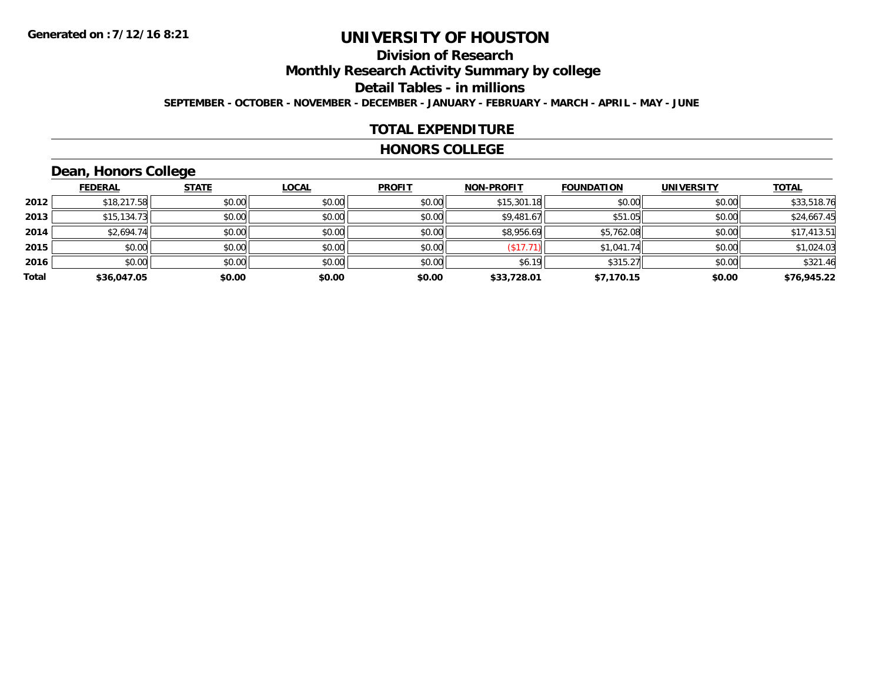### **Division of Research**

**Monthly Research Activity Summary by college**

**Detail Tables - in millions**

**SEPTEMBER - OCTOBER - NOVEMBER - DECEMBER - JANUARY - FEBRUARY - MARCH - APRIL - MAY - JUNE**

#### **TOTAL EXPENDITURE**

#### **HONORS COLLEGE**

### **Dean, Honors College**

|       |                | $\sim$       |              |               |                   |                   |                   |              |
|-------|----------------|--------------|--------------|---------------|-------------------|-------------------|-------------------|--------------|
|       | <u>FEDERAL</u> | <b>STATE</b> | <b>LOCAL</b> | <b>PROFIT</b> | <b>NON-PROFIT</b> | <b>FOUNDATION</b> | <b>UNIVERSITY</b> | <b>TOTAL</b> |
| 2012  | \$18,217.58    | \$0.00       | \$0.00       | \$0.00        | \$15,301.18       | \$0.00            | \$0.00            | \$33,518.76  |
| 2013  | \$15,134.73    | \$0.00       | \$0.00       | \$0.00        | \$9,481.67        | \$51.05           | \$0.00            | \$24,667.45  |
| 2014  | \$2,694.74     | \$0.00       | \$0.00       | \$0.00        | \$8,956.69        | \$5,762.08        | \$0.00            | \$17,413.51  |
| 2015  | \$0.00         | \$0.00       | \$0.00       | \$0.00        | (\$17.71          | \$1,041.74        | \$0.00            | \$1,024.03   |
| 2016  | \$0.00         | \$0.00       | \$0.00       | \$0.00        | \$6.19            | \$315.27          | \$0.00            | \$321.46     |
| Total | \$36,047.05    | \$0.00       | \$0.00       | \$0.00        | \$33,728.01       | \$7,170.15        | \$0.00            | \$76,945.22  |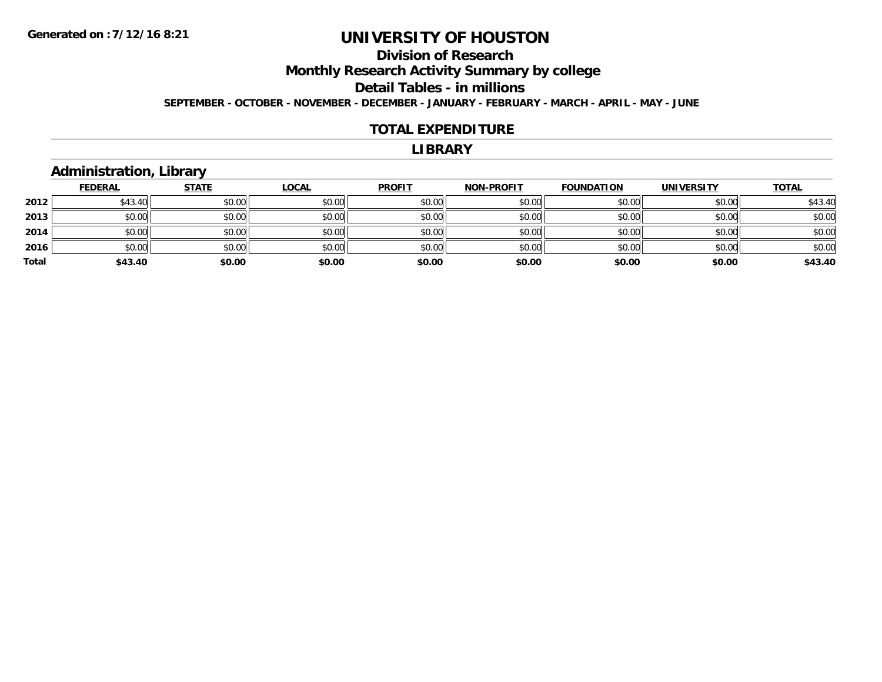# **Division of Research**

**Monthly Research Activity Summary by college**

**Detail Tables - in millions**

**SEPTEMBER - OCTOBER - NOVEMBER - DECEMBER - JANUARY - FEBRUARY - MARCH - APRIL - MAY - JUNE**

#### **TOTAL EXPENDITURE**

#### **LIBRARY**

#### **Administration, Library**

|       | <u>FEDERAL</u> | <b>STATE</b> | <b>LOCAL</b> | <b>PROFIT</b> | <b>NON-PROFIT</b> | <b>FOUNDATION</b> | <b>UNIVERSITY</b> | <b>TOTAL</b> |
|-------|----------------|--------------|--------------|---------------|-------------------|-------------------|-------------------|--------------|
| 2012  | \$43.40        | \$0.00       | \$0.00       | \$0.00        | \$0.00            | \$0.00            | \$0.00            | \$43.40      |
| 2013  | \$0.00         | \$0.00       | \$0.00       | \$0.00        | \$0.00            | \$0.00            | \$0.00            | \$0.00       |
| 2014  | \$0.00         | \$0.00       | \$0.00       | \$0.00        | \$0.00            | \$0.00            | \$0.00            | \$0.00       |
| 2016  | \$0.00         | \$0.00       | \$0.00       | \$0.00        | \$0.00            | \$0.00            | \$0.00            | \$0.00       |
| Total | \$43.40        | \$0.00       | \$0.00       | \$0.00        | \$0.00            | \$0.00            | \$0.00            | \$43.40      |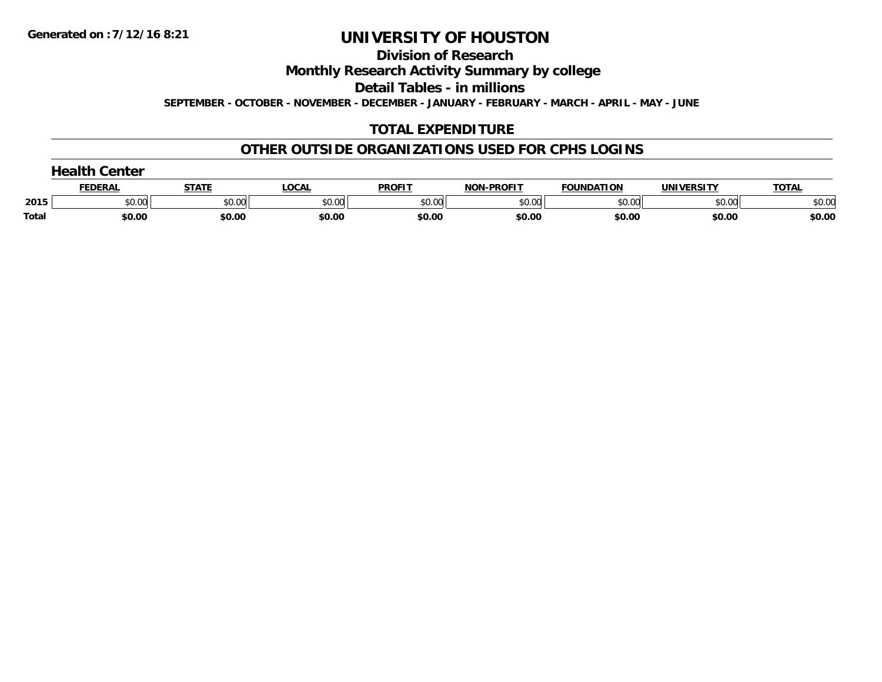**Division of Research**

**Monthly Research Activity Summary by college**

**Detail Tables - in millions**

**SEPTEMBER - OCTOBER - NOVEMBER - DECEMBER - JANUARY - FEBRUARY - MARCH - APRIL - MAY - JUNE**

#### **TOTAL EXPENDITURE**

#### **OTHER OUTSIDE ORGANIZATIONS USED FOR CPHS LOGINS**

| dtleal<br>Center |                |        |              |               |                   |                   |                   |              |
|------------------|----------------|--------|--------------|---------------|-------------------|-------------------|-------------------|--------------|
|                  | <b>FEDERAL</b> | STATI  | <b>LOCAL</b> | <b>PROFIT</b> | <b>NON-PROFIT</b> | <b>FOUNDATION</b> | <b>UNIVERSITY</b> | <b>TOTAL</b> |
| 2015             | \$0.00         | \$0.00 | \$0.00       | \$0.00        | \$0.00            | \$0.00            | \$0.00            | \$0.00       |
| Total            | \$0.00         | \$0.00 | \$0.00       | \$0.00        | \$0.00            | \$0.00            | \$0.00            | \$0.00       |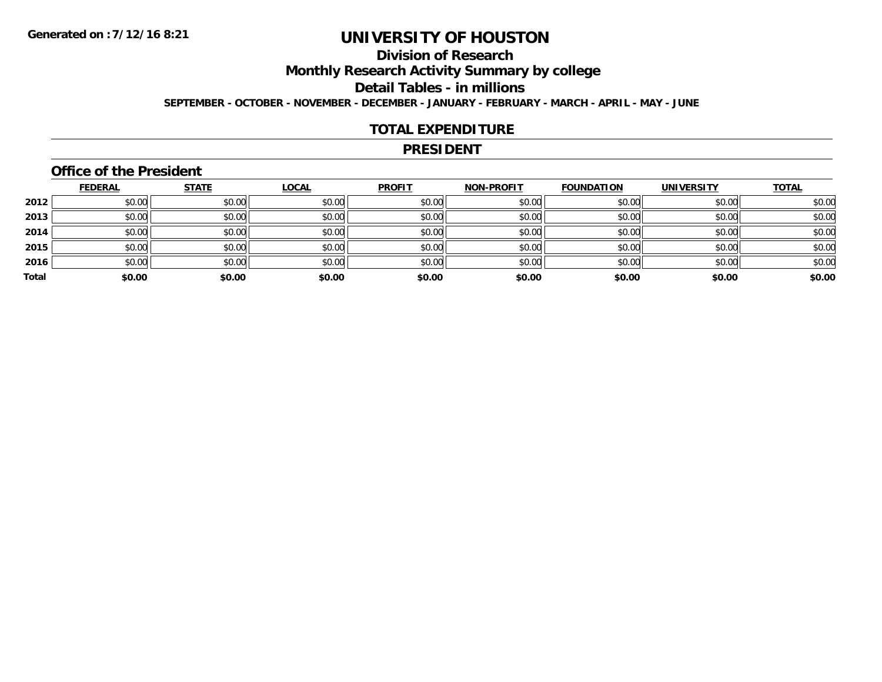### **Division of Research**

**Monthly Research Activity Summary by college**

**Detail Tables - in millions**

**SEPTEMBER - OCTOBER - NOVEMBER - DECEMBER - JANUARY - FEBRUARY - MARCH - APRIL - MAY - JUNE**

#### **TOTAL EXPENDITURE**

#### **PRESIDENT**

#### **Office of the President**

|       | <b>FEDERAL</b> | <b>STATE</b> | <b>LOCAL</b> | <b>PROFIT</b> | <b>NON-PROFIT</b> | <b>FOUNDATION</b> | <b>UNIVERSITY</b> | <b>TOTAL</b> |
|-------|----------------|--------------|--------------|---------------|-------------------|-------------------|-------------------|--------------|
| 2012  | \$0.00         | \$0.00       | \$0.00       | \$0.00        | \$0.00            | \$0.00            | \$0.00            | \$0.00       |
| 2013  | \$0.00         | \$0.00       | \$0.00       | \$0.00        | \$0.00            | \$0.00            | \$0.00            | \$0.00       |
| 2014  | \$0.00         | \$0.00       | \$0.00       | \$0.00        | \$0.00            | \$0.00            | \$0.00            | \$0.00       |
| 2015  | \$0.00         | \$0.00       | \$0.00       | \$0.00        | \$0.00            | \$0.00            | \$0.00            | \$0.00       |
| 2016  | \$0.00         | \$0.00       | \$0.00       | \$0.00        | \$0.00            | \$0.00            | \$0.00            | \$0.00       |
| Total | \$0.00         | \$0.00       | \$0.00       | \$0.00        | \$0.00            | \$0.00            | \$0.00            | \$0.00       |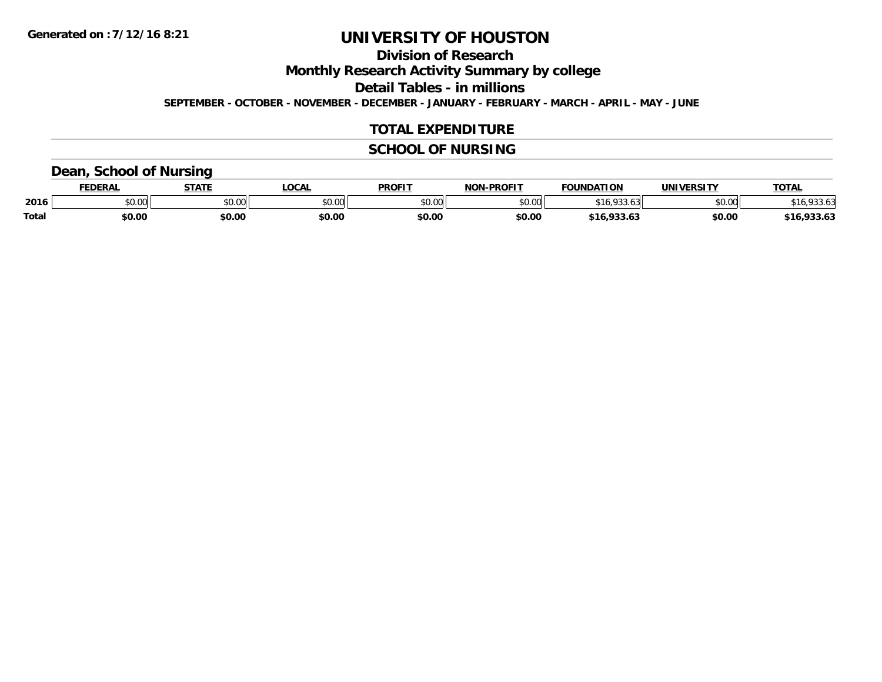**Division of Research**

**Monthly Research Activity Summary by college**

**Detail Tables - in millions**

**SEPTEMBER - OCTOBER - NOVEMBER - DECEMBER - JANUARY - FEBRUARY - MARCH - APRIL - MAY - JUNE**

#### **TOTAL EXPENDITURE**

#### **SCHOOL OF NURSING**

#### **Dean, School of Nursing**

|              | <b>FEDERAL</b> | <b>STATE</b> | <b>LOCAL</b>              | <b>PROFIT</b>  | <b>J-PROFIT</b><br><b>NON</b> | <b>FOUNDATION</b>       | <b>UNIVERSITY</b> | <b>TOTAL</b>             |
|--------------|----------------|--------------|---------------------------|----------------|-------------------------------|-------------------------|-------------------|--------------------------|
| 2016         | vv.vv          | \$0.00       | $n \cap \Omega$<br>\$U.UU | 40.00<br>DU.UU | \$0.00                        | $\sim$<br>-10           | \$0.00            | LODD AC<br>10.<br>7JJ.U. |
| <b>Total</b> | \$0.00         | \$0.00       | \$0.00                    | \$0.00         | \$0.00                        | 022.5<br>\$16<br>933.O. | \$0.00            | 0.225<br>,,,,,           |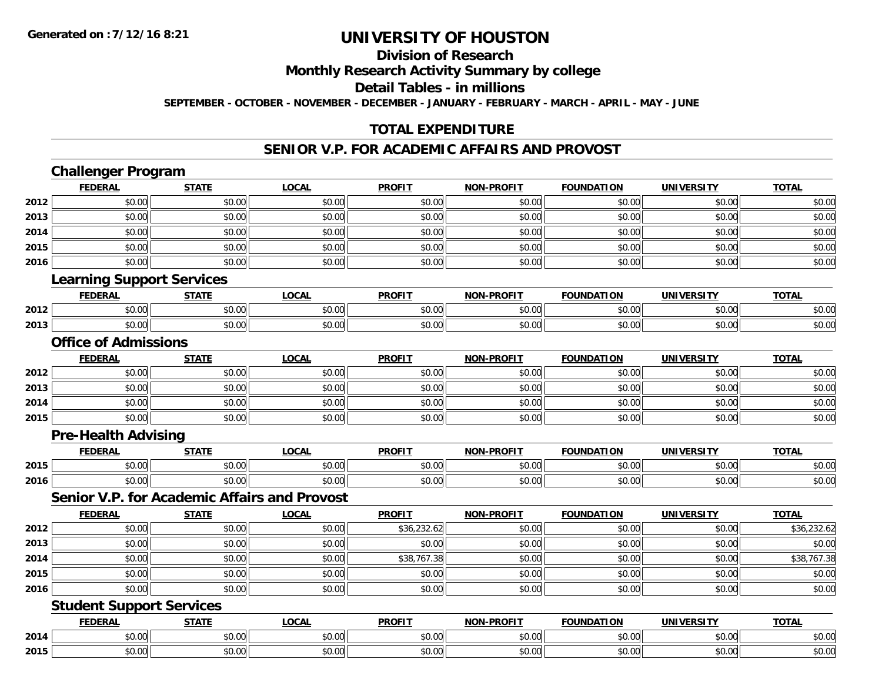### **Division of Research**

**Monthly Research Activity Summary by college**

**Detail Tables - in millions**

**SEPTEMBER - OCTOBER - NOVEMBER - DECEMBER - JANUARY - FEBRUARY - MARCH - APRIL - MAY - JUNE**

#### **TOTAL EXPENDITURE**

#### **SENIOR V.P. FOR ACADEMIC AFFAIRS AND PROVOST**

|      | <b>Challenger Program</b>                           |              |              |               |                   |                   |                   |              |
|------|-----------------------------------------------------|--------------|--------------|---------------|-------------------|-------------------|-------------------|--------------|
|      | <b>FEDERAL</b>                                      | <b>STATE</b> | <b>LOCAL</b> | <b>PROFIT</b> | <b>NON-PROFIT</b> | <b>FOUNDATION</b> | <b>UNIVERSITY</b> | <b>TOTAL</b> |
| 2012 | \$0.00                                              | \$0.00       | \$0.00       | \$0.00        | \$0.00            | \$0.00            | \$0.00            | \$0.00       |
| 2013 | \$0.00                                              | \$0.00       | \$0.00       | \$0.00        | \$0.00            | \$0.00            | \$0.00            | \$0.00       |
| 2014 | \$0.00                                              | \$0.00       | \$0.00       | \$0.00        | \$0.00            | \$0.00            | \$0.00            | \$0.00       |
| 2015 | \$0.00                                              | \$0.00       | \$0.00       | \$0.00        | \$0.00            | \$0.00            | \$0.00            | \$0.00       |
| 2016 | \$0.00                                              | \$0.00       | \$0.00       | \$0.00        | \$0.00            | \$0.00            | \$0.00            | \$0.00       |
|      | <b>Learning Support Services</b>                    |              |              |               |                   |                   |                   |              |
|      | <b>FEDERAL</b>                                      | <b>STATE</b> | <b>LOCAL</b> | <b>PROFIT</b> | <b>NON-PROFIT</b> | <b>FOUNDATION</b> | <b>UNIVERSITY</b> | <b>TOTAL</b> |
| 2012 | \$0.00                                              | \$0.00       | \$0.00       | \$0.00        | \$0.00            | \$0.00            | \$0.00            | \$0.00       |
| 2013 | \$0.00                                              | \$0.00       | \$0.00       | \$0.00        | \$0.00            | \$0.00            | \$0.00            | \$0.00       |
|      | <b>Office of Admissions</b>                         |              |              |               |                   |                   |                   |              |
|      | <b>FEDERAL</b>                                      | <b>STATE</b> | <b>LOCAL</b> | <b>PROFIT</b> | <b>NON-PROFIT</b> | <b>FOUNDATION</b> | <b>UNIVERSITY</b> | <b>TOTAL</b> |
| 2012 | \$0.00                                              | \$0.00       | \$0.00       | \$0.00        | \$0.00            | \$0.00            | \$0.00            | \$0.00       |
| 2013 | \$0.00                                              | \$0.00       | \$0.00       | \$0.00        | \$0.00            | \$0.00            | \$0.00            | \$0.00       |
| 2014 | \$0.00                                              | \$0.00       | \$0.00       | \$0.00        | \$0.00            | \$0.00            | \$0.00            | \$0.00       |
| 2015 | \$0.00                                              | \$0.00       | \$0.00       | \$0.00        | \$0.00            | \$0.00            | \$0.00            | \$0.00       |
|      | <b>Pre-Health Advising</b>                          |              |              |               |                   |                   |                   |              |
|      | <b>FEDERAL</b>                                      | <b>STATE</b> | <b>LOCAL</b> | <b>PROFIT</b> | <b>NON-PROFIT</b> | <b>FOUNDATION</b> | <b>UNIVERSITY</b> | <b>TOTAL</b> |
| 2015 | \$0.00                                              | \$0.00       | \$0.00       | \$0.00        | \$0.00            | \$0.00            | \$0.00            | \$0.00       |
| 2016 | \$0.00                                              | \$0.00       | \$0.00       | \$0.00        | \$0.00            | \$0.00            | \$0.00            | \$0.00       |
|      | <b>Senior V.P. for Academic Affairs and Provost</b> |              |              |               |                   |                   |                   |              |
|      | <b>FEDERAL</b>                                      | <b>STATE</b> | <b>LOCAL</b> | <b>PROFIT</b> | NON-PROFIT        | <b>FOUNDATION</b> | <b>UNIVERSITY</b> | <b>TOTAL</b> |
| 2012 | \$0.00                                              | \$0.00       | \$0.00       | \$36,232.62   | \$0.00            | \$0.00            | \$0.00            | \$36,232.62  |
| 2013 | \$0.00                                              | \$0.00       | \$0.00       | \$0.00        | \$0.00            | \$0.00            | \$0.00            | \$0.00       |
| 2014 | \$0.00                                              | \$0.00       | \$0.00       | \$38,767.38   | \$0.00            | \$0.00            | \$0.00            | \$38,767.38  |
| 2015 | \$0.00                                              | \$0.00       | \$0.00       | \$0.00        | \$0.00            | \$0.00            | \$0.00            | \$0.00       |
| 2016 | \$0.00                                              | \$0.00       | \$0.00       | \$0.00        | \$0.00            | \$0.00            | \$0.00            | \$0.00       |
|      | <b>Student Support Services</b>                     |              |              |               |                   |                   |                   |              |
|      | <b>FEDERAL</b>                                      | <b>STATE</b> | <b>LOCAL</b> | <b>PROFIT</b> | <b>NON-PROFIT</b> | <b>FOUNDATION</b> | <b>UNIVERSITY</b> | <b>TOTAL</b> |
| 2014 | \$0.00                                              | \$0.00       | \$0.00       | \$0.00        | \$0.00            | \$0.00            | \$0.00            | \$0.00       |
| 2015 | \$0.00                                              | \$0.00       | \$0.00       | \$0.00        | \$0.00            | \$0.00            | \$0.00            | \$0.00       |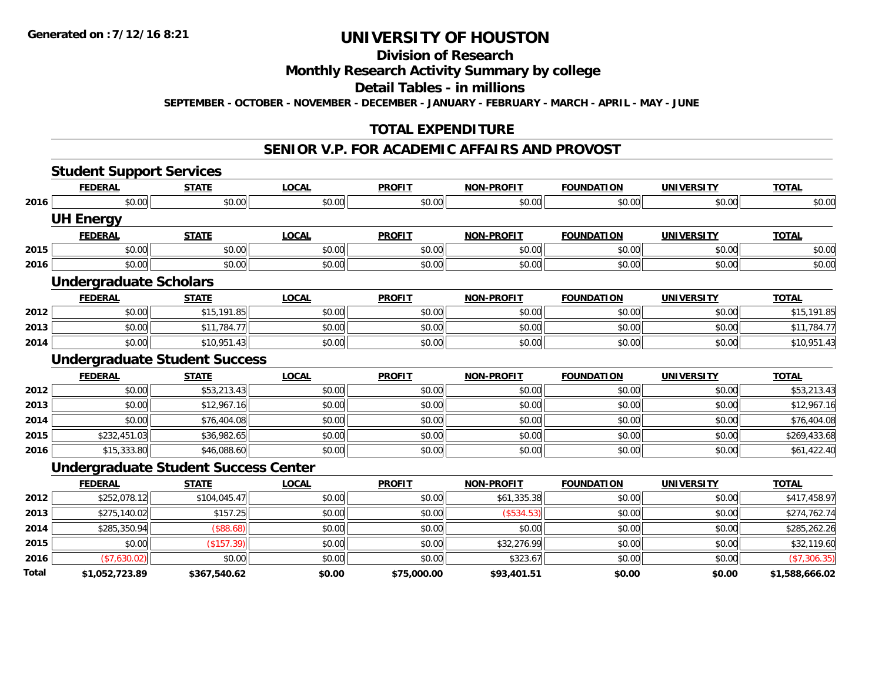### **Division of Research**

#### **Monthly Research Activity Summary by college**

#### **Detail Tables - in millions**

**SEPTEMBER - OCTOBER - NOVEMBER - DECEMBER - JANUARY - FEBRUARY - MARCH - APRIL - MAY - JUNE**

#### **TOTAL EXPENDITURE**

#### **SENIOR V.P. FOR ACADEMIC AFFAIRS AND PROVOST**

|       | <b>Student Support Services</b>             |              |              |               |                   |                   |                   |                |
|-------|---------------------------------------------|--------------|--------------|---------------|-------------------|-------------------|-------------------|----------------|
|       | <b>FEDERAL</b>                              | <b>STATE</b> | <b>LOCAL</b> | <b>PROFIT</b> | <b>NON-PROFIT</b> | <b>FOUNDATION</b> | <b>UNIVERSITY</b> | <b>TOTAL</b>   |
| 2016  | \$0.00                                      | \$0.00       | \$0.00       | \$0.00        | \$0.00            | \$0.00            | \$0.00            | \$0.00         |
|       | <b>UH Energy</b>                            |              |              |               |                   |                   |                   |                |
|       | <b>FEDERAL</b>                              | <b>STATE</b> | <b>LOCAL</b> | <b>PROFIT</b> | <b>NON-PROFIT</b> | <b>FOUNDATION</b> | <b>UNIVERSITY</b> | <b>TOTAL</b>   |
| 2015  | \$0.00                                      | \$0.00       | \$0.00       | \$0.00        | \$0.00            | \$0.00            | \$0.00            | \$0.00         |
| 2016  | \$0.00                                      | \$0.00       | \$0.00       | \$0.00        | \$0.00            | \$0.00            | \$0.00            | \$0.00         |
|       | <b>Undergraduate Scholars</b>               |              |              |               |                   |                   |                   |                |
|       | <b>FEDERAL</b>                              | <b>STATE</b> | <b>LOCAL</b> | <b>PROFIT</b> | <b>NON-PROFIT</b> | <b>FOUNDATION</b> | <b>UNIVERSITY</b> | <b>TOTAL</b>   |
| 2012  | \$0.00                                      | \$15,191.85  | \$0.00       | \$0.00        | \$0.00            | \$0.00            | \$0.00            | \$15,191.85    |
| 2013  | \$0.00                                      | \$11,784.77  | \$0.00       | \$0.00        | \$0.00            | \$0.00            | \$0.00            | \$11,784.77    |
| 2014  | \$0.00                                      | \$10,951.43  | \$0.00       | \$0.00        | \$0.00            | \$0.00            | \$0.00            | \$10,951.43    |
|       | <b>Undergraduate Student Success</b>        |              |              |               |                   |                   |                   |                |
|       | <b>FEDERAL</b>                              | <b>STATE</b> | <b>LOCAL</b> | <b>PROFIT</b> | <b>NON-PROFIT</b> | <b>FOUNDATION</b> | <b>UNIVERSITY</b> | <b>TOTAL</b>   |
| 2012  | \$0.00                                      | \$53,213.43  | \$0.00       | \$0.00        | \$0.00            | \$0.00            | \$0.00            | \$53,213.43    |
| 2013  | \$0.00                                      | \$12,967.16  | \$0.00       | \$0.00        | \$0.00            | \$0.00            | \$0.00            | \$12,967.16    |
| 2014  | \$0.00                                      | \$76,404.08  | \$0.00       | \$0.00        | \$0.00            | \$0.00            | \$0.00            | \$76,404.08    |
| 2015  | \$232,451.03                                | \$36,982.65  | \$0.00       | \$0.00        | \$0.00            | \$0.00            | \$0.00            | \$269,433.68   |
| 2016  | \$15,333.80                                 | \$46,088.60  | \$0.00       | \$0.00        | \$0.00            | \$0.00            | \$0.00            | \$61,422.40    |
|       | <b>Undergraduate Student Success Center</b> |              |              |               |                   |                   |                   |                |
|       | <b>FEDERAL</b>                              | <b>STATE</b> | <b>LOCAL</b> | <b>PROFIT</b> | <b>NON-PROFIT</b> | <b>FOUNDATION</b> | <b>UNIVERSITY</b> | <b>TOTAL</b>   |
| 2012  | \$252,078.12                                | \$104,045.47 | \$0.00       | \$0.00        | \$61,335.38       | \$0.00            | \$0.00            | \$417,458.97   |
| 2013  | \$275,140.02                                | \$157.25     | \$0.00       | \$0.00        | (\$534.53)        | \$0.00            | \$0.00            | \$274,762.74   |
| 2014  | \$285,350.94                                | $($ \$88.68) | \$0.00       | \$0.00        | \$0.00            | \$0.00            | \$0.00            | \$285,262.26   |
| 2015  | \$0.00                                      | (\$157.39)   | \$0.00       | \$0.00        | \$32,276.99       | \$0.00            | \$0.00            | \$32,119.60    |
| 2016  | (\$7,630.02)                                | \$0.00       | \$0.00       | \$0.00        | \$323.67          | \$0.00            | \$0.00            | (\$7,306.35)   |
| Total | \$1,052,723.89                              | \$367,540.62 | \$0.00       | \$75,000.00   | \$93,401.51       | \$0.00            | \$0.00            | \$1,588,666.02 |
|       |                                             |              |              |               |                   |                   |                   |                |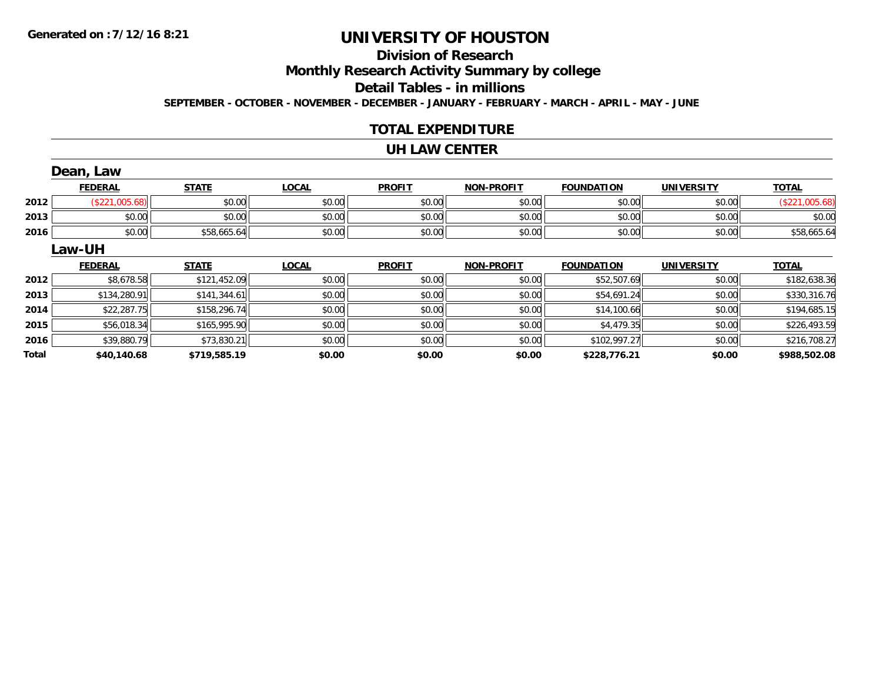### **Division of Research**

**Monthly Research Activity Summary by college**

**Detail Tables - in millions**

**SEPTEMBER - OCTOBER - NOVEMBER - DECEMBER - JANUARY - FEBRUARY - MARCH - APRIL - MAY - JUNE**

#### **TOTAL EXPENDITURE**

#### **UH LAW CENTER**

|       | Dean, Law      |              |              |               |                   |                   |                   |                |
|-------|----------------|--------------|--------------|---------------|-------------------|-------------------|-------------------|----------------|
|       | <b>FEDERAL</b> | <b>STATE</b> | <b>LOCAL</b> | <b>PROFIT</b> | <b>NON-PROFIT</b> | <b>FOUNDATION</b> | <b>UNIVERSITY</b> | <b>TOTAL</b>   |
| 2012  | (\$221,005.68) | \$0.00       | \$0.00       | \$0.00        | \$0.00            | \$0.00            | \$0.00            | (\$221,005.68) |
| 2013  | \$0.00         | \$0.00       | \$0.00       | \$0.00        | \$0.00            | \$0.00            | \$0.00            | \$0.00         |
| 2016  | \$0.00         | \$58,665.64  | \$0.00       | \$0.00        | \$0.00            | \$0.00            | \$0.00            | \$58,665.64    |
|       | Law-UH         |              |              |               |                   |                   |                   |                |
|       | <b>FEDERAL</b> | <b>STATE</b> | <b>LOCAL</b> | <b>PROFIT</b> | <b>NON-PROFIT</b> | <b>FOUNDATION</b> | <b>UNIVERSITY</b> | <b>TOTAL</b>   |
| 2012  | \$8,678.58     | \$121,452.09 | \$0.00       | \$0.00        | \$0.00            | \$52,507.69       | \$0.00            | \$182,638.36   |
| 2013  | \$134,280.91   | \$141,344.61 | \$0.00       | \$0.00        | \$0.00            | \$54,691.24       | \$0.00            | \$330,316.76   |
| 2014  | \$22,287.75    | \$158,296.74 | \$0.00       | \$0.00        | \$0.00            | \$14,100.66       | \$0.00            | \$194,685.15   |
| 2015  | \$56,018.34    | \$165,995.90 | \$0.00       | \$0.00        | \$0.00            | \$4,479.35        | \$0.00            | \$226,493.59   |
| 2016  | \$39,880.79    | \$73,830.21  | \$0.00       | \$0.00        | \$0.00            | \$102,997.27      | \$0.00            | \$216,708.27   |
| Total | \$40,140.68    | \$719,585.19 | \$0.00       | \$0.00        | \$0.00            | \$228,776.21      | \$0.00            | \$988,502.08   |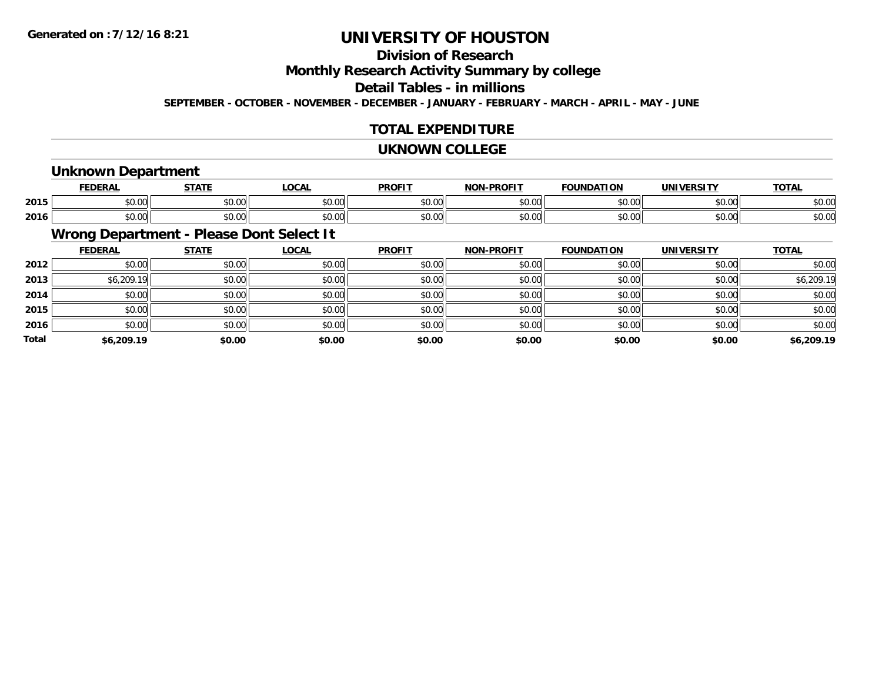### **Division of Research**

**Monthly Research Activity Summary by college**

#### **Detail Tables - in millions**

**SEPTEMBER - OCTOBER - NOVEMBER - DECEMBER - JANUARY - FEBRUARY - MARCH - APRIL - MAY - JUNE**

#### **TOTAL EXPENDITURE**

#### **UKNOWN COLLEGE**

### **Unknown Department**

|      |                       | -----                                        | 00M<br>.vun                                 | <b>DDOEIT</b>           | וחו                |                |        | <b>TOTA</b><br>. A I |
|------|-----------------------|----------------------------------------------|---------------------------------------------|-------------------------|--------------------|----------------|--------|----------------------|
| 2015 | $\sim$ 00<br>JU.UU    | $\triangle$ $\triangle$ $\triangle$<br>וטטוע | $\uparrow$ $\uparrow$ $\uparrow$<br>— JU.U∪ | 0 <sup>n</sup><br>\$U.U | ሶስ ሰሰ<br>₽U.UU     | 0.00           | 60.00  | $\sim$ 00<br>DU.UL   |
| 2016 | $\sim$ $\sim$<br>ט.טע | $\sim$ $\sim$ $\sim$<br>www.ww               | 0.00<br>ັນ∪.∪ພ                              | 0000<br>JU.U            | $\sim$ 00<br>pu.uu | 0 <sub>n</sub> | \$0.00 | ሶስ ሰሰ<br>DU.UU       |

### **Wrong Department - Please Dont Select It**

|              | <b>FEDERAL</b> | <b>STATE</b> | <u>LOCAL</u> | <b>PROFIT</b> | <b>NON-PROFIT</b> | <b>FOUNDATION</b> | <b>UNIVERSITY</b> | <b>TOTAL</b> |
|--------------|----------------|--------------|--------------|---------------|-------------------|-------------------|-------------------|--------------|
| 2012         | \$0.00         | \$0.00       | \$0.00       | \$0.00        | \$0.00            | \$0.00            | \$0.00            | \$0.00       |
| 2013         | \$6,209.19     | \$0.00       | \$0.00       | \$0.00        | \$0.00            | \$0.00            | \$0.00            | \$6,209.19   |
| 2014         | \$0.00         | \$0.00       | \$0.00       | \$0.00        | \$0.00            | \$0.00            | \$0.00            | \$0.00       |
| 2015         | \$0.00         | \$0.00       | \$0.00       | \$0.00        | \$0.00            | \$0.00            | \$0.00            | \$0.00       |
| 2016         | \$0.00         | \$0.00       | \$0.00       | \$0.00        | \$0.00            | \$0.00            | \$0.00            | \$0.00       |
| <b>Total</b> | \$6,209.19     | \$0.00       | \$0.00       | \$0.00        | \$0.00            | \$0.00            | \$0.00            | \$6,209.19   |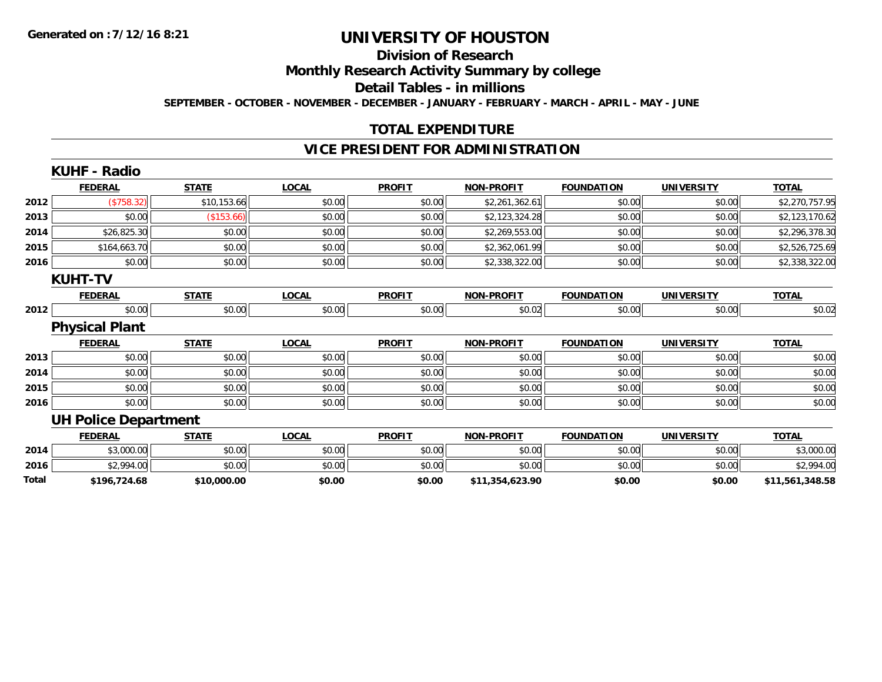#### **Division of Research**

**Monthly Research Activity Summary by college**

**Detail Tables - in millions**

**SEPTEMBER - OCTOBER - NOVEMBER - DECEMBER - JANUARY - FEBRUARY - MARCH - APRIL - MAY - JUNE**

#### **TOTAL EXPENDITURE**

#### **VICE PRESIDENT FOR ADMINISTRATION**

|       | <b>KUHF - Radio</b>         |              |              |               |                   |                   |                   |                 |
|-------|-----------------------------|--------------|--------------|---------------|-------------------|-------------------|-------------------|-----------------|
|       | <b>FEDERAL</b>              | <b>STATE</b> | <b>LOCAL</b> | <b>PROFIT</b> | <b>NON-PROFIT</b> | <b>FOUNDATION</b> | <b>UNIVERSITY</b> | <b>TOTAL</b>    |
| 2012  | ( \$758.32)                 | \$10,153.66  | \$0.00       | \$0.00        | \$2,261,362.61    | \$0.00            | \$0.00            | \$2,270,757.95  |
| 2013  | \$0.00                      | (\$153.66)   | \$0.00       | \$0.00        | \$2,123,324.28    | \$0.00            | \$0.00            | \$2,123,170.62  |
| 2014  | \$26,825.30                 | \$0.00       | \$0.00       | \$0.00        | \$2,269,553.00    | \$0.00            | \$0.00            | \$2,296,378.30  |
| 2015  | \$164,663.70                | \$0.00       | \$0.00       | \$0.00        | \$2,362,061.99    | \$0.00            | \$0.00            | \$2,526,725.69  |
| 2016  | \$0.00                      | \$0.00       | \$0.00       | \$0.00        | \$2,338,322.00    | \$0.00            | \$0.00            | \$2,338,322.00  |
|       | <b>KUHT-TV</b>              |              |              |               |                   |                   |                   |                 |
|       | <b>FEDERAL</b>              | <b>STATE</b> | <b>LOCAL</b> | <b>PROFIT</b> | <b>NON-PROFIT</b> | <b>FOUNDATION</b> | <b>UNIVERSITY</b> | <b>TOTAL</b>    |
| 2012  | \$0.00                      | \$0.00       | \$0.00       | \$0.00        | \$0.02            | \$0.00            | \$0.00            | \$0.02          |
|       | <b>Physical Plant</b>       |              |              |               |                   |                   |                   |                 |
|       | <b>FEDERAL</b>              | <b>STATE</b> | <b>LOCAL</b> | <b>PROFIT</b> | <b>NON-PROFIT</b> | <b>FOUNDATION</b> | <b>UNIVERSITY</b> | <b>TOTAL</b>    |
| 2013  | \$0.00                      | \$0.00       | \$0.00       | \$0.00        | \$0.00            | \$0.00            | \$0.00            | \$0.00          |
| 2014  | \$0.00                      | \$0.00       | \$0.00       | \$0.00        | \$0.00            | \$0.00            | \$0.00            | \$0.00          |
| 2015  | \$0.00                      | \$0.00       | \$0.00       | \$0.00        | \$0.00            | \$0.00            | \$0.00            | \$0.00          |
| 2016  | \$0.00                      | \$0.00       | \$0.00       | \$0.00        | \$0.00            | \$0.00            | \$0.00            | \$0.00          |
|       | <b>UH Police Department</b> |              |              |               |                   |                   |                   |                 |
|       | <b>FEDERAL</b>              | <b>STATE</b> | <b>LOCAL</b> | <b>PROFIT</b> | <b>NON-PROFIT</b> | <b>FOUNDATION</b> | <b>UNIVERSITY</b> | <b>TOTAL</b>    |
| 2014  | \$3,000.00                  | \$0.00       | \$0.00       | \$0.00        | \$0.00            | \$0.00            | \$0.00            | \$3,000.00      |
| 2016  | \$2,994.00                  | \$0.00       | \$0.00       | \$0.00        | \$0.00            | \$0.00            | \$0.00            | \$2,994.00      |
| Total | \$196,724.68                | \$10,000.00  | \$0.00       | \$0.00        | \$11,354,623.90   | \$0.00            | \$0.00            | \$11,561,348.58 |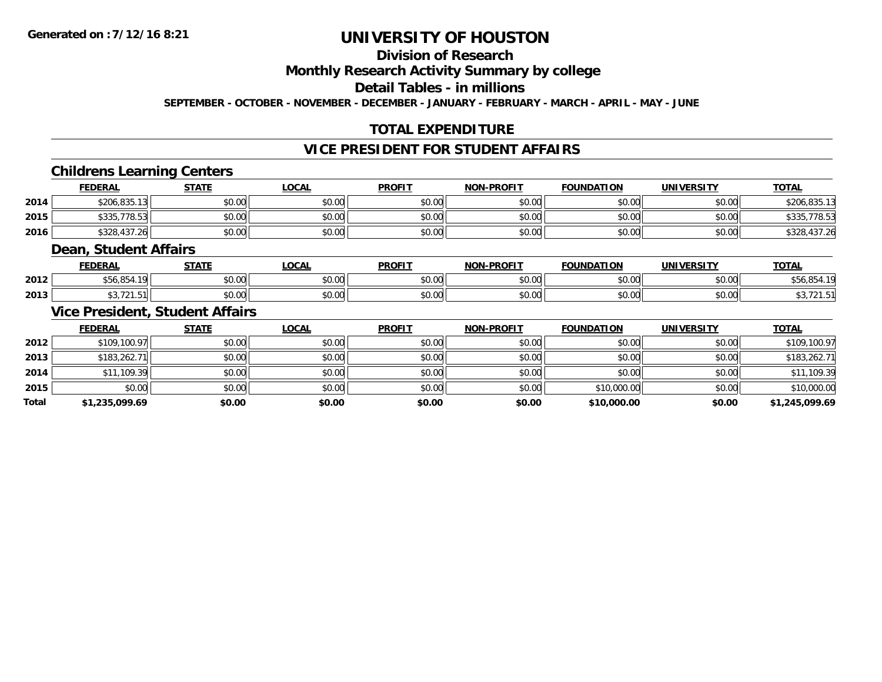### **Division of Research**

#### **Monthly Research Activity Summary by college**

#### **Detail Tables - in millions**

**SEPTEMBER - OCTOBER - NOVEMBER - DECEMBER - JANUARY - FEBRUARY - MARCH - APRIL - MAY - JUNE**

#### **TOTAL EXPENDITURE**

#### **VICE PRESIDENT FOR STUDENT AFFAIRS**

#### **Childrens Learning Centers**

|      | <b>FEDERAL</b> | STATE  | <u>LOCAL</u> | <b>PROFIT</b> | <b>NON-PROFIT</b> | <b>FOUNDATION</b> | UNIVERSITY | <b>TOTAL</b>      |
|------|----------------|--------|--------------|---------------|-------------------|-------------------|------------|-------------------|
| 2014 | \$206.835.13   | \$0.00 | \$0.00       | \$0.00        | \$0.00            | \$0.00            | \$0.00     | \$206.835.13      |
| 2015 | \$335,778.53   | \$0.00 | \$0.00       | \$0.00        | \$0.00            | \$0.00            | \$0.00     | .778.53<br>\$335. |
| 2016 | \$328,437.26   | \$0.00 | \$0.00       | \$0.00        | \$0.00            | \$0.00            | \$0.00     | \$328,437.26      |

#### **Dean, Student Affairs**

|      | <b>FEDERAL</b>                                                  | <b>CTATE</b>       | <b>OCAL</b>   | <b>PROFIT</b>                             | <b>NON-PROFIT</b> | <b>FOUNDATION</b>       | UNIVERSITY                                                  | <b>TOTAL</b> |
|------|-----------------------------------------------------------------|--------------------|---------------|-------------------------------------------|-------------------|-------------------------|-------------------------------------------------------------|--------------|
| 2012 | $\sim$ $\sim$ $\sim$<br>.401<br>- - - - - - - -<br>$\mathbf{1}$ | ሶስ ሰሰ<br>JU.UU     | 0.00<br>PO.OO | $\sim$ 0.00<br>JU.UU                      | 0000<br>PO.OO     | \$0.00                  | \$0.00                                                      | טט,טט        |
| 2013 | $\cdots$<br>721.51                                              | $\sim$ 00<br>DU.UU | 0000<br>JU.UU | $\uparrow$ $\uparrow$ $\uparrow$<br>JU.UU | 0000<br>JU.UU     | $n \cap \Omega$<br>v.vv | $\mathfrak{g} \cap \mathfrak{g} \cap \mathfrak{g}$<br>JU.UU |              |

#### **Vice President, Student Affairs**

|              | <b>FEDERAL</b> | <b>STATE</b> | <u>LOCAL</u> | <b>PROFIT</b> | <b>NON-PROFIT</b> | <b>FOUNDATION</b> | <b>UNIVERSITY</b> | <b>TOTAL</b>   |
|--------------|----------------|--------------|--------------|---------------|-------------------|-------------------|-------------------|----------------|
| 2012         | \$109,100.97   | \$0.00       | \$0.00       | \$0.00        | \$0.00            | \$0.00            | \$0.00            | \$109,100.97   |
| 2013         | \$183,262.71   | \$0.00       | \$0.00       | \$0.00        | \$0.00            | \$0.00            | \$0.00            | \$183,262.71   |
| 2014         | \$11,109.39    | \$0.00       | \$0.00       | \$0.00        | \$0.00            | \$0.00            | \$0.00            | \$11,109.39    |
| 2015         | \$0.00         | \$0.00       | \$0.00       | \$0.00        | \$0.00            | \$10,000.00       | \$0.00            | \$10,000.00    |
| <b>Total</b> | \$1,235,099.69 | \$0.00       | \$0.00       | \$0.00        | \$0.00            | \$10,000.00       | \$0.00            | \$1,245,099.69 |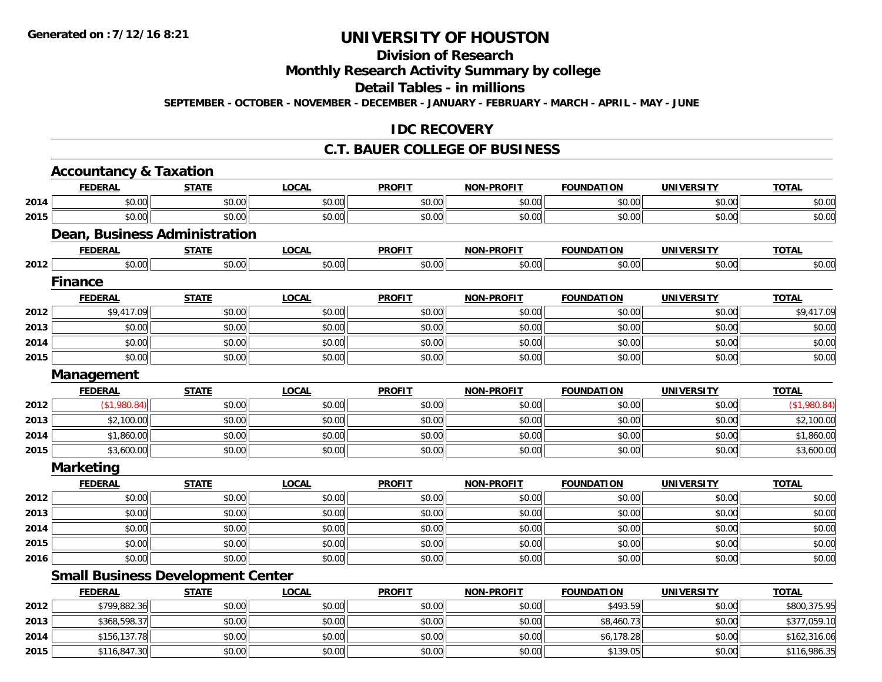### **Division of Research**

#### **Monthly Research Activity Summary by college**

#### **Detail Tables - in millions**

**SEPTEMBER - OCTOBER - NOVEMBER - DECEMBER - JANUARY - FEBRUARY - MARCH - APRIL - MAY - JUNE**

#### **IDC RECOVERY**

#### **C.T. BAUER COLLEGE OF BUSINESS**

|      | <b>Accountancy &amp; Taxation</b>        |              |              |               |                   |                   |                   |              |
|------|------------------------------------------|--------------|--------------|---------------|-------------------|-------------------|-------------------|--------------|
|      | <b>FEDERAL</b>                           | <b>STATE</b> | <b>LOCAL</b> | <b>PROFIT</b> | <b>NON-PROFIT</b> | <b>FOUNDATION</b> | <b>UNIVERSITY</b> | <b>TOTAL</b> |
| 2014 | \$0.00                                   | \$0.00       | \$0.00       | \$0.00        | \$0.00            | \$0.00            | \$0.00            | \$0.00       |
| 2015 | \$0.00                                   | \$0.00       | \$0.00       | \$0.00        | \$0.00            | \$0.00            | \$0.00            | \$0.00       |
|      | <b>Dean, Business Administration</b>     |              |              |               |                   |                   |                   |              |
|      | <b>FEDERAL</b>                           | <b>STATE</b> | <b>LOCAL</b> | <b>PROFIT</b> | <b>NON-PROFIT</b> | <b>FOUNDATION</b> | <b>UNIVERSITY</b> | <b>TOTAL</b> |
| 2012 | \$0.00                                   | \$0.00       | \$0.00       | \$0.00        | \$0.00            | \$0.00            | \$0.00            | \$0.00       |
|      | <b>Finance</b>                           |              |              |               |                   |                   |                   |              |
|      | <b>FEDERAL</b>                           | <b>STATE</b> | <b>LOCAL</b> | <b>PROFIT</b> | <b>NON-PROFIT</b> | <b>FOUNDATION</b> | <b>UNIVERSITY</b> | <b>TOTAL</b> |
| 2012 | \$9,417.09                               | \$0.00       | \$0.00       | \$0.00        | \$0.00            | \$0.00            | \$0.00            | \$9,417.09   |
| 2013 | \$0.00                                   | \$0.00       | \$0.00       | \$0.00        | \$0.00            | \$0.00            | \$0.00            | \$0.00       |
| 2014 | \$0.00                                   | \$0.00       | \$0.00       | \$0.00        | \$0.00            | \$0.00            | \$0.00            | \$0.00       |
| 2015 | \$0.00                                   | \$0.00       | \$0.00       | \$0.00        | \$0.00            | \$0.00            | \$0.00            | \$0.00       |
|      | Management                               |              |              |               |                   |                   |                   |              |
|      | <b>FEDERAL</b>                           | <b>STATE</b> | <b>LOCAL</b> | <b>PROFIT</b> | <b>NON-PROFIT</b> | <b>FOUNDATION</b> | <b>UNIVERSITY</b> | <b>TOTAL</b> |
| 2012 | (\$1,980.84)                             | \$0.00       | \$0.00       | \$0.00        | \$0.00            | \$0.00            | \$0.00            | (\$1,980.84) |
| 2013 | \$2,100.00                               | \$0.00       | \$0.00       | \$0.00        | \$0.00            | \$0.00            | \$0.00            | \$2,100.00   |
| 2014 | \$1,860.00                               | \$0.00       | \$0.00       | \$0.00        | \$0.00            | \$0.00            | \$0.00            | \$1,860.00   |
| 2015 | \$3,600.00                               | \$0.00       | \$0.00       | \$0.00        | \$0.00            | \$0.00            | \$0.00            | \$3,600.00   |
|      | <b>Marketing</b>                         |              |              |               |                   |                   |                   |              |
|      | <b>FEDERAL</b>                           | <b>STATE</b> | <b>LOCAL</b> | <b>PROFIT</b> | <b>NON-PROFIT</b> | <b>FOUNDATION</b> | <b>UNIVERSITY</b> | <b>TOTAL</b> |
| 2012 | \$0.00                                   | \$0.00       | \$0.00       | \$0.00        | \$0.00            | \$0.00            | \$0.00            | \$0.00       |
| 2013 | \$0.00                                   | \$0.00       | \$0.00       | \$0.00        | \$0.00            | \$0.00            | \$0.00            | \$0.00       |
| 2014 | \$0.00                                   | \$0.00       | \$0.00       | \$0.00        | \$0.00            | \$0.00            | \$0.00            | \$0.00       |
| 2015 | \$0.00                                   | \$0.00       | \$0.00       | \$0.00        | \$0.00            | \$0.00            | \$0.00            | \$0.00       |
| 2016 | \$0.00                                   | \$0.00       | \$0.00       | \$0.00        | \$0.00            | \$0.00            | \$0.00            | \$0.00       |
|      | <b>Small Business Development Center</b> |              |              |               |                   |                   |                   |              |
|      | <b>FEDERAL</b>                           | <b>STATE</b> | <b>LOCAL</b> | <b>PROFIT</b> | <b>NON-PROFIT</b> | <b>FOUNDATION</b> | <b>UNIVERSITY</b> | <b>TOTAL</b> |
| 2012 | \$799,882.36                             | \$0.00       | \$0.00       | \$0.00        | \$0.00            | \$493.59          | \$0.00            | \$800,375.95 |
| 2013 | \$368,598.37                             | \$0.00       | \$0.00       | \$0.00        | \$0.00            | \$8,460.73        | \$0.00            | \$377,059.10 |
| 2014 | \$156,137.78                             | \$0.00       | \$0.00       | \$0.00        | \$0.00            | \$6,178.28        | \$0.00            | \$162,316.06 |
| 2015 | \$116,847.30                             | \$0.00       | \$0.00       | \$0.00        | \$0.00            | \$139.05          | \$0.00            | \$116,986.35 |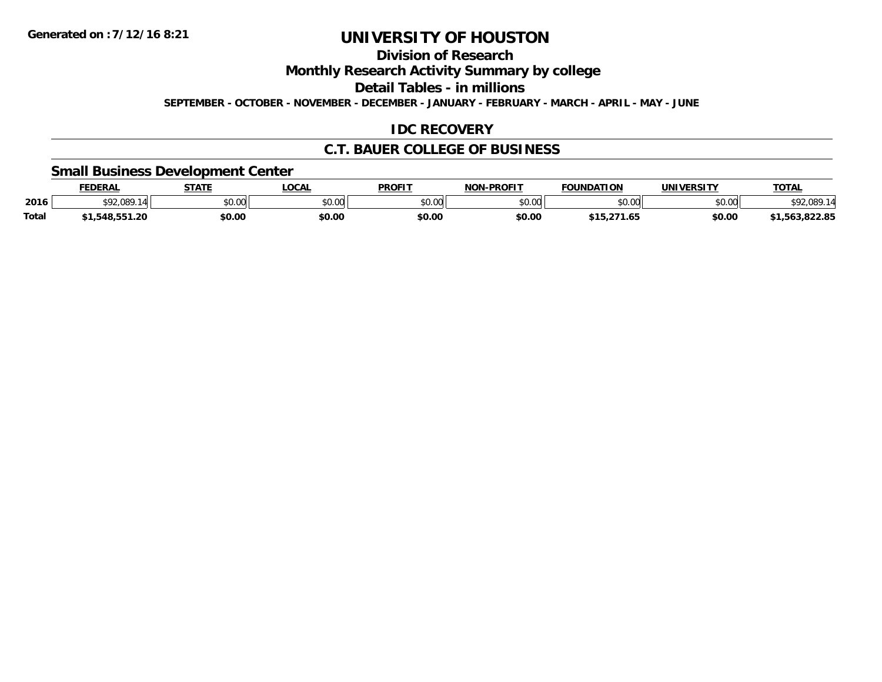### **Division of Research**

**Monthly Research Activity Summary by college**

**Detail Tables - in millions**

**SEPTEMBER - OCTOBER - NOVEMBER - DECEMBER - JANUARY - FEBRUARY - MARCH - APRIL - MAY - JUNE**

#### **IDC RECOVERY**

#### **C.T. BAUER COLLEGE OF BUSINESS**

#### **Small Business Development Center**

|              | <b>FEDERAL</b> | <b>STATE</b> | <b>LOCAL</b> | <b>PROFIT</b>  | <b>L-PROFIT</b><br>NON | <b>FOUNDATION</b>          | UNIVERSITY | <b>TOTAL</b>                |
|--------------|----------------|--------------|--------------|----------------|------------------------|----------------------------|------------|-----------------------------|
| 2016         | 92.089.<br>14  | \$0.00       | \$0.00       | ≮∩ ∩∩<br>JU.UU | \$0.00                 | \$0.00                     | \$0.00     | <b>CO2001</b><br>992,089    |
| <b>Total</b> | 48.55 I.ZU     | \$0.00       | \$0.00       | \$0.00         | \$0.00                 | <b>¢15</b><br>.274<br>l.65 | \$0.00     | . 000. OE<br>ີ 1,563,822.85 |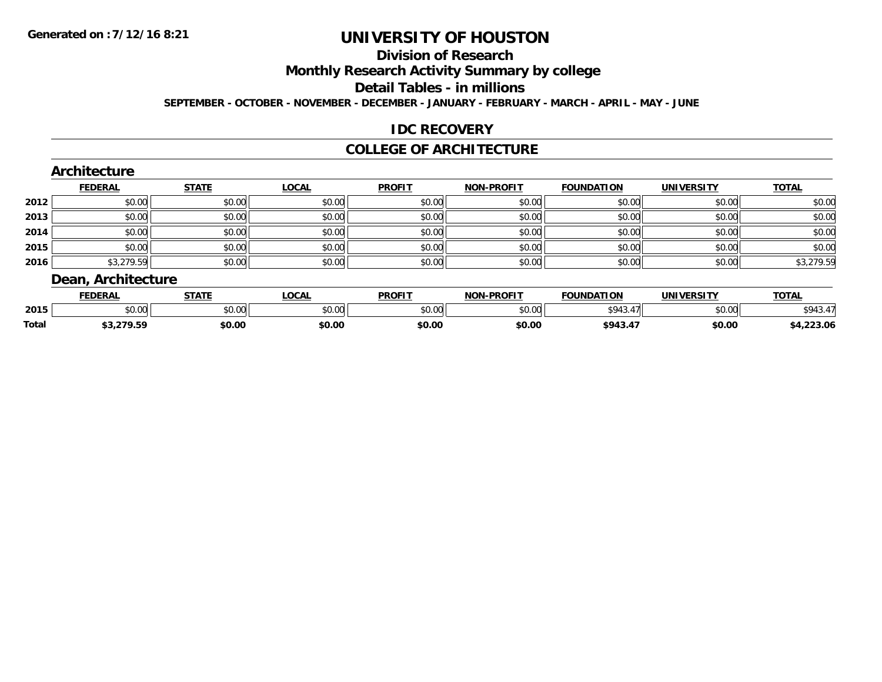### **Division of Research**

**Monthly Research Activity Summary by college**

#### **Detail Tables - in millions**

**SEPTEMBER - OCTOBER - NOVEMBER - DECEMBER - JANUARY - FEBRUARY - MARCH - APRIL - MAY - JUNE**

#### **IDC RECOVERY**

#### **COLLEGE OF ARCHITECTURE**

|      | <b>FEDERAL</b> | <b>STATE</b> | <b>LOCAL</b> | <b>PROFIT</b> | <b>NON-PROFIT</b> | <b>FOUNDATION</b> | <b>UNIVERSITY</b> | <b>TOTAL</b> |
|------|----------------|--------------|--------------|---------------|-------------------|-------------------|-------------------|--------------|
| 2012 | \$0.00         | \$0.00       | \$0.00       | \$0.00        | \$0.00            | \$0.00            | \$0.00            | \$0.00       |
| 2013 | \$0.00         | \$0.00       | \$0.00       | \$0.00        | \$0.00            | \$0.00            | \$0.00            | \$0.00       |
| 2014 | \$0.00         | \$0.00       | \$0.00       | \$0.00        | \$0.00            | \$0.00            | \$0.00            | \$0.00       |
| 2015 | \$0.00         | \$0.00       | \$0.00       | \$0.00        | \$0.00            | \$0.00            | \$0.00            | \$0.00       |
| 2016 | \$3,279.59     | \$0.00       | \$0.00       | \$0.00        | \$0.00            | \$0.00            | \$0.00            | \$3,279.59   |

|              | <b>FEDERAI</b>     | 27.77         | ne N<br>vuni | <b>PROFIT</b>           | <b>DDOCLT</b><br><b>ALOR</b> | <b>FOUNDATION</b> | UNIVERSITY    | <b>TOTA</b><br>. п. |
|--------------|--------------------|---------------|--------------|-------------------------|------------------------------|-------------------|---------------|---------------------|
| 2015         | $\sim$ 00<br>DU.UU | 0000<br>JU.UU | JU.UU        | 0 <sup>n</sup><br>JU.UL | 0 <sup>0</sup><br>ט.טע       | \$943             | 0000<br>DU.UU | ९०∆२                |
| <b>Total</b> | .                  | \$0.00        | \$0.00       | \$0.00                  | \$0.00                       | <b>4012</b><br>.  | \$0.00        | 227<br>–∠3.∪r       |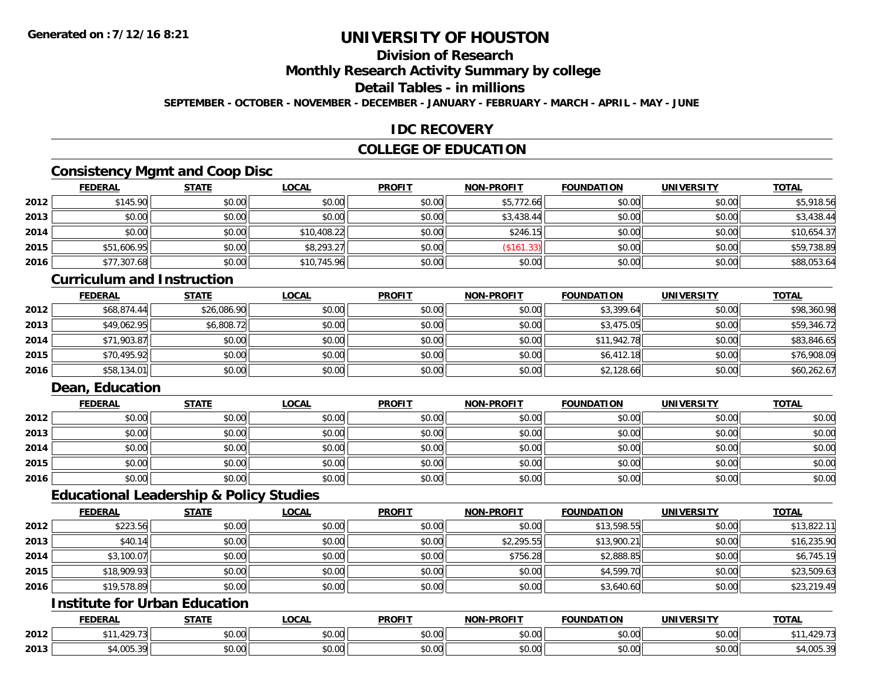## **Division of Research**

**Monthly Research Activity Summary by college**

## **Detail Tables - in millions**

**SEPTEMBER - OCTOBER - NOVEMBER - DECEMBER - JANUARY - FEBRUARY - MARCH - APRIL - MAY - JUNE**

### **IDC RECOVERY**

## **COLLEGE OF EDUCATION**

## **Consistency Mgmt and Coop Disc**

|      | <b>FEDERAL</b> | <b>STATE</b> | <b>LOCAL</b> | <b>PROFIT</b> | <b>NON-PROFIT</b> | <b>FOUNDATION</b> | <b>UNIVERSITY</b> | <b>TOTAL</b> |
|------|----------------|--------------|--------------|---------------|-------------------|-------------------|-------------------|--------------|
| 2012 | \$145.90       | \$0.00       | \$0.00       | \$0.00        | \$5,772.66        | \$0.00            | \$0.00            | \$5,918.56   |
| 2013 | \$0.00         | \$0.00       | \$0.00       | \$0.00        | \$3,438.44        | \$0.00            | \$0.00            | \$3,438.44   |
| 2014 | \$0.00         | \$0.00       | \$10,408.22  | \$0.00        | \$246.1           | \$0.00            | \$0.00            | \$10,654.37  |
| 2015 | \$51,606.95    | \$0.00       | \$8,293.27   | \$0.00        | (\$161.33)        | \$0.00            | \$0.00            | \$59,738.89  |
| 2016 | \$77,307.68    | \$0.00       | \$10,745.96  | \$0.00        | \$0.00            | \$0.00            | \$0.00            | \$88,053.64  |

#### **Curriculum and Instruction**

|      | <u>FEDERAL</u> | <b>STATE</b> | <b>LOCAL</b> | <b>PROFIT</b> | <b>NON-PROFIT</b> | <b>FOUNDATION</b> | <b>UNIVERSITY</b> | <b>TOTAL</b> |
|------|----------------|--------------|--------------|---------------|-------------------|-------------------|-------------------|--------------|
| 2012 | \$68,874.44    | \$26,086.90  | \$0.00       | \$0.00        | \$0.00            | \$3,399.64        | \$0.00            | \$98,360.98  |
| 2013 | \$49,062.95    | \$6,808.72   | \$0.00       | \$0.00        | \$0.00            | \$3,475.05        | \$0.00            | \$59,346.72  |
| 2014 | \$71,903.87    | \$0.00       | \$0.00       | \$0.00        | \$0.00            | \$11,942.78       | \$0.00            | \$83,846.65  |
| 2015 | \$70,495.92    | \$0.00       | \$0.00       | \$0.00        | \$0.00            | \$6,412.18        | \$0.00            | \$76,908.09  |
| 2016 | \$58,134.01    | \$0.00       | \$0.00       | \$0.00        | \$0.00            | \$2,128.66        | \$0.00            | \$60,262.67  |

## **Dean, Education**

|      | <b>FEDERAL</b> | <b>STATE</b> | <u>LOCAL</u> | <b>PROFIT</b> | <b>NON-PROFIT</b> | <b>FOUNDATION</b> | <b>UNIVERSITY</b> | <b>TOTAL</b> |
|------|----------------|--------------|--------------|---------------|-------------------|-------------------|-------------------|--------------|
| 2012 | \$0.00         | \$0.00       | \$0.00       | \$0.00        | \$0.00            | \$0.00            | \$0.00            | \$0.00       |
| 2013 | \$0.00         | \$0.00       | \$0.00       | \$0.00        | \$0.00            | \$0.00            | \$0.00            | \$0.00       |
| 2014 | \$0.00         | \$0.00       | \$0.00       | \$0.00        | \$0.00            | \$0.00            | \$0.00            | \$0.00       |
| 2015 | \$0.00         | \$0.00       | \$0.00       | \$0.00        | \$0.00            | \$0.00            | \$0.00            | \$0.00       |
| 2016 | \$0.00         | \$0.00       | \$0.00       | \$0.00        | \$0.00            | \$0.00            | \$0.00            | \$0.00       |

### **Educational Leadership & Policy Studies**

|      | <b>FEDERAL</b> | <b>STATE</b> | <u>LOCAL</u> | <b>PROFIT</b> | <b>NON-PROFIT</b> | <b>FOUNDATION</b> | <b>UNIVERSITY</b> | <b>TOTAL</b> |
|------|----------------|--------------|--------------|---------------|-------------------|-------------------|-------------------|--------------|
| 2012 | \$223.56       | \$0.00       | \$0.00       | \$0.00        | \$0.00            | \$13,598.55       | \$0.00            | \$13,822.11  |
| 2013 | \$40.14        | \$0.00       | \$0.00       | \$0.00        | \$2,295.55        | \$13,900.21       | \$0.00            | \$16,235.90  |
| 2014 | \$3,100.07     | \$0.00       | \$0.00       | \$0.00        | \$756.28          | \$2,888.85        | \$0.00            | \$6,745.19   |
| 2015 | \$18,909.93    | \$0.00       | \$0.00       | \$0.00        | \$0.00            | \$4,599.70        | \$0.00            | \$23,509.63  |
| 2016 | \$19,578.89    | \$0.00       | \$0.00       | \$0.00        | \$0.00            | \$3,640.60        | \$0.00            | \$23,219.49  |

## **Institute for Urban Education**

|      | <b>FEDERAL</b>                      | <b>CTATE</b>  | <b>_OCAL</b>          | <b>PROFIT</b>              | <b>J-PROFIT</b><br><b>BIABI</b> | <b>FOUNDATION</b> | <b>UNIVERSITY</b>    | <b>TOTAL</b>            |
|------|-------------------------------------|---------------|-----------------------|----------------------------|---------------------------------|-------------------|----------------------|-------------------------|
| 2012 | 12072<br><u>та.</u><br>, 72 / . / J | 0000<br>DU.UU | $\sim$<br>0 t<br>שט.⊽ | $*$ $\cap$ $\cap$<br>DU.UU | 0.00<br>JU.UU                   | \$0.00            | 0.00<br><b>JU.UU</b> | 11.74<br>12 / . /       |
| 2013 | $\sqrt{2}$<br>$\sim$<br>−,∪∪J.      | 0000<br>,u.uu | $\sim$ 00<br>vv.vv    | $*$ $\cap$ $\cap$<br>DU.UU | 0.00<br>JU.UU                   | \$0.00            | $\sim$ 00<br>JU.UU   | $A^{\circ}$<br>64,UU3.J |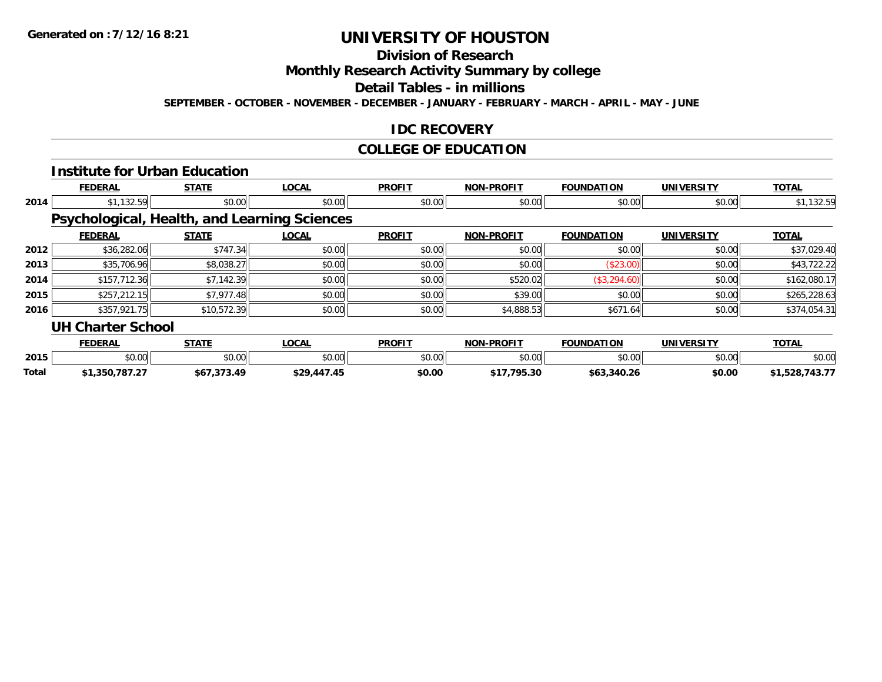## **Division of Research**

**Monthly Research Activity Summary by college**

#### **Detail Tables - in millions**

**SEPTEMBER - OCTOBER - NOVEMBER - DECEMBER - JANUARY - FEBRUARY - MARCH - APRIL - MAY - JUNE**

### **IDC RECOVERY**

## **COLLEGE OF EDUCATION**

|       |                          | <b>Institute for Urban Education</b> |                                                     |               |                   |                   |                   |                |
|-------|--------------------------|--------------------------------------|-----------------------------------------------------|---------------|-------------------|-------------------|-------------------|----------------|
|       | <b>FEDERAL</b>           | <b>STATE</b>                         | <b>LOCAL</b>                                        | <b>PROFIT</b> | <b>NON-PROFIT</b> | <b>FOUNDATION</b> | <b>UNIVERSITY</b> | <b>TOTAL</b>   |
| 2014  | \$1,132.59               | \$0.00                               | \$0.00                                              | \$0.00        | \$0.00            | \$0.00            | \$0.00            | \$1,132.59     |
|       |                          |                                      | <b>Psychological, Health, and Learning Sciences</b> |               |                   |                   |                   |                |
|       | <b>FEDERAL</b>           | <b>STATE</b>                         | <b>LOCAL</b>                                        | <b>PROFIT</b> | <b>NON-PROFIT</b> | <b>FOUNDATION</b> | <b>UNIVERSITY</b> | <b>TOTAL</b>   |
| 2012  | \$36,282.06              | \$747.34                             | \$0.00                                              | \$0.00        | \$0.00            | \$0.00            | \$0.00            | \$37,029.40    |
| 2013  | \$35,706.96              | \$8,038.27                           | \$0.00                                              | \$0.00        | \$0.00            | (\$23.00)         | \$0.00            | \$43,722.22    |
| 2014  | \$157,712.36             | \$7,142.39                           | \$0.00                                              | \$0.00        | \$520.02          | (\$3,294.60)      | \$0.00            | \$162,080.17   |
| 2015  | \$257,212.15             | \$7,977.48                           | \$0.00                                              | \$0.00        | \$39.00           | \$0.00            | \$0.00            | \$265,228.63   |
| 2016  | \$357,921.75             | \$10,572.39                          | \$0.00                                              | \$0.00        | \$4,888.53        | \$671.64          | \$0.00            | \$374,054.31   |
|       | <b>UH Charter School</b> |                                      |                                                     |               |                   |                   |                   |                |
|       | <b>FEDERAL</b>           | <b>STATE</b>                         | <b>LOCAL</b>                                        | <b>PROFIT</b> | <b>NON-PROFIT</b> | <b>FOUNDATION</b> | <b>UNIVERSITY</b> | <b>TOTAL</b>   |
| 2015  | \$0.00                   | \$0.00                               | \$0.00                                              | \$0.00        | \$0.00            | \$0.00            | \$0.00            | \$0.00         |
| Total | \$1,350,787.27           | \$67,373.49                          | \$29,447.45                                         | \$0.00        | \$17,795.30       | \$63,340.26       | \$0.00            | \$1,528,743.77 |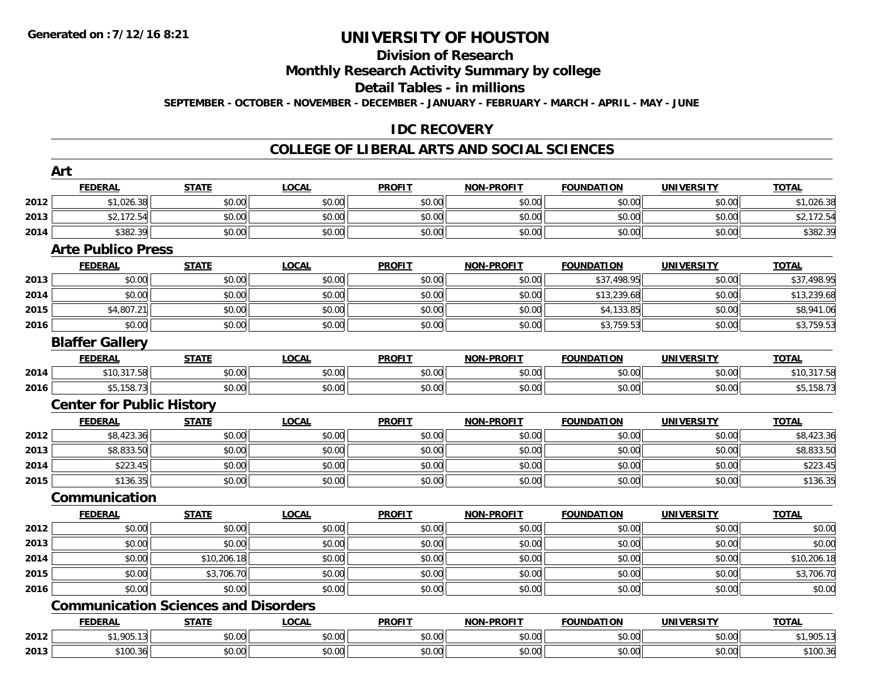## **Division of Research**

**Monthly Research Activity Summary by college**

**Detail Tables - in millions**

**SEPTEMBER - OCTOBER - NOVEMBER - DECEMBER - JANUARY - FEBRUARY - MARCH - APRIL - MAY - JUNE**

## **IDC RECOVERY**

|      | Art                                         |              |              |               |                   |                   |                   |              |
|------|---------------------------------------------|--------------|--------------|---------------|-------------------|-------------------|-------------------|--------------|
|      | <b>FEDERAL</b>                              | <b>STATE</b> | <b>LOCAL</b> | <b>PROFIT</b> | <b>NON-PROFIT</b> | <b>FOUNDATION</b> | <b>UNIVERSITY</b> | <b>TOTAL</b> |
| 2012 | \$1,026.38                                  | \$0.00       | \$0.00       | \$0.00        | \$0.00            | \$0.00            | \$0.00            | \$1,026.38   |
| 2013 | \$2,172.54                                  | \$0.00       | \$0.00       | \$0.00        | \$0.00            | \$0.00            | \$0.00            | \$2,172.54   |
| 2014 | \$382.39                                    | \$0.00       | \$0.00       | \$0.00        | \$0.00            | \$0.00            | \$0.00            | \$382.39     |
|      | <b>Arte Publico Press</b>                   |              |              |               |                   |                   |                   |              |
|      | <b>FEDERAL</b>                              | <b>STATE</b> | <b>LOCAL</b> | <b>PROFIT</b> | <b>NON-PROFIT</b> | <b>FOUNDATION</b> | <b>UNIVERSITY</b> | <b>TOTAL</b> |
| 2013 | \$0.00                                      | \$0.00       | \$0.00       | \$0.00        | \$0.00            | \$37,498.95       | \$0.00            | \$37,498.95  |
| 2014 | \$0.00                                      | \$0.00       | \$0.00       | \$0.00        | \$0.00            | \$13,239.68       | \$0.00            | \$13,239.68  |
| 2015 | \$4,807.21                                  | \$0.00       | \$0.00       | \$0.00        | \$0.00            | \$4,133.85        | \$0.00            | \$8,941.06   |
| 2016 | \$0.00                                      | \$0.00       | \$0.00       | \$0.00        | \$0.00            | \$3,759.53        | \$0.00            | \$3,759.53   |
|      | <b>Blaffer Gallery</b>                      |              |              |               |                   |                   |                   |              |
|      | <b>FEDERAL</b>                              | <b>STATE</b> | <b>LOCAL</b> | <b>PROFIT</b> | <b>NON-PROFIT</b> | <b>FOUNDATION</b> | <b>UNIVERSITY</b> | <b>TOTAL</b> |
| 2014 | \$10,317.58                                 | \$0.00       | \$0.00       | \$0.00        | \$0.00            | \$0.00            | \$0.00            | \$10,317.58  |
| 2016 | \$5,158.73                                  | \$0.00       | \$0.00       | \$0.00        | \$0.00            | \$0.00            | \$0.00            | \$5,158.73   |
|      | <b>Center for Public History</b>            |              |              |               |                   |                   |                   |              |
|      | <b>FEDERAL</b>                              | <b>STATE</b> | <b>LOCAL</b> | <b>PROFIT</b> | <b>NON-PROFIT</b> | <b>FOUNDATION</b> | <b>UNIVERSITY</b> | <b>TOTAL</b> |
| 2012 | \$8,423.36                                  | \$0.00       | \$0.00       | \$0.00        | \$0.00            | \$0.00            | \$0.00            | \$8,423.36   |
| 2013 | \$8,833.50                                  | \$0.00       | \$0.00       | \$0.00        | \$0.00            | \$0.00            | \$0.00            | \$8,833.50   |
| 2014 | \$223.45                                    | \$0.00       | \$0.00       | \$0.00        | \$0.00            | \$0.00            | \$0.00            | \$223.45     |
| 2015 | \$136.35                                    | \$0.00       | \$0.00       | \$0.00        | \$0.00            | \$0.00            | \$0.00            | \$136.35     |
|      | Communication                               |              |              |               |                   |                   |                   |              |
|      | <b>FEDERAL</b>                              | <b>STATE</b> | <b>LOCAL</b> | <b>PROFIT</b> | <b>NON-PROFIT</b> | <b>FOUNDATION</b> | <b>UNIVERSITY</b> | <b>TOTAL</b> |
| 2012 | \$0.00                                      | \$0.00       | \$0.00       | \$0.00        | \$0.00            | \$0.00            | \$0.00            | \$0.00       |
| 2013 | \$0.00                                      | \$0.00       | \$0.00       | \$0.00        | \$0.00            | \$0.00            | \$0.00            | \$0.00       |
| 2014 | \$0.00                                      | \$10,206.18  | \$0.00       | \$0.00        | \$0.00            | \$0.00            | \$0.00            | \$10,206.18  |
| 2015 | \$0.00                                      | \$3,706.70   | \$0.00       | \$0.00        | \$0.00            | \$0.00            | \$0.00            | \$3,706.70   |
| 2016 | \$0.00                                      | \$0.00       | \$0.00       | \$0.00        | \$0.00            | \$0.00            | \$0.00            | \$0.00       |
|      | <b>Communication Sciences and Disorders</b> |              |              |               |                   |                   |                   |              |
|      | <b>FEDERAL</b>                              | <b>STATE</b> | <b>LOCAL</b> | <b>PROFIT</b> | <b>NON-PROFIT</b> | <b>FOUNDATION</b> | <b>UNIVERSITY</b> | <b>TOTAL</b> |
| 2012 | \$1,905.13                                  | \$0.00       | \$0.00       | \$0.00        | \$0.00            | \$0.00            | \$0.00            | \$1,905.13   |
| 2013 | \$100.36                                    | \$0.00       | \$0.00       | \$0.00        | \$0.00            | \$0.00            | \$0.00            | \$100.36     |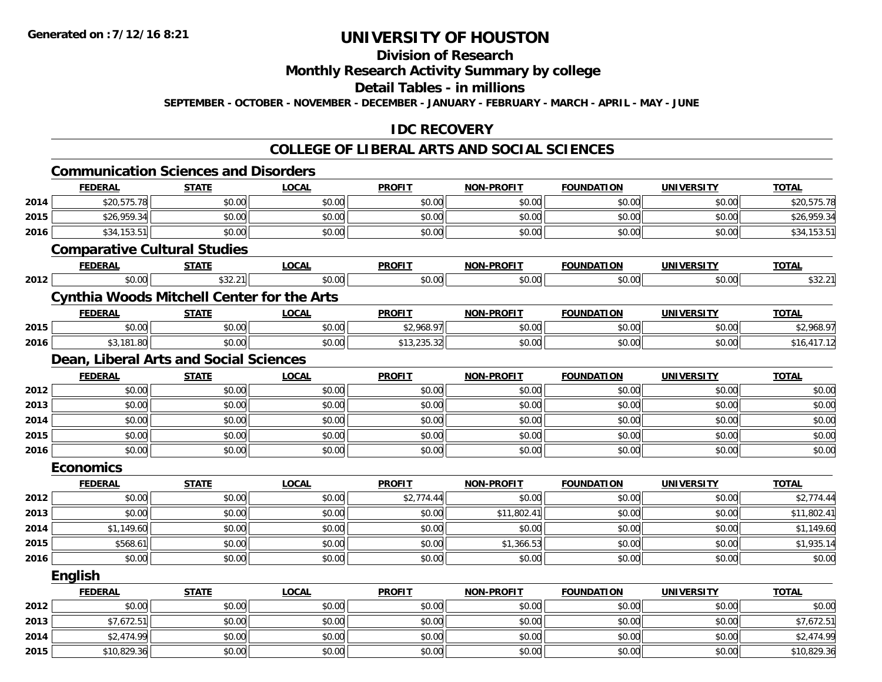## **Division of Research**

### **Monthly Research Activity Summary by college**

#### **Detail Tables - in millions**

**SEPTEMBER - OCTOBER - NOVEMBER - DECEMBER - JANUARY - FEBRUARY - MARCH - APRIL - MAY - JUNE**

## **IDC RECOVERY**

|      | <b>Communication Sciences and Disorders</b>       |              |              |               |                   |                   |                   |              |
|------|---------------------------------------------------|--------------|--------------|---------------|-------------------|-------------------|-------------------|--------------|
|      | <b>FEDERAL</b>                                    | <b>STATE</b> | <b>LOCAL</b> | <b>PROFIT</b> | <b>NON-PROFIT</b> | <b>FOUNDATION</b> | <b>UNIVERSITY</b> | <b>TOTAL</b> |
| 2014 | \$20,575.78                                       | \$0.00       | \$0.00       | \$0.00        | \$0.00            | \$0.00            | \$0.00            | \$20,575.78  |
| 2015 | \$26,959.34                                       | \$0.00       | \$0.00       | \$0.00        | \$0.00            | \$0.00            | \$0.00            | \$26,959.34  |
| 2016 | \$34,153.51                                       | \$0.00       | \$0.00       | \$0.00        | \$0.00            | \$0.00            | \$0.00            | \$34,153.51  |
|      | <b>Comparative Cultural Studies</b>               |              |              |               |                   |                   |                   |              |
|      | <b>FEDERAL</b>                                    | <b>STATE</b> | <b>LOCAL</b> | <b>PROFIT</b> | NON-PROFIT        | <b>FOUNDATION</b> | <b>UNIVERSITY</b> | <b>TOTAL</b> |
| 2012 | \$0.00                                            | \$32.21      | \$0.00       | \$0.00        | \$0.00            | \$0.00            | \$0.00            | \$32.21      |
|      | <b>Cynthia Woods Mitchell Center for the Arts</b> |              |              |               |                   |                   |                   |              |
|      | <b>FEDERAL</b>                                    | <b>STATE</b> | <b>LOCAL</b> | <b>PROFIT</b> | NON-PROFIT        | <b>FOUNDATION</b> | <b>UNIVERSITY</b> | <b>TOTAL</b> |
| 2015 | \$0.00                                            | \$0.00       | \$0.00       | \$2,968.97    | \$0.00            | \$0.00            | \$0.00            | \$2,968.97   |
| 2016 | \$3,181.80                                        | \$0.00       | \$0.00       | \$13,235.32   | \$0.00            | \$0.00            | \$0.00            | \$16,417.12  |
|      | Dean, Liberal Arts and Social Sciences            |              |              |               |                   |                   |                   |              |
|      | <b>FEDERAL</b>                                    | <b>STATE</b> | <b>LOCAL</b> | <b>PROFIT</b> | <b>NON-PROFIT</b> | <b>FOUNDATION</b> | <b>UNIVERSITY</b> | <b>TOTAL</b> |
| 2012 | \$0.00                                            | \$0.00       | \$0.00       | \$0.00        | \$0.00            | \$0.00            | \$0.00            | \$0.00       |
| 2013 | \$0.00                                            | \$0.00       | \$0.00       | \$0.00        | \$0.00            | \$0.00            | \$0.00            | \$0.00       |
| 2014 | \$0.00                                            | \$0.00       | \$0.00       | \$0.00        | \$0.00            | \$0.00            | \$0.00            | \$0.00       |
| 2015 | \$0.00                                            | \$0.00       | \$0.00       | \$0.00        | \$0.00            | \$0.00            | \$0.00            | \$0.00       |
| 2016 | \$0.00                                            | \$0.00       | \$0.00       | \$0.00        | \$0.00            | \$0.00            | \$0.00            | \$0.00       |
|      | <b>Economics</b>                                  |              |              |               |                   |                   |                   |              |
|      | <b>FEDERAL</b>                                    | <b>STATE</b> | <b>LOCAL</b> | <b>PROFIT</b> | <b>NON-PROFIT</b> | <b>FOUNDATION</b> | <b>UNIVERSITY</b> | <b>TOTAL</b> |
| 2012 | \$0.00                                            | \$0.00       | \$0.00       | \$2,774.44    | \$0.00            | \$0.00            | \$0.00            | \$2,774.44   |
| 2013 | \$0.00                                            | \$0.00       | \$0.00       | \$0.00        | \$11,802.41       | \$0.00            | \$0.00            | \$11,802.41  |
| 2014 | \$1,149.60                                        | \$0.00       | \$0.00       | \$0.00        | \$0.00            | \$0.00            | \$0.00            | \$1,149.60   |
| 2015 | \$568.61                                          | \$0.00       | \$0.00       | \$0.00        | \$1,366.53        | \$0.00            | \$0.00            | \$1,935.14   |
| 2016 | \$0.00                                            | \$0.00       | \$0.00       | \$0.00        | \$0.00            | \$0.00            | \$0.00            | \$0.00       |
|      | <b>English</b>                                    |              |              |               |                   |                   |                   |              |
|      | <b>FEDERAL</b>                                    | <b>STATE</b> | <b>LOCAL</b> | <b>PROFIT</b> | <b>NON-PROFIT</b> | <b>FOUNDATION</b> | <b>UNIVERSITY</b> | <b>TOTAL</b> |
| 2012 | \$0.00                                            | \$0.00       | \$0.00       | \$0.00        | \$0.00            | \$0.00            | \$0.00            | \$0.00       |
| 2013 | \$7,672.51                                        | \$0.00       | \$0.00       | \$0.00        | \$0.00            | \$0.00            | \$0.00            | \$7,672.51   |
| 2014 | \$2,474.99                                        | \$0.00       | \$0.00       | \$0.00        | \$0.00            | \$0.00            | \$0.00            | \$2,474.99   |
| 2015 | \$10,829.36                                       | \$0.00       | \$0.00       | \$0.00        | \$0.00            | \$0.00            | \$0.00            | \$10,829.36  |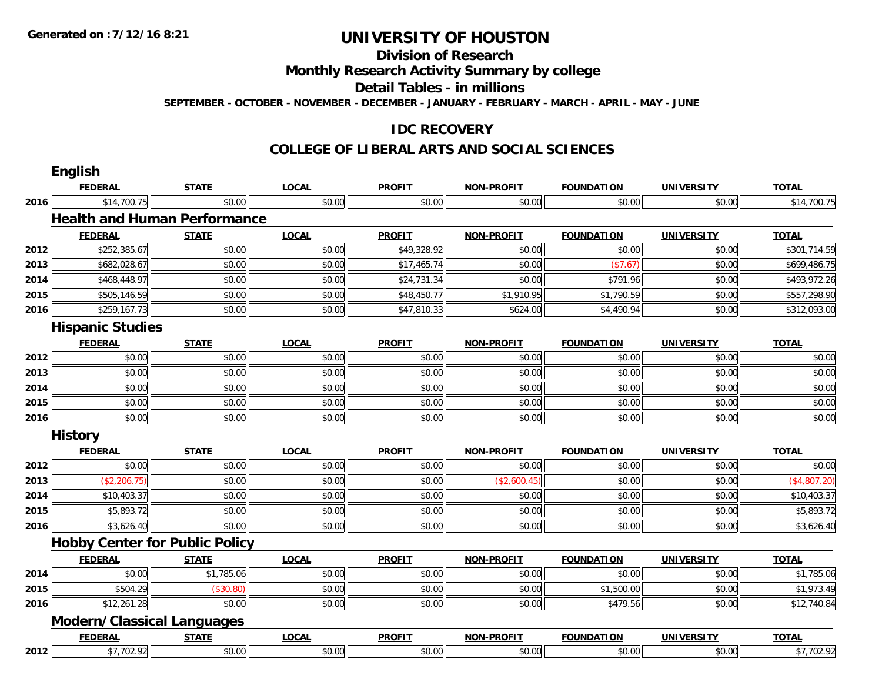#### **Division of Research**

**Monthly Research Activity Summary by college**

**Detail Tables - in millions**

**SEPTEMBER - OCTOBER - NOVEMBER - DECEMBER - JANUARY - FEBRUARY - MARCH - APRIL - MAY - JUNE**

## **IDC RECOVERY**

|      | <b>English</b>                        |              |              |               |                   |                   |                   |              |
|------|---------------------------------------|--------------|--------------|---------------|-------------------|-------------------|-------------------|--------------|
|      | <b>FEDERAL</b>                        | <b>STATE</b> | <b>LOCAL</b> | <b>PROFIT</b> | <b>NON-PROFIT</b> | <b>FOUNDATION</b> | <b>UNIVERSITY</b> | <b>TOTAL</b> |
| 2016 | \$14,700.75                           | \$0.00       | \$0.00       | \$0.00        | \$0.00            | \$0.00            | \$0.00            | \$14,700.75  |
|      | <b>Health and Human Performance</b>   |              |              |               |                   |                   |                   |              |
|      | <b>FEDERAL</b>                        | <b>STATE</b> | <b>LOCAL</b> | <b>PROFIT</b> | <b>NON-PROFIT</b> | <b>FOUNDATION</b> | <b>UNIVERSITY</b> | <b>TOTAL</b> |
| 2012 | \$252,385.67                          | \$0.00       | \$0.00       | \$49,328.92   | \$0.00            | \$0.00            | \$0.00            | \$301,714.59 |
| 2013 | \$682,028.67                          | \$0.00       | \$0.00       | \$17,465.74   | \$0.00            | (\$7.67)          | \$0.00            | \$699,486.75 |
| 2014 | \$468,448.97                          | \$0.00       | \$0.00       | \$24,731.34   | \$0.00            | \$791.96          | \$0.00            | \$493,972.26 |
| 2015 | \$505,146.59                          | \$0.00       | \$0.00       | \$48,450.77   | \$1,910.95        | \$1,790.59        | \$0.00            | \$557,298.90 |
| 2016 | \$259,167.73                          | \$0.00       | \$0.00       | \$47,810.33   | \$624.00          | \$4,490.94        | \$0.00            | \$312,093.00 |
|      | <b>Hispanic Studies</b>               |              |              |               |                   |                   |                   |              |
|      | <b>FEDERAL</b>                        | <b>STATE</b> | <b>LOCAL</b> | <b>PROFIT</b> | <b>NON-PROFIT</b> | <b>FOUNDATION</b> | <b>UNIVERSITY</b> | <b>TOTAL</b> |
| 2012 | \$0.00                                | \$0.00       | \$0.00       | \$0.00        | \$0.00            | \$0.00            | \$0.00            | \$0.00       |
| 2013 | \$0.00                                | \$0.00       | \$0.00       | \$0.00        | \$0.00            | \$0.00            | \$0.00            | \$0.00       |
| 2014 | \$0.00                                | \$0.00       | \$0.00       | \$0.00        | \$0.00            | \$0.00            | \$0.00            | \$0.00       |
| 2015 | \$0.00                                | \$0.00       | \$0.00       | \$0.00        | \$0.00            | \$0.00            | \$0.00            | \$0.00       |
| 2016 | \$0.00                                | \$0.00       | \$0.00       | \$0.00        | \$0.00            | \$0.00            | \$0.00            | \$0.00       |
|      | <b>History</b>                        |              |              |               |                   |                   |                   |              |
|      | <b>FEDERAL</b>                        | <b>STATE</b> | <b>LOCAL</b> | <b>PROFIT</b> | <b>NON-PROFIT</b> | <b>FOUNDATION</b> | <b>UNIVERSITY</b> | <b>TOTAL</b> |
| 2012 | \$0.00                                | \$0.00       | \$0.00       | \$0.00        | \$0.00            | \$0.00            | \$0.00            | \$0.00       |
| 2013 | (\$2,206.75)                          | \$0.00       | \$0.00       | \$0.00        | (\$2,600.45)      | \$0.00            | \$0.00            | (\$4,807.20) |
| 2014 | \$10,403.37                           | \$0.00       | \$0.00       | \$0.00        | \$0.00            | \$0.00            | \$0.00            | \$10,403.37  |
| 2015 | \$5,893.72                            | \$0.00       | \$0.00       | \$0.00        | \$0.00            | \$0.00            | \$0.00            | \$5,893.72   |
| 2016 | \$3,626.40                            | \$0.00       | \$0.00       | \$0.00        | \$0.00            | \$0.00            | \$0.00            | \$3,626.40   |
|      | <b>Hobby Center for Public Policy</b> |              |              |               |                   |                   |                   |              |
|      | <b>FEDERAL</b>                        | <b>STATE</b> | <b>LOCAL</b> | <b>PROFIT</b> | <b>NON-PROFIT</b> | <b>FOUNDATION</b> | <b>UNIVERSITY</b> | <b>TOTAL</b> |
| 2014 | \$0.00                                | \$1,785.06   | \$0.00       | \$0.00        | \$0.00            | \$0.00            | \$0.00            | \$1,785.06   |
| 2015 | \$504.29                              | (\$30.80)    | \$0.00       | \$0.00        | \$0.00            | \$1,500.00        | \$0.00            | \$1,973.49   |
| 2016 | \$12,261.28                           | \$0.00       | \$0.00       | \$0.00        | \$0.00            | \$479.56          | \$0.00            | \$12,740.84  |
|      | <b>Modern/Classical Languages</b>     |              |              |               |                   |                   |                   |              |
|      | <b>FEDERAL</b>                        | <b>STATE</b> | <b>LOCAL</b> | <b>PROFIT</b> | <b>NON-PROFIT</b> | <b>FOUNDATION</b> | <b>UNIVERSITY</b> | <b>TOTAL</b> |
| 2012 | \$7,702.92                            | \$0.00       | \$0.00       | \$0.00        | \$0.00            | \$0.00            | \$0.00            | \$7,702.92   |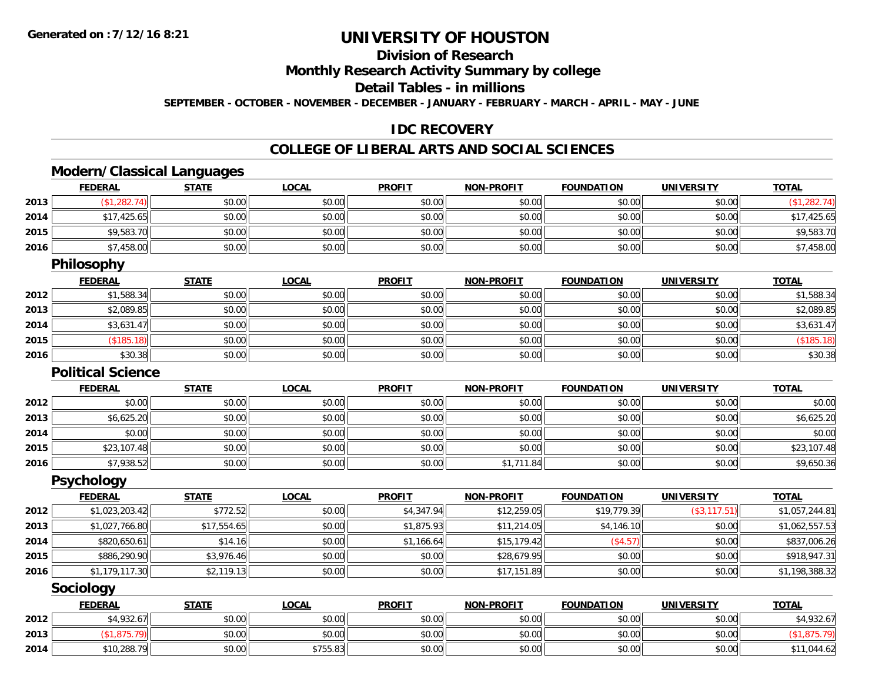## **Division of Research**

**Monthly Research Activity Summary by college**

**Detail Tables - in millions**

**SEPTEMBER - OCTOBER - NOVEMBER - DECEMBER - JANUARY - FEBRUARY - MARCH - APRIL - MAY - JUNE**

## **IDC RECOVERY**

## **COLLEGE OF LIBERAL ARTS AND SOCIAL SCIENCES**

# **Modern/Classical Languages**

|      | <b>FEDERAL</b>           | <b>STATE</b> | <b>LOCAL</b> | <b>PROFIT</b> | <b>NON-PROFIT</b> | <b>FOUNDATION</b> | <b>UNIVERSITY</b> | <b>TOTAL</b>   |
|------|--------------------------|--------------|--------------|---------------|-------------------|-------------------|-------------------|----------------|
| 2013 | (\$1,282.74)             | \$0.00       | \$0.00       | \$0.00        | \$0.00            | \$0.00            | \$0.00            | (\$1,282.74)   |
| 2014 | \$17,425.65              | \$0.00       | \$0.00       | \$0.00        | \$0.00            | \$0.00            | \$0.00            | \$17,425.65    |
| 2015 | \$9,583.70               | \$0.00       | \$0.00       | \$0.00        | \$0.00            | \$0.00            | \$0.00            | \$9,583.70     |
| 2016 | \$7,458.00               | \$0.00       | \$0.00       | \$0.00        | \$0.00            | \$0.00            | \$0.00            | \$7,458.00     |
|      | <b>Philosophy</b>        |              |              |               |                   |                   |                   |                |
|      | <b>FEDERAL</b>           | <b>STATE</b> | <b>LOCAL</b> | <b>PROFIT</b> | <b>NON-PROFIT</b> | <b>FOUNDATION</b> | <b>UNIVERSITY</b> | <b>TOTAL</b>   |
| 2012 | \$1,588.34               | \$0.00       | \$0.00       | \$0.00        | \$0.00            | \$0.00            | \$0.00            | \$1,588.34     |
| 2013 | \$2,089.85               | \$0.00       | \$0.00       | \$0.00        | \$0.00            | \$0.00            | \$0.00            | \$2,089.85     |
| 2014 | \$3,631.47               | \$0.00       | \$0.00       | \$0.00        | \$0.00            | \$0.00            | \$0.00            | \$3,631.47     |
| 2015 | (\$185.18)               | \$0.00       | \$0.00       | \$0.00        | \$0.00            | \$0.00            | \$0.00            | (\$185.18)     |
| 2016 | \$30.38                  | \$0.00       | \$0.00       | \$0.00        | \$0.00            | \$0.00            | \$0.00            | \$30.38        |
|      | <b>Political Science</b> |              |              |               |                   |                   |                   |                |
|      | <b>FEDERAL</b>           | <b>STATE</b> | <b>LOCAL</b> | <b>PROFIT</b> | <b>NON-PROFIT</b> | <b>FOUNDATION</b> | <b>UNIVERSITY</b> | <b>TOTAL</b>   |
| 2012 | \$0.00                   | \$0.00       | \$0.00       | \$0.00        | \$0.00            | \$0.00            | \$0.00            | \$0.00         |
| 2013 | \$6,625.20               | \$0.00       | \$0.00       | \$0.00        | \$0.00            | \$0.00            | \$0.00            | \$6,625.20     |
| 2014 | \$0.00                   | \$0.00       | \$0.00       | \$0.00        | \$0.00            | \$0.00            | \$0.00            | \$0.00         |
| 2015 | \$23,107.48              | \$0.00       | \$0.00       | \$0.00        | \$0.00            | \$0.00            | \$0.00            | \$23,107.48    |
| 2016 | \$7,938.52               | \$0.00       | \$0.00       | \$0.00        | \$1,711.84        | \$0.00            | \$0.00            | \$9,650.36     |
|      | <b>Psychology</b>        |              |              |               |                   |                   |                   |                |
|      | <b>FEDERAL</b>           | <b>STATE</b> | <b>LOCAL</b> | <b>PROFIT</b> | <b>NON-PROFIT</b> | <b>FOUNDATION</b> | <b>UNIVERSITY</b> | <b>TOTAL</b>   |
| 2012 | \$1,023,203.42           | \$772.52     | \$0.00       | \$4,347.94    | \$12,259.05       | \$19,779.39       | (\$3, 117.51)     | \$1,057,244.81 |
| 2013 | \$1,027,766.80           | \$17,554.65  | \$0.00       | \$1,875.93    | \$11,214.05       | \$4,146.10        | \$0.00            | \$1,062,557.53 |
| 2014 | \$820,650.61             | \$14.16      | \$0.00       | \$1,166.64    | \$15,179.42       | (\$4.57)          | \$0.00            | \$837,006.26   |
| 2015 | \$886,290.90             | \$3,976.46   | \$0.00       | \$0.00        | \$28,679.95       | \$0.00            | \$0.00            | \$918,947.31   |
| 2016 | \$1,179,117.30           | \$2,119.13   | \$0.00       | \$0.00        | \$17,151.89       | \$0.00            | \$0.00            | \$1,198,388.32 |
|      | Sociology                |              |              |               |                   |                   |                   |                |
|      | <b>FEDERAL</b>           | <b>STATE</b> | <b>LOCAL</b> | <b>PROFIT</b> | <b>NON-PROFIT</b> | <b>FOUNDATION</b> | <b>UNIVERSITY</b> | <b>TOTAL</b>   |
| 2012 | \$4,932.67               | \$0.00       | \$0.00       | \$0.00        | \$0.00            | \$0.00            | \$0.00            | \$4,932.67     |
| 2013 | (\$1,875.79)             | \$0.00       | \$0.00       | \$0.00        | \$0.00            | \$0.00            | \$0.00            | (\$1,875.79)   |
| 2014 | \$10,288.79              | \$0.00       | \$755.83     | \$0.00        | \$0.00            | \$0.00            | \$0.00            | \$11,044.62    |

4 \$10,288.79 \$11,044.62 \$755.83 \$11,044.62 \$755.83 \$0.00 \$0.00 \$0.00 \$0.00 \$0.00 \$0.00 \$11,044.62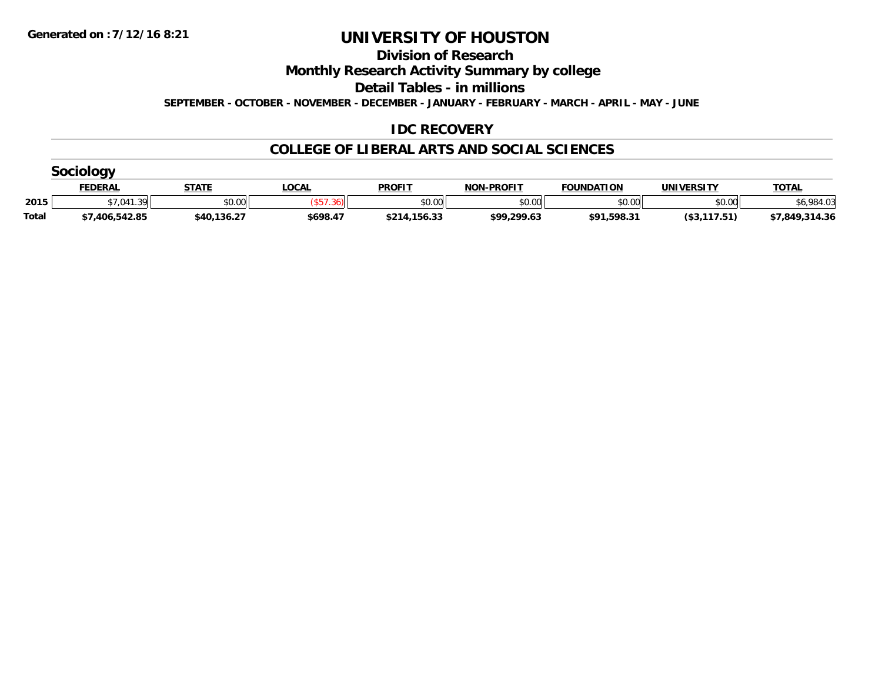**Division of Research**

**Monthly Research Activity Summary by college**

**Detail Tables - in millions**

**SEPTEMBER - OCTOBER - NOVEMBER - DECEMBER - JANUARY - FEBRUARY - MARCH - APRIL - MAY - JUNE**

## **IDC RECOVERY**

|              | <b>FEDERAL</b>  | <b>STATE</b> | <b>OCAL</b> | <b>PROFIT</b> | <b>NON-PROFIT</b> | <b>FOUNDATION</b> | UNIVERSITY   | <b>TOTAL</b>   |  |  |  |  |
|--------------|-----------------|--------------|-------------|---------------|-------------------|-------------------|--------------|----------------|--|--|--|--|
| 2015         | \$7.041<br>1.39 | \$0.00       |             | \$0.00        | \$0.00            | \$0.00            | \$0.00       | .984.03        |  |  |  |  |
| <b>Total</b> | \$7,406,542.85  | \$40,136.27  | \$698.47    | \$214,156.33  | \$99,299.63       | \$91,598.31       | (\$3,117.51) | \$7,849,314.36 |  |  |  |  |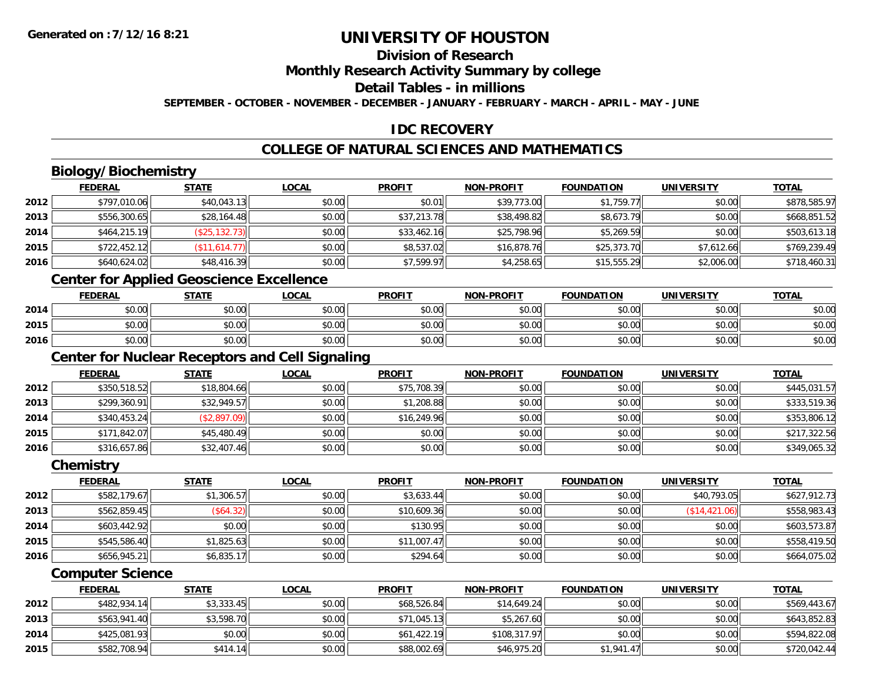## **Division of Research**

### **Monthly Research Activity Summary by college**

### **Detail Tables - in millions**

**SEPTEMBER - OCTOBER - NOVEMBER - DECEMBER - JANUARY - FEBRUARY - MARCH - APRIL - MAY - JUNE**

## **IDC RECOVERY**

## **COLLEGE OF NATURAL SCIENCES AND MATHEMATICS**

## **Biology/Biochemistry**

|      | <b>FEDERAL</b> | <b>STATE</b>   | <u>LOCAL</u> | <b>PROFIT</b> | <b>NON-PROFIT</b> | <b>FOUNDATION</b> | <b>UNIVERSITY</b> | <b>TOTAL</b> |
|------|----------------|----------------|--------------|---------------|-------------------|-------------------|-------------------|--------------|
| 2012 | \$797,010.06   | \$40,043.13    | \$0.00       | \$0.01        | \$39,773.00       | \$1,759.77        | \$0.00            | \$878,585.97 |
| 2013 | \$556,300.65   | \$28,164.48    | \$0.00       | \$37,213.78   | \$38,498.82       | \$8,673.79        | \$0.00            | \$668,851.52 |
| 2014 | \$464,215.19   | (\$25, 132.73) | \$0.00       | \$33,462.16   | \$25,798.96       | \$5,269.59        | \$0.00            | \$503,613.18 |
| 2015 | \$722,452.12   | (\$11,614.77)  | \$0.00       | \$8,537.02    | \$16,878.76       | \$25,373.70       | \$7,612.66        | \$769,239.49 |
| 2016 | \$640,624.02   | \$48,416.39    | \$0.00       | \$7,599.97    | \$4,258.65        | \$15,555.29       | \$2,006.00        | \$718,460.31 |

## **Center for Applied Geoscience Excellence**

|      | <b>FEDERAL</b>                      | <b>STATE</b> | <u>LOCAL</u> | <b>PROFIT</b> | <b>NON-PROFIT</b> | <b>FOUNDATION</b> | <b>UNIVERSITY</b> | <b>TOTAL</b> |
|------|-------------------------------------|--------------|--------------|---------------|-------------------|-------------------|-------------------|--------------|
| 2014 | 0000<br>JU.UU                       | \$0.00       | \$0.00       | \$0.00        | \$0.00            | \$0.00            | \$0.00            | \$0.00       |
| 2015 | $\theta$ $\theta$ $\theta$<br>90.UU | \$0.00       | \$0.00       | \$0.00        | \$0.00            | \$0.00            | \$0.00            | \$0.00       |
| 2016 | ልስ ሰሰ<br>DU.UU                      | \$0.00       | \$0.00       | \$0.00        | \$0.00            | \$0.00            | \$0.00            | \$0.00       |

<u> 1980 - Johann Barn, mars ann an t-Amhain Aonaich an t-Aonaich an t-Aonaich ann an t-Aonaich ann an t-Aonaich</u>

## **Center for Nuclear Receptors and Cell Signaling**

|      | <b>FEDERAL</b> | <b>STATE</b> | <b>LOCAL</b> | <b>PROFIT</b> | <b>NON-PROFIT</b> | <b>FOUNDATION</b> | <b>UNIVERSITY</b> | <b>TOTAL</b> |
|------|----------------|--------------|--------------|---------------|-------------------|-------------------|-------------------|--------------|
| 2012 | \$350,518.52   | \$18,804.66  | \$0.00       | \$75,708.39   | \$0.00            | \$0.00            | \$0.00            | \$445,031.57 |
| 2013 | \$299,360.91   | \$32,949.57  | \$0.00       | \$1,208.88    | \$0.00            | \$0.00            | \$0.00            | \$333,519.36 |
| 2014 | \$340,453.24   | (\$2,897.09) | \$0.00       | \$16,249.96   | \$0.00            | \$0.00            | \$0.00            | \$353,806.12 |
| 2015 | \$171,842.07   | \$45,480.49  | \$0.00       | \$0.00        | \$0.00            | \$0.00            | \$0.00            | \$217,322.56 |
| 2016 | \$316,657.86   | \$32,407.46  | \$0.00       | \$0.00        | \$0.00            | \$0.00            | \$0.00            | \$349,065.32 |

#### **Chemistry**

|      | <b>FEDERAL</b> | <b>STATE</b> | <u>LOCAL</u> | <b>PROFIT</b> | <b>NON-PROFIT</b> | <b>FOUNDATION</b> | <b>UNIVERSITY</b> | <b>TOTAL</b> |
|------|----------------|--------------|--------------|---------------|-------------------|-------------------|-------------------|--------------|
| 2012 | \$582,179.67   | \$1,306.57   | \$0.00       | \$3,633.44    | \$0.00            | \$0.00            | \$40,793.05       | \$627,912.73 |
| 2013 | \$562,859.45   | \$64.32      | \$0.00       | \$10,609.36   | \$0.00            | \$0.00            | (S14, 421.06)     | \$558,983.43 |
| 2014 | \$603,442.92   | \$0.00       | \$0.00       | \$130.95      | \$0.00            | \$0.00            | \$0.00            | \$603,573.87 |
| 2015 | \$545,586.40   | \$1,825.63   | \$0.00       | \$11,007.47   | \$0.00            | \$0.00            | \$0.00            | \$558,419.50 |
| 2016 | \$656,945.21   | \$6,835.17   | \$0.00       | \$294.64      | \$0.00            | \$0.00            | \$0.00            | \$664,075.02 |

#### **Computer Science**

|      | <b>FEDERAL</b> | <u>STATE</u> | <u>LOCAL</u> | <b>PROFIT</b> | <b>NON-PROFIT</b> | <b>FOUNDATION</b> | <b>UNIVERSITY</b> | <b>TOTAL</b> |
|------|----------------|--------------|--------------|---------------|-------------------|-------------------|-------------------|--------------|
| 2012 | \$482,934.14   | \$3,333.45   | \$0.00       | \$68,526.84   | \$14,649.24       | \$0.00            | \$0.00            | \$569,443.67 |
| 2013 | \$563,941.40   | \$3,598.70   | \$0.00       | \$71,045.13   | \$5,267.60        | \$0.00            | \$0.00            | \$643,852.83 |
| 2014 | \$425,081.93   | \$0.00       | \$0.00       | \$61,422.19   | \$108,317.97      | \$0.00            | \$0.00            | \$594,822.08 |
| 2015 | \$582,708.94   | \$414.14     | \$0.00       | \$88,002.69   | \$46,975.20       | \$1,941.47        | \$0.00            | \$720,042.44 |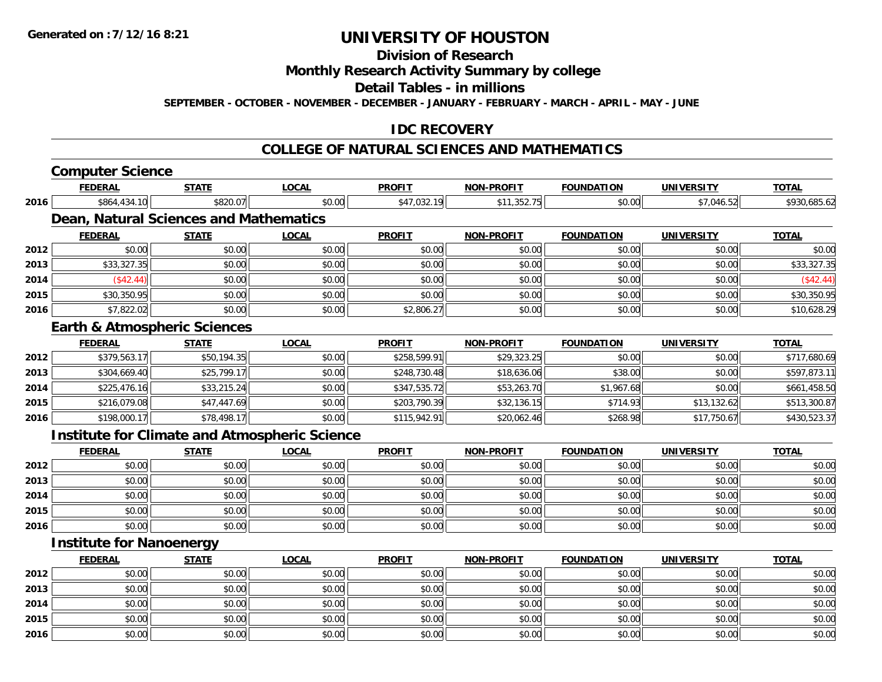**2014**

**2015**

**2016**

# **UNIVERSITY OF HOUSTON**

## **Division of Research**

### **Monthly Research Activity Summary by college**

#### **Detail Tables - in millions**

**SEPTEMBER - OCTOBER - NOVEMBER - DECEMBER - JANUARY - FEBRUARY - MARCH - APRIL - MAY - JUNE**

## **IDC RECOVERY**

#### **COLLEGE OF NATURAL SCIENCES AND MATHEMATICS**

|      | <b>Computer Science</b>                 |              |                                                      |               |                   |                   |                   |              |
|------|-----------------------------------------|--------------|------------------------------------------------------|---------------|-------------------|-------------------|-------------------|--------------|
|      | <b>FEDERAL</b>                          | <b>STATE</b> | <b>LOCAL</b>                                         | <b>PROFIT</b> | <b>NON-PROFIT</b> | <b>FOUNDATION</b> | <b>UNIVERSITY</b> | <b>TOTAL</b> |
| 2016 | \$864,434.10                            | \$820.07     | \$0.00                                               | \$47,032.19   | \$11,352.75       | \$0.00            | \$7,046.52        | \$930,685.62 |
|      | Dean, Natural Sciences and Mathematics  |              |                                                      |               |                   |                   |                   |              |
|      | <b>FEDERAL</b>                          | <b>STATE</b> | <b>LOCAL</b>                                         | <b>PROFIT</b> | <b>NON-PROFIT</b> | <b>FOUNDATION</b> | <b>UNIVERSITY</b> | <b>TOTAL</b> |
| 2012 | \$0.00                                  | \$0.00       | \$0.00                                               | \$0.00        | \$0.00            | \$0.00            | \$0.00            | \$0.00       |
| 2013 | \$33,327.35                             | \$0.00       | \$0.00                                               | \$0.00        | \$0.00            | \$0.00            | \$0.00            | \$33,327.35  |
| 2014 | (\$42.44)                               | \$0.00       | \$0.00                                               | \$0.00        | \$0.00            | \$0.00            | \$0.00            | (\$42.44)    |
| 2015 | \$30,350.95                             | \$0.00       | \$0.00                                               | \$0.00        | \$0.00            | \$0.00            | \$0.00            | \$30,350.95  |
| 2016 | \$7,822.02                              | \$0.00       | \$0.00                                               | \$2,806.27    | \$0.00            | \$0.00            | \$0.00            | \$10,628.29  |
|      | <b>Earth &amp; Atmospheric Sciences</b> |              |                                                      |               |                   |                   |                   |              |
|      | <b>FEDERAL</b>                          | <b>STATE</b> | <b>LOCAL</b>                                         | <b>PROFIT</b> | <b>NON-PROFIT</b> | <b>FOUNDATION</b> | <b>UNIVERSITY</b> | <b>TOTAL</b> |
| 2012 | \$379,563.17                            | \$50,194.35  | \$0.00                                               | \$258,599.91  | \$29,323.25       | \$0.00            | \$0.00            | \$717,680.69 |
| 2013 | \$304,669.40                            | \$25,799.17  | \$0.00                                               | \$248,730.48  | \$18,636.06       | \$38.00           | \$0.00            | \$597,873.11 |
| 2014 | \$225,476.16                            | \$33,215.24  | \$0.00                                               | \$347,535.72  | \$53,263.70       | \$1,967.68        | \$0.00            | \$661,458.50 |
| 2015 | \$216,079.08                            | \$47,447.69  | \$0.00                                               | \$203,790.39  | \$32,136.15       | \$714.93          | \$13,132.62       | \$513,300.87 |
| 2016 | \$198,000.17                            | \$78,498.17  | \$0.00                                               | \$115,942.91  | \$20,062.46       | \$268.98          | \$17,750.67       | \$430,523.37 |
|      |                                         |              | <b>Institute for Climate and Atmospheric Science</b> |               |                   |                   |                   |              |
|      | <b>FEDERAL</b>                          | <b>STATE</b> | <b>LOCAL</b>                                         | <b>PROFIT</b> | <b>NON-PROFIT</b> | <b>FOUNDATION</b> | <b>UNIVERSITY</b> | <b>TOTAL</b> |
| 2012 | \$0.00                                  | \$0.00       | \$0.00                                               | \$0.00        | \$0.00            | \$0.00            | \$0.00            | \$0.00       |
| 2013 | \$0.00                                  | \$0.00       | \$0.00                                               | \$0.00        | \$0.00            | \$0.00            | \$0.00            | \$0.00       |
| 2014 | \$0.00                                  | \$0.00       | \$0.00                                               | \$0.00        | \$0.00            | \$0.00            | \$0.00            | \$0.00       |
| 2015 | \$0.00                                  | \$0.00       | \$0.00                                               | \$0.00        | \$0.00            | \$0.00            | \$0.00            | \$0.00       |
| 2016 | \$0.00                                  | \$0.00       | \$0.00                                               | \$0.00        | \$0.00            | \$0.00            | \$0.00            | \$0.00       |
|      | <b>Institute for Nanoenergy</b>         |              |                                                      |               |                   |                   |                   |              |
|      | <b>FEDERAL</b>                          | <b>STATE</b> | <b>LOCAL</b>                                         | <b>PROFIT</b> | <b>NON-PROFIT</b> | <b>FOUNDATION</b> | <b>UNIVERSITY</b> | <b>TOTAL</b> |
| 2012 | \$0.00                                  | \$0.00       | \$0.00                                               | \$0.00        | \$0.00            | \$0.00            | \$0.00            | \$0.00       |
| 2013 | \$0.00                                  | \$0.00       | \$0.00                                               | \$0.00        | \$0.00            | \$0.00            | \$0.00            | \$0.00       |

4 \$0.00 \$0.00 \$0.00 \$0.00 \$0.00 \$0.00 \$0.00 \$0.00 \$0.00 \$0.00 \$0.00 \$0.00 \$0.00 \$0.00 \$0.00 \$0.00 \$0.00

\$0.00 \$0.00 \$0.00 \$0.00 \$0.00 \$0.00 \$0.00 \$0.00

6 \$0.00 \$0.00 \$0.00 \$0.00 \$0.00 \$0.00 \$0.00 \$0.00 \$0.00 \$0.00 \$0.00 \$0.00 \$0.00 \$0.00 \$0.00 \$0.00 \$0.00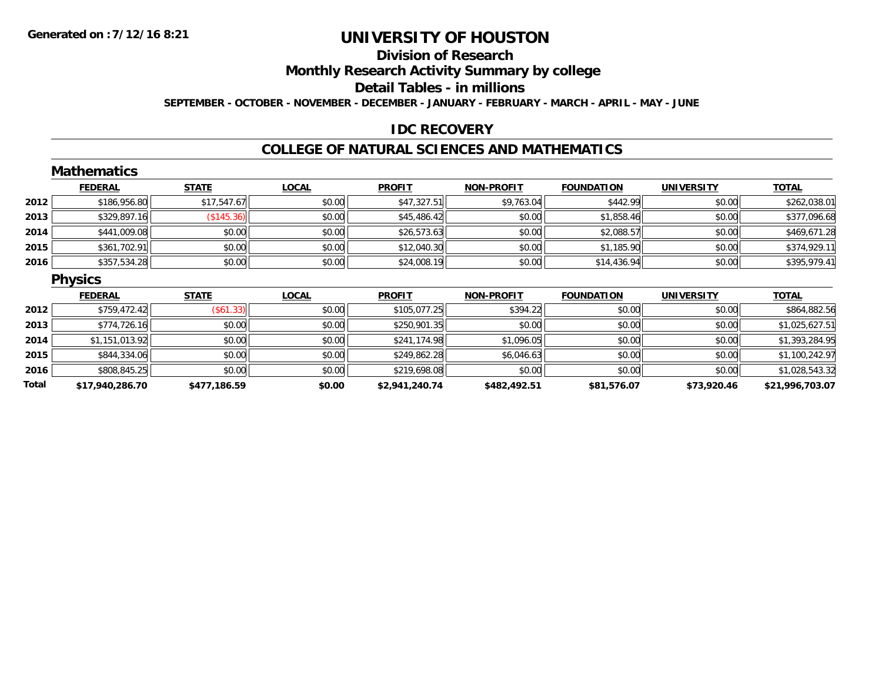## **Division of Research**

**Monthly Research Activity Summary by college**

#### **Detail Tables - in millions**

**SEPTEMBER - OCTOBER - NOVEMBER - DECEMBER - JANUARY - FEBRUARY - MARCH - APRIL - MAY - JUNE**

### **IDC RECOVERY**

#### **COLLEGE OF NATURAL SCIENCES AND MATHEMATICS**

|       | <b>Mathematics</b> |              |              |                |                   |                   |                   |                 |
|-------|--------------------|--------------|--------------|----------------|-------------------|-------------------|-------------------|-----------------|
|       | <b>FEDERAL</b>     | <b>STATE</b> | <b>LOCAL</b> | <b>PROFIT</b>  | <b>NON-PROFIT</b> | <b>FOUNDATION</b> | <b>UNIVERSITY</b> | <b>TOTAL</b>    |
| 2012  | \$186,956.80       | \$17,547.67  | \$0.00       | \$47,327.51    | \$9,763.04        | \$442.99          | \$0.00            | \$262,038.01    |
| 2013  | \$329,897.16       | (\$145.36)   | \$0.00       | \$45,486.42    | \$0.00            | \$1,858.46        | \$0.00            | \$377,096.68    |
| 2014  | \$441,009.08       | \$0.00       | \$0.00       | \$26,573.63    | \$0.00            | \$2,088.57        | \$0.00            | \$469,671.28    |
| 2015  | \$361,702.91       | \$0.00       | \$0.00       | \$12,040.30    | \$0.00            | \$1,185.90        | \$0.00            | \$374,929.11    |
| 2016  | \$357,534.28       | \$0.00       | \$0.00       | \$24,008.19    | \$0.00            | \$14,436.94       | \$0.00            | \$395,979.41    |
|       | <b>Physics</b>     |              |              |                |                   |                   |                   |                 |
|       | <b>FEDERAL</b>     | <b>STATE</b> | <b>LOCAL</b> | <b>PROFIT</b>  | <b>NON-PROFIT</b> | <b>FOUNDATION</b> | <b>UNIVERSITY</b> | <b>TOTAL</b>    |
| 2012  | \$759,472.42       | (\$61.33)    | \$0.00       | \$105,077.25   | \$394.22          | \$0.00            | \$0.00            | \$864,882.56    |
| 2013  | \$774,726.16       | \$0.00       | \$0.00       | \$250,901.35   | \$0.00            | \$0.00            | \$0.00            | \$1,025,627.51  |
| 2014  | \$1,151,013.92     | \$0.00       | \$0.00       | \$241,174.98   | \$1,096.05        | \$0.00            | \$0.00            | \$1,393,284.95  |
| 2015  | \$844,334.06       | \$0.00       | \$0.00       | \$249,862.28   | \$6,046.63        | \$0.00            | \$0.00            | \$1,100,242.97  |
| 2016  | \$808,845.25       | \$0.00       | \$0.00       | \$219,698.08   | \$0.00            | \$0.00            | \$0.00            | \$1,028,543.32  |
| Total | \$17,940,286.70    | \$477,186.59 | \$0.00       | \$2,941,240.74 | \$482,492.51      | \$81,576.07       | \$73,920.46       | \$21,996,703.07 |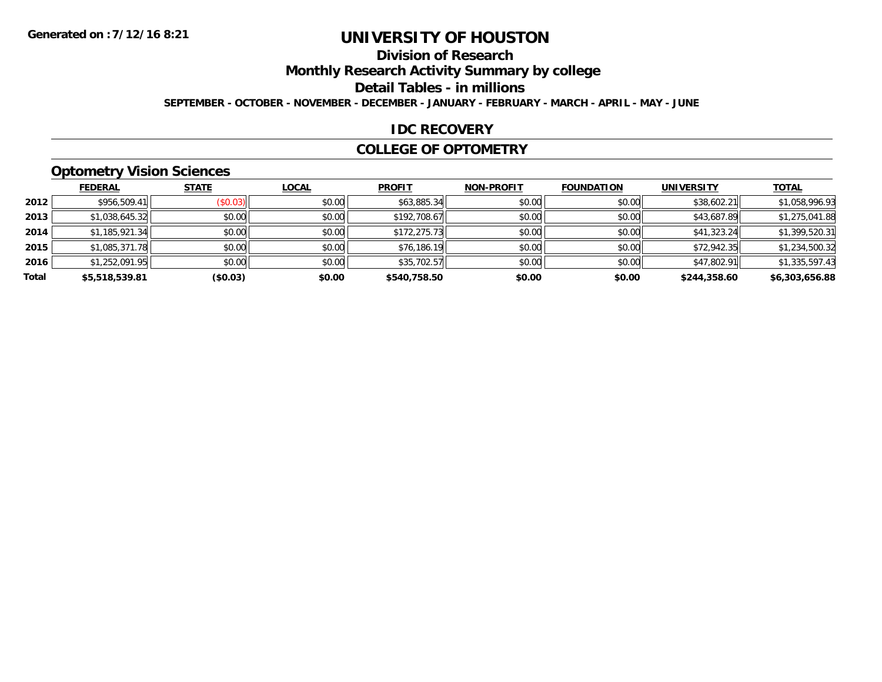## **Division of Research**

**Monthly Research Activity Summary by college**

**Detail Tables - in millions**

**SEPTEMBER - OCTOBER - NOVEMBER - DECEMBER - JANUARY - FEBRUARY - MARCH - APRIL - MAY - JUNE**

### **IDC RECOVERY**

#### **COLLEGE OF OPTOMETRY**

## **Optometry Vision Sciences**

|       | <b>FEDERAL</b> | <b>STATE</b> | <b>LOCAL</b> | <b>PROFIT</b> | <b>NON-PROFIT</b> | <b>FOUNDATION</b> | <b>UNIVERSITY</b> | <b>TOTAL</b>   |
|-------|----------------|--------------|--------------|---------------|-------------------|-------------------|-------------------|----------------|
| 2012  | \$956,509.41   | (S0.03)      | \$0.00       | \$63,885.34   | \$0.00            | \$0.00            | \$38,602.21       | \$1,058,996.93 |
| 2013  | \$1,038,645.32 | \$0.00       | \$0.00       | \$192,708.67  | \$0.00            | \$0.00            | \$43,687.89       | \$1,275,041.88 |
| 2014  | \$1,185,921.34 | \$0.00       | \$0.00       | \$172,275.73  | \$0.00            | \$0.00            | \$41,323.24       | \$1,399,520.31 |
| 2015  | \$1,085,371.78 | \$0.00       | \$0.00       | \$76,186.19   | \$0.00            | \$0.00            | \$72,942.35       | \$1,234,500.32 |
| 2016  | \$1,252,091.95 | \$0.00       | \$0.00       | \$35,702.57   | \$0.00            | \$0.00            | \$47,802.91       | \$1,335,597.43 |
| Total | \$5,518,539.81 | (\$0.03)     | \$0.00       | \$540,758.50  | \$0.00            | \$0.00            | \$244,358.60      | \$6,303,656.88 |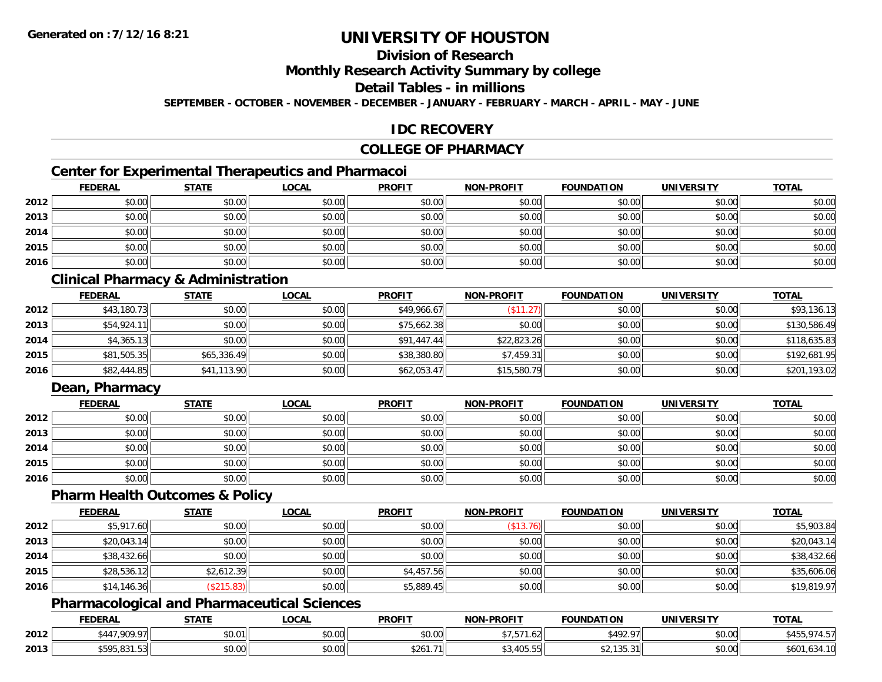## **Division of Research**

### **Monthly Research Activity Summary by college**

#### **Detail Tables - in millions**

**SEPTEMBER - OCTOBER - NOVEMBER - DECEMBER - JANUARY - FEBRUARY - MARCH - APRIL - MAY - JUNE**

## **IDC RECOVERY**

## **COLLEGE OF PHARMACY**

## **Center for Experimental Therapeutics and Pharmacoi**

|      | <b>FEDERAL</b> | <b>STATE</b> | <b>LOCAL</b> | <b>PROFIT</b> | <b>NON-PROFIT</b> | <b>FOUNDATION</b> | <b>UNIVERSITY</b> | <b>TOTAL</b> |
|------|----------------|--------------|--------------|---------------|-------------------|-------------------|-------------------|--------------|
| 2012 | \$0.00         | \$0.00       | \$0.00       | \$0.00        | \$0.00            | \$0.00            | \$0.00            | \$0.00       |
| 2013 | \$0.00         | \$0.00       | \$0.00       | \$0.00        | \$0.00            | \$0.00            | \$0.00            | \$0.00       |
| 2014 | \$0.00         | \$0.00       | \$0.00       | \$0.00        | \$0.00            | \$0.00            | \$0.00            | \$0.00       |
| 2015 | \$0.00         | \$0.00       | \$0.00       | \$0.00        | \$0.00            | \$0.00            | \$0.00            | \$0.00       |
| 2016 | \$0.00         | \$0.00       | \$0.00       | \$0.00        | \$0.00            | \$0.00            | \$0.00            | \$0.00       |

## **Clinical Pharmacy & Administration**

|      | <b>FEDERAL</b> | <b>STATE</b> | <u>LOCAL</u> | <b>PROFIT</b> | <b>NON-PROFIT</b> | <b>FOUNDATION</b> | <b>UNIVERSITY</b> | <b>TOTAL</b> |
|------|----------------|--------------|--------------|---------------|-------------------|-------------------|-------------------|--------------|
| 2012 | \$43,180.73    | \$0.00       | \$0.00       | \$49,966.67   | (\$11.27)         | \$0.00            | \$0.00            | \$93,136.13  |
| 2013 | \$54,924.11    | \$0.00       | \$0.00       | \$75,662.38   | \$0.00            | \$0.00            | \$0.00            | \$130,586.49 |
| 2014 | \$4,365.13     | \$0.00       | \$0.00       | \$91,447.44   | \$22,823.26       | \$0.00            | \$0.00            | \$118,635.83 |
| 2015 | \$81,505.35    | \$65,336.49  | \$0.00       | \$38,380.80   | \$7,459.31        | \$0.00            | \$0.00            | \$192,681.95 |
| 2016 | \$82,444.85    | \$41,113.90  | \$0.00       | \$62,053.47   | \$15,580.79       | \$0.00            | \$0.00            | \$201,193.02 |

## **Dean, Pharmacy**

|      | <b>FEDERAL</b> | <u>STATE</u> | <u>LOCAL</u> | <b>PROFIT</b> | <b>NON-PROFIT</b> | <b>FOUNDATION</b> | <b>UNIVERSITY</b> | <b>TOTAL</b> |
|------|----------------|--------------|--------------|---------------|-------------------|-------------------|-------------------|--------------|
| 2012 | \$0.00         | \$0.00       | \$0.00       | \$0.00        | \$0.00            | \$0.00            | \$0.00            | \$0.00       |
| 2013 | \$0.00         | \$0.00       | \$0.00       | \$0.00        | \$0.00            | \$0.00            | \$0.00            | \$0.00       |
| 2014 | \$0.00         | \$0.00       | \$0.00       | \$0.00        | \$0.00            | \$0.00            | \$0.00            | \$0.00       |
| 2015 | \$0.00         | \$0.00       | \$0.00       | \$0.00        | \$0.00            | \$0.00            | \$0.00            | \$0.00       |
| 2016 | \$0.00         | \$0.00       | \$0.00       | \$0.00        | \$0.00            | \$0.00            | \$0.00            | \$0.00       |

#### **Pharm Health Outcomes & Policy**

|      | <b>FEDERAL</b> | <b>STATE</b> | <u>LOCAL</u> | <b>PROFIT</b> | <b>NON-PROFIT</b> | <b>FOUNDATION</b> | <b>UNIVERSITY</b> | <b>TOTAL</b> |
|------|----------------|--------------|--------------|---------------|-------------------|-------------------|-------------------|--------------|
| 2012 | \$5,917.60     | \$0.00       | \$0.00       | \$0.00        | (\$13.76)         | \$0.00            | \$0.00            | \$5,903.84   |
| 2013 | \$20,043.14    | \$0.00       | \$0.00       | \$0.00        | \$0.00            | \$0.00            | \$0.00            | \$20,043.14  |
| 2014 | \$38,432.66    | \$0.00       | \$0.00       | \$0.00        | \$0.00            | \$0.00            | \$0.00            | \$38,432.66  |
| 2015 | \$28,536.12    | \$2,612.39   | \$0.00       | \$4,457.56    | \$0.00            | \$0.00            | \$0.00            | \$35,606.06  |
| 2016 | \$14,146.36    | \$215.83     | \$0.00       | \$5,889.45    | \$0.00            | \$0.00            | \$0.00            | \$19,819.97  |

### **Pharmacological and Pharmaceutical Sciences**

|      | <b>FEDERAL</b>                            | <b>CTATE</b><br>3 I A I I | <b>OCAL</b>        | <b>PROFIT</b> | NON-PROFIT                               | <b>FOUNDATION</b> | UNIVERSITY           | <b>TOTAL</b>                   |
|------|-------------------------------------------|---------------------------|--------------------|---------------|------------------------------------------|-------------------|----------------------|--------------------------------|
| 2012 | 0.000                                     | 00001<br>JU.U             | $\sim$ 00<br>vv.vv | 0.00<br>DU.UG | -- --<br>ا ⁄ اے ب<br>$\sim$              | 07 م47<br>− 72.   | 0000<br><b>DU.UG</b> | 74<br>◡つ<br>᠇.◡                |
| 2013 | __<br><b>CEOR</b><br>,,,,,,,,,,<br>⊍ שנוי | \$0.00                    | $\sim$<br>PU.UU    | - ا∣261.71∉   | $\sim$<br>$A \cap F$<br>, ט<br>- บบ. บบ. |                   | 0000<br><b>JU.UU</b> | t <sub>60</sub><br>-10<br>.634 |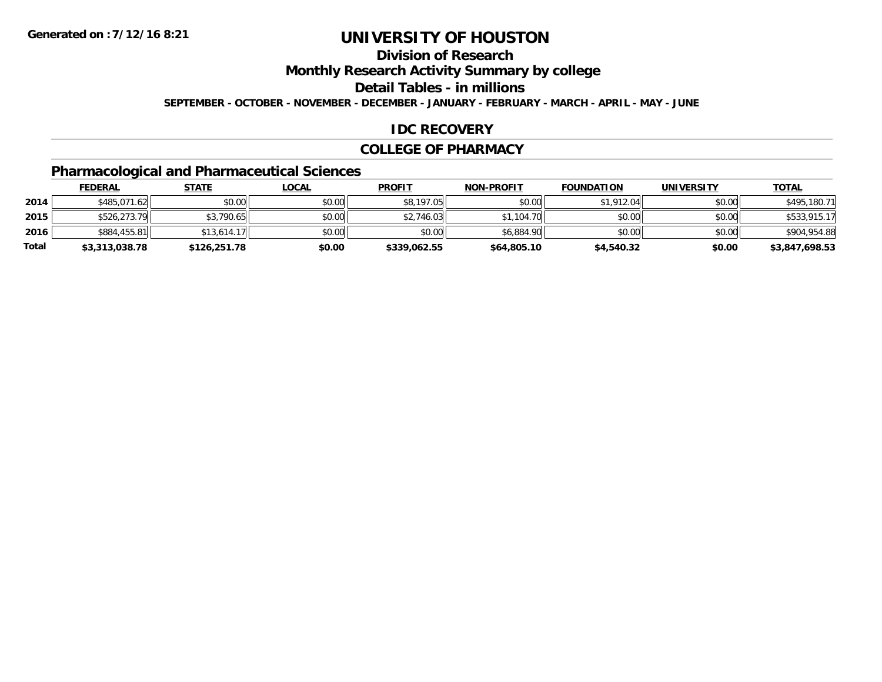## **Division of Research**

**Monthly Research Activity Summary by college**

**Detail Tables - in millions**

**SEPTEMBER - OCTOBER - NOVEMBER - DECEMBER - JANUARY - FEBRUARY - MARCH - APRIL - MAY - JUNE**

## **IDC RECOVERY**

#### **COLLEGE OF PHARMACY**

## **Pharmacological and Pharmaceutical Sciences**

|       | <u>FEDERAL</u> | <u>STATE</u> | <u>LOCAL</u> | <b>PROFIT</b> | <b>NON-PROFIT</b> | <b>FOUNDATION</b> | <b>UNIVERSITY</b> | <b>TOTAL</b>   |
|-------|----------------|--------------|--------------|---------------|-------------------|-------------------|-------------------|----------------|
| 2014  | \$485,071.62   | \$0.00       | \$0.00       | \$8,197.05    | \$0.00            | \$1,912.04        | \$0.00            | \$495,180.71   |
| 2015  | \$526,273.79   | \$3,790.65   | \$0.00       | \$2,746.03    | \$1,104.70        | \$0.00            | \$0.00            | \$533,915.17   |
| 2016  | \$884,455.81   | \$13.614.17  | \$0.00       | \$0.00        | \$6,884.90        | \$0.00            | \$0.00            | \$904,954.88   |
| Total | \$3,313,038.78 | \$126,251.78 | \$0.00       | \$339,062.55  | \$64,805.10       | \$4,540.32        | \$0.00            | \$3,847,698.53 |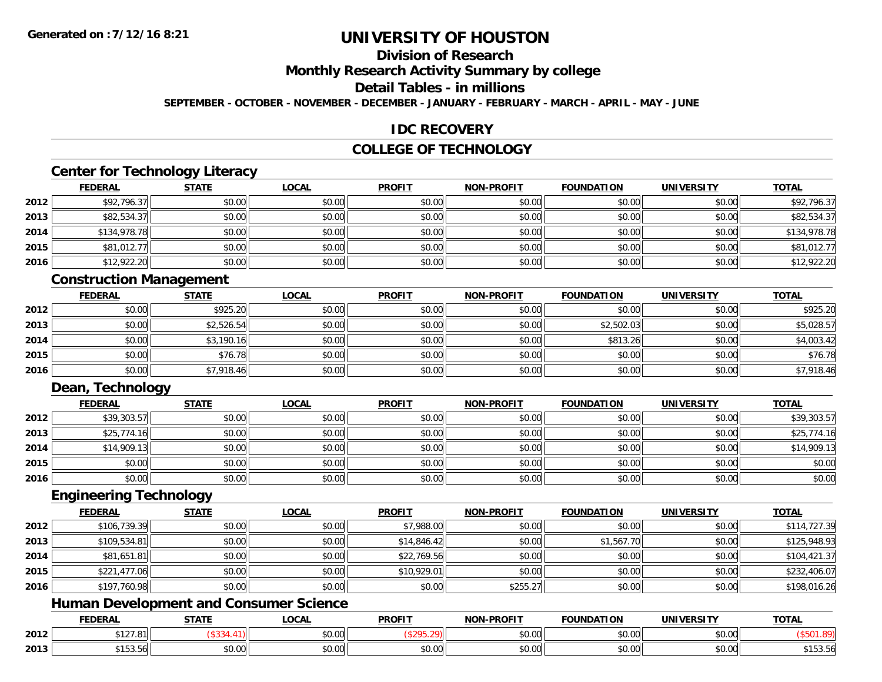## **Division of Research**

**Monthly Research Activity Summary by college**

## **Detail Tables - in millions**

**SEPTEMBER - OCTOBER - NOVEMBER - DECEMBER - JANUARY - FEBRUARY - MARCH - APRIL - MAY - JUNE**

### **IDC RECOVERY**

## **COLLEGE OF TECHNOLOGY**

## **Center for Technology Literacy**

|      | <u>FEDERAL</u> | <b>STATE</b> | <u>LOCAL</u> | <b>PROFIT</b> | <b>NON-PROFIT</b> | <b>FOUNDATION</b> | <b>UNIVERSITY</b> | <b>TOTAL</b> |
|------|----------------|--------------|--------------|---------------|-------------------|-------------------|-------------------|--------------|
| 2012 | \$92,796.37    | \$0.00       | \$0.00       | \$0.00        | \$0.00            | \$0.00            | \$0.00            | \$92,796.37  |
| 2013 | \$82,534.37    | \$0.00       | \$0.00       | \$0.00        | \$0.00            | \$0.00            | \$0.00            | \$82,534.37  |
| 2014 | \$134,978.78   | \$0.00       | \$0.00       | \$0.00        | \$0.00            | \$0.00            | \$0.00            | \$134,978.78 |
| 2015 | \$81,012.77    | \$0.00       | \$0.00       | \$0.00        | \$0.00            | \$0.00            | \$0.00            | \$81,012.77  |
| 2016 | \$12,922.20    | \$0.00       | \$0.00       | \$0.00        | \$0.00            | \$0.00            | \$0.00            | \$12,922.20  |

## **Construction Management**

|      | <u>FEDERAL</u> | <b>STATE</b> | <u>LOCAL</u> | <b>PROFIT</b> | <b>NON-PROFIT</b> | <b>FOUNDATION</b> | <b>UNIVERSITY</b> | <b>TOTAL</b> |
|------|----------------|--------------|--------------|---------------|-------------------|-------------------|-------------------|--------------|
| 2012 | \$0.00         | \$925.20     | \$0.00       | \$0.00        | \$0.00            | \$0.00            | \$0.00            | \$925.20     |
| 2013 | \$0.00         | \$2,526.54   | \$0.00       | \$0.00        | \$0.00            | \$2,502.03        | \$0.00            | \$5,028.57   |
| 2014 | \$0.00         | \$3,190.16   | \$0.00       | \$0.00        | \$0.00            | \$813.26          | \$0.00            | \$4,003.42   |
| 2015 | \$0.00         | \$76.78      | \$0.00       | \$0.00        | \$0.00            | \$0.00            | \$0.00            | \$76.78      |
| 2016 | \$0.00         | \$7,918.46   | \$0.00       | \$0.00        | \$0.00            | \$0.00            | \$0.00            | \$7,918.46   |

## **Dean, Technology**

|      | <b>FEDERAL</b> | <b>STATE</b> | <u>LOCAL</u> | <b>PROFIT</b> | <b>NON-PROFIT</b> | <b>FOUNDATION</b> | <b>UNIVERSITY</b> | <b>TOTAL</b> |
|------|----------------|--------------|--------------|---------------|-------------------|-------------------|-------------------|--------------|
| 2012 | \$39,303.57    | \$0.00       | \$0.00       | \$0.00        | \$0.00            | \$0.00            | \$0.00            | \$39,303.57  |
| 2013 | \$25,774.16    | \$0.00       | \$0.00       | \$0.00        | \$0.00            | \$0.00            | \$0.00            | \$25,774.16  |
| 2014 | \$14,909.13    | \$0.00       | \$0.00       | \$0.00        | \$0.00            | \$0.00            | \$0.00            | \$14,909.13  |
| 2015 | \$0.00         | \$0.00       | \$0.00       | \$0.00        | \$0.00            | \$0.00            | \$0.00            | \$0.00       |
| 2016 | \$0.00         | \$0.00       | \$0.00       | \$0.00        | \$0.00            | \$0.00            | \$0.00            | \$0.00       |

#### **Engineering Technology**

|      | <b>FEDERAL</b> | <b>STATE</b> | <b>LOCAL</b> | <b>PROFIT</b> | <b>NON-PROFIT</b> | <b>FOUNDATION</b> | <b>UNIVERSITY</b> | <b>TOTAL</b> |
|------|----------------|--------------|--------------|---------------|-------------------|-------------------|-------------------|--------------|
| 2012 | \$106,739.39   | \$0.00       | \$0.00       | \$7,988.00    | \$0.00            | \$0.00            | \$0.00            | \$114,727.39 |
| 2013 | \$109,534.81   | \$0.00       | \$0.00       | \$14,846.42   | \$0.00            | \$1,567.70        | \$0.00            | \$125,948.93 |
| 2014 | \$81,651.81    | \$0.00       | \$0.00       | \$22,769.56   | \$0.00            | \$0.00            | \$0.00            | \$104,421.37 |
| 2015 | \$221,477.06   | \$0.00       | \$0.00       | \$10,929.01   | \$0.00            | \$0.00            | \$0.00            | \$232,406.07 |
| 2016 | \$197,760.98   | \$0.00       | \$0.00       | \$0.00        | \$255.27          | \$0.00            | \$0.00            | \$198,016.26 |

### **Human Development and Consumer Science**

|      | <b>FEDERAL</b>             | <b>STATE</b><br>,,,,,, | .OCAI         | <b>PROFIT</b>        | <b>M-PROF!</b><br><b>BIOB</b> | <b>FOUNDATION</b> | <b>UNIVERSITY</b> | <b>TOTAL</b>          |
|------|----------------------------|------------------------|---------------|----------------------|-------------------------------|-------------------|-------------------|-----------------------|
| 2012 | \$127.81                   |                        | 0000<br>vv.vv |                      | 40.00                         | \$0.00            | \$0.00            |                       |
| 2013 | 0.152 E1<br><b>JIJJ.JU</b> | $\sim$ 00<br>JU.UU     | 0000<br>PU.UU | 0000<br><b>JU.UU</b> | vu.vu                         | \$0.00            | \$0.00            | $- - - -$<br>ມ ເປປ.ປເ |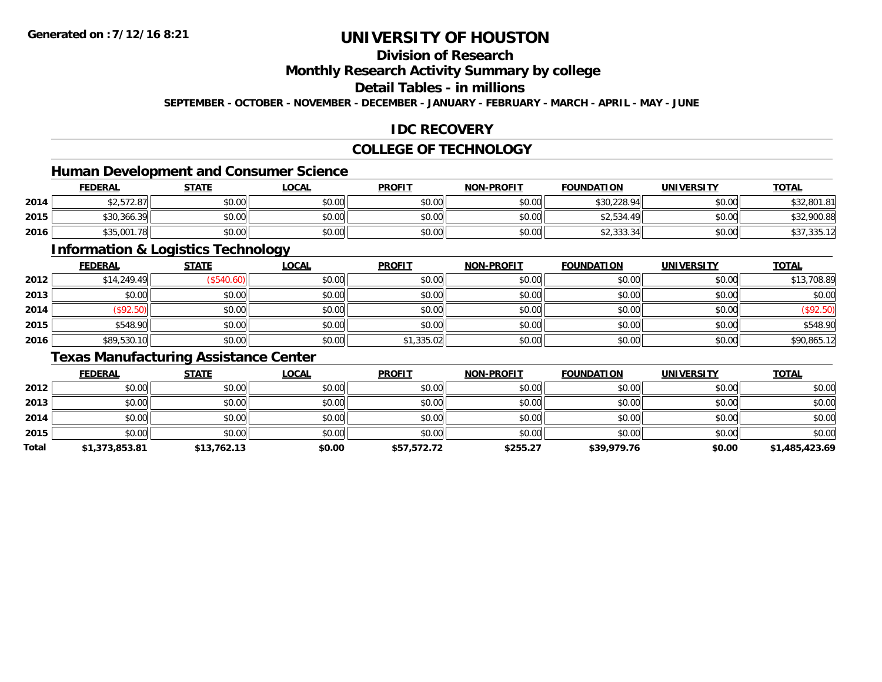## **Division of Research**

### **Monthly Research Activity Summary by college**

#### **Detail Tables - in millions**

**SEPTEMBER - OCTOBER - NOVEMBER - DECEMBER - JANUARY - FEBRUARY - MARCH - APRIL - MAY - JUNE**

## **IDC RECOVERY**

## **COLLEGE OF TECHNOLOGY**

## **Human Development and Consumer Science**

|      | <b>FEDERAL</b> | <b>STATE</b> | <b>_OCAL</b> | <b>PROFIT</b> | <b>NON-PROFIT</b> | <b>FOUNDATION</b>    | UNIVERSITY | <b>TOTAL</b> |
|------|----------------|--------------|--------------|---------------|-------------------|----------------------|------------|--------------|
| 2014 | \$2,572.87     | \$0.00       | \$0.00       | \$0.00        | \$0.00            | \$30,228.94          | \$0.00     | \$32,801.81  |
| 2015 | \$30,366.39    | \$0.00       | \$0.00       | \$0.00        | \$0.00            | \$2.534.49<br>12,534 | \$0.00     | \$32,900.88  |
| 2016 | \$35,001.78    | \$0.00       | \$0.00       | \$0.00        | \$0.00            | \$2,333.34           | \$0.00     | 331,335.12   |

<u> 1989 - Johann Stoff, deutscher Stoffen und der Stoffen und der Stoffen und der Stoffen und der Stoffen und de</u>

### **Information & Logistics Technology**

|      | <u>FEDERAL</u> | <b>STATE</b> | <b>LOCAL</b> | <b>PROFIT</b> | <b>NON-PROFIT</b> | <b>FOUNDATION</b> | <b>UNIVERSITY</b> | <b>TOTAL</b> |
|------|----------------|--------------|--------------|---------------|-------------------|-------------------|-------------------|--------------|
| 2012 | \$14,249.49    | (\$540.60)   | \$0.00       | \$0.00        | \$0.00            | \$0.00            | \$0.00            | \$13,708.89  |
| 2013 | \$0.00         | \$0.00       | \$0.00       | \$0.00        | \$0.00            | \$0.00            | \$0.00            | \$0.00       |
| 2014 | (\$92.50)      | \$0.00       | \$0.00       | \$0.00        | \$0.00            | \$0.00            | \$0.00            | (\$92.50)    |
| 2015 | \$548.90       | \$0.00       | \$0.00       | \$0.00        | \$0.00            | \$0.00            | \$0.00            | \$548.90     |
| 2016 | \$89,530.10    | \$0.00       | \$0.00       | \$1,335.02    | \$0.00            | \$0.00            | \$0.00            | \$90,865.12  |

## **Texas Manufacturing Assistance Center**

|       | <b>FEDERAL</b> | <b>STATE</b> | <b>LOCAL</b> | <b>PROFIT</b> | <b>NON-PROFIT</b> | <b>FOUNDATION</b> | <b>UNIVERSITY</b> | <b>TOTAL</b>   |
|-------|----------------|--------------|--------------|---------------|-------------------|-------------------|-------------------|----------------|
| 2012  | \$0.00         | \$0.00       | \$0.00       | \$0.00        | \$0.00            | \$0.00            | \$0.00            | \$0.00         |
| 2013  | \$0.00         | \$0.00       | \$0.00       | \$0.00        | \$0.00            | \$0.00            | \$0.00            | \$0.00         |
| 2014  | \$0.00         | \$0.00       | \$0.00       | \$0.00        | \$0.00            | \$0.00            | \$0.00            | \$0.00         |
| 2015  | \$0.00         | \$0.00       | \$0.00       | \$0.00        | \$0.00            | \$0.00            | \$0.00            | \$0.00         |
| Total | \$1,373,853.81 | \$13,762.13  | \$0.00       | \$57,572.72   | \$255.27          | \$39,979.76       | \$0.00            | \$1,485,423.69 |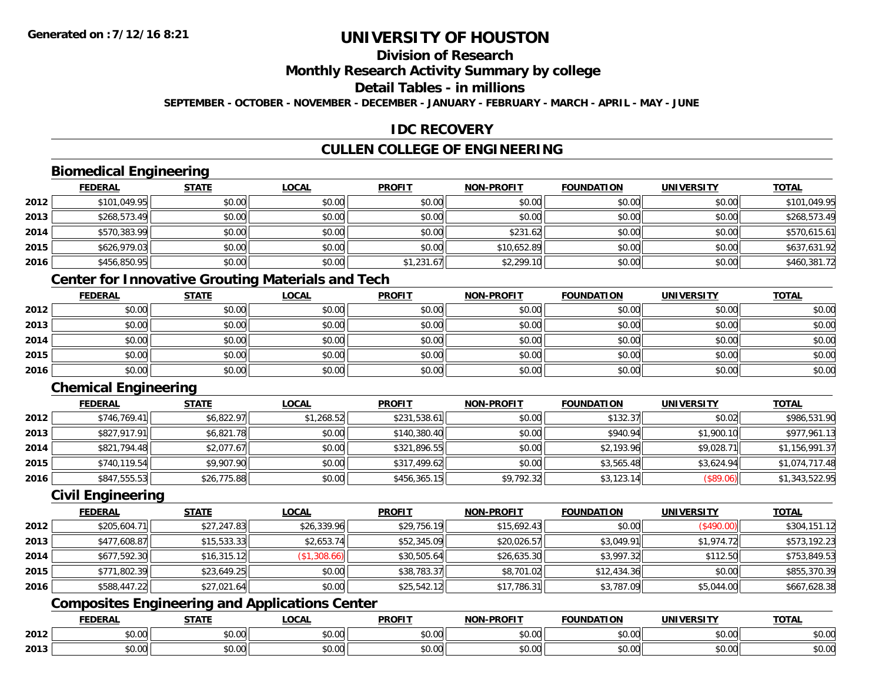## **Division of Research**

### **Monthly Research Activity Summary by college**

## **Detail Tables - in millions**

**SEPTEMBER - OCTOBER - NOVEMBER - DECEMBER - JANUARY - FEBRUARY - MARCH - APRIL - MAY - JUNE**

## **IDC RECOVERY**

## **CULLEN COLLEGE OF ENGINEERING**

## **Biomedical Engineering**

|      | <b>FEDERAL</b> | <b>STATE</b> | <b>LOCAL</b> | <b>PROFIT</b> | <b>NON-PROFIT</b> | <b>FOUNDATION</b> | <b>UNIVERSITY</b> | <b>TOTAL</b> |
|------|----------------|--------------|--------------|---------------|-------------------|-------------------|-------------------|--------------|
| 2012 | \$101,049.95   | \$0.00       | \$0.00       | \$0.00        | \$0.00            | \$0.00            | \$0.00            | \$101.049.95 |
| 2013 | \$268,573.49   | \$0.00       | \$0.00       | \$0.00        | \$0.00            | \$0.00            | \$0.00            | \$268,573.49 |
| 2014 | \$570,383.99   | \$0.00       | \$0.00       | \$0.00        | \$231.62          | \$0.00            | \$0.00            | \$570,615.61 |
| 2015 | \$626,979.03   | \$0.00       | \$0.00       | \$0.00        | \$10,652.89       | \$0.00            | \$0.00            | \$637,631.92 |
| 2016 | \$456,850.95   | \$0.00       | \$0.00       | \$1,231.67    | \$2,299.10        | \$0.00            | \$0.00            | \$460,381.72 |

## **Center for Innovative Grouting Materials and Tech**

|      | <u>FEDERAL</u> | <u>STATE</u> | <u>LOCAL</u> | <b>PROFIT</b> | <b>NON-PROFIT</b> | <b>FOUNDATION</b> | <b>UNIVERSITY</b> | <b>TOTAL</b> |
|------|----------------|--------------|--------------|---------------|-------------------|-------------------|-------------------|--------------|
| 2012 | \$0.00         | \$0.00       | \$0.00       | \$0.00        | \$0.00            | \$0.00            | \$0.00            | \$0.00       |
| 2013 | \$0.00         | \$0.00       | \$0.00       | \$0.00        | \$0.00            | \$0.00            | \$0.00            | \$0.00       |
| 2014 | \$0.00         | \$0.00       | \$0.00       | \$0.00        | \$0.00            | \$0.00            | \$0.00            | \$0.00       |
| 2015 | \$0.00         | \$0.00       | \$0.00       | \$0.00        | \$0.00            | \$0.00            | \$0.00            | \$0.00       |
| 2016 | \$0.00         | \$0.00       | \$0.00       | \$0.00        | \$0.00            | \$0.00            | \$0.00            | \$0.00       |

## **Chemical Engineering**

|      | <b>FEDERAL</b> | <b>STATE</b> | <b>LOCAL</b> | <b>PROFIT</b> | <b>NON-PROFIT</b> | <b>FOUNDATION</b> | <b>UNIVERSITY</b> | <b>TOTAL</b>   |
|------|----------------|--------------|--------------|---------------|-------------------|-------------------|-------------------|----------------|
| 2012 | \$746,769.41   | \$6,822.97   | \$1,268.52   | \$231,538.61  | \$0.00            | \$132.37          | \$0.02            | \$986,531.90   |
| 2013 | \$827,917.91   | \$6,821.78   | \$0.00       | \$140,380.40  | \$0.00            | \$940.94          | \$1,900.10        | \$977,961.13   |
| 2014 | \$821,794.48   | \$2,077.67   | \$0.00       | \$321,896.55  | \$0.00            | \$2,193.96        | \$9,028.71        | \$1,156,991.37 |
| 2015 | \$740,119.54   | \$9,907.90   | \$0.00       | \$317,499.62  | \$0.00            | \$3,565.48        | \$3,624.94        | \$1,074,717.48 |
| 2016 | \$847,555.53   | \$26,775.88  | \$0.00       | \$456,365.15  | \$9,792.32        | \$3,123.14        | (\$89.06)         | \$1,343,522.95 |

### **Civil Engineering**

|      | <b>FEDERAL</b> | <b>STATE</b> | <b>LOCAL</b> | <b>PROFIT</b> | <b>NON-PROFIT</b> | <b>FOUNDATION</b> | <b>UNIVERSITY</b> | <b>TOTAL</b> |
|------|----------------|--------------|--------------|---------------|-------------------|-------------------|-------------------|--------------|
| 2012 | \$205,604.71   | \$27,247.83  | \$26,339.96  | \$29,756.19   | \$15,692.43       | \$0.00            | (\$490.00)        | \$304,151.12 |
| 2013 | \$477,608.87   | \$15,533.33  | \$2,653.74   | \$52,345.09   | \$20,026.57       | \$3,049.91        | \$1,974.72        | \$573,192.23 |
| 2014 | \$677,592.30   | \$16,315.12  | (\$1,308.66) | \$30,505.64   | \$26,635.30       | \$3,997.32        | \$112.50          | \$753,849.53 |
| 2015 | \$771,802.39   | \$23,649.25  | \$0.00       | \$38,783.37   | \$8,701.02        | \$12,434.36       | \$0.00            | \$855,370.39 |
| 2016 | \$588,447.22   | \$27,021.64  | \$0.00       | \$25,542.12   | \$17,786.31       | \$3,787.09        | \$5,044.00        | \$667,628.38 |

## **Composites Engineering and Applications Center**

|      | <b>DERAL</b>                     | <b>CTATI</b>          | $\bigcap$<br>.OCAI     | <b>PROFIT</b>         | <b>DDAEIT</b><br><b>NION</b> | .<br>ב נוחו<br>LION | - R.J.         | <b>TOTAL</b>   |
|------|----------------------------------|-----------------------|------------------------|-----------------------|------------------------------|---------------------|----------------|----------------|
| 2012 | $\sim$<br>$. \cup . \cup \cup$   | $\overline{ }$<br>ט.ט | $\sim$ 00<br>pu.uu     | $\sim$ 00<br>ູ∞ບ.ບບ   | 0.00<br>PO.OO                | vv.vv               | 0.001<br>vv.vv | 0000<br>\$U.UU |
| 2013 | $\sim$ $\sim$<br>$\sim$<br>,u.uu | しいい                   | $\sim$ $\sim$<br>vu.uu | $\sim$ 00<br>ັ້ນບ.ບເ∞ | 0.00<br>PO.OO                | JU.UU               | 0.00<br>PO.OO  | ስ ለሰ<br>JU.UU  |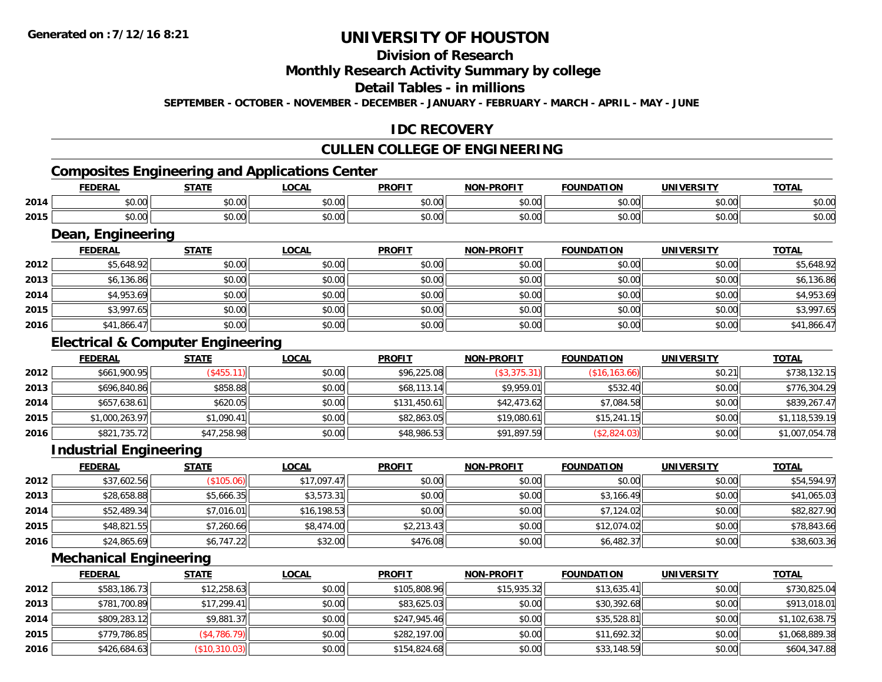## **Division of Research**

### **Monthly Research Activity Summary by college**

#### **Detail Tables - in millions**

**SEPTEMBER - OCTOBER - NOVEMBER - DECEMBER - JANUARY - FEBRUARY - MARCH - APRIL - MAY - JUNE**

## **IDC RECOVERY**

## **CULLEN COLLEGE OF ENGINEERING**

# **Composites Engineering and Applications Center**

|      | EEDEDAI<br>ERA | <b>STATE</b>       | $\sim$ $\sim$<br>.UUAI | <b>PROFIT</b> | -PROFIT<br>NON. | <b>FOUNDATION</b> | <b>UNIVERSITY</b> | $T^{\prime}$<br>"UIN    |
|------|----------------|--------------------|------------------------|---------------|-----------------|-------------------|-------------------|-------------------------|
| 2014 | \$0.00         | $\cdots$<br>JU.UU  | 0.00<br>pu.uu          | JU.UU         | 0000<br>vv.vv   | \$0.00            | 0.00<br>JU.UU     | $\sim$ $\sim$<br>\$U.UL |
| 2015 | \$0.00         | $\sim$ 00<br>JU.UU | 0.00<br>JU.UU          | JU.UU         | 0000<br>JU.UU   | \$0.00            | 0.00<br>JU.UU     | $\sim$ $\sim$<br>งบ.บบ  |

#### **Dean, Engineering**

|      |                | Dean, Engineering |              |               |                   |                   |                   |              |  |  |  |  |
|------|----------------|-------------------|--------------|---------------|-------------------|-------------------|-------------------|--------------|--|--|--|--|
|      | <b>FEDERAL</b> | <b>STATE</b>      | <b>LOCAL</b> | <b>PROFIT</b> | <b>NON-PROFIT</b> | <b>FOUNDATION</b> | <b>UNIVERSITY</b> | <b>TOTAL</b> |  |  |  |  |
| 2012 | \$5,648.92     | \$0.00            | \$0.00       | \$0.00        | \$0.00            | \$0.00            | \$0.00            | \$5,648.92   |  |  |  |  |
| 2013 | \$6,136.86     | \$0.00            | \$0.00       | \$0.00        | \$0.00            | \$0.00            | \$0.00            | \$6,136.86   |  |  |  |  |
| 2014 | \$4,953.69     | \$0.00            | \$0.00       | \$0.00        | \$0.00            | \$0.00            | \$0.00            | \$4,953.69   |  |  |  |  |
| 2015 | \$3,997.65     | \$0.00            | \$0.00       | \$0.00        | \$0.00            | \$0.00            | \$0.00            | \$3,997.65   |  |  |  |  |
| 2016 | \$41,866.47    | \$0.00            | \$0.00       | \$0.00        | \$0.00            | \$0.00            | \$0.00            | \$41,866.47  |  |  |  |  |

## **Electrical & Computer Engineering**

|      | <b>FEDERAL</b> | <b>STATE</b> | <u>LOCAL</u> | <b>PROFIT</b> | <b>NON-PROFIT</b> | <b>FOUNDATION</b> | UNIVERSITY | <b>TOTAL</b>   |
|------|----------------|--------------|--------------|---------------|-------------------|-------------------|------------|----------------|
| 2012 | \$661,900.95   | (\$455.11)   | \$0.00       | \$96,225.08   | (\$3,375.31)      | (S16, 163.66)     | \$0.21     | \$738,132.15   |
| 2013 | \$696,840.86   | \$858.88     | \$0.00       | \$68,113.14   | \$9,959.01        | \$532.40          | \$0.00     | \$776,304.29   |
| 2014 | \$657,638.61   | \$620.05     | \$0.00       | \$131,450.61  | \$42,473.62       | \$7,084.58        | \$0.00     | \$839,267.47   |
| 2015 | \$1,000,263.97 | \$1,090.41   | \$0.00       | \$82,863.05   | \$19,080.61       | \$15,241.15       | \$0.00     | \$1,118,539.19 |
| 2016 | \$821,735.72   | \$47,258.98  | \$0.00       | \$48,986.53   | \$91,897.59       | (\$2,824.03)      | \$0.00     | \$1,007,054.78 |

## **Industrial Engineering**

|      | <u>FEDERAL</u> | <b>STATE</b> | <u>LOCAL</u> | <b>PROFIT</b> | <b>NON-PROFIT</b> | <b>FOUNDATION</b> | <b>UNIVERSITY</b> | <b>TOTAL</b> |
|------|----------------|--------------|--------------|---------------|-------------------|-------------------|-------------------|--------------|
| 2012 | \$37,602.56    | (\$105.06)   | \$17,097.47  | \$0.00        | \$0.00            | \$0.00            | \$0.00            | \$54,594.97  |
| 2013 | \$28,658.88    | \$5,666.35   | \$3,573.31   | \$0.00        | \$0.00            | \$3,166.49        | \$0.00            | \$41,065.03  |
| 2014 | \$52,489.34    | \$7,016.01   | \$16,198.53  | \$0.00        | \$0.00            | \$7,124.02        | \$0.00            | \$82,827.90  |
| 2015 | \$48,821.55    | \$7,260.66   | \$8,474.00   | \$2,213.43    | \$0.00            | \$12,074.02       | \$0.00            | \$78,843.66  |
| 2016 | \$24,865.69    | \$6,747.22   | \$32.00      | \$476.08      | \$0.00            | \$6,482.37        | \$0.00            | \$38,603.36  |

## **Mechanical Engineering**

|      | <b>FEDERAL</b> | <b>STATE</b>        | <b>LOCAL</b> | <b>PROFIT</b> | <b>NON-PROFIT</b> | <b>FOUNDATION</b> | <b>UNIVERSITY</b> | <u>TOTAL</u>   |
|------|----------------|---------------------|--------------|---------------|-------------------|-------------------|-------------------|----------------|
| 2012 | \$583,186.73   | \$12,258.63         | \$0.00       | \$105,808.96  | \$15,935.32       | \$13.635.41       | \$0.00            | \$730,825.04   |
| 2013 | \$781,700.89   | \$17,299.41         | \$0.00       | \$83,625.03   | \$0.00            | \$30,392.68       | \$0.00            | \$913,018.01   |
| 2014 | \$809,283.12   | \$9,881.37          | \$0.00       | \$247,945.46  | \$0.00            | \$35,528.81       | \$0.00            | \$1,102,638.75 |
| 2015 | \$779,786.85   | $($ \$4,786.79) $ $ | \$0.00       | \$282,197.00  | \$0.00            | \$11,692.32       | \$0.00            | \$1,068,889.38 |
| 2016 | \$426,684.63   | (\$10,310.03)       | \$0.00       | \$154,824.68  | \$0.00            | \$33,148.59       | \$0.00            | \$604,347.88   |

<u> 1980 - Andrea Station Barbara, actor a component de la componentación de la componentación de la componentaci</u>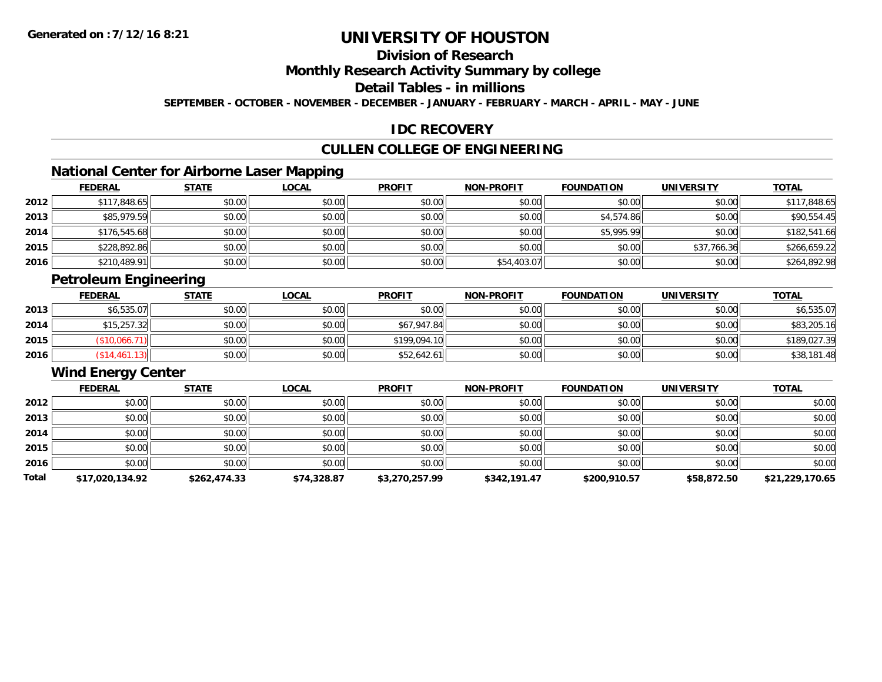## **Division of Research**

### **Monthly Research Activity Summary by college**

## **Detail Tables - in millions**

**SEPTEMBER - OCTOBER - NOVEMBER - DECEMBER - JANUARY - FEBRUARY - MARCH - APRIL - MAY - JUNE**

### **IDC RECOVERY**

## **CULLEN COLLEGE OF ENGINEERING**

## **National Center for Airborne Laser Mapping**

|      | <b>FEDERAL</b> | <b>STATE</b> | <b>LOCAL</b> | <b>PROFIT</b> | <b>NON-PROFIT</b> | <b>FOUNDATION</b> | <b>UNIVERSITY</b> | <b>TOTAL</b> |
|------|----------------|--------------|--------------|---------------|-------------------|-------------------|-------------------|--------------|
| 2012 | \$117,848.65   | \$0.00       | \$0.00       | \$0.00        | \$0.00            | \$0.00            | \$0.00            | \$117,848.65 |
| 2013 | \$85,979.59    | \$0.00       | \$0.00       | \$0.00        | \$0.00            | \$4,574.86        | \$0.00            | \$90,554.45  |
| 2014 | \$176,545.68   | \$0.00       | \$0.00       | \$0.00        | \$0.00            | \$5,995.99        | \$0.00            | \$182,541.66 |
| 2015 | \$228,892.86   | \$0.00       | \$0.00       | \$0.00        | \$0.00            | \$0.00            | \$37,766.36       | \$266.659.22 |
| 2016 | \$210,489.91   | \$0.00       | \$0.00       | \$0.00        | \$54,403.07       | \$0.00            | \$0.00            | \$264,892.98 |

## **Petroleum Engineering**

|      | <b>FEDERAL</b> | <b>STATE</b> | <u>LOCAL</u> | <b>PROFIT</b> | <b>NON-PROFIT</b> | <b>FOUNDATION</b> | <b>UNIVERSITY</b> | <b>TOTAL</b> |
|------|----------------|--------------|--------------|---------------|-------------------|-------------------|-------------------|--------------|
| 2013 | \$6,535.07     | \$0.00       | \$0.00       | \$0.00        | \$0.00            | \$0.00            | \$0.00            | \$6,535.07   |
| 2014 | \$15,257.32    | \$0.00       | \$0.00       | \$67,947.84   | \$0.00            | \$0.00            | \$0.00            | \$83,205.16  |
| 2015 | \$10,066.      | \$0.00       | \$0.00       | \$199,094.10  | \$0.00            | \$0.00            | \$0.00            | \$189,027.39 |
| 2016 | \$14,461.13]   | \$0.00       | \$0.00       | \$52,642.61   | \$0.00            | \$0.00            | \$0.00            | \$38,181.48  |

## **Wind Energy Center**

|       | <u>FEDERAL</u>  | <b>STATE</b> | <b>LOCAL</b> | <b>PROFIT</b>  | <b>NON-PROFIT</b> | <b>FOUNDATION</b> | <b>UNIVERSITY</b> | <b>TOTAL</b>    |
|-------|-----------------|--------------|--------------|----------------|-------------------|-------------------|-------------------|-----------------|
| 2012  | \$0.00          | \$0.00       | \$0.00       | \$0.00         | \$0.00            | \$0.00            | \$0.00            | \$0.00          |
| 2013  | \$0.00          | \$0.00       | \$0.00       | \$0.00         | \$0.00            | \$0.00            | \$0.00            | \$0.00          |
| 2014  | \$0.00          | \$0.00       | \$0.00       | \$0.00         | \$0.00            | \$0.00            | \$0.00            | \$0.00          |
| 2015  | \$0.00          | \$0.00       | \$0.00       | \$0.00         | \$0.00            | \$0.00            | \$0.00            | \$0.00          |
| 2016  | \$0.00          | \$0.00       | \$0.00       | \$0.00         | \$0.00            | \$0.00            | \$0.00            | \$0.00          |
| Total | \$17,020,134.92 | \$262,474.33 | \$74,328.87  | \$3,270,257.99 | \$342,191.47      | \$200,910.57      | \$58,872.50       | \$21,229,170.65 |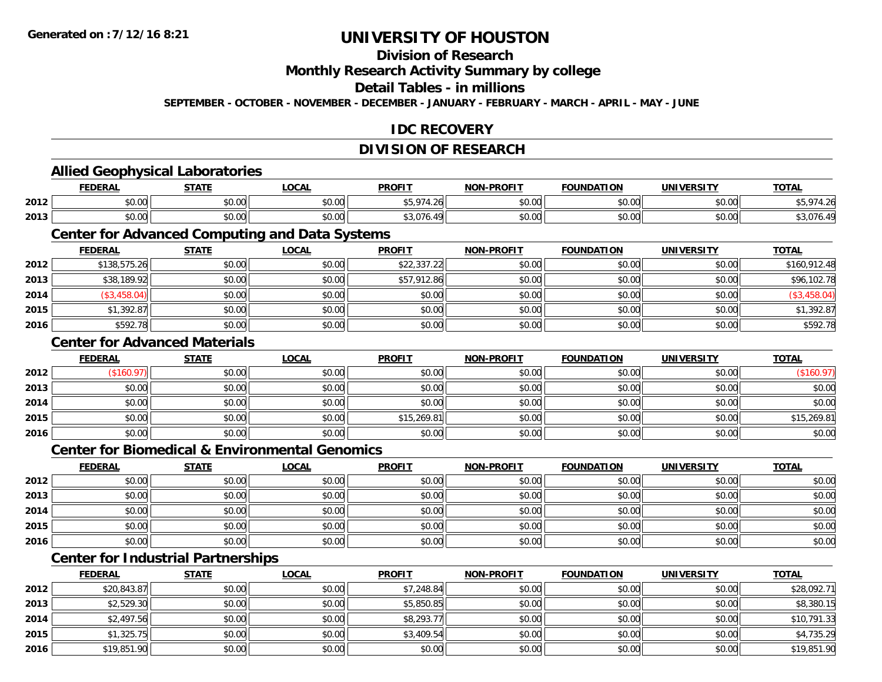## **Division of Research**

**Monthly Research Activity Summary by college**

#### **Detail Tables - in millions**

**SEPTEMBER - OCTOBER - NOVEMBER - DECEMBER - JANUARY - FEBRUARY - MARCH - APRIL - MAY - JUNE**

## **IDC RECOVERY**

#### **DIVISION OF RESEARCH**

#### **Allied Geophysical Laboratories FEDERAL STATE LOCAL PROFIT NON-PROFIT FOUNDATION UNIVERSITY TOTALTOTAL 2012** \$0.00 \$0.00 \$0.00 \$5,974.26 \$0.00 \$0.00 \$0.00 \$5,974.26 **2013**3 | \$0.00 \$0.00 \$0.00 \$0.00 \$0.00 \$0.00 \$0.00 \$0.00 \$3,076.49 \$3,076.49 \$0.00 \$0.00 \$0.00 \$3,076.49 **Center for Advanced Computing and Data Systems FEDERAL STATE LOCAL PROFIT NON-PROFIT FOUNDATION UNIVERSITY TOTALTOTAL 2012** \$138,575.26 \$0.00 \$0.00 \$22,337.22 \$0.00 \$0.00 \$0.00 \$160,912.48 **2013** \$38,189.92 \$0.00 \$0.00 \$57,912.86 \$0.00 \$0.00 \$0.00 \$96,102.78 **2014** (\$3,458.04) \$0.00 \$0.00 \$0.00 \$0.00 \$0.00 \$0.00 (\$3,458.04) **2015** \$1,392.87 \$0.00 \$0.00 \$0.00 \$0.00 \$0.00 \$0.00 \$1,392.87 **2016**6 \$592.78 \$592.78 \$0.00 \$0.00 \$0.00 \$0.00 \$0.00 \$0.00 \$0.00 \$0.00 \$0.00 \$0.00 \$0.00 \$0.00 \$592.78 **Center for Advanced MaterialsFEDERAL STATE LOCAL PROFIT NON-PROFIT FOUNDATION UNIVERSITY TOTAL2012**2 | (\$160.97)|| \$0.00|| \$0.00|| \$0.00|| \$0.00|| \$0.00|| (\$160.97) **2013** $\textbf{3} \quad \textbf{\textcolor{blue}{\textbf{50.00}}} \quad \textbf{\textcolor{blue}{\textbf{50.00}}} \quad \textbf{\textcolor{blue}{\textbf{50.00}}} \quad \textbf{\textcolor{blue}{\textbf{50.00}}} \quad \textbf{\textcolor{blue}{\textbf{50.00}}} \quad \textbf{\textcolor{blue}{\textbf{50.00}}} \quad \textbf{\textcolor{blue}{\textbf{50.00}}} \quad \textbf{\textcolor{blue}{\textbf{50.00}}} \quad \textbf{\textcolor{blue}{\textbf{50.00}}} \quad \textbf{\textcolor{blue}{\textbf{50.00}}} \quad \text$ **2014**4 \$0.00 \$0.00 \$0.00 \$0.00 \$0.00 \$0.00 \$0.00 \$0.00 \$0.00 \$0.00 \$0.00 \$0.00 \$0.00 \$0.00 \$0.00 \$0.00 \$0.00 **2015** \$0.00 \$0.00 \$0.00 \$15,269.81 \$0.00 \$0.00 \$0.00 \$15,269.81 **2016** \$0.00 \$0.00 \$0.00 \$0.00 \$0.00 \$0.00 \$0.00 \$0.00 **Center for Biomedical & Environmental GenomicsFEDERAL STATE LOCAL PROFIT NON-PROFIT FOUNDATION UNIVERSITY TOTALTOTAL 2012**2 | \$0.00 \$0.00 \$0.00 \$0.00 \$0.00 \$0.00 \$0.00 \$0.00 \$0.00 \$0.00 \$0.00 \$0.00 \$0.00 \$0.00 \$0.00 \$0.00 \$0.00 **2013**3 \$0.00 | \$0.00 | \$0.00 | \$0.00 | \$0.00 | \$0.00 | \$0.00 | \$0 **2014**4 \$0.00 \$0.00 \$0.00 \$0.00 \$0.00 \$0.00 \$0.00 \$0.00 \$0.00 \$0.00 \$0.00 \$0.00 \$0.00 \$0.00 \$0.00 \$0.00 \$0.00 **2015** \$0.00 \$0.00 \$0.00 \$0.00 \$0.00 \$0.00 \$0.00 \$0.00 **2016**6 \$0.00 \$0.00 \$0.00 \$0.00 \$0.00 \$0.00 \$0.00 \$0.00 \$0.00 \$0.00 \$0.00 \$0.00 \$0.00 \$0.00 \$0.00 \$0.00 \$0.00 **Center for Industrial Partnerships FEDERAL STATE LOCAL PROFIT NON-PROFIT FOUNDATION UNIVERSITY TOTAL2012**2 \$20,843.87 \$0.00 \$0.00 \$0.00 \$0.00 \$0.00 \$0.00 \$7,248.84 \$7,248.84 \$0.00 \$0.00 \$0.00 \$0.00 \$28,092.71

| 20 I L | 420,070.011        | vv.vvii | vv.vvii | V, Z, T, U, T | 40.00  | vu.vui | JU.UUI | $V = V \cup V \cup V$ |
|--------|--------------------|---------|---------|---------------|--------|--------|--------|-----------------------|
| 2013   | \$2,529.30         | \$0.00  | \$0.00  | \$5,850.85    | \$0.00 | \$0.00 | \$0.00 | \$8,380.15            |
| 2014   | \$2,497.56         | \$0.00  | \$0.00  | \$8,293.77    | \$0.00 | \$0.00 | \$0.00 | \$10,791.33           |
| 2015   | $^{\circ}1,325.75$ | \$0.00  | \$0.00  | \$3,409.54    | \$0.00 | \$0.00 | \$0.00 | \$4,735.29            |
| 2016   | \$19,851.90        | \$0.00  | \$0.00  | \$0.00        | \$0.00 | \$0.00 | \$0.00 | \$19,851.90           |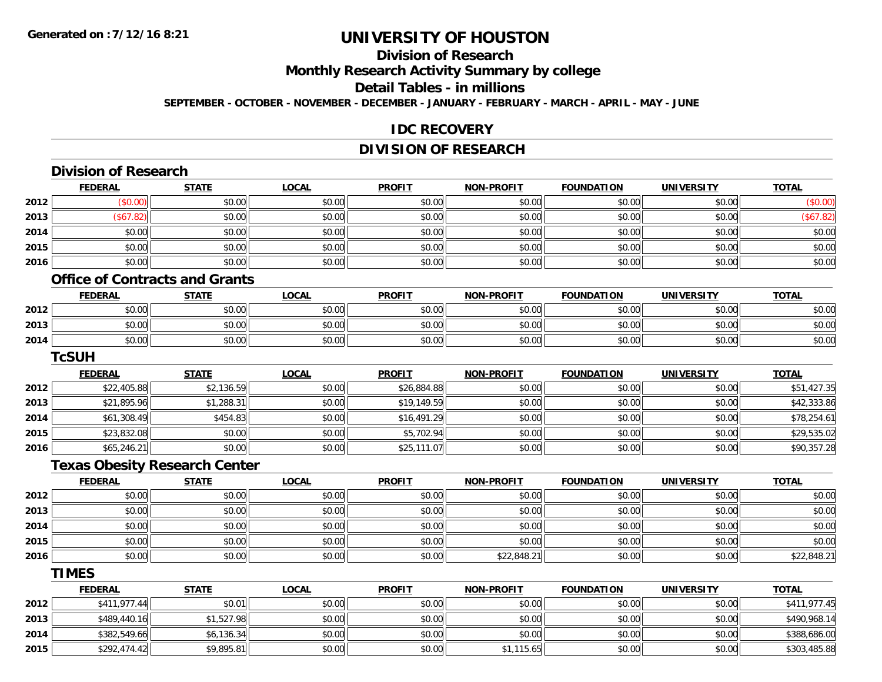**2015**

# **UNIVERSITY OF HOUSTON**

## **Division of Research**

**Monthly Research Activity Summary by college**

#### **Detail Tables - in millions**

**SEPTEMBER - OCTOBER - NOVEMBER - DECEMBER - JANUARY - FEBRUARY - MARCH - APRIL - MAY - JUNE**

### **IDC RECOVERY**

## **DIVISION OF RESEARCH**

|      | <b>Division of Research</b>           |              |              |               |                   |                   |                   |              |
|------|---------------------------------------|--------------|--------------|---------------|-------------------|-------------------|-------------------|--------------|
|      | <b>FEDERAL</b>                        | <b>STATE</b> | <b>LOCAL</b> | <b>PROFIT</b> | <b>NON-PROFIT</b> | <b>FOUNDATION</b> | <b>UNIVERSITY</b> | <b>TOTAL</b> |
| 2012 | (\$0.00)                              | \$0.00       | \$0.00       | \$0.00        | \$0.00            | \$0.00            | \$0.00            | (\$0.00)     |
| 2013 | (\$67.82)                             | \$0.00       | \$0.00       | \$0.00        | \$0.00            | \$0.00            | \$0.00            | (\$67.82)    |
| 2014 | \$0.00                                | \$0.00       | \$0.00       | \$0.00        | \$0.00            | \$0.00            | \$0.00            | \$0.00       |
| 2015 | \$0.00                                | \$0.00       | \$0.00       | \$0.00        | \$0.00            | \$0.00            | \$0.00            | \$0.00       |
| 2016 | \$0.00                                | \$0.00       | \$0.00       | \$0.00        | \$0.00            | \$0.00            | \$0.00            | \$0.00       |
|      | <b>Office of Contracts and Grants</b> |              |              |               |                   |                   |                   |              |
|      | <b>FEDERAL</b>                        | <b>STATE</b> | <b>LOCAL</b> | <b>PROFIT</b> | <b>NON-PROFIT</b> | <b>FOUNDATION</b> | <b>UNIVERSITY</b> | <b>TOTAL</b> |
| 2012 | \$0.00                                | \$0.00       | \$0.00       | \$0.00        | \$0.00            | \$0.00            | \$0.00            | \$0.00       |
| 2013 | \$0.00                                | \$0.00       | \$0.00       | \$0.00        | \$0.00            | \$0.00            | \$0.00            | \$0.00       |
| 2014 | \$0.00                                | \$0.00       | \$0.00       | \$0.00        | \$0.00            | \$0.00            | \$0.00            | \$0.00       |
|      | <b>TcSUH</b>                          |              |              |               |                   |                   |                   |              |
|      | <b>FEDERAL</b>                        | <b>STATE</b> | <b>LOCAL</b> | <b>PROFIT</b> | <b>NON-PROFIT</b> | <b>FOUNDATION</b> | <b>UNIVERSITY</b> | <b>TOTAL</b> |
| 2012 | \$22,405.88                           | \$2,136.59   | \$0.00       | \$26,884.88   | \$0.00            | \$0.00            | \$0.00            | \$51,427.35  |
| 2013 | \$21,895.96                           | \$1,288.31   | \$0.00       | \$19,149.59   | \$0.00            | \$0.00            | \$0.00            | \$42,333.86  |
| 2014 | \$61,308.49                           | \$454.83     | \$0.00       | \$16,491.29   | \$0.00            | \$0.00            | \$0.00            | \$78,254.61  |
| 2015 | \$23,832.08                           | \$0.00       | \$0.00       | \$5,702.94    | \$0.00            | \$0.00            | \$0.00            | \$29,535.02  |
| 2016 | \$65,246.21                           | \$0.00       | \$0.00       | \$25,111.07   | \$0.00            | \$0.00            | \$0.00            | \$90,357.28  |
|      | <b>Texas Obesity Research Center</b>  |              |              |               |                   |                   |                   |              |
|      | <b>FEDERAL</b>                        | <b>STATE</b> | <b>LOCAL</b> | <b>PROFIT</b> | <b>NON-PROFIT</b> | <b>FOUNDATION</b> | <b>UNIVERSITY</b> | <b>TOTAL</b> |
| 2012 | \$0.00                                | \$0.00       | \$0.00       | \$0.00        | \$0.00            | \$0.00            | \$0.00            | \$0.00       |
| 2013 | \$0.00                                | \$0.00       | \$0.00       | \$0.00        | \$0.00            | \$0.00            | \$0.00            | \$0.00       |
| 2014 | \$0.00                                | \$0.00       | \$0.00       | \$0.00        | \$0.00            | \$0.00            | \$0.00            | \$0.00       |
| 2015 | \$0.00                                | \$0.00       | \$0.00       | \$0.00        | \$0.00            | \$0.00            | \$0.00            | \$0.00       |
| 2016 | \$0.00                                | \$0.00       | \$0.00       | \$0.00        | \$22,848.21       | \$0.00            | \$0.00            | \$22,848.21  |
|      | <b>TIMES</b>                          |              |              |               |                   |                   |                   |              |
|      | <b>FEDERAL</b>                        | <b>STATE</b> | <b>LOCAL</b> | <b>PROFIT</b> | NON-PROFIT        | <b>FOUNDATION</b> | <b>UNIVERSITY</b> | <b>TOTAL</b> |
| 2012 | \$411,977.44                          | \$0.01       | \$0.00       | \$0.00        | \$0.00            | \$0.00            | \$0.00            | \$411,977.45 |
| 2013 | \$489,440.16                          | \$1,527.98   | \$0.00       | \$0.00        | \$0.00            | \$0.00            | \$0.00            | \$490,968.14 |
| 2014 | \$382,549.66                          | \$6,136.34   | \$0.00       | \$0.00        | \$0.00            | \$0.00            | \$0.00            | \$388,686.00 |
|      |                                       |              |              |               |                   |                   |                   |              |

\$292,474.42 \$9,895.81 \$0.00 \$0.00 \$1,115.65 \$0.00 \$0.00 \$303,485.88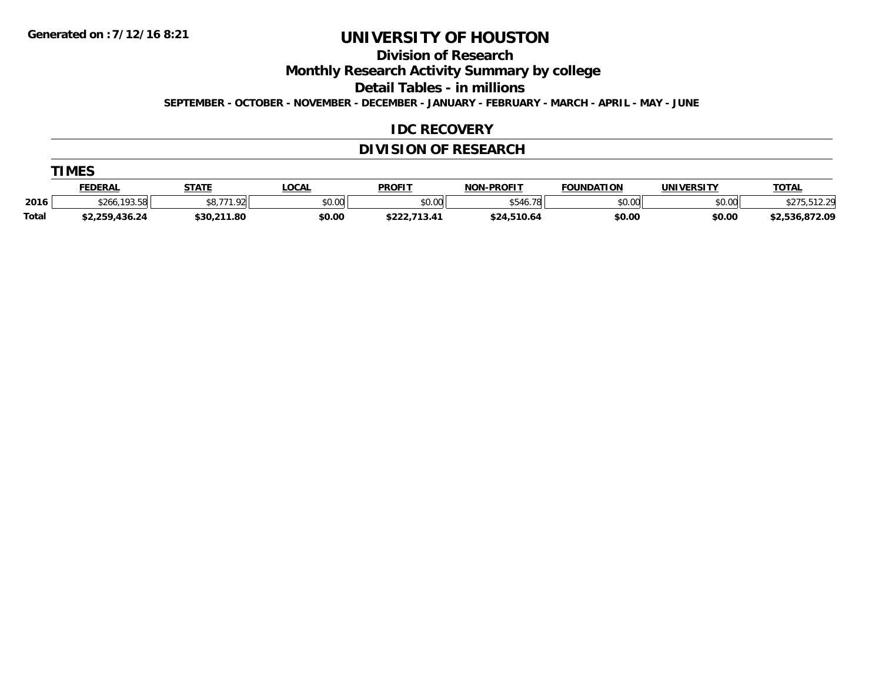**Division of Research**

**Monthly Research Activity Summary by college**

**Detail Tables - in millions**

**SEPTEMBER - OCTOBER - NOVEMBER - DECEMBER - JANUARY - FEBRUARY - MARCH - APRIL - MAY - JUNE**

### **IDC RECOVERY**

## **DIVISION OF RESEARCH**

|              | <b>FEDERAL</b>                                 | <b>STATE</b>            | <b>LOCAL</b> | <b>PROFIT</b>           | <b>NON-PROFIT</b>      | <b>FOUNDATION</b> | <b>UNIVERSITY</b> | T <u>OTAL</u>   |
|--------------|------------------------------------------------|-------------------------|--------------|-------------------------|------------------------|-------------------|-------------------|-----------------|
| 2016         | $\cdots$ and $\blacksquare$<br>\$266.<br>79.90 | <b>\$877192</b><br>, טע | \$0.00       | \$0.00                  | ATAI<br>ا 78.<br>\$54′ | \$0.00            | \$0.00            | 1000<br>ے . ۔ ا |
| <b>Total</b> | \$2,259,436.24                                 | \$30,211.80             | \$0.00       | よつつつ<br>ו ד.טו<br>0222. | \$24,510.64            | \$0.00            | \$0.00            | \$2,536,872.09  |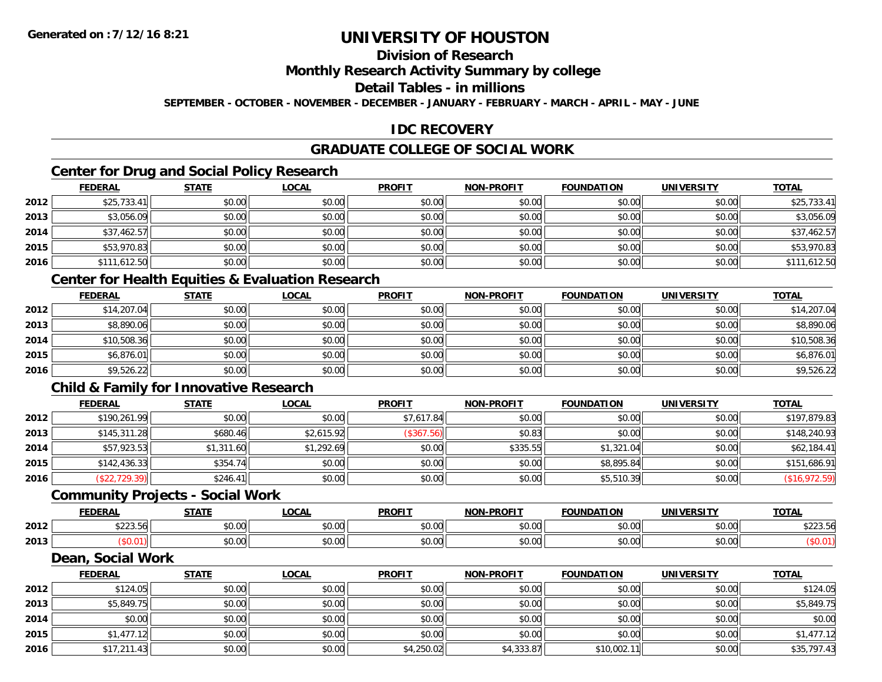## **Division of Research**

### **Monthly Research Activity Summary by college**

#### **Detail Tables - in millions**

**SEPTEMBER - OCTOBER - NOVEMBER - DECEMBER - JANUARY - FEBRUARY - MARCH - APRIL - MAY - JUNE**

## **IDC RECOVERY**

## **GRADUATE COLLEGE OF SOCIAL WORK**

## **Center for Drug and Social Policy Research**

|      | <b>FEDERAL</b> | <b>STATE</b> | <b>LOCAL</b> | <b>PROFIT</b> | <b>NON-PROFIT</b> | <b>FOUNDATION</b> | <b>UNIVERSITY</b> | <b>TOTAL</b> |
|------|----------------|--------------|--------------|---------------|-------------------|-------------------|-------------------|--------------|
| 2012 | \$25,733.41    | \$0.00       | \$0.00       | \$0.00        | \$0.00            | \$0.00            | \$0.00            | \$25,733.41  |
| 2013 | \$3,056.09     | \$0.00       | \$0.00       | \$0.00        | \$0.00            | \$0.00            | \$0.00            | \$3,056.09   |
| 2014 | \$37,462.57    | \$0.00       | \$0.00       | \$0.00        | \$0.00            | \$0.00            | \$0.00            | \$37,462.57  |
| 2015 | \$53,970.83    | \$0.00       | \$0.00       | \$0.00        | \$0.00            | \$0.00            | \$0.00            | \$53,970.83  |
| 2016 | \$111,612.50   | \$0.00       | \$0.00       | \$0.00        | \$0.00            | \$0.00            | \$0.00            | \$111,612.50 |

### **Center for Health Equities & Evaluation Research**

|      | <u>FEDERAL</u> | <b>STATE</b> | <u>LOCAL</u> | <b>PROFIT</b> | <b>NON-PROFIT</b> | <b>FOUNDATION</b> | <b>UNIVERSITY</b> | <b>TOTAL</b> |
|------|----------------|--------------|--------------|---------------|-------------------|-------------------|-------------------|--------------|
| 2012 | \$14,207.04    | \$0.00       | \$0.00       | \$0.00        | \$0.00            | \$0.00            | \$0.00            | \$14,207.04  |
| 2013 | \$8,890.06     | \$0.00       | \$0.00       | \$0.00        | \$0.00            | \$0.00            | \$0.00            | \$8,890.06   |
| 2014 | \$10,508.36    | \$0.00       | \$0.00       | \$0.00        | \$0.00            | \$0.00            | \$0.00            | \$10,508.36  |
| 2015 | \$6,876.01     | \$0.00       | \$0.00       | \$0.00        | \$0.00            | \$0.00            | \$0.00            | \$6,876.01   |
| 2016 | \$9,526.22     | \$0.00       | \$0.00       | \$0.00        | \$0.00            | \$0.00            | \$0.00            | \$9,526.22   |

## **Child & Family for Innovative Research**

|      | <b>FEDERAL</b> | <b>STATE</b> | <b>LOCAL</b> | <b>PROFIT</b> | <b>NON-PROFIT</b> | <b>FOUNDATION</b> | <b>UNIVERSITY</b> | <b>TOTAL</b>  |
|------|----------------|--------------|--------------|---------------|-------------------|-------------------|-------------------|---------------|
| 2012 | \$190,261.99   | \$0.00       | \$0.00       | \$7,617.84    | \$0.00            | \$0.00            | \$0.00            | \$197,879.83  |
| 2013 | \$145,311.28   | \$680.46     | \$2,615.92   | $(*367.56)$   | \$0.83            | \$0.00            | \$0.00            | \$148,240.93  |
| 2014 | \$57,923.53    | \$1,311.60   | \$1,292.69   | \$0.00        | \$335.55          | \$1,321.04        | \$0.00            | \$62,184.41   |
| 2015 | \$142,436.33   | \$354.74     | \$0.00       | \$0.00        | \$0.00            | \$8,895.84        | \$0.00            | \$151,686.91  |
| 2016 | (\$22,729.39)  | \$246.41     | \$0.00       | \$0.00        | \$0.00            | \$5,510.39        | \$0.00            | (\$16,972.59) |

### **Community Projects - Social Work**

|      | <b>FEDERAL</b>                             | 27.77              | 00 <sub>n</sub><br>UUA | <b>PROFIT</b>                              | <b>NON-PROFIT</b> | <b>FOUNDATION</b> | <b>UNIVERSITY</b> | <b>TOTAL</b>              |
|------|--------------------------------------------|--------------------|------------------------|--------------------------------------------|-------------------|-------------------|-------------------|---------------------------|
| 2012 | $\land$ $\land$ $\land$ $\land$<br>JLLJ.JU | $\sim$ 00<br>טט.טע | 0.00<br>JU.UU          | $\mathsf{A} \cap \mathsf{A} \cap$<br>JU.UU | 0000<br>JU.UU     | \$0.00            | \$0.00            | $\cdots$<br><b>JLLJ.J</b> |
| 2013 |                                            | ሶስ ስስ<br>JU.UU     | 0.00<br>pu.uu          | $\sim$ $\sim$<br>JU.UU                     | 0000<br>ง∪.∪บ     | \$0.00            | \$0.00            |                           |

#### **Dean, Social Work**

|      | <b>FEDERAL</b> | <b>STATE</b> | <u>LOCAL</u> | <b>PROFIT</b> | <b>NON-PROFIT</b> | <b>FOUNDATION</b> | <b>UNIVERSITY</b> | <b>TOTAL</b> |
|------|----------------|--------------|--------------|---------------|-------------------|-------------------|-------------------|--------------|
| 2012 | \$124.05       | \$0.00       | \$0.00       | \$0.00        | \$0.00            | \$0.00            | \$0.00            | \$124.05     |
| 2013 | \$5,849.75     | \$0.00       | \$0.00       | \$0.00        | \$0.00            | \$0.00            | \$0.00            | \$5,849.75   |
| 2014 | \$0.00         | \$0.00       | \$0.00       | \$0.00        | \$0.00            | \$0.00            | \$0.00            | \$0.00       |
| 2015 | \$1,477.12     | \$0.00       | \$0.00       | \$0.00        | \$0.00            | \$0.00            | \$0.00            | \$1,477.12   |
| 2016 | \$17,211.43    | \$0.00       | \$0.00       | \$4,250.02    | \$4,333.87        | \$10,002.11       | \$0.00            | \$35,797.43  |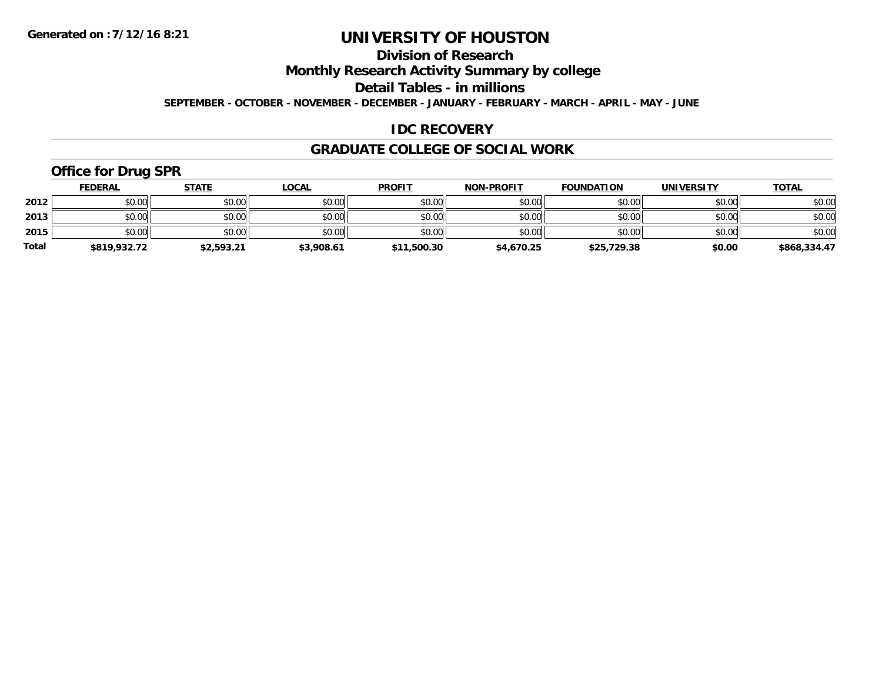## **Division of Research**

**Monthly Research Activity Summary by college**

**Detail Tables - in millions**

**SEPTEMBER - OCTOBER - NOVEMBER - DECEMBER - JANUARY - FEBRUARY - MARCH - APRIL - MAY - JUNE**

## **IDC RECOVERY**

### **GRADUATE COLLEGE OF SOCIAL WORK**

## **Office for Drug SPR**

|              | <b>FEDERAL</b> | <b>STATE</b> | <u>LOCAL</u> | <b>PROFIT</b> | <b>NON-PROFIT</b> | <b>FOUNDATION</b> | <b>UNIVERSITY</b> | <b>TOTAL</b> |
|--------------|----------------|--------------|--------------|---------------|-------------------|-------------------|-------------------|--------------|
| 2012         | \$0.00         | \$0.00       | \$0.00       | \$0.00        | \$0.00            | \$0.00            | \$0.00            | \$0.00       |
| 2013         | \$0.00         | \$0.00       | \$0.00       | \$0.00        | \$0.00            | \$0.00            | \$0.00            | \$0.00       |
| 2015         | \$0.00         | \$0.00       | \$0.00       | \$0.00        | \$0.00            | \$0.00            | \$0.00            | \$0.00       |
| <b>Total</b> | \$819,932.72   | \$2,593.21   | \$3,908.61   | \$11,500.30   | \$4,670.25        | \$25,729.38       | \$0.00            | \$868,334.47 |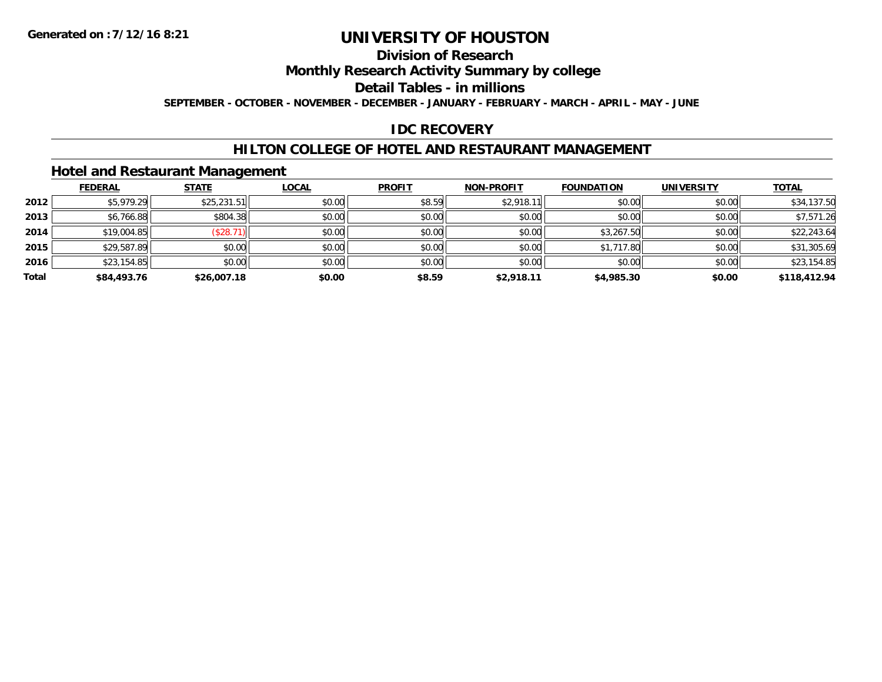## **Division of Research**

**Monthly Research Activity Summary by college**

**Detail Tables - in millions**

**SEPTEMBER - OCTOBER - NOVEMBER - DECEMBER - JANUARY - FEBRUARY - MARCH - APRIL - MAY - JUNE**

## **IDC RECOVERY**

### **HILTON COLLEGE OF HOTEL AND RESTAURANT MANAGEMENT**

### **Hotel and Restaurant Management**

|       | <b>FEDERAL</b> | <b>STATE</b> | <u>LOCAL</u> | <b>PROFIT</b> | <b>NON-PROFIT</b> | <b>FOUNDATION</b> | <b>UNIVERSITY</b> | <b>TOTAL</b> |
|-------|----------------|--------------|--------------|---------------|-------------------|-------------------|-------------------|--------------|
| 2012  | \$5,979.29     | \$25,231.51  | \$0.00       | \$8.59        | \$2,918.11        | \$0.00            | \$0.00            | \$34,137.50  |
| 2013  | \$6,766.88     | \$804.38     | \$0.00       | \$0.00        | \$0.00            | \$0.00            | \$0.00            | \$7,571.26   |
| 2014  | \$19,004.85    | (\$28.71     | \$0.00       | \$0.00        | \$0.00            | \$3,267.50        | \$0.00            | \$22,243.64  |
| 2015  | \$29,587.89    | \$0.00       | \$0.00       | \$0.00        | \$0.00            | \$1,717.80        | \$0.00            | \$31,305.69  |
| 2016  | \$23,154.85    | \$0.00       | \$0.00       | \$0.00        | \$0.00            | \$0.00            | \$0.00            | \$23,154.85  |
| Total | \$84,493.76    | \$26,007.18  | \$0.00       | \$8.59        | \$2,918.11        | \$4,985.30        | \$0.00            | \$118,412.94 |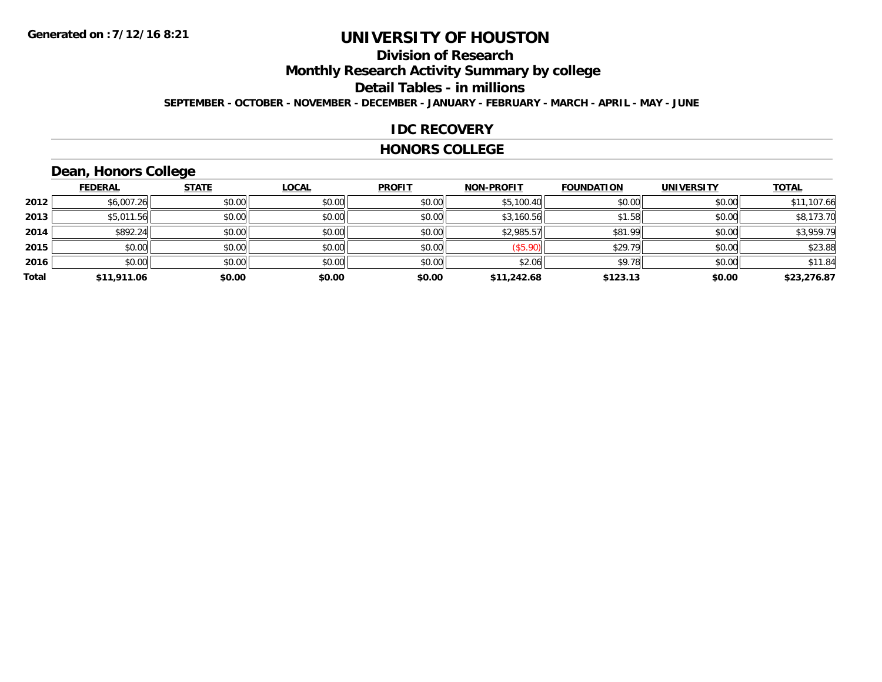## **Division of Research**

**Monthly Research Activity Summary by college**

**Detail Tables - in millions**

**SEPTEMBER - OCTOBER - NOVEMBER - DECEMBER - JANUARY - FEBRUARY - MARCH - APRIL - MAY - JUNE**

### **IDC RECOVERY**

#### **HONORS COLLEGE**

## **Dean, Honors College**

|       | <b>FEDERAL</b> | <b>STATE</b> | <b>LOCAL</b> | <b>PROFIT</b> | <b>NON-PROFIT</b> | <b>FOUNDATION</b> | <b>UNIVERSITY</b> | <b>TOTAL</b> |
|-------|----------------|--------------|--------------|---------------|-------------------|-------------------|-------------------|--------------|
| 2012  | \$6,007.26     | \$0.00       | \$0.00       | \$0.00        | \$5,100.40        | \$0.00            | \$0.00            | \$11,107.66  |
| 2013  | \$5,011.56     | \$0.00       | \$0.00       | \$0.00        | \$3,160.56        | \$1.58            | \$0.00            | \$8,173.70   |
| 2014  | \$892.24       | \$0.00       | \$0.00       | \$0.00        | \$2,985.57        | \$81.99           | \$0.00            | \$3,959.79   |
| 2015  | \$0.00         | \$0.00       | \$0.00       | \$0.00        | (\$5.90)          | \$29.79           | \$0.00            | \$23.88      |
| 2016  | \$0.00         | \$0.00       | \$0.00       | \$0.00        | \$2.06            | \$9.78            | \$0.00            | \$11.84      |
| Total | \$11,911.06    | \$0.00       | \$0.00       | \$0.00        | \$11,242.68       | \$123.13          | \$0.00            | \$23,276.87  |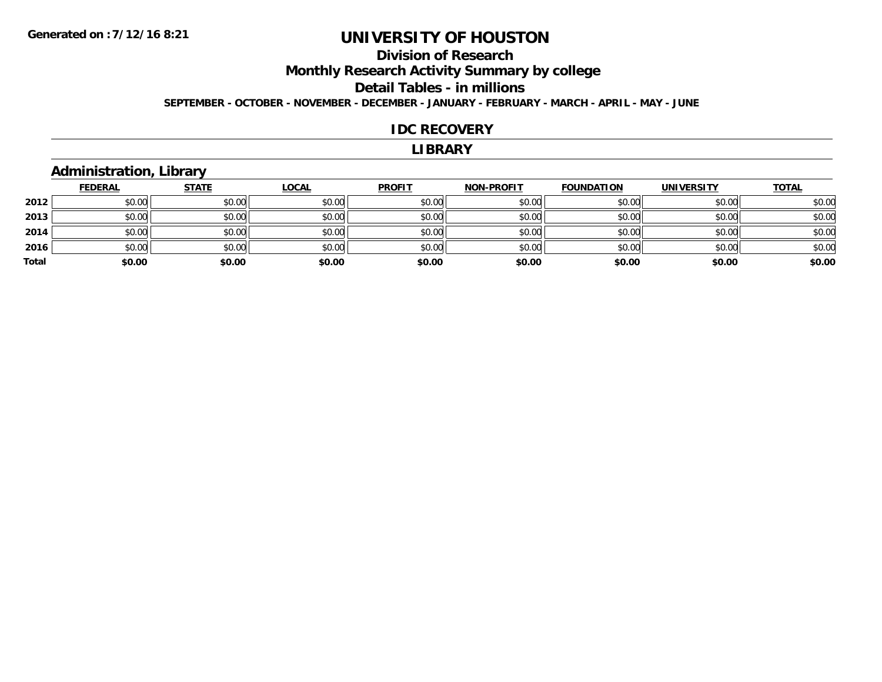## **Division of Research**

**Monthly Research Activity Summary by college**

#### **Detail Tables - in millions**

**SEPTEMBER - OCTOBER - NOVEMBER - DECEMBER - JANUARY - FEBRUARY - MARCH - APRIL - MAY - JUNE**

#### **IDC RECOVERY**

#### **LIBRARY**

### **Administration, Library**

|       | <u>FEDERAL</u> | <b>STATE</b> | <b>LOCAL</b> | <b>PROFIT</b> | <b>NON-PROFIT</b> | <b>FOUNDATION</b> | <b>UNIVERSITY</b> | <b>TOTAL</b> |
|-------|----------------|--------------|--------------|---------------|-------------------|-------------------|-------------------|--------------|
| 2012  | \$0.00         | \$0.00       | \$0.00       | \$0.00        | \$0.00            | \$0.00            | \$0.00            | \$0.00       |
| 2013  | \$0.00         | \$0.00       | \$0.00       | \$0.00        | \$0.00            | \$0.00            | \$0.00            | \$0.00       |
| 2014  | \$0.00         | \$0.00       | \$0.00       | \$0.00        | \$0.00            | \$0.00            | \$0.00            | \$0.00       |
| 2016  | \$0.00         | \$0.00       | \$0.00       | \$0.00        | \$0.00            | \$0.00            | \$0.00            | \$0.00       |
| Total | \$0.00         | \$0.00       | \$0.00       | \$0.00        | \$0.00            | \$0.00            | \$0.00            | \$0.00       |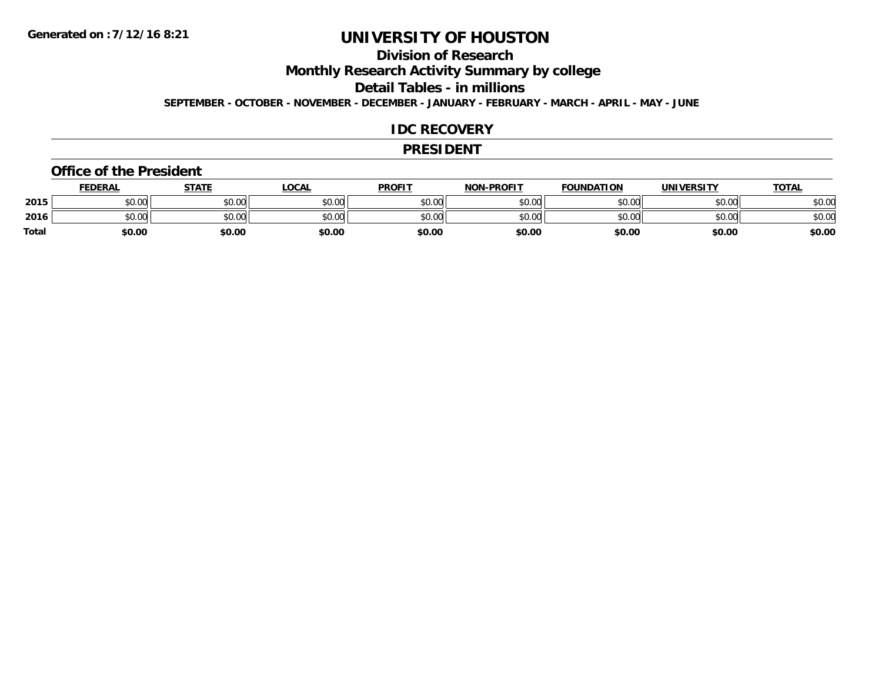## **Division of Research**

**Monthly Research Activity Summary by college**

**Detail Tables - in millions**

**SEPTEMBER - OCTOBER - NOVEMBER - DECEMBER - JANUARY - FEBRUARY - MARCH - APRIL - MAY - JUNE**

### **IDC RECOVERY**

#### **PRESIDENT**

#### **Office of the President**

|              | <b>FEDERAL</b> | STATE  | <u>LOCAL</u> | <b>PROFIT</b> | <b>NON-PROFIT</b> | <b>FOUNDATION</b> | <b>UNIVERSITY</b> | <b>TOTAL</b> |
|--------------|----------------|--------|--------------|---------------|-------------------|-------------------|-------------------|--------------|
| 2015         | \$0.00         | \$0.00 | \$0.00       | \$0.00        | \$0.00            | \$0.00            | \$0.00            | \$0.00       |
| 2016         | \$0.00         | \$0.00 | \$0.00       | \$0.00        | \$0.00            | \$0.00            | \$0.00            | \$0.00       |
| <b>Total</b> | \$0.00         | \$0.00 | \$0.00       | \$0.00        | \$0.00            | \$0.00            | \$0.00            | \$0.00       |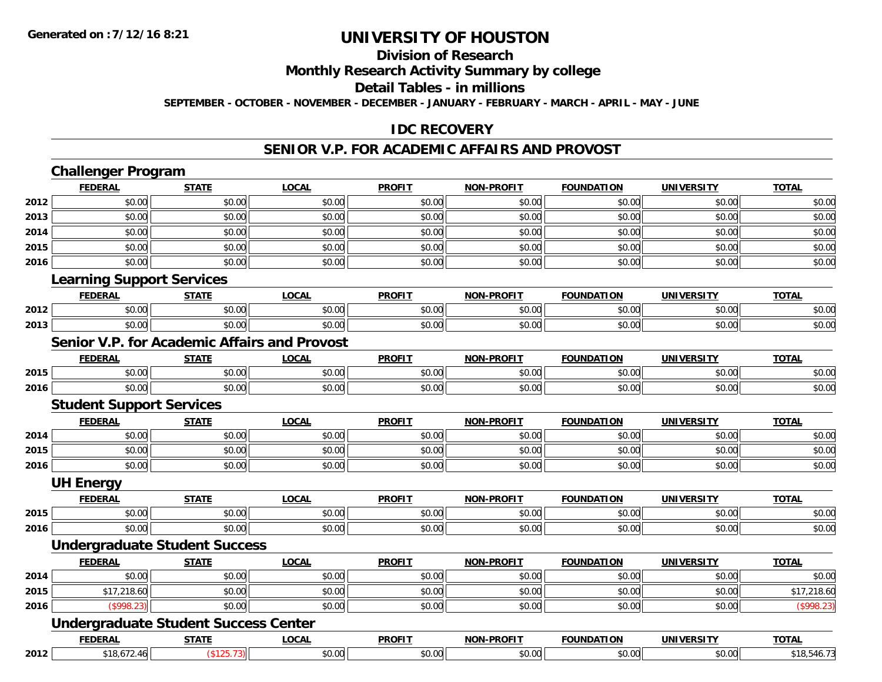#### **Division of Research**

**Monthly Research Activity Summary by college**

**Detail Tables - in millions**

**SEPTEMBER - OCTOBER - NOVEMBER - DECEMBER - JANUARY - FEBRUARY - MARCH - APRIL - MAY - JUNE**

## **IDC RECOVERY**

#### **SENIOR V.P. FOR ACADEMIC AFFAIRS AND PROVOST**

|      | <b>Challenger Program</b>        |                                             |                                              |               |                   |                   |                   |              |
|------|----------------------------------|---------------------------------------------|----------------------------------------------|---------------|-------------------|-------------------|-------------------|--------------|
|      | <b>FEDERAL</b>                   | <b>STATE</b>                                | <b>LOCAL</b>                                 | <b>PROFIT</b> | <b>NON-PROFIT</b> | <b>FOUNDATION</b> | <b>UNIVERSITY</b> | <b>TOTAL</b> |
| 2012 | \$0.00                           | \$0.00                                      | \$0.00                                       | \$0.00        | \$0.00            | \$0.00            | \$0.00            | \$0.00       |
| 2013 | \$0.00                           | \$0.00                                      | \$0.00                                       | \$0.00        | \$0.00            | \$0.00            | \$0.00            | \$0.00       |
| 2014 | \$0.00                           | \$0.00                                      | \$0.00                                       | \$0.00        | \$0.00            | \$0.00            | \$0.00            | \$0.00       |
| 2015 | \$0.00                           | \$0.00                                      | \$0.00                                       | \$0.00        | \$0.00            | \$0.00            | \$0.00            | \$0.00       |
| 2016 | \$0.00                           | \$0.00                                      | \$0.00                                       | \$0.00        | \$0.00            | \$0.00            | \$0.00            | \$0.00       |
|      | <b>Learning Support Services</b> |                                             |                                              |               |                   |                   |                   |              |
|      | <b>FEDERAL</b>                   | <b>STATE</b>                                | <b>LOCAL</b>                                 | <b>PROFIT</b> | <b>NON-PROFIT</b> | <b>FOUNDATION</b> | <b>UNIVERSITY</b> | <b>TOTAL</b> |
| 2012 | \$0.00                           | \$0.00                                      | \$0.00                                       | \$0.00        | \$0.00            | \$0.00            | \$0.00            | \$0.00       |
| 2013 | \$0.00                           | \$0.00                                      | \$0.00                                       | \$0.00        | \$0.00            | \$0.00            | \$0.00            | \$0.00       |
|      |                                  |                                             | Senior V.P. for Academic Affairs and Provost |               |                   |                   |                   |              |
|      | <b>FEDERAL</b>                   | <b>STATE</b>                                | <b>LOCAL</b>                                 | <b>PROFIT</b> | <b>NON-PROFIT</b> | <b>FOUNDATION</b> | <b>UNIVERSITY</b> | <b>TOTAL</b> |
| 2015 | \$0.00                           | \$0.00                                      | \$0.00                                       | \$0.00        | \$0.00            | \$0.00            | \$0.00            | \$0.00       |
| 2016 | \$0.00                           | \$0.00                                      | \$0.00                                       | \$0.00        | \$0.00            | \$0.00            | \$0.00            | \$0.00       |
|      | <b>Student Support Services</b>  |                                             |                                              |               |                   |                   |                   |              |
|      | <b>FEDERAL</b>                   | <b>STATE</b>                                | <b>LOCAL</b>                                 | <b>PROFIT</b> | <b>NON-PROFIT</b> | <b>FOUNDATION</b> | <b>UNIVERSITY</b> | <b>TOTAL</b> |
| 2014 | \$0.00                           | \$0.00                                      | \$0.00                                       | \$0.00        | \$0.00            | \$0.00            | \$0.00            | \$0.00       |
| 2015 | \$0.00                           | \$0.00                                      | \$0.00                                       | \$0.00        | \$0.00            | \$0.00            | \$0.00            | \$0.00       |
| 2016 | \$0.00                           | \$0.00                                      | \$0.00                                       | \$0.00        | \$0.00            | \$0.00            | \$0.00            | \$0.00       |
|      | <b>UH Energy</b>                 |                                             |                                              |               |                   |                   |                   |              |
|      | <b>FEDERAL</b>                   | <b>STATE</b>                                | <b>LOCAL</b>                                 | <b>PROFIT</b> | <b>NON-PROFIT</b> | <b>FOUNDATION</b> | <b>UNIVERSITY</b> | <b>TOTAL</b> |
| 2015 | \$0.00                           | \$0.00                                      | \$0.00                                       | \$0.00        | \$0.00            | \$0.00            | \$0.00            | \$0.00       |
| 2016 | \$0.00                           | \$0.00                                      | \$0.00                                       | \$0.00        | \$0.00            | \$0.00            | \$0.00            | \$0.00       |
|      |                                  | <b>Undergraduate Student Success</b>        |                                              |               |                   |                   |                   |              |
|      | <b>FEDERAL</b>                   | <b>STATE</b>                                | <b>LOCAL</b>                                 | <b>PROFIT</b> | <b>NON-PROFIT</b> | <b>FOUNDATION</b> | <b>UNIVERSITY</b> | <b>TOTAL</b> |
| 2014 | \$0.00                           | \$0.00                                      | \$0.00                                       | \$0.00        | \$0.00            | \$0.00            | \$0.00            | \$0.00       |
| 2015 | \$17,218.60                      | \$0.00                                      | \$0.00                                       | \$0.00        | \$0.00            | \$0.00            | \$0.00            | \$17,218.60  |
| 2016 | (\$998.23)                       | \$0.00                                      | \$0.00                                       | \$0.00        | \$0.00            | \$0.00            | \$0.00            | (\$998.23)   |
|      |                                  | <b>Undergraduate Student Success Center</b> |                                              |               |                   |                   |                   |              |
|      | <b>FEDERAL</b>                   | <b>STATE</b>                                | <b>LOCAL</b>                                 | <b>PROFIT</b> | <b>NON-PROFIT</b> | <b>FOUNDATION</b> | <b>UNIVERSITY</b> | <b>TOTAL</b> |
| 2012 | \$18,672.46                      | (\$125.73)                                  | \$0.00                                       | \$0.00        | \$0.00            | \$0.00            | \$0.00            | \$18,546.73  |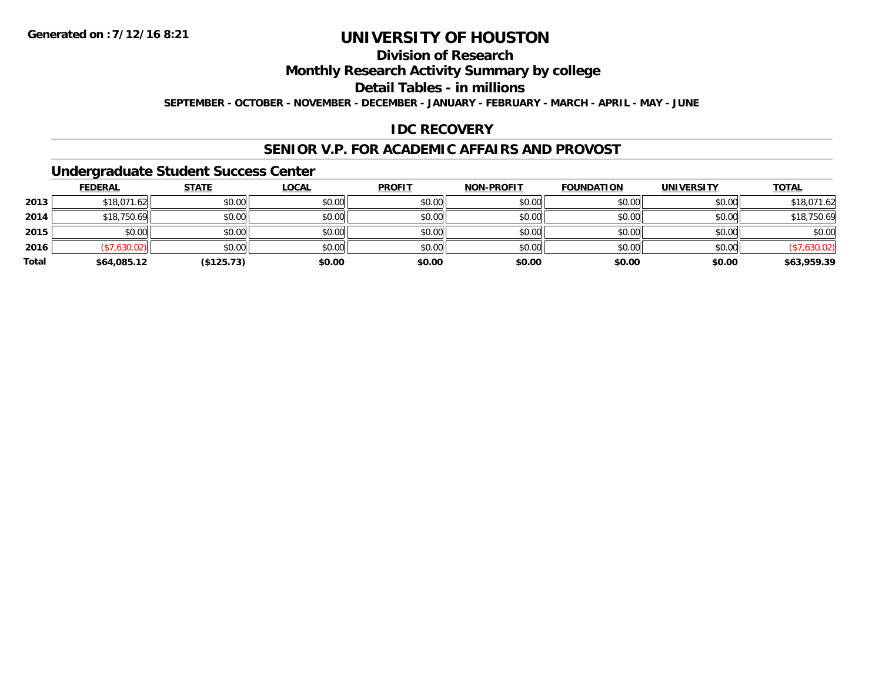## **Division of Research**

**Monthly Research Activity Summary by college**

**Detail Tables - in millions**

**SEPTEMBER - OCTOBER - NOVEMBER - DECEMBER - JANUARY - FEBRUARY - MARCH - APRIL - MAY - JUNE**

## **IDC RECOVERY**

### **SENIOR V.P. FOR ACADEMIC AFFAIRS AND PROVOST**

### **Undergraduate Student Success Center**

|       | <b>FEDERAL</b> | <b>STATE</b> | <b>LOCAL</b> | <b>PROFIT</b> | <b>NON-PROFIT</b> | <b>FOUNDATION</b> | <b>UNIVERSITY</b> | <b>TOTAL</b> |
|-------|----------------|--------------|--------------|---------------|-------------------|-------------------|-------------------|--------------|
| 2013  | \$18,071.62    | \$0.00       | \$0.00       | \$0.00        | \$0.00            | \$0.00            | \$0.00            | \$18,071.62  |
| 2014  | \$18,750.69    | \$0.00       | \$0.00       | \$0.00        | \$0.00            | \$0.00            | \$0.00            | \$18,750.69  |
| 2015  | \$0.00         | \$0.00       | \$0.00       | \$0.00        | \$0.00            | \$0.00            | \$0.00            | \$0.00       |
| 2016  | (\$7,630.02)   | \$0.00       | \$0.00       | \$0.00        | \$0.00            | \$0.00            | \$0.00            | (\$7,630.02) |
| Total | \$64,085.12    | (\$125.73)   | \$0.00       | \$0.00        | \$0.00            | \$0.00            | \$0.00            | \$63,959.39  |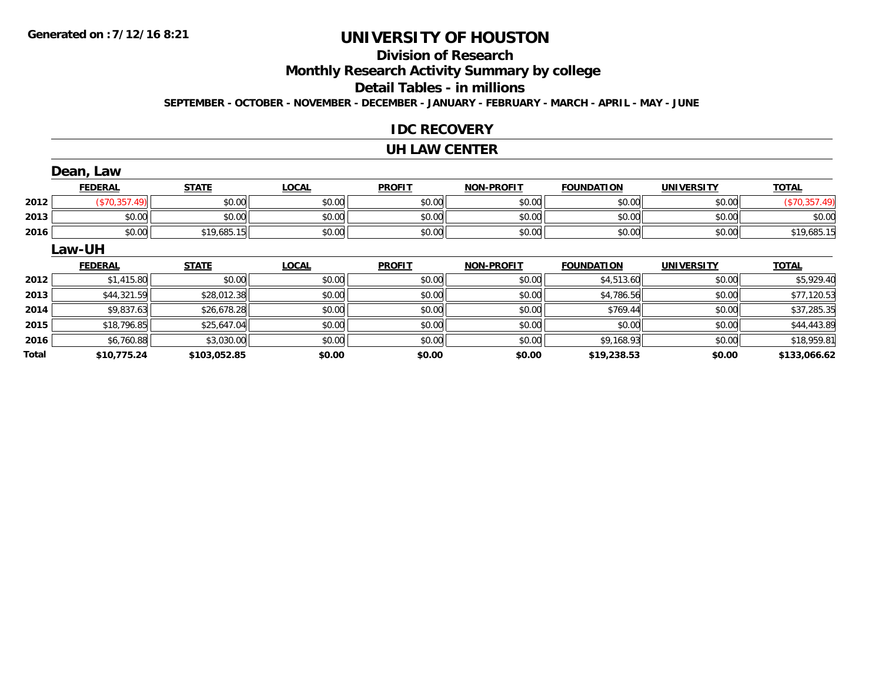## **Division of Research**

**Monthly Research Activity Summary by college**

#### **Detail Tables - in millions**

**SEPTEMBER - OCTOBER - NOVEMBER - DECEMBER - JANUARY - FEBRUARY - MARCH - APRIL - MAY - JUNE**

### **IDC RECOVERY**

#### **UH LAW CENTER**

|              | Dean, Law      |              |              |               |                   |                   |                   |               |
|--------------|----------------|--------------|--------------|---------------|-------------------|-------------------|-------------------|---------------|
|              | <b>FEDERAL</b> | <b>STATE</b> | <b>LOCAL</b> | <b>PROFIT</b> | <b>NON-PROFIT</b> | <b>FOUNDATION</b> | <b>UNIVERSITY</b> | <b>TOTAL</b>  |
| 2012         | (\$70,357.49)  | \$0.00       | \$0.00       | \$0.00        | \$0.00            | \$0.00            | \$0.00            | (\$70,357.49) |
| 2013         | \$0.00         | \$0.00       | \$0.00       | \$0.00        | \$0.00            | \$0.00            | \$0.00            | \$0.00        |
| 2016         | \$0.00         | \$19,685.15  | \$0.00       | \$0.00        | \$0.00            | \$0.00            | \$0.00            | \$19,685.15   |
|              | Law-UH         |              |              |               |                   |                   |                   |               |
|              | <b>FEDERAL</b> | <b>STATE</b> | <b>LOCAL</b> | <b>PROFIT</b> | <b>NON-PROFIT</b> | <b>FOUNDATION</b> | <b>UNIVERSITY</b> | <b>TOTAL</b>  |
| 2012         | \$1,415.80     | \$0.00       | \$0.00       | \$0.00        | \$0.00            | \$4,513.60        | \$0.00            | \$5,929.40    |
| 2013         | \$44,321.59    | \$28,012.38  | \$0.00       | \$0.00        | \$0.00            | \$4,786.56        | \$0.00            | \$77,120.53   |
| 2014         | \$9,837.63     | \$26,678.28  | \$0.00       | \$0.00        | \$0.00            | \$769.44          | \$0.00            | \$37,285.35   |
| 2015         | \$18,796.85    | \$25,647.04  | \$0.00       | \$0.00        | \$0.00            | \$0.00            | \$0.00            | \$44,443.89   |
| 2016         | \$6,760.88     | \$3,030.00   | \$0.00       | \$0.00        | \$0.00            | \$9,168.93        | \$0.00            | \$18,959.81   |
| <b>Total</b> | \$10,775.24    | \$103,052.85 | \$0.00       | \$0.00        | \$0.00            | \$19,238.53       | \$0.00            | \$133,066.62  |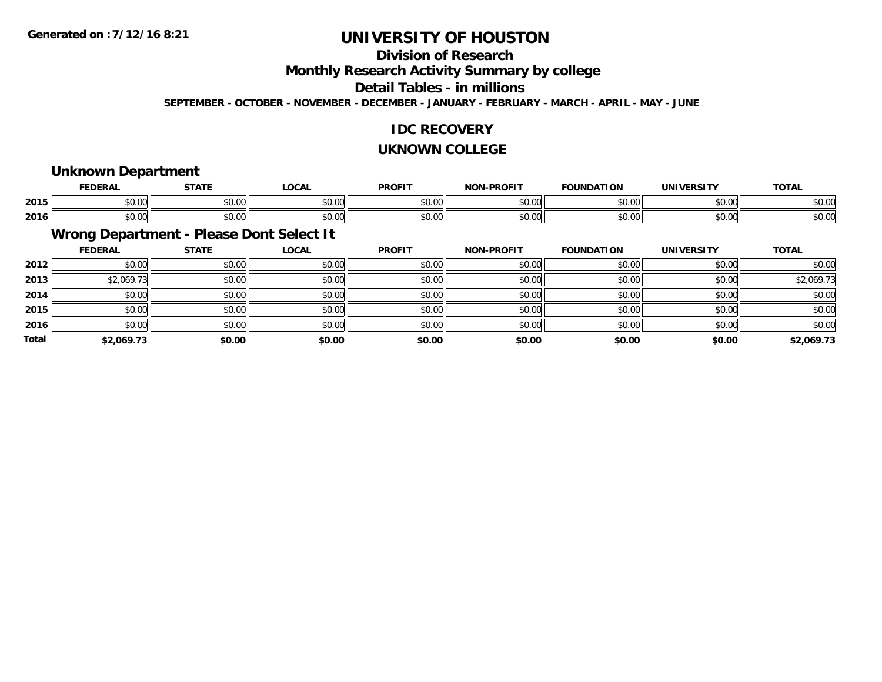## **Division of Research**

**Monthly Research Activity Summary by college**

#### **Detail Tables - in millions**

**SEPTEMBER - OCTOBER - NOVEMBER - DECEMBER - JANUARY - FEBRUARY - MARCH - APRIL - MAY - JUNE**

## **IDC RECOVERY**

#### **UKNOWN COLLEGE**

### **Unknown Department**

|      | cr.                | <b>СТЛТІ</b>    | <b>_OCAL</b>   | <b>DDOFIT</b> | <b>BBAFIT</b><br>יממ | ΓΙΟΝ   | UNIVERSITY | <u>TOTAL</u> |
|------|--------------------|-----------------|----------------|---------------|----------------------|--------|------------|--------------|
| 2015 | $\sim$ 00<br>JU.UU | ሶስ ስስ<br>וטט.טע | 0.00<br>wu.uu. | \$0.00        | $\sim$ 00<br>וטטוע   | \$0.00 | \$0.00     | \$0.00       |
| 2016 | $\sim$ 00<br>JU.UU | ሶስ ሰሰ<br>JU.UU  | 0.00<br>JU.UU  | \$0.00        | $\sim$ 00<br>וטטוע   | \$0.00 | \$0.00     | \$0.00       |

## **Wrong Department - Please Dont Select It**

|              | <b>FEDERAL</b> | <b>STATE</b> | <u>LOCAL</u> | <b>PROFIT</b> | <b>NON-PROFIT</b> | <b>FOUNDATION</b> | <b>UNIVERSITY</b> | <b>TOTAL</b> |
|--------------|----------------|--------------|--------------|---------------|-------------------|-------------------|-------------------|--------------|
| 2012         | \$0.00         | \$0.00       | \$0.00       | \$0.00        | \$0.00            | \$0.00            | \$0.00            | \$0.00       |
| 2013         | \$2,069.73     | \$0.00       | \$0.00       | \$0.00        | \$0.00            | \$0.00            | \$0.00            | \$2,069.73   |
| 2014         | \$0.00         | \$0.00       | \$0.00       | \$0.00        | \$0.00            | \$0.00            | \$0.00            | \$0.00       |
| 2015         | \$0.00         | \$0.00       | \$0.00       | \$0.00        | \$0.00            | \$0.00            | \$0.00            | \$0.00       |
| 2016         | \$0.00         | \$0.00       | \$0.00       | \$0.00        | \$0.00            | \$0.00            | \$0.00            | \$0.00       |
| <b>Total</b> | \$2,069.73     | \$0.00       | \$0.00       | \$0.00        | \$0.00            | \$0.00            | \$0.00            | \$2,069.73   |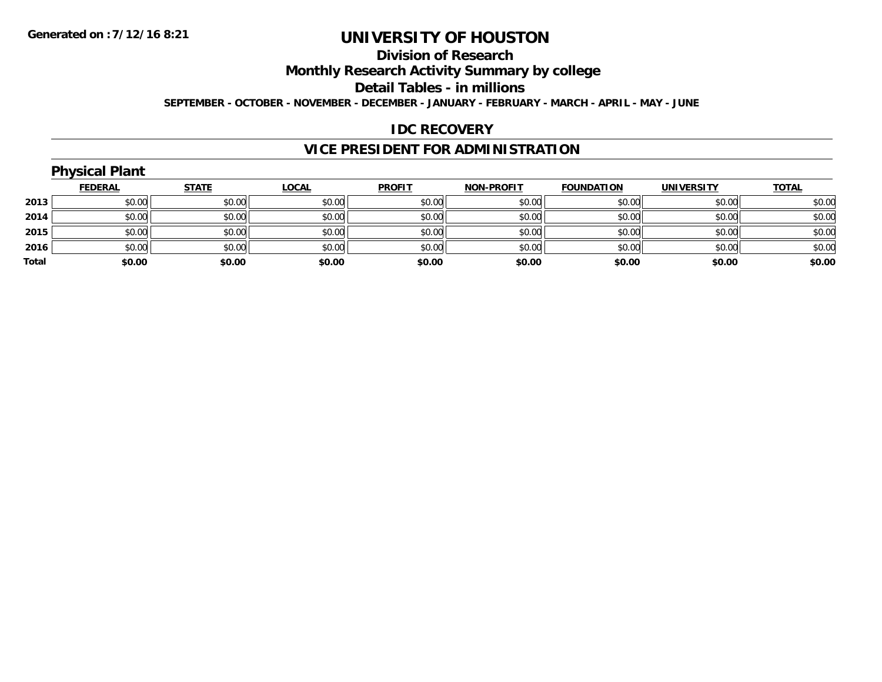## **Division of Research**

**Monthly Research Activity Summary by college**

**Detail Tables - in millions**

**SEPTEMBER - OCTOBER - NOVEMBER - DECEMBER - JANUARY - FEBRUARY - MARCH - APRIL - MAY - JUNE**

## **IDC RECOVERY**

## **VICE PRESIDENT FOR ADMINISTRATION**

## **Physical Plant**

|       | <b>FEDERAL</b> | <b>STATE</b> | <u>LOCAL</u> | <b>PROFIT</b> | <b>NON-PROFIT</b> | <b>FOUNDATION</b> | <b>UNIVERSITY</b> | <b>TOTAL</b> |
|-------|----------------|--------------|--------------|---------------|-------------------|-------------------|-------------------|--------------|
| 2013  | \$0.00         | \$0.00       | \$0.00       | \$0.00        | \$0.00            | \$0.00            | \$0.00            | \$0.00       |
| 2014  | \$0.00         | \$0.00       | \$0.00       | \$0.00        | \$0.00            | \$0.00            | \$0.00            | \$0.00       |
| 2015  | \$0.00         | \$0.00       | \$0.00       | \$0.00        | \$0.00            | \$0.00            | \$0.00            | \$0.00       |
| 2016  | \$0.00         | \$0.00       | \$0.00       | \$0.00        | \$0.00            | \$0.00            | \$0.00            | \$0.00       |
| Total | \$0.00         | \$0.00       | \$0.00       | \$0.00        | \$0.00            | \$0.00            | \$0.00            | \$0.00       |